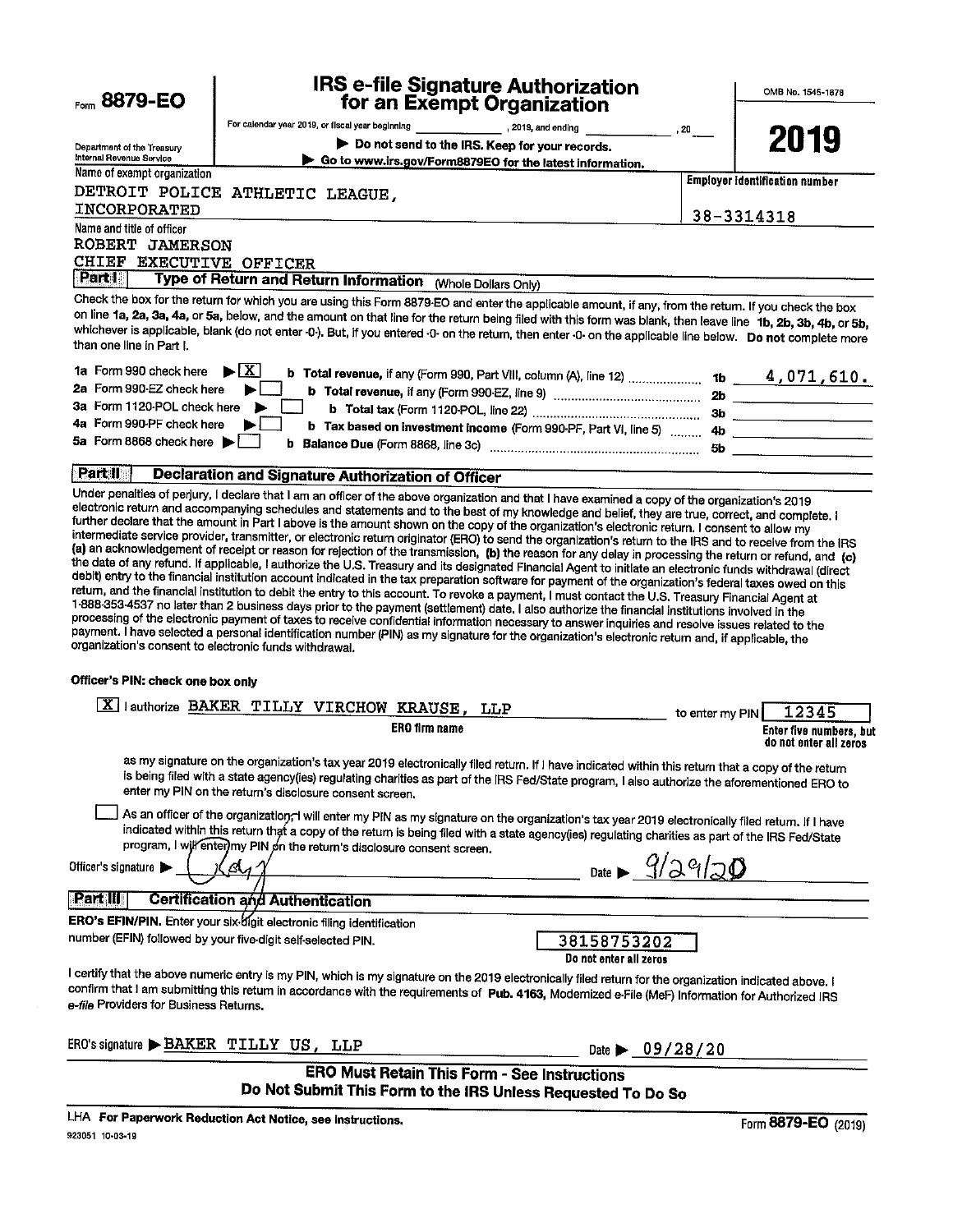| Form $8879 - EO$                                                                            | IRS e-file Signature Authorization<br>for an Exempt Organization                                                                                                                                                                                                                                                                                                                                                                                                                                                                                                                                                |                 | OMB No. 1545-1878                                 |
|---------------------------------------------------------------------------------------------|-----------------------------------------------------------------------------------------------------------------------------------------------------------------------------------------------------------------------------------------------------------------------------------------------------------------------------------------------------------------------------------------------------------------------------------------------------------------------------------------------------------------------------------------------------------------------------------------------------------------|-----------------|---------------------------------------------------|
|                                                                                             | For calendar year 2019, or fiscal year beginning [100] [2019, and ending                                                                                                                                                                                                                                                                                                                                                                                                                                                                                                                                        |                 |                                                   |
| Department of the Treasury<br>Internal Revenue Service                                      | Do not send to the IRS. Keep for your records.<br>Go to www.irs.gov/Form8879EO for the latest information.                                                                                                                                                                                                                                                                                                                                                                                                                                                                                                      | , 20            | 2019                                              |
| Name of exempt organization                                                                 |                                                                                                                                                                                                                                                                                                                                                                                                                                                                                                                                                                                                                 |                 | <b>Employer identification number</b>             |
|                                                                                             | DETROIT POLICE ATHLETIC LEAGUE,                                                                                                                                                                                                                                                                                                                                                                                                                                                                                                                                                                                 |                 |                                                   |
| INCORPORATED                                                                                |                                                                                                                                                                                                                                                                                                                                                                                                                                                                                                                                                                                                                 |                 | 38-3314318                                        |
| Name and title of officer<br>ROBERT JAMERSON<br>CHIEF EXECUTIVE OFFICER<br>Part I           |                                                                                                                                                                                                                                                                                                                                                                                                                                                                                                                                                                                                                 |                 |                                                   |
|                                                                                             | Type of Return and Return Information (Whole Dollars Only)                                                                                                                                                                                                                                                                                                                                                                                                                                                                                                                                                      |                 |                                                   |
| than one line in Part I.                                                                    | Check the box for the return for which you are using this Form 8879-EO and enter the applicable amount, if any, from the return. If you check the box<br>on line 1a, 2a, 3a, 4a, or 5a, below, and the amount on that line for the return being filed with this form was blank, then leave line 1b, 2b, 3b, 4b, or 5b,<br>whichever is applicable, blank (do not enter -0-). But, if you entered -0- on the return, then enter -0- on the applicable line below. Do not complete more                                                                                                                           |                 |                                                   |
| 1a Form 990 check here                                                                      | $\blacktriangleright$ $\lfloor$ X<br><b>b</b> Total revenue, if any (Form 990, Part VIII, column (A), line 12)  1b $4,071,610.$                                                                                                                                                                                                                                                                                                                                                                                                                                                                                 |                 |                                                   |
| 2a Form 990-EZ check here                                                                   |                                                                                                                                                                                                                                                                                                                                                                                                                                                                                                                                                                                                                 |                 |                                                   |
| 3a Form 1120-POL check here<br>4a Form 990-PF check here                                    |                                                                                                                                                                                                                                                                                                                                                                                                                                                                                                                                                                                                                 |                 |                                                   |
| 5a Form 8868 check here $\blacktriangleright$                                               | b Tax based on investment income (Form 990-PF, Part VI, line 5)  4b                                                                                                                                                                                                                                                                                                                                                                                                                                                                                                                                             |                 |                                                   |
|                                                                                             |                                                                                                                                                                                                                                                                                                                                                                                                                                                                                                                                                                                                                 |                 |                                                   |
| Part II                                                                                     | <b>Declaration and Signature Authorization of Officer</b>                                                                                                                                                                                                                                                                                                                                                                                                                                                                                                                                                       |                 |                                                   |
| organization's consent to electronic funds withdrawal.<br>Officer's PIN: check one box only | return, and the financial institution to debit the entry to this account. To revoke a payment, I must contact the U.S. Treasury Financial Agent at<br>1-888-353-4537 no later than 2 business days prior to the payment (settlement) date. I also authorize the financial institutions involved in the<br>processing of the electronic payment of taxes to receive confidential information necessary to answer inquiries and resolve issues related to the<br>payment. I have selected a personal identification number (PIN) as my signature for the organization's electronic return and, if applicable, the |                 |                                                   |
|                                                                                             |                                                                                                                                                                                                                                                                                                                                                                                                                                                                                                                                                                                                                 |                 |                                                   |
|                                                                                             | X lauthorize BAKER TILLY VIRCHOW KRAUSE, LLP                                                                                                                                                                                                                                                                                                                                                                                                                                                                                                                                                                    | to enter my PIN | 12345                                             |
|                                                                                             | ERO firm name                                                                                                                                                                                                                                                                                                                                                                                                                                                                                                                                                                                                   |                 | Enter five numbers, but<br>do not enter all zeros |
|                                                                                             | as my signature on the organization's tax year 2019 electronically filed return. If I have indicated within this return that a copy of the return<br>is being filed with a state agency(ies) regulating charities as part of the IRS Fed/State program, I also authorize the aforementioned ERO to<br>enter my PIN on the return's disclosure consent screen.                                                                                                                                                                                                                                                   |                 |                                                   |
|                                                                                             | As an officer of the organization; I will enter my PIN as my signature on the organization's tax year 2019 electronically filed return. If I have<br>indicated within this return that a copy of the return is being filed with a state agency(ies) regulating charities as part of the IRS Fed/State<br>program, I will enter my PIN on the return's disclosure consent screen.                                                                                                                                                                                                                                |                 |                                                   |
| Officer's signature                                                                         | Date $9/29/20$<br>А.                                                                                                                                                                                                                                                                                                                                                                                                                                                                                                                                                                                            |                 |                                                   |
| <b>Part III</b>                                                                             | <b>Certification and Authentication</b>                                                                                                                                                                                                                                                                                                                                                                                                                                                                                                                                                                         |                 |                                                   |
|                                                                                             | ERO's EFIN/PIN. Enter your six-digit electronic filing identification                                                                                                                                                                                                                                                                                                                                                                                                                                                                                                                                           |                 |                                                   |
|                                                                                             | number (EFIN) followed by your five-digit self-selected PIN.<br>38158753202<br>Do not enter all zeros                                                                                                                                                                                                                                                                                                                                                                                                                                                                                                           |                 |                                                   |
| e-file Providers for Business Returns.                                                      | I certify that the above numeric entry is my PIN, which is my signature on the 2019 electronically filed return for the organization indicated above. I<br>confirm that I am submitting this return in accordance with the requirements of Pub. 4163, Modernized e-File (MeF) Information for Authorized IRS                                                                                                                                                                                                                                                                                                    |                 |                                                   |
|                                                                                             | ERO's signature > BAKER TILLY US, LLP<br>Date $\triangleright$ 09/28/20                                                                                                                                                                                                                                                                                                                                                                                                                                                                                                                                         |                 |                                                   |
|                                                                                             | <b>ERO Must Retain This Form - See Instructions</b><br>Do Not Submit This Form to the IRS Unless Requested To Do So                                                                                                                                                                                                                                                                                                                                                                                                                                                                                             |                 |                                                   |
| 923051 10-03-19                                                                             | LHA For Paperwork Reduction Act Notice, see instructions.                                                                                                                                                                                                                                                                                                                                                                                                                                                                                                                                                       |                 | Form 8879-EO (2019)                               |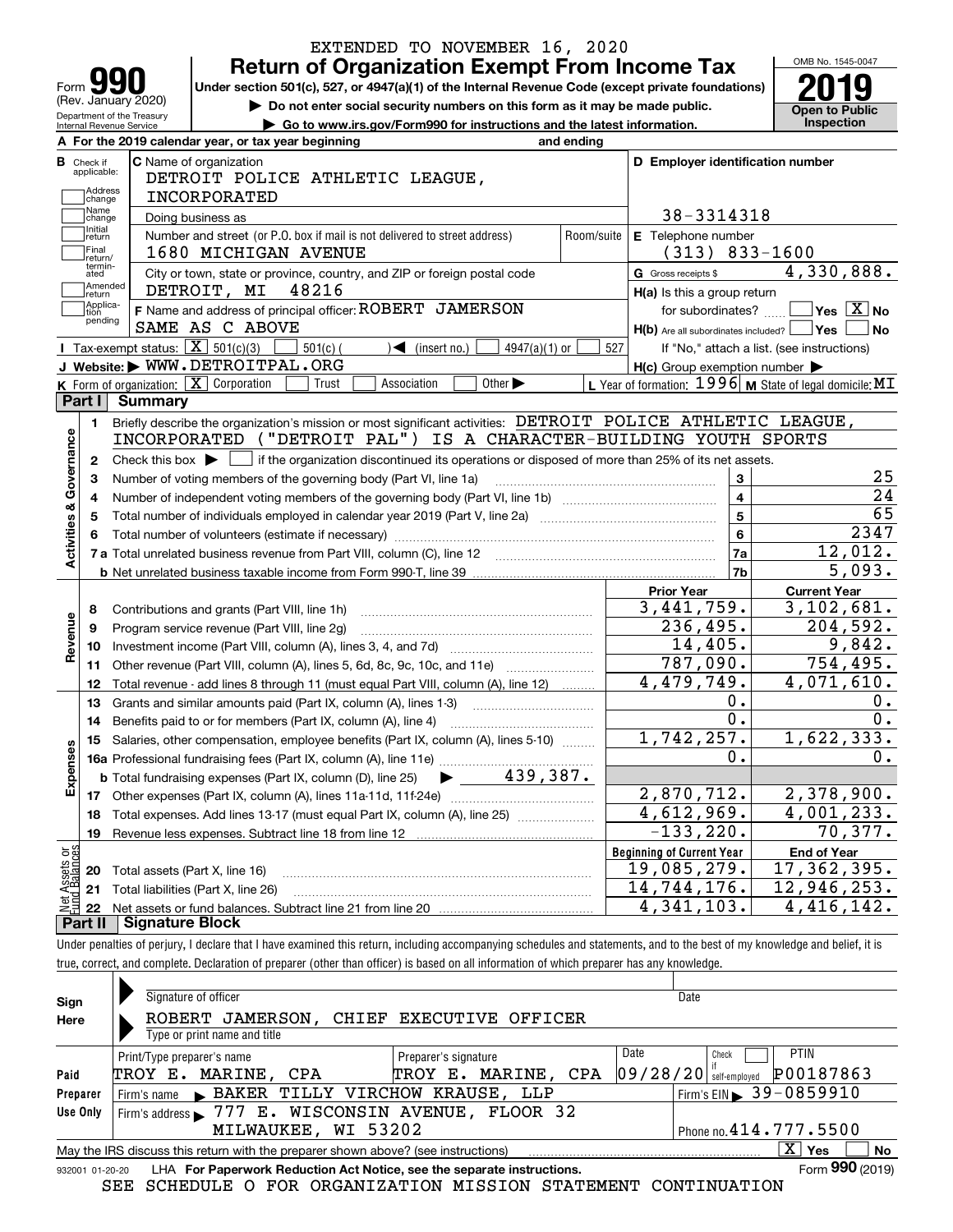|                                                |                                                        |                                                                                                                                             | EXTENDED TO NOVEMBER 16, 2020<br><b>Return of Organization Exempt From Income Tax</b>                       |                             |            |                                                           |                         | OMB No. 1545-0047                          |                                                              |
|------------------------------------------------|--------------------------------------------------------|---------------------------------------------------------------------------------------------------------------------------------------------|-------------------------------------------------------------------------------------------------------------|-----------------------------|------------|-----------------------------------------------------------|-------------------------|--------------------------------------------|--------------------------------------------------------------|
| Form                                           |                                                        | Under section 501(c), 527, or 4947(a)(1) of the Internal Revenue Code (except private foundations)                                          |                                                                                                             |                             |            |                                                           |                         |                                            |                                                              |
|                                                | (Rev. January 2020)                                    |                                                                                                                                             | Do not enter social security numbers on this form as it may be made public.                                 |                             |            |                                                           |                         | <b>Open to Public</b>                      |                                                              |
|                                                | Department of the Treasury<br>Internal Revenue Service |                                                                                                                                             | Go to www.irs.gov/Form990 for instructions and the latest information.                                      |                             |            |                                                           |                         | Inspection                                 |                                                              |
|                                                |                                                        | A For the 2019 calendar year, or tax year beginning                                                                                         |                                                                                                             |                             | and ending |                                                           |                         |                                            |                                                              |
| <b>B</b> Check if<br>applicable:               |                                                        | C Name of organization                                                                                                                      |                                                                                                             |                             |            | D Employer identification number                          |                         |                                            |                                                              |
| Address                                        |                                                        | DETROIT POLICE ATHLETIC LEAGUE,                                                                                                             |                                                                                                             |                             |            |                                                           |                         |                                            |                                                              |
| change                                         |                                                        | <b>INCORPORATED</b>                                                                                                                         |                                                                                                             |                             |            |                                                           |                         |                                            |                                                              |
| Name<br>change                                 |                                                        | Doing business as                                                                                                                           |                                                                                                             |                             |            | 38-3314318                                                |                         |                                            |                                                              |
| Initial<br>return                              |                                                        | Number and street (or P.O. box if mail is not delivered to street address)                                                                  |                                                                                                             |                             | Room/suite | E Telephone number                                        |                         |                                            |                                                              |
| Final<br>return/                               |                                                        | 1680 MICHIGAN AVENUE                                                                                                                        |                                                                                                             |                             |            | $(313) 833 - 1600$                                        |                         |                                            |                                                              |
| termin-<br>ated                                |                                                        | City or town, state or province, country, and ZIP or foreign postal code                                                                    |                                                                                                             |                             |            | G Gross receipts \$                                       |                         | 4,330,888.                                 |                                                              |
| Amended<br> return                             |                                                        | 48216<br>DETROIT, MI                                                                                                                        |                                                                                                             |                             |            | H(a) Is this a group return                               |                         |                                            |                                                              |
| Applica-<br>tion<br>pending                    |                                                        | F Name and address of principal officer: ROBERT JAMERSON                                                                                    |                                                                                                             |                             |            | for subordinates?                                         |                         | $\blacksquare$ Yes $\overline{X}$ No       |                                                              |
|                                                |                                                        | SAME AS C ABOVE                                                                                                                             |                                                                                                             |                             |            | $H(b)$ Are all subordinates included? $\Box$ Yes          |                         |                                            | ∣No                                                          |
|                                                |                                                        | Tax-exempt status: $\boxed{\mathbf{X}}$ 501(c)(3)<br>$501(c)$ (                                                                             | $\sqrt{\frac{1}{1}}$ (insert no.)                                                                           | $4947(a)(1)$ or             | 527        |                                                           |                         | If "No," attach a list. (see instructions) |                                                              |
|                                                |                                                        | J Website: WWW.DETROITPAL.ORG                                                                                                               |                                                                                                             |                             |            | $H(c)$ Group exemption number $\blacktriangleright$       |                         |                                            |                                                              |
|                                                |                                                        | <b>K</b> Form of organization: $\boxed{\mathbf{X}}$ Corporation<br>Trust                                                                    | Association                                                                                                 | Other $\blacktriangleright$ |            | L Year of formation: $1996$ M State of legal domicile: MT |                         |                                            |                                                              |
| Part I                                         | <b>Summary</b>                                         |                                                                                                                                             |                                                                                                             |                             |            |                                                           |                         |                                            |                                                              |
|                                                |                                                        |                                                                                                                                             | Briefly describe the organization's mission or most significant activities: DETROIT POLICE ATHLETIC LEAGUE, |                             |            |                                                           |                         |                                            |                                                              |
| 1.                                             |                                                        |                                                                                                                                             |                                                                                                             |                             |            |                                                           |                         |                                            |                                                              |
|                                                |                                                        | INCORPORATED ("DETROIT PAL") IS A CHARACTER-BUILDING YOUTH SPORTS                                                                           |                                                                                                             |                             |            |                                                           |                         |                                            |                                                              |
| 2                                              |                                                        | Check this box $\blacktriangleright$ $\Box$ if the organization discontinued its operations or disposed of more than 25% of its net assets. |                                                                                                             |                             |            |                                                           |                         |                                            |                                                              |
| з                                              |                                                        |                                                                                                                                             |                                                                                                             |                             |            |                                                           | 3                       |                                            |                                                              |
| 4                                              |                                                        | Number of voting members of the governing body (Part VI, line 1a)                                                                           |                                                                                                             |                             |            |                                                           | $\overline{\mathbf{4}}$ |                                            |                                                              |
| 5                                              |                                                        |                                                                                                                                             |                                                                                                             |                             |            |                                                           | $\overline{5}$          |                                            |                                                              |
|                                                |                                                        |                                                                                                                                             |                                                                                                             |                             |            |                                                           |                         |                                            |                                                              |
|                                                |                                                        |                                                                                                                                             |                                                                                                             |                             |            |                                                           | $6\phantom{a}$<br>7a    |                                            |                                                              |
|                                                |                                                        |                                                                                                                                             |                                                                                                             |                             |            |                                                           |                         | 12,012.                                    |                                                              |
|                                                |                                                        |                                                                                                                                             |                                                                                                             |                             |            |                                                           | 7b                      |                                            |                                                              |
|                                                |                                                        |                                                                                                                                             |                                                                                                             |                             |            | <b>Prior Year</b>                                         |                         | <b>Current Year</b>                        |                                                              |
| 8                                              |                                                        | Contributions and grants (Part VIII, line 1h)                                                                                               |                                                                                                             |                             |            | 3,441,759.                                                |                         | 3,102,681.                                 |                                                              |
| 9                                              |                                                        | Program service revenue (Part VIII, line 2g)                                                                                                |                                                                                                             |                             |            | 236,495.                                                  |                         | 204,592.                                   |                                                              |
| 10                                             |                                                        |                                                                                                                                             |                                                                                                             |                             |            | 14,405.                                                   |                         |                                            |                                                              |
| 11                                             |                                                        | Other revenue (Part VIII, column (A), lines 5, 6d, 8c, 9c, 10c, and 11e)                                                                    |                                                                                                             |                             |            | 787,090.                                                  |                         | 754,495.                                   |                                                              |
| 12                                             |                                                        | Total revenue - add lines 8 through 11 (must equal Part VIII, column (A), line 12)                                                          |                                                                                                             |                             |            | 4,479,749.                                                |                         | 4,071,610.                                 |                                                              |
| 13                                             |                                                        | Grants and similar amounts paid (Part IX, column (A), lines 1-3)                                                                            |                                                                                                             |                             |            |                                                           | 0.                      |                                            |                                                              |
| 14                                             |                                                        | Benefits paid to or for members (Part IX, column (A), line 4)                                                                               |                                                                                                             |                             |            |                                                           | 0.                      |                                            |                                                              |
| 15                                             |                                                        | Salaries, other compensation, employee benefits (Part IX, column (A), lines 5-10)                                                           |                                                                                                             |                             |            | 1,742,257.                                                |                         | 1,622,333.                                 |                                                              |
|                                                |                                                        | 16a Professional fundraising fees (Part IX, column (A), line 11e)                                                                           |                                                                                                             |                             |            | Ο.                                                        |                         |                                            |                                                              |
|                                                |                                                        | <b>b</b> Total fundraising expenses (Part IX, column (D), line 25)                                                                          |                                                                                                             | 439,387.                    |            |                                                           |                         |                                            |                                                              |
| 17                                             |                                                        | Other expenses (Part IX, column (A), lines 11a-11d, 11f-24e)                                                                                |                                                                                                             |                             |            | 2,870,712.                                                |                         | 2,378,900.                                 |                                                              |
| 18                                             |                                                        | Total expenses. Add lines 13-17 (must equal Part IX, column (A), line 25)                                                                   |                                                                                                             |                             |            | 4,612,969.                                                |                         | 4,001,233.                                 |                                                              |
| 19                                             |                                                        | Revenue less expenses. Subtract line 18 from line 12                                                                                        |                                                                                                             |                             |            | $-133, 220.$                                              |                         | 70,377.                                    |                                                              |
| Activities & Governance<br>Revenue<br>Expenses |                                                        |                                                                                                                                             |                                                                                                             |                             |            | <b>Beginning of Current Year</b>                          |                         | <b>End of Year</b>                         |                                                              |
| 20                                             | Total assets (Part X, line 16)                         |                                                                                                                                             |                                                                                                             |                             |            | 19,085,279.                                               |                         | 17,362,395.                                | 25<br>24<br>65<br>2347<br>5,093.<br>9,842.<br>0.<br>0.<br>0. |
| Net Assets or<br>Fund Balances<br>21           |                                                        | Total liabilities (Part X, line 26)                                                                                                         |                                                                                                             |                             |            | $\overline{1}$ 4,744,176.<br>4,341,103.                   |                         | 12,946,253.<br>4,416,142.                  |                                                              |

true, correct, and complete. Declaration of preparer (other than officer) is based on all information of which preparer has any knowledge.

| Sign                                                                                                          | Signature of officer                                                                                         | Date                                                         |  |  |  |  |
|---------------------------------------------------------------------------------------------------------------|--------------------------------------------------------------------------------------------------------------|--------------------------------------------------------------|--|--|--|--|
| Here                                                                                                          | ROBERT JAMERSON, CHIEF EXECUTIVE OFFICER<br>Type or print name and title                                     |                                                              |  |  |  |  |
|                                                                                                               | Print/Type preparer's name<br>Preparer's signature                                                           | <b>PTIN</b><br>Date<br>Check                                 |  |  |  |  |
| Paid                                                                                                          | TROY E. MARINE, CPA<br>TROY E. MARINE, CPA                                                                   | $\frac{1}{3}$ self-employed $\boxed{P00187863}$<br> 09/28/20 |  |  |  |  |
| Preparer                                                                                                      | Firm's name BAKER TILLY VIRCHOW KRAUSE, LLP                                                                  | Firm's EIN $\blacktriangleright$ 39-0859910                  |  |  |  |  |
| Use Only                                                                                                      | Firm's address > 777 E. WISCONSIN AVENUE, FLOOR 32                                                           |                                                              |  |  |  |  |
|                                                                                                               | MILWAUKEE, WI 53202                                                                                          | Phone no. 414.777.5500                                       |  |  |  |  |
| $\overline{X}$ Yes<br>No<br>May the IRS discuss this return with the preparer shown above? (see instructions) |                                                                                                              |                                                              |  |  |  |  |
|                                                                                                               | Form 990 (2019)<br>LHA For Paperwork Reduction Act Notice, see the separate instructions.<br>932001 01-20-20 |                                                              |  |  |  |  |

SEE SCHEDULE O FOR ORGANIZATION MISSION STATEMENT CONTINUATION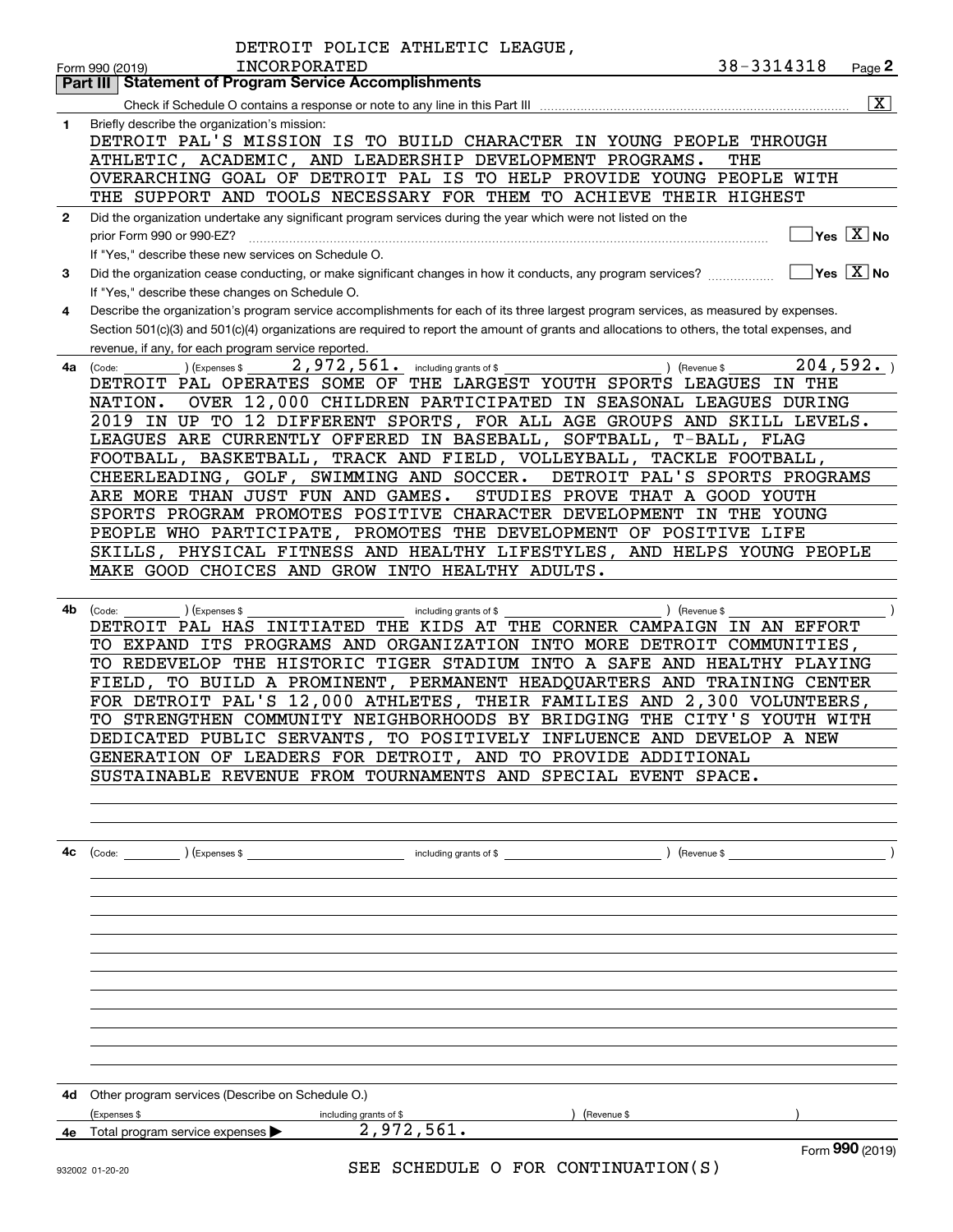|    | DETROIT POLICE ATHLETIC LEAGUE,<br>38-3314318<br><b>INCORPORATED</b><br>Page $2$<br>Form 990 (2019)                                          |
|----|----------------------------------------------------------------------------------------------------------------------------------------------|
|    | <b>Part III Statement of Program Service Accomplishments</b>                                                                                 |
|    | $\boxed{\text{X}}$                                                                                                                           |
| 1  | Briefly describe the organization's mission:                                                                                                 |
|    | DETROIT PAL'S MISSION IS TO BUILD CHARACTER IN YOUNG PEOPLE THROUGH                                                                          |
|    | ATHLETIC, ACADEMIC, AND LEADERSHIP DEVELOPMENT PROGRAMS.<br>THE                                                                              |
|    | OVERARCHING GOAL OF DETROIT PAL IS TO HELP PROVIDE YOUNG PEOPLE WITH                                                                         |
|    | THE SUPPORT AND TOOLS NECESSARY FOR THEM TO ACHIEVE THEIR HIGHEST                                                                            |
| 2  | Did the organization undertake any significant program services during the year which were not listed on the                                 |
|    | $\Box$ Yes $[\overline{\mathrm{X}}]$ No<br>prior Form 990 or 990-EZ?                                                                         |
|    | If "Yes," describe these new services on Schedule O.                                                                                         |
| 3  | $\Box$ Yes $\Box$ No<br>Did the organization cease conducting, or make significant changes in how it conducts, any program services?         |
|    | If "Yes," describe these changes on Schedule O.                                                                                              |
| 4  | Describe the organization's program service accomplishments for each of its three largest program services, as measured by expenses.         |
|    | Section 501(c)(3) and 501(c)(4) organizations are required to report the amount of grants and allocations to others, the total expenses, and |
|    | revenue, if any, for each program service reported.                                                                                          |
| 4a | 204,592.<br>2,972,561. including grants of \$<br>) (Expenses \$<br>) (Revenue \$<br>(Code:                                                   |
|    | DETROIT PAL OPERATES SOME OF THE LARGEST YOUTH SPORTS LEAGUES IN THE                                                                         |
|    | OVER 12,000 CHILDREN PARTICIPATED IN SEASONAL LEAGUES DURING<br>NATION.                                                                      |
|    | 2019 IN UP TO 12 DIFFERENT SPORTS, FOR ALL AGE GROUPS AND SKILL LEVELS.                                                                      |
|    | LEAGUES ARE CURRENTLY OFFERED IN BASEBALL, SOFTBALL, T-BALL, FLAG                                                                            |
|    | FOOTBALL, BASKETBALL, TRACK AND FIELD, VOLLEYBALL, TACKLE FOOTBALL,                                                                          |
|    | CHEERLEADING, GOLF, SWIMMING AND SOCCER.<br>DETROIT PAL'S SPORTS PROGRAMS                                                                    |
|    | ARE MORE THAN JUST FUN AND GAMES.<br>STUDIES PROVE THAT A GOOD YOUTH                                                                         |
|    | SPORTS PROGRAM PROMOTES POSITIVE CHARACTER DEVELOPMENT IN THE YOUNG                                                                          |
|    | PEOPLE WHO PARTICIPATE, PROMOTES THE DEVELOPMENT OF POSITIVE LIFE                                                                            |
|    | SKILLS, PHYSICAL FITNESS AND HEALTHY LIFESTYLES, AND HELPS YOUNG PEOPLE                                                                      |
|    | MAKE GOOD CHOICES AND GROW INTO HEALTHY ADULTS.                                                                                              |
|    |                                                                                                                                              |
| 4b | ) (Revenue \$<br>(Expenses \$<br>(Code:<br>including grants of \$                                                                            |
|    | DETROIT PAL HAS INITIATED THE KIDS AT THE CORNER CAMPAIGN IN AN EFFORT                                                                       |
|    | TO EXPAND ITS PROGRAMS AND ORGANIZATION INTO MORE DETROIT COMMUNITIES,                                                                       |
|    | TO REDEVELOP THE HISTORIC TIGER STADIUM INTO A SAFE AND HEALTHY PLAYING                                                                      |
|    | FIELD, TO BUILD A PROMINENT, PERMANENT HEADQUARTERS AND TRAINING CENTER                                                                      |
|    | FOR DETROIT PAL'S 12,000 ATHLETES, THEIR FAMILIES AND 2,300 VOLUNTEERS,                                                                      |
|    | TO STRENGTHEN COMMUNITY NEIGHBORHOODS BY BRIDGING THE CITY'S YOUTH WITH                                                                      |
|    | DEDICATED PUBLIC SERVANTS, TO POSITIVELY INFLUENCE AND DEVELOP A NEW                                                                         |
|    | GENERATION OF LEADERS FOR DETROIT, AND TO PROVIDE ADDITIONAL                                                                                 |
|    | SUSTAINABLE REVENUE FROM TOURNAMENTS AND SPECIAL EVENT SPACE.                                                                                |
|    |                                                                                                                                              |
|    |                                                                                                                                              |
|    |                                                                                                                                              |
| 4с | including grants of \$<br>$\left(\text{Code:}\right)$ $\left(\text{Expenses $}\right)$<br>Revenue \$                                         |
|    |                                                                                                                                              |
|    |                                                                                                                                              |
|    |                                                                                                                                              |
|    |                                                                                                                                              |
|    |                                                                                                                                              |
|    |                                                                                                                                              |
|    |                                                                                                                                              |
|    |                                                                                                                                              |
|    |                                                                                                                                              |
|    |                                                                                                                                              |
|    |                                                                                                                                              |
|    |                                                                                                                                              |
| 4d | Other program services (Describe on Schedule O.)                                                                                             |
|    | (Expenses \$<br>including grants of \$<br>(Revenue \$                                                                                        |
|    | 2,972,561.<br>4e Total program service expenses                                                                                              |
|    | Form 990 (2019)<br>SEE SCHEDULE O FOR CONTINUATION(S)<br>932002 01-20-20                                                                     |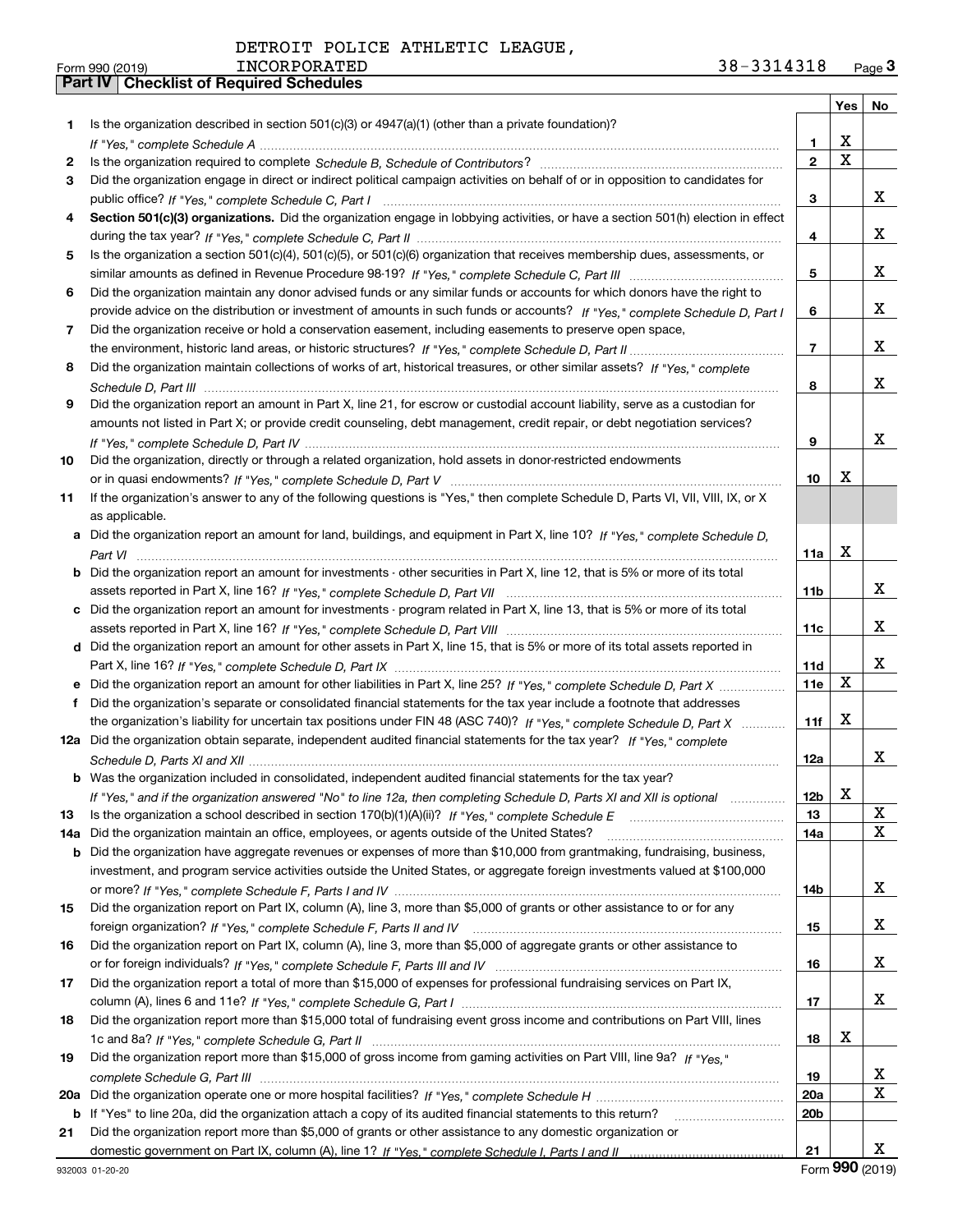|     |                                                                                                                                                                                                                                                   |                 | Yes         | No |
|-----|---------------------------------------------------------------------------------------------------------------------------------------------------------------------------------------------------------------------------------------------------|-----------------|-------------|----|
| 1.  | Is the organization described in section $501(c)(3)$ or $4947(a)(1)$ (other than a private foundation)?                                                                                                                                           |                 |             |    |
|     |                                                                                                                                                                                                                                                   | 1.              | X           |    |
| 2   |                                                                                                                                                                                                                                                   | $\overline{2}$  | $\mathbf X$ |    |
| З.  | Did the organization engage in direct or indirect political campaign activities on behalf of or in opposition to candidates for                                                                                                                   |                 |             |    |
|     |                                                                                                                                                                                                                                                   | 3               |             | x  |
| 4   | Section 501(c)(3) organizations. Did the organization engage in lobbying activities, or have a section 501(h) election in effect                                                                                                                  |                 |             |    |
|     |                                                                                                                                                                                                                                                   | 4               |             | x  |
| 5   | Is the organization a section 501(c)(4), 501(c)(5), or 501(c)(6) organization that receives membership dues, assessments, or                                                                                                                      |                 |             |    |
|     |                                                                                                                                                                                                                                                   | 5               |             | x  |
| 6   | Did the organization maintain any donor advised funds or any similar funds or accounts for which donors have the right to                                                                                                                         |                 |             |    |
|     | provide advice on the distribution or investment of amounts in such funds or accounts? If "Yes," complete Schedule D, Part I                                                                                                                      | 6               |             | x  |
| 7   | Did the organization receive or hold a conservation easement, including easements to preserve open space,                                                                                                                                         |                 |             |    |
|     |                                                                                                                                                                                                                                                   | $\overline{7}$  |             | x  |
| 8   | Did the organization maintain collections of works of art, historical treasures, or other similar assets? If "Yes," complete                                                                                                                      |                 |             |    |
|     |                                                                                                                                                                                                                                                   | 8               |             | х  |
| 9   | Did the organization report an amount in Part X, line 21, for escrow or custodial account liability, serve as a custodian for                                                                                                                     |                 |             |    |
|     | amounts not listed in Part X; or provide credit counseling, debt management, credit repair, or debt negotiation services?                                                                                                                         |                 |             |    |
|     |                                                                                                                                                                                                                                                   | 9               |             | x  |
| 10  | Did the organization, directly or through a related organization, hold assets in donor-restricted endowments                                                                                                                                      |                 |             |    |
|     |                                                                                                                                                                                                                                                   | 10              | х           |    |
| 11  | If the organization's answer to any of the following questions is "Yes," then complete Schedule D, Parts VI, VII, VIII, IX, or X                                                                                                                  |                 |             |    |
|     | as applicable.                                                                                                                                                                                                                                    |                 |             |    |
| a   | Did the organization report an amount for land, buildings, and equipment in Part X, line 10? If "Yes," complete Schedule D,                                                                                                                       |                 |             |    |
|     |                                                                                                                                                                                                                                                   | 11a             | X           |    |
|     | <b>b</b> Did the organization report an amount for investments - other securities in Part X, line 12, that is 5% or more of its total                                                                                                             |                 |             |    |
|     |                                                                                                                                                                                                                                                   | 11b             |             | x  |
| c   | Did the organization report an amount for investments - program related in Part X, line 13, that is 5% or more of its total                                                                                                                       |                 |             | x  |
|     |                                                                                                                                                                                                                                                   | 11c             |             |    |
|     | d Did the organization report an amount for other assets in Part X, line 15, that is 5% or more of its total assets reported in                                                                                                                   |                 |             | x  |
|     |                                                                                                                                                                                                                                                   | 11d<br>11e      | X           |    |
| е   | Did the organization report an amount for other liabilities in Part X, line 25? If "Yes," complete Schedule D, Part X                                                                                                                             |                 |             |    |
| f   | Did the organization's separate or consolidated financial statements for the tax year include a footnote that addresses<br>the organization's liability for uncertain tax positions under FIN 48 (ASC 740)? If "Yes," complete Schedule D, Part X | 11f             | X           |    |
|     | 12a Did the organization obtain separate, independent audited financial statements for the tax year? If "Yes," complete                                                                                                                           |                 |             |    |
|     |                                                                                                                                                                                                                                                   | 12a             |             | x  |
|     | <b>b</b> Was the organization included in consolidated, independent audited financial statements for the tax year?                                                                                                                                |                 |             |    |
|     | If "Yes," and if the organization answered "No" to line 12a, then completing Schedule D, Parts XI and XII is optional                                                                                                                             | 12b             | X           |    |
| 13  |                                                                                                                                                                                                                                                   | 13              |             | X  |
| 14a | Did the organization maintain an office, employees, or agents outside of the United States?                                                                                                                                                       | 14a             |             | X  |
| b   | Did the organization have aggregate revenues or expenses of more than \$10,000 from grantmaking, fundraising, business,                                                                                                                           |                 |             |    |
|     | investment, and program service activities outside the United States, or aggregate foreign investments valued at \$100,000                                                                                                                        |                 |             |    |
|     |                                                                                                                                                                                                                                                   | 14b             |             | x  |
| 15  | Did the organization report on Part IX, column (A), line 3, more than \$5,000 of grants or other assistance to or for any                                                                                                                         |                 |             |    |
|     |                                                                                                                                                                                                                                                   | 15              |             | x  |
| 16  | Did the organization report on Part IX, column (A), line 3, more than \$5,000 of aggregate grants or other assistance to                                                                                                                          |                 |             |    |
|     |                                                                                                                                                                                                                                                   | 16              |             | x  |
| 17  | Did the organization report a total of more than \$15,000 of expenses for professional fundraising services on Part IX,                                                                                                                           |                 |             |    |
|     |                                                                                                                                                                                                                                                   | 17              |             | x  |
| 18  | Did the organization report more than \$15,000 total of fundraising event gross income and contributions on Part VIII, lines                                                                                                                      |                 |             |    |
|     |                                                                                                                                                                                                                                                   | 18              | х           |    |
| 19  | Did the organization report more than \$15,000 of gross income from gaming activities on Part VIII, line 9a? If "Yes."                                                                                                                            |                 |             |    |
|     |                                                                                                                                                                                                                                                   | 19              |             | x  |
| 20a |                                                                                                                                                                                                                                                   | 20a             |             | X  |
|     | b If "Yes" to line 20a, did the organization attach a copy of its audited financial statements to this return?                                                                                                                                    | 20 <sub>b</sub> |             |    |
| 21  | Did the organization report more than \$5,000 of grants or other assistance to any domestic organization or                                                                                                                                       |                 |             |    |
|     |                                                                                                                                                                                                                                                   | 21              |             | x  |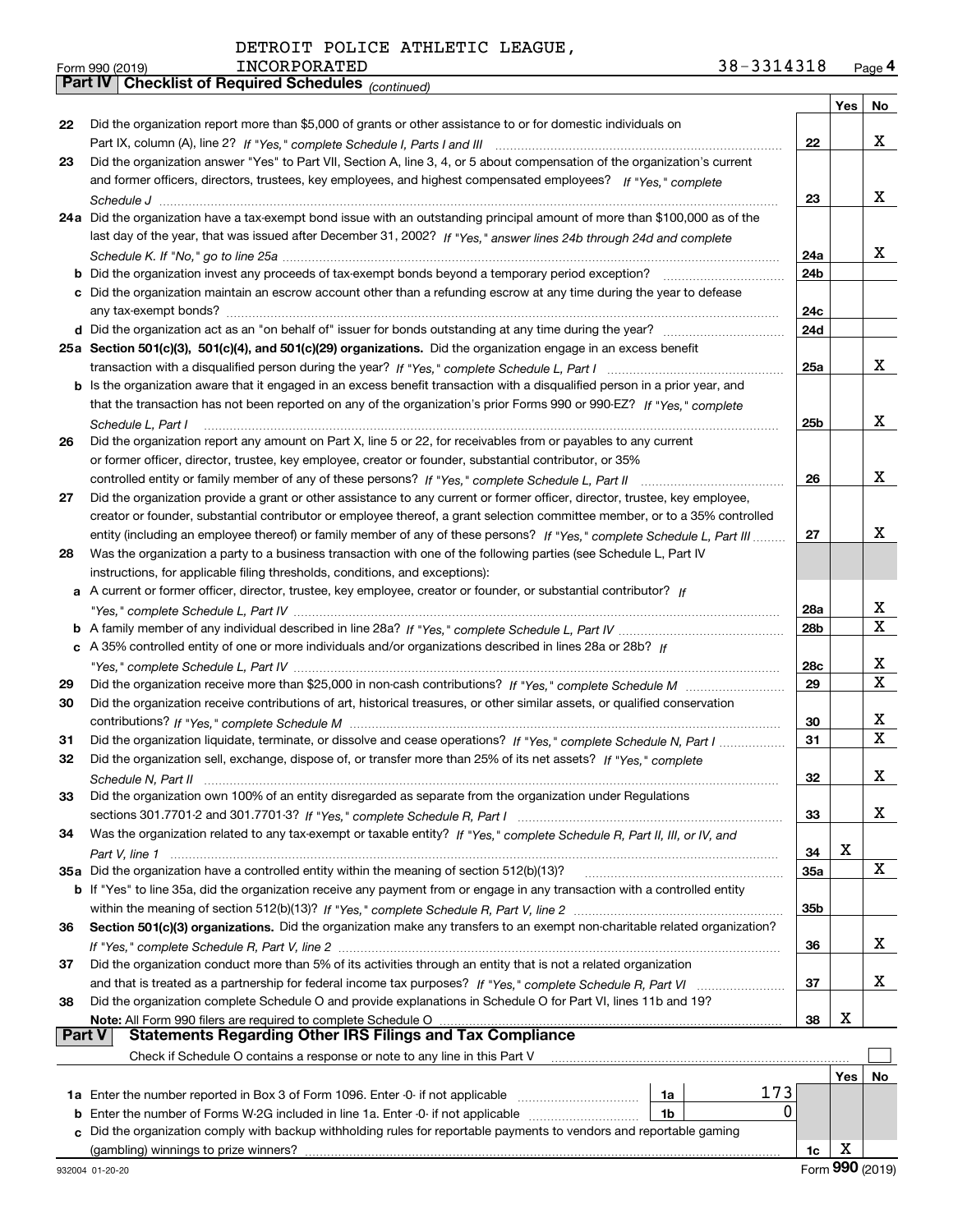|  |  | DETROIT POLICE ATHLETIC LEAGUE, |  |
|--|--|---------------------------------|--|
|--|--|---------------------------------|--|

*(continued)*

|               |                                                                                                                                    |                 | Yes | No          |
|---------------|------------------------------------------------------------------------------------------------------------------------------------|-----------------|-----|-------------|
| 22            | Did the organization report more than \$5,000 of grants or other assistance to or for domestic individuals on                      |                 |     |             |
|               |                                                                                                                                    | 22              |     | x           |
| 23            | Did the organization answer "Yes" to Part VII, Section A, line 3, 4, or 5 about compensation of the organization's current         |                 |     |             |
|               | and former officers, directors, trustees, key employees, and highest compensated employees? If "Yes." complete                     |                 |     |             |
|               |                                                                                                                                    | 23              |     | х           |
|               | 24a Did the organization have a tax-exempt bond issue with an outstanding principal amount of more than \$100,000 as of the        |                 |     |             |
|               | last day of the year, that was issued after December 31, 2002? If "Yes," answer lines 24b through 24d and complete                 |                 |     |             |
|               |                                                                                                                                    | 24a             |     | x           |
|               | <b>b</b> Did the organization invest any proceeds of tax-exempt bonds beyond a temporary period exception?                         | 24b             |     |             |
|               | c Did the organization maintain an escrow account other than a refunding escrow at any time during the year to defease             |                 |     |             |
|               |                                                                                                                                    | 24c             |     |             |
|               |                                                                                                                                    | 24d             |     |             |
|               | 25a Section 501(c)(3), 501(c)(4), and 501(c)(29) organizations. Did the organization engage in an excess benefit                   |                 |     |             |
|               |                                                                                                                                    | 25a             |     | х           |
|               | b Is the organization aware that it engaged in an excess benefit transaction with a disqualified person in a prior year, and       |                 |     |             |
|               | that the transaction has not been reported on any of the organization's prior Forms 990 or 990-EZ? If "Yes," complete              |                 |     |             |
|               | Schedule L. Part I                                                                                                                 | 25b             |     | x           |
| 26            | Did the organization report any amount on Part X, line 5 or 22, for receivables from or payables to any current                    |                 |     |             |
|               | or former officer, director, trustee, key employee, creator or founder, substantial contributor, or 35%                            |                 |     |             |
|               | controlled entity or family member of any of these persons? If "Yes," complete Schedule L, Part II                                 | 26              |     | х           |
| 27            | Did the organization provide a grant or other assistance to any current or former officer, director, trustee, key employee,        |                 |     |             |
|               | creator or founder, substantial contributor or employee thereof, a grant selection committee member, or to a 35% controlled        |                 |     |             |
|               | entity (including an employee thereof) or family member of any of these persons? If "Yes," complete Schedule L, Part III           | 27              |     | x           |
| 28            | Was the organization a party to a business transaction with one of the following parties (see Schedule L, Part IV                  |                 |     |             |
|               | instructions, for applicable filing thresholds, conditions, and exceptions):                                                       |                 |     |             |
| а             | A current or former officer, director, trustee, key employee, creator or founder, or substantial contributor? If                   |                 |     |             |
|               |                                                                                                                                    | 28a             |     | X<br>X      |
|               |                                                                                                                                    | 28b             |     |             |
|               | c A 35% controlled entity of one or more individuals and/or organizations described in lines 28a or 28b? If                        |                 |     | х           |
|               |                                                                                                                                    | 28c<br>29       |     | х           |
| 29<br>30      | Did the organization receive contributions of art, historical treasures, or other similar assets, or qualified conservation        |                 |     |             |
|               |                                                                                                                                    | 30              |     | x           |
| 31            | Did the organization liquidate, terminate, or dissolve and cease operations? If "Yes," complete Schedule N. Part I                 | 31              |     | $\mathbf X$ |
| 32            | Did the organization sell, exchange, dispose of, or transfer more than 25% of its net assets? If "Yes," complete                   |                 |     |             |
|               |                                                                                                                                    | 32              |     | х           |
| 33            | Did the organization own 100% of an entity disregarded as separate from the organization under Regulations                         |                 |     |             |
|               |                                                                                                                                    | 33              |     | x           |
| 34            | Was the organization related to any tax-exempt or taxable entity? If "Yes," complete Schedule R, Part II, III, or IV, and          |                 |     |             |
|               |                                                                                                                                    | 34              | x   |             |
|               | 35a Did the organization have a controlled entity within the meaning of section 512(b)(13)?                                        | 35a             |     | х           |
|               | <b>b</b> If "Yes" to line 35a, did the organization receive any payment from or engage in any transaction with a controlled entity |                 |     |             |
|               |                                                                                                                                    | 35 <sub>b</sub> |     |             |
| 36            | Section 501(c)(3) organizations. Did the organization make any transfers to an exempt non-charitable related organization?         |                 |     |             |
|               |                                                                                                                                    | 36              |     | x           |
| 37            | Did the organization conduct more than 5% of its activities through an entity that is not a related organization                   |                 |     |             |
|               |                                                                                                                                    | 37              |     | x           |
| 38            | Did the organization complete Schedule O and provide explanations in Schedule O for Part VI, lines 11b and 19?                     |                 |     |             |
|               | Note: All Form 990 filers are required to complete Schedule O                                                                      | 38              | х   |             |
| <b>Part V</b> | <b>Statements Regarding Other IRS Filings and Tax Compliance</b>                                                                   |                 |     |             |
|               | Check if Schedule O contains a response or note to any line in this Part V                                                         |                 |     |             |
|               |                                                                                                                                    |                 | Yes | No          |
|               | 173<br>1a Enter the number reported in Box 3 of Form 1096. Enter -0- if not applicable<br>1a                                       |                 |     |             |
| b             | 0<br>Enter the number of Forms W-2G included in line 1a. Enter -0- if not applicable<br>1b                                         |                 |     |             |
|               | c Did the organization comply with backup withholding rules for reportable payments to vendors and reportable gaming               |                 |     |             |
|               |                                                                                                                                    | 1c              | x   |             |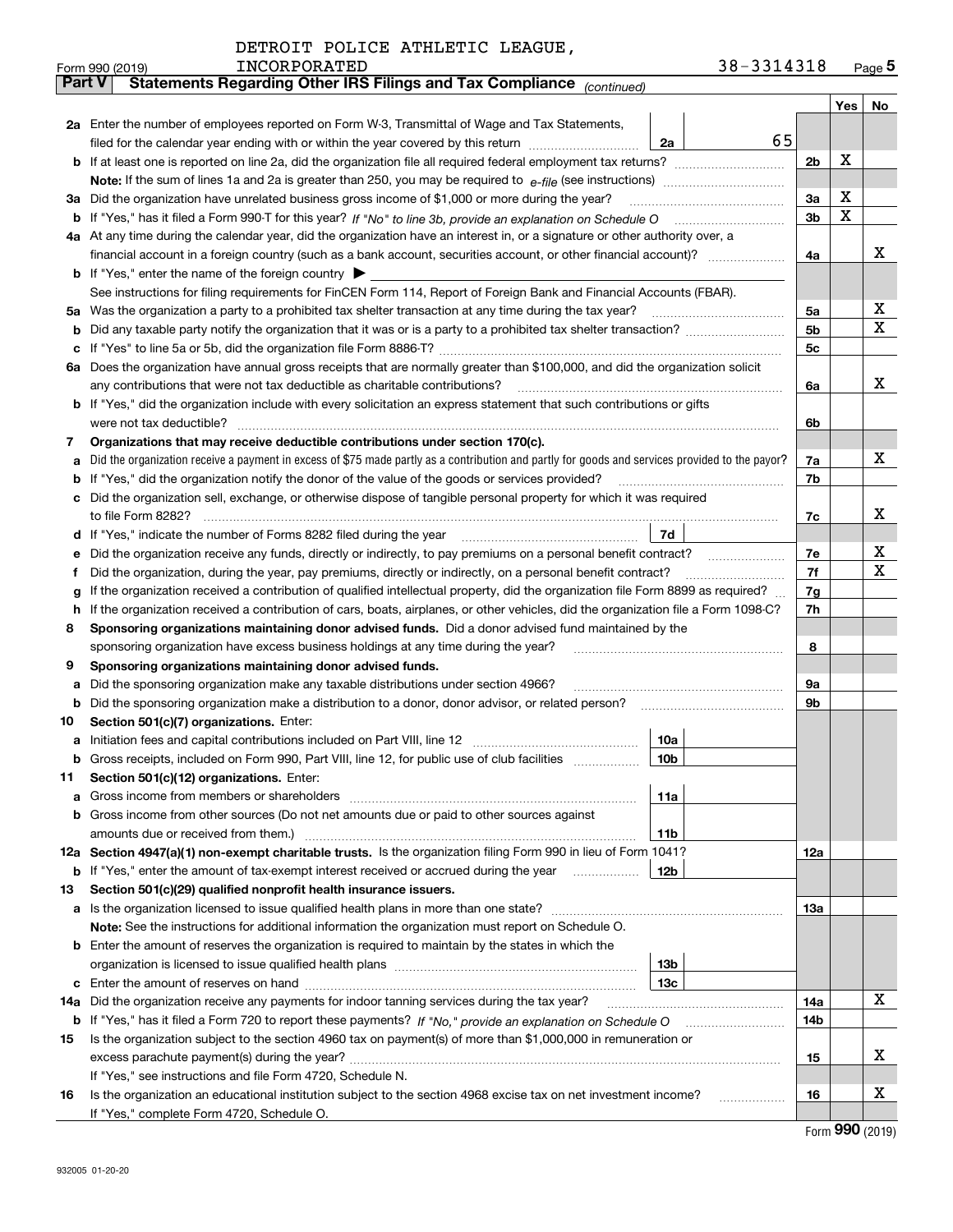|         | 38-3314318<br><b>INCORPORATED</b><br>Form 990 (2019)                                                                                                                     |                |     | $_{\text{Page}}$ 5 |
|---------|--------------------------------------------------------------------------------------------------------------------------------------------------------------------------|----------------|-----|--------------------|
| Part V  | Statements Regarding Other IRS Filings and Tax Compliance (continued)                                                                                                    |                |     |                    |
|         |                                                                                                                                                                          |                | Yes | No                 |
|         | 2a Enter the number of employees reported on Form W-3, Transmittal of Wage and Tax Statements,                                                                           |                |     |                    |
|         | filed for the calendar year ending with or within the year covered by this return<br>2a                                                                                  | 65             |     |                    |
|         |                                                                                                                                                                          | 2b             | x   |                    |
|         |                                                                                                                                                                          |                |     |                    |
| За      | Did the organization have unrelated business gross income of \$1,000 or more during the year?                                                                            | 3a             | X   |                    |
| b       |                                                                                                                                                                          | 3 <sub>b</sub> | X   |                    |
|         | 4a At any time during the calendar year, did the organization have an interest in, or a signature or other authority over, a                                             |                |     |                    |
|         |                                                                                                                                                                          | 4a             |     | х                  |
|         | <b>b</b> If "Yes," enter the name of the foreign country $\blacktriangleright$                                                                                           |                |     |                    |
|         | See instructions for filing requirements for FinCEN Form 114, Report of Foreign Bank and Financial Accounts (FBAR).                                                      |                |     |                    |
| 5a      | Was the organization a party to a prohibited tax shelter transaction at any time during the tax year?                                                                    | 5a             |     | х                  |
| b       |                                                                                                                                                                          | 5 <sub>b</sub> |     | х                  |
| с       |                                                                                                                                                                          | 5c             |     |                    |
|         | 6a Does the organization have annual gross receipts that are normally greater than \$100,000, and did the organization solicit                                           |                |     |                    |
|         | any contributions that were not tax deductible as charitable contributions?                                                                                              | 6a             |     | х                  |
|         | <b>b</b> If "Yes," did the organization include with every solicitation an express statement that such contributions or gifts                                            |                |     |                    |
|         | were not tax deductible?                                                                                                                                                 | 6b             |     |                    |
| 7       | Organizations that may receive deductible contributions under section 170(c).                                                                                            |                |     |                    |
| а       | Did the organization receive a payment in excess of \$75 made partly as a contribution and partly for goods and services provided to the payor?                          | 7a             |     | х                  |
| b       | If "Yes," did the organization notify the donor of the value of the goods or services provided?                                                                          | 7b             |     |                    |
|         | Did the organization sell, exchange, or otherwise dispose of tangible personal property for which it was required                                                        |                |     |                    |
|         |                                                                                                                                                                          | 7c             |     | х                  |
| d       | 7d                                                                                                                                                                       |                |     |                    |
| е       |                                                                                                                                                                          | 7e             |     | х                  |
| f       | Did the organization, during the year, pay premiums, directly or indirectly, on a personal benefit contract?                                                             | 7f             |     | х                  |
| g       | If the organization received a contribution of qualified intellectual property, did the organization file Form 8899 as required?                                         | 7g             |     |                    |
| h       | If the organization received a contribution of cars, boats, airplanes, or other vehicles, did the organization file a Form 1098-C?                                       | 7h             |     |                    |
| 8       | Sponsoring organizations maintaining donor advised funds. Did a donor advised fund maintained by the                                                                     |                |     |                    |
|         | sponsoring organization have excess business holdings at any time during the year?                                                                                       | 8              |     |                    |
| 9       | Sponsoring organizations maintaining donor advised funds.                                                                                                                |                |     |                    |
| а       | Did the sponsoring organization make any taxable distributions under section 4966?                                                                                       | 9а             |     |                    |
| b       | Did the sponsoring organization make a distribution to a donor, donor advisor, or related person?                                                                        | 9b             |     |                    |
| 10      | Section 501(c)(7) organizations. Enter:                                                                                                                                  |                |     |                    |
| а       | Initiation fees and capital contributions included on Part VIII, line 12 [111] [11] [11] [12] [11] [11] [12] [<br>10a                                                    |                |     |                    |
|         | 10 <sub>b</sub><br>Gross receipts, included on Form 990, Part VIII, line 12, for public use of club facilities                                                           |                |     |                    |
| 11      | Section 501(c)(12) organizations. Enter:                                                                                                                                 |                |     |                    |
| а       | Gross income from members or shareholders<br>11a<br>Gross income from other sources (Do not net amounts due or paid to other sources against                             |                |     |                    |
| b       |                                                                                                                                                                          |                |     |                    |
|         | 11 <sub>b</sub><br>amounts due or received from them.)<br>12a Section 4947(a)(1) non-exempt charitable trusts. Is the organization filing Form 990 in lieu of Form 1041? |                |     |                    |
|         | <b>12b</b>                                                                                                                                                               | 12a            |     |                    |
|         | <b>b</b> If "Yes," enter the amount of tax-exempt interest received or accrued during the year <i>manument</i> of                                                        |                |     |                    |
| 13<br>a | Section 501(c)(29) qualified nonprofit health insurance issuers.<br>Is the organization licensed to issue qualified health plans in more than one state?                 | 13a            |     |                    |
|         | Note: See the instructions for additional information the organization must report on Schedule O.                                                                        |                |     |                    |
| b       | Enter the amount of reserves the organization is required to maintain by the states in which the                                                                         |                |     |                    |
|         | 13 <sub>b</sub>                                                                                                                                                          |                |     |                    |
| с       | 13 <sub>c</sub>                                                                                                                                                          |                |     |                    |
| 14a     | Did the organization receive any payments for indoor tanning services during the tax year?                                                                               | 14a            |     | х                  |
|         | <b>b</b> If "Yes," has it filed a Form 720 to report these payments? If "No," provide an explanation on Schedule O                                                       | 14b            |     |                    |
| 15      | Is the organization subject to the section 4960 tax on payment(s) of more than \$1,000,000 in remuneration or                                                            |                |     |                    |
|         |                                                                                                                                                                          | 15             |     | х                  |
|         | If "Yes," see instructions and file Form 4720, Schedule N.                                                                                                               |                |     |                    |
| 16      | Is the organization an educational institution subject to the section 4968 excise tax on net investment income?                                                          | 16             |     | х                  |
|         | If "Yes," complete Form 4720, Schedule O.                                                                                                                                |                |     |                    |
|         |                                                                                                                                                                          |                |     |                    |

Form (2019) **990**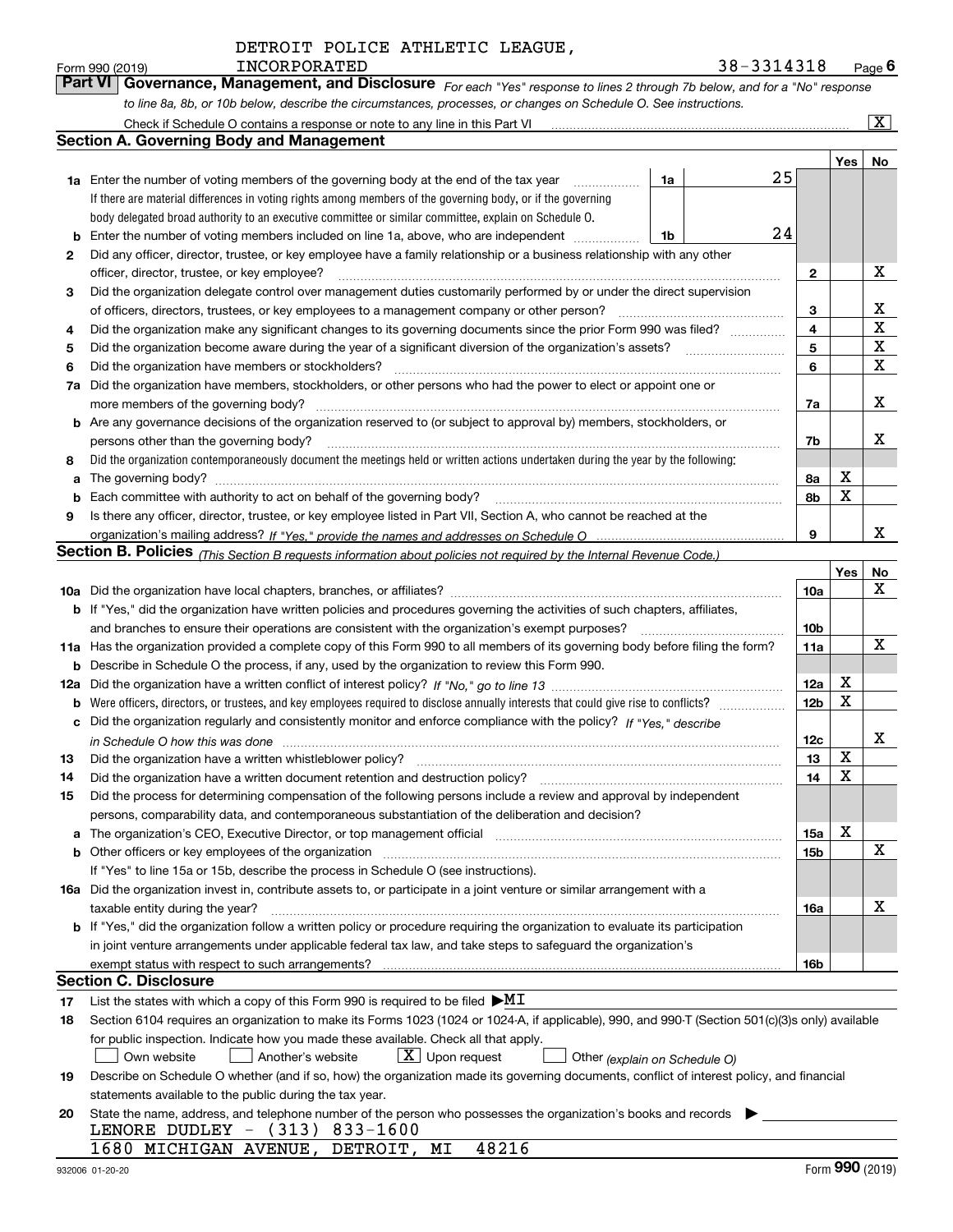| Form 990 (2019) | INCORPORATED                                                                                                     | 38-3314318                                                                                                                  | $P$ <sub>age</sub> 6 |
|-----------------|------------------------------------------------------------------------------------------------------------------|-----------------------------------------------------------------------------------------------------------------------------|----------------------|
|                 |                                                                                                                  | Part VI Governance, Management, and Disclosure For each "Yes" response to lines 2 through 7b below, and for a "No" response |                      |
|                 | to line 8a, 8b, or 10b below, describe the circumstances, processes, or changes on Schedule O. See instructions. |                                                                                                                             |                      |

|     | Check if Schedule O contains a response or note to any line in this Part VI                                                                                           |    |    |                         |     | $\mathbf{x}$ |
|-----|-----------------------------------------------------------------------------------------------------------------------------------------------------------------------|----|----|-------------------------|-----|--------------|
|     | Section A. Governing Body and Management                                                                                                                              |    |    |                         |     |              |
|     |                                                                                                                                                                       |    |    |                         | Yes | No           |
|     | <b>1a</b> Enter the number of voting members of the governing body at the end of the tax year                                                                         | 1a | 25 |                         |     |              |
|     | If there are material differences in voting rights among members of the governing body, or if the governing                                                           |    |    |                         |     |              |
|     | body delegated broad authority to an executive committee or similar committee, explain on Schedule O.                                                                 |    |    |                         |     |              |
| b   | Enter the number of voting members included on line 1a, above, who are independent                                                                                    | 1b | 24 |                         |     |              |
| 2   | Did any officer, director, trustee, or key employee have a family relationship or a business relationship with any other                                              |    |    |                         |     |              |
|     | officer, director, trustee, or key employee?                                                                                                                          |    |    | $\mathbf{2}$            |     | X            |
| 3   | Did the organization delegate control over management duties customarily performed by or under the direct supervision                                                 |    |    |                         |     |              |
|     | of officers, directors, trustees, or key employees to a management company or other person?                                                                           |    |    | 3                       |     | х            |
| 4   | Did the organization make any significant changes to its governing documents since the prior Form 990 was filed?                                                      |    |    | $\overline{\mathbf{4}}$ |     | X            |
| 5   |                                                                                                                                                                       |    |    | 5                       |     | X            |
| 6   | Did the organization have members or stockholders?                                                                                                                    |    |    | 6                       |     | X            |
| 7a  | Did the organization have members, stockholders, or other persons who had the power to elect or appoint one or                                                        |    |    |                         |     |              |
|     | more members of the governing body?                                                                                                                                   |    |    | 7a                      |     | х            |
|     | <b>b</b> Are any governance decisions of the organization reserved to (or subject to approval by) members, stockholders, or                                           |    |    |                         |     |              |
|     | persons other than the governing body?                                                                                                                                |    |    | 7b                      |     | х            |
| 8   | Did the organization contemporaneously document the meetings held or written actions undertaken during the year by the following:                                     |    |    |                         |     |              |
| a   | The governing body?                                                                                                                                                   |    |    | 8a                      | X   |              |
| b   |                                                                                                                                                                       |    |    | 8b                      | X   |              |
| 9   | Is there any officer, director, trustee, or key employee listed in Part VII, Section A, who cannot be reached at the                                                  |    |    |                         |     |              |
|     |                                                                                                                                                                       |    |    | 9                       |     | x            |
|     | <b>Section B. Policies</b> (This Section B requests information about policies not required by the Internal Revenue Code.)                                            |    |    |                         |     |              |
|     |                                                                                                                                                                       |    |    |                         | Yes | No           |
|     |                                                                                                                                                                       |    |    | <b>10a</b>              |     | x            |
|     | <b>b</b> If "Yes," did the organization have written policies and procedures governing the activities of such chapters, affiliates,                                   |    |    |                         |     |              |
|     | and branches to ensure their operations are consistent with the organization's exempt purposes?                                                                       |    |    | 10 <sub>b</sub>         |     |              |
|     | 11a Has the organization provided a complete copy of this Form 990 to all members of its governing body before filing the form?                                       |    |    | 11a                     |     | х            |
| b   | Describe in Schedule O the process, if any, used by the organization to review this Form 990.                                                                         |    |    |                         |     |              |
| 12a |                                                                                                                                                                       |    |    | 12a                     | X   |              |
| b   | Were officers, directors, or trustees, and key employees required to disclose annually interests that could give rise to conflicts?                                   |    |    | 12 <sub>b</sub>         | х   |              |
| с   | Did the organization regularly and consistently monitor and enforce compliance with the policy? If "Yes." describe                                                    |    |    |                         |     |              |
|     | in Schedule O how this was done <i>manufacture content of the state of the state of the state of the state of the</i>                                                 |    |    | 12c                     |     | х            |
| 13  | Did the organization have a written whistleblower policy?                                                                                                             |    |    | 13                      | X   |              |
| 14  | Did the organization have a written document retention and destruction policy?                                                                                        |    |    | 14                      | X   |              |
| 15  | Did the process for determining compensation of the following persons include a review and approval by independent                                                    |    |    |                         |     |              |
|     | persons, comparability data, and contemporaneous substantiation of the deliberation and decision?                                                                     |    |    |                         |     |              |
| a   | The organization's CEO, Executive Director, or top management official manufactured content of the organization's CEO, Executive Director, or top management official |    |    | 15a                     | X   |              |
|     |                                                                                                                                                                       |    |    | 15b                     |     | х            |
|     | If "Yes" to line 15a or 15b, describe the process in Schedule O (see instructions).                                                                                   |    |    |                         |     |              |
|     | 16a Did the organization invest in, contribute assets to, or participate in a joint venture or similar arrangement with a                                             |    |    |                         |     |              |
|     | taxable entity during the year?                                                                                                                                       |    |    | 16a                     |     | х            |
|     | b If "Yes," did the organization follow a written policy or procedure requiring the organization to evaluate its participation                                        |    |    |                         |     |              |
|     | in joint venture arrangements under applicable federal tax law, and take steps to safeguard the organization's                                                        |    |    |                         |     |              |
|     | exempt status with respect to such arrangements?                                                                                                                      |    |    | 16b                     |     |              |
|     | <b>Section C. Disclosure</b>                                                                                                                                          |    |    |                         |     |              |
| 17  | List the states with which a copy of this Form 990 is required to be filed $\blacktriangleright$ MI                                                                   |    |    |                         |     |              |
| 18  | Section 6104 requires an organization to make its Forms 1023 (1024 or 1024-A, if applicable), 990, and 990-T (Section 501(c)(3)s only) available                      |    |    |                         |     |              |
|     | for public inspection. Indicate how you made these available. Check all that apply.                                                                                   |    |    |                         |     |              |
|     | $X$ Upon request<br>Another's website<br>Own website<br>Other (explain on Schedule O)                                                                                 |    |    |                         |     |              |
| 19  | Describe on Schedule O whether (and if so, how) the organization made its governing documents, conflict of interest policy, and financial                             |    |    |                         |     |              |
|     | statements available to the public during the tax year.                                                                                                               |    |    |                         |     |              |
| 20  | State the name, address, and telephone number of the person who possesses the organization's books and records                                                        |    |    |                         |     |              |
|     | LENORE DUDLEY - (313) 833-1600                                                                                                                                        |    |    |                         |     |              |
|     | 48216<br>1680 MICHIGAN AVENUE, DETROIT, MI                                                                                                                            |    |    |                         |     |              |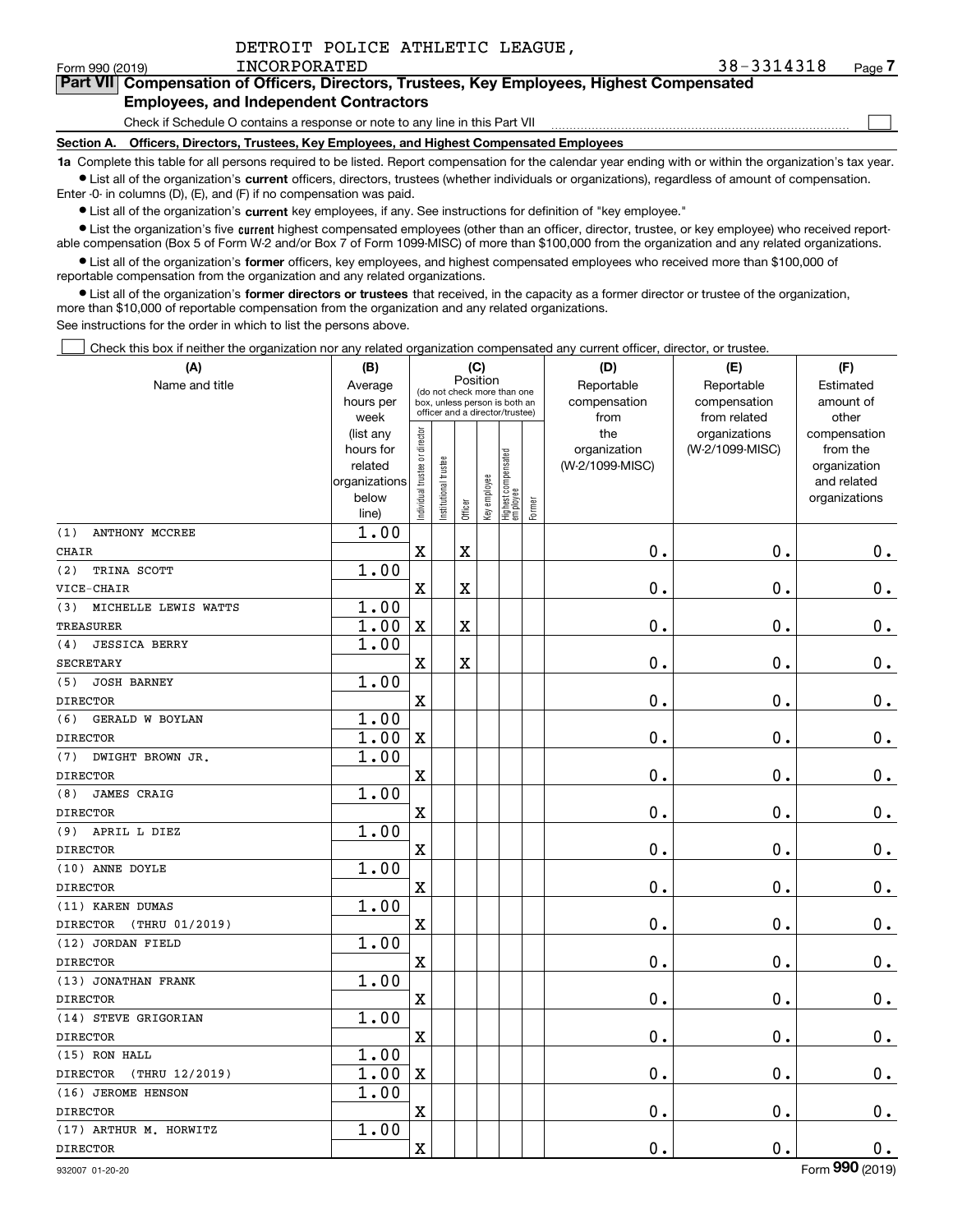|  |  | DETROIT POLICE ATHLETIC LEAGUE, |  |
|--|--|---------------------------------|--|
|--|--|---------------------------------|--|

 $\mathcal{L}^{\text{max}}$ 

## **7Part VII Compensation of Officers, Directors, Trustees, Key Employees, Highest Compensated Employees, and Independent Contractors**

Check if Schedule O contains a response or note to any line in this Part VII

**Section A. Officers, Directors, Trustees, Key Employees, and Highest Compensated Employees**

**1a**  Complete this table for all persons required to be listed. Report compensation for the calendar year ending with or within the organization's tax year. **•** List all of the organization's current officers, directors, trustees (whether individuals or organizations), regardless of amount of compensation.

Enter -0- in columns (D), (E), and (F) if no compensation was paid.

 $\bullet$  List all of the organization's  $\,$ current key employees, if any. See instructions for definition of "key employee."

**•** List the organization's five current highest compensated employees (other than an officer, director, trustee, or key employee) who received reportable compensation (Box 5 of Form W-2 and/or Box 7 of Form 1099-MISC) of more than \$100,000 from the organization and any related organizations.

**•** List all of the organization's former officers, key employees, and highest compensated employees who received more than \$100,000 of reportable compensation from the organization and any related organizations.

**former directors or trustees**  ¥ List all of the organization's that received, in the capacity as a former director or trustee of the organization, more than \$10,000 of reportable compensation from the organization and any related organizations.

See instructions for the order in which to list the persons above.

Check this box if neither the organization nor any related organization compensated any current officer, director, or trustee.  $\mathcal{L}^{\text{max}}$ 

| (A)                               | (B)               | (C)                                     |                                                                  |         |              |                                 |        | (D)             | (E)                           | (F)                   |  |  |
|-----------------------------------|-------------------|-----------------------------------------|------------------------------------------------------------------|---------|--------------|---------------------------------|--------|-----------------|-------------------------------|-----------------------|--|--|
| Name and title                    | Average           | Position<br>(do not check more than one |                                                                  |         |              |                                 |        | Reportable      | Reportable                    | Estimated             |  |  |
|                                   | hours per         |                                         | box, unless person is both an<br>officer and a director/trustee) |         |              |                                 |        | compensation    | compensation                  | amount of             |  |  |
|                                   | week<br>(list any |                                         |                                                                  |         |              |                                 |        | from<br>the     | from related<br>organizations | other<br>compensation |  |  |
|                                   | hours for         |                                         |                                                                  |         |              |                                 |        | organization    | (W-2/1099-MISC)               | from the              |  |  |
|                                   | related           |                                         |                                                                  |         |              |                                 |        | (W-2/1099-MISC) |                               | organization          |  |  |
|                                   | organizations     |                                         |                                                                  |         |              |                                 |        |                 |                               | and related           |  |  |
|                                   | below             | Individual trustee or director          | Institutional trustee                                            | Officer | Key employee | Highest compensated<br>employee | Former |                 |                               | organizations         |  |  |
| (1)<br><b>ANTHONY MCCREE</b>      | line)<br>1.00     |                                         |                                                                  |         |              |                                 |        |                 |                               |                       |  |  |
| <b>CHAIR</b>                      |                   | X                                       |                                                                  | X       |              |                                 |        | 0.              | 0.                            | $0\,$ .               |  |  |
| (2)<br>TRINA SCOTT                | 1.00              |                                         |                                                                  |         |              |                                 |        |                 |                               |                       |  |  |
| VICE-CHAIR                        |                   | X                                       |                                                                  | X       |              |                                 |        | 0.              | 0.                            | $0$ .                 |  |  |
| MICHELLE LEWIS WATTS<br>(3)       | 1.00              |                                         |                                                                  |         |              |                                 |        |                 |                               |                       |  |  |
| <b>TREASURER</b>                  | 1.00              | $\mathbf X$                             |                                                                  | X       |              |                                 |        | $\mathbf 0$ .   | 0.                            | $\mathbf 0$ .         |  |  |
| <b>JESSICA BERRY</b><br>(4)       | 1.00              |                                         |                                                                  |         |              |                                 |        |                 |                               |                       |  |  |
| <b>SECRETARY</b>                  |                   | $\mathbf x$                             |                                                                  | X       |              |                                 |        | 0.              | 0.                            | $\mathbf 0$ .         |  |  |
| (5)<br><b>JOSH BARNEY</b>         | 1.00              |                                         |                                                                  |         |              |                                 |        |                 |                               |                       |  |  |
| <b>DIRECTOR</b>                   |                   | $\mathbf x$                             |                                                                  |         |              |                                 |        | 0.              | 0.                            | 0.                    |  |  |
| (6)<br>GERALD W BOYLAN            | 1.00              |                                         |                                                                  |         |              |                                 |        |                 |                               |                       |  |  |
| <b>DIRECTOR</b>                   | 1.00              | $\mathbf x$                             |                                                                  |         |              |                                 |        | 0.              | 0.                            | $\mathbf 0$ .         |  |  |
| (7)<br>DWIGHT BROWN JR.           | 1.00              |                                         |                                                                  |         |              |                                 |        |                 |                               |                       |  |  |
| <b>DIRECTOR</b>                   |                   | X                                       |                                                                  |         |              |                                 |        | 0.              | 0.                            | 0.                    |  |  |
| (8)<br><b>JAMES CRAIG</b>         | 1.00              |                                         |                                                                  |         |              |                                 |        |                 |                               |                       |  |  |
| <b>DIRECTOR</b>                   |                   | $\overline{\textbf{X}}$                 |                                                                  |         |              |                                 |        | 0.              | 0.                            | $\mathbf 0$ .         |  |  |
| (9) APRIL L DIEZ                  | 1.00              |                                         |                                                                  |         |              |                                 |        |                 |                               |                       |  |  |
| <b>DIRECTOR</b>                   |                   | $\overline{\text{X}}$                   |                                                                  |         |              |                                 |        | 0.              | 0.                            | 0.                    |  |  |
| (10) ANNE DOYLE                   | 1.00              |                                         |                                                                  |         |              |                                 |        |                 |                               |                       |  |  |
| <b>DIRECTOR</b>                   |                   | X                                       |                                                                  |         |              |                                 |        | 0.              | 0.                            | $\mathbf 0$ .         |  |  |
| (11) KAREN DUMAS                  | 1.00              |                                         |                                                                  |         |              |                                 |        |                 |                               |                       |  |  |
| <b>DIRECTOR</b><br>(THRU 01/2019) |                   | $\mathbf X$                             |                                                                  |         |              |                                 |        | 0.              | 0.                            | $\mathbf 0$ .         |  |  |
| (12) JORDAN FIELD                 | 1.00              |                                         |                                                                  |         |              |                                 |        |                 |                               |                       |  |  |
| <b>DIRECTOR</b>                   |                   | $\mathbf x$                             |                                                                  |         |              |                                 |        | $\mathbf 0$ .   | 0.                            | $\mathbf 0$ .         |  |  |
| (13) JONATHAN FRANK               | 1.00              |                                         |                                                                  |         |              |                                 |        |                 |                               |                       |  |  |
| <b>DIRECTOR</b>                   |                   | $\mathbf x$                             |                                                                  |         |              |                                 |        | 0.              | 0.                            | $\mathbf 0$ .         |  |  |
| (14) STEVE GRIGORIAN              | 1.00              |                                         |                                                                  |         |              |                                 |        |                 |                               |                       |  |  |
| <b>DIRECTOR</b>                   |                   | X                                       |                                                                  |         |              |                                 |        | 0.              | 0.                            | $\mathbf 0$ .         |  |  |
| (15) RON HALL                     | 1.00              |                                         |                                                                  |         |              |                                 |        |                 |                               |                       |  |  |
| <b>DIRECTOR</b><br>(THRU 12/2019) | $\overline{1.00}$ | X                                       |                                                                  |         |              |                                 |        | 0.              | 0.                            | 0.                    |  |  |
| (16) JEROME HENSON                | 1.00              |                                         |                                                                  |         |              |                                 |        |                 |                               |                       |  |  |
| <b>DIRECTOR</b>                   |                   | X                                       |                                                                  |         |              |                                 |        | 0.              | 0.                            | $\mathbf 0$ .         |  |  |
| (17) ARTHUR M. HORWITZ            | 1.00              |                                         |                                                                  |         |              |                                 |        |                 |                               |                       |  |  |
| <b>DIRECTOR</b>                   |                   | $\mathbf X$                             |                                                                  |         |              |                                 |        | $0$ .           | 0.                            | $\mathbf 0$ .         |  |  |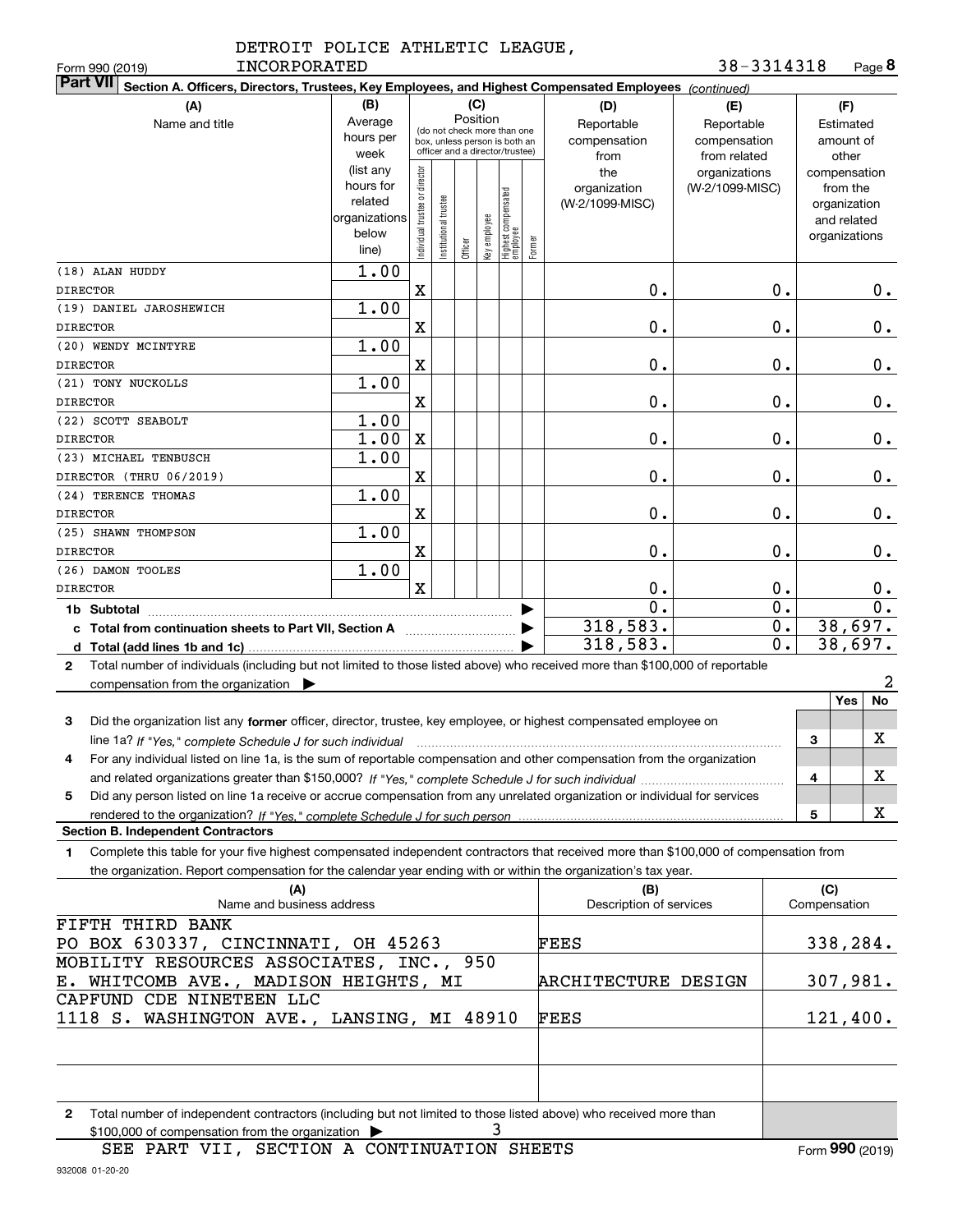|              | DETROIT POLICE ATHLETIC LEAGUE, |  |
|--------------|---------------------------------|--|
| INCORPORATED |                                 |  |

| 38-3314318 | Page 8 |
|------------|--------|
|------------|--------|

| Form 990 (2019)<br>INCORPORATED                                                                                                                 |                                                                                           |                                |                       |         |                                                                                                                                                        |  |        |                                                                                     | 38-3314318                                                                            |                     | Page <b>ö</b>                                                                                     |
|-------------------------------------------------------------------------------------------------------------------------------------------------|-------------------------------------------------------------------------------------------|--------------------------------|-----------------------|---------|--------------------------------------------------------------------------------------------------------------------------------------------------------|--|--------|-------------------------------------------------------------------------------------|---------------------------------------------------------------------------------------|---------------------|---------------------------------------------------------------------------------------------------|
| <b>Part VII</b><br>Section A. Officers, Directors, Trustees, Key Employees, and Highest Compensated Employees (continued)                       |                                                                                           |                                |                       |         |                                                                                                                                                        |  |        |                                                                                     |                                                                                       |                     |                                                                                                   |
| (A)<br>Name and title                                                                                                                           | (B)<br>Average<br>hours per<br>week<br>(list any<br>hours for<br>related<br>organizations | Individual trustee or director |                       |         | (C)<br>Position<br>(do not check more than one<br>box, unless person is both an<br>officer and a director/trustee)<br>Highest compensated<br> employee |  |        | (D)<br>Reportable<br>compensation<br>from<br>the<br>organization<br>(W-2/1099-MISC) | (E)<br>Reportable<br>compensation<br>from related<br>organizations<br>(W-2/1099-MISC) |                     | (F)<br>Estimated<br>amount of<br>other<br>compensation<br>from the<br>organization<br>and related |
| (18) ALAN HUDDY                                                                                                                                 | below<br>line)<br>1.00                                                                    |                                | Institutional trustee | Officer | key employee                                                                                                                                           |  | Former |                                                                                     |                                                                                       |                     | organizations                                                                                     |
| <b>DIRECTOR</b>                                                                                                                                 |                                                                                           | $\mathbf X$                    |                       |         |                                                                                                                                                        |  |        | 0.                                                                                  | 0.                                                                                    |                     | $0$ .                                                                                             |
| (19) DANIEL JAROSHEWICH                                                                                                                         | 1.00                                                                                      |                                |                       |         |                                                                                                                                                        |  |        |                                                                                     |                                                                                       |                     |                                                                                                   |
| <b>DIRECTOR</b>                                                                                                                                 |                                                                                           | X                              |                       |         |                                                                                                                                                        |  |        | 0.                                                                                  | $0$ .                                                                                 |                     | 0.                                                                                                |
| (20) WENDY MCINTYRE                                                                                                                             | 1.00                                                                                      |                                |                       |         |                                                                                                                                                        |  |        |                                                                                     |                                                                                       |                     |                                                                                                   |
| <b>DIRECTOR</b>                                                                                                                                 |                                                                                           | X                              |                       |         |                                                                                                                                                        |  |        | 0.                                                                                  | $0$ .                                                                                 |                     | 0.                                                                                                |
| (21) TONY NUCKOLLS                                                                                                                              | 1.00                                                                                      |                                |                       |         |                                                                                                                                                        |  |        |                                                                                     |                                                                                       |                     |                                                                                                   |
| <b>DIRECTOR</b>                                                                                                                                 |                                                                                           | $\mathbf X$                    |                       |         |                                                                                                                                                        |  |        | 0.                                                                                  | $0$ .                                                                                 |                     | 0.                                                                                                |
| (22) SCOTT SEABOLT                                                                                                                              | 1.00                                                                                      |                                |                       |         |                                                                                                                                                        |  |        |                                                                                     |                                                                                       |                     |                                                                                                   |
| <b>DIRECTOR</b>                                                                                                                                 | 1.00                                                                                      | X                              |                       |         |                                                                                                                                                        |  |        | 0.                                                                                  | $0$ .                                                                                 |                     | 0.                                                                                                |
| (23) MICHAEL TENBUSCH<br>DIRECTOR (THRU 06/2019)                                                                                                | 1.00                                                                                      | X                              |                       |         |                                                                                                                                                        |  |        | 0.                                                                                  | $0$ .                                                                                 |                     | 0.                                                                                                |
| (24) TERENCE THOMAS                                                                                                                             | 1.00                                                                                      |                                |                       |         |                                                                                                                                                        |  |        |                                                                                     |                                                                                       |                     |                                                                                                   |
| <b>DIRECTOR</b>                                                                                                                                 |                                                                                           | X                              |                       |         |                                                                                                                                                        |  |        | 0.                                                                                  | $0$ .                                                                                 |                     | 0.                                                                                                |
| (25) SHAWN THOMPSON                                                                                                                             | 1.00                                                                                      |                                |                       |         |                                                                                                                                                        |  |        |                                                                                     |                                                                                       |                     |                                                                                                   |
| <b>DIRECTOR</b>                                                                                                                                 |                                                                                           | X                              |                       |         |                                                                                                                                                        |  |        | 0.                                                                                  | $0$ .                                                                                 |                     | 0.                                                                                                |
| (26) DAMON TOOLES                                                                                                                               | 1.00                                                                                      |                                |                       |         |                                                                                                                                                        |  |        |                                                                                     |                                                                                       |                     |                                                                                                   |
| <b>DIRECTOR</b>                                                                                                                                 |                                                                                           | $\mathbf X$                    |                       |         |                                                                                                                                                        |  |        | 0.                                                                                  | $0$ .                                                                                 |                     | 0.                                                                                                |
|                                                                                                                                                 |                                                                                           |                                |                       |         |                                                                                                                                                        |  | ▶      | 0.                                                                                  | $0$ .                                                                                 |                     | 0.                                                                                                |
| c Total from continuation sheets to Part VII, Section A <b>witch the Continuum</b>                                                              |                                                                                           |                                |                       |         |                                                                                                                                                        |  |        | 318,583.                                                                            | Ο.                                                                                    |                     | 38,697.                                                                                           |
|                                                                                                                                                 |                                                                                           |                                |                       |         |                                                                                                                                                        |  |        | 318,583.                                                                            | 0.                                                                                    |                     | 38,697.                                                                                           |
| Total number of individuals (including but not limited to those listed above) who received more than \$100,000 of reportable<br>$\mathbf{2}$    |                                                                                           |                                |                       |         |                                                                                                                                                        |  |        |                                                                                     |                                                                                       |                     |                                                                                                   |
| compensation from the organization $\blacktriangleright$                                                                                        |                                                                                           |                                |                       |         |                                                                                                                                                        |  |        |                                                                                     |                                                                                       |                     | 2<br>No<br>Yes                                                                                    |
| Did the organization list any former officer, director, trustee, key employee, or highest compensated employee on<br>3                          |                                                                                           |                                |                       |         |                                                                                                                                                        |  |        |                                                                                     |                                                                                       |                     |                                                                                                   |
| line 1a? If "Yes," complete Schedule J for such individual manufactured contained and the 1a? If "Yes," complete Schedule J for such individual |                                                                                           |                                |                       |         |                                                                                                                                                        |  |        |                                                                                     |                                                                                       | 3                   | X                                                                                                 |
| For any individual listed on line 1a, is the sum of reportable compensation and other compensation from the organization                        |                                                                                           |                                |                       |         |                                                                                                                                                        |  |        |                                                                                     |                                                                                       |                     |                                                                                                   |
|                                                                                                                                                 |                                                                                           |                                |                       |         |                                                                                                                                                        |  |        |                                                                                     |                                                                                       | 4                   | X                                                                                                 |
| Did any person listed on line 1a receive or accrue compensation from any unrelated organization or individual for services<br>5                 |                                                                                           |                                |                       |         |                                                                                                                                                        |  |        |                                                                                     |                                                                                       |                     |                                                                                                   |
|                                                                                                                                                 |                                                                                           |                                |                       |         |                                                                                                                                                        |  |        |                                                                                     |                                                                                       | 5                   | X                                                                                                 |
| <b>Section B. Independent Contractors</b>                                                                                                       |                                                                                           |                                |                       |         |                                                                                                                                                        |  |        |                                                                                     |                                                                                       |                     |                                                                                                   |
| Complete this table for your five highest compensated independent contractors that received more than \$100,000 of compensation from<br>1       |                                                                                           |                                |                       |         |                                                                                                                                                        |  |        |                                                                                     |                                                                                       |                     |                                                                                                   |
| the organization. Report compensation for the calendar year ending with or within the organization's tax year.                                  |                                                                                           |                                |                       |         |                                                                                                                                                        |  |        |                                                                                     |                                                                                       |                     |                                                                                                   |
| (A)<br>Name and business address                                                                                                                |                                                                                           |                                |                       |         |                                                                                                                                                        |  |        | (B)<br>Description of services                                                      |                                                                                       | (C)<br>Compensation |                                                                                                   |
| FIFTH THIRD BANK                                                                                                                                |                                                                                           |                                |                       |         |                                                                                                                                                        |  |        |                                                                                     |                                                                                       |                     |                                                                                                   |
| PO BOX 630337, CINCINNATI, OH 45263                                                                                                             |                                                                                           |                                |                       |         |                                                                                                                                                        |  |        | FEES                                                                                |                                                                                       |                     | 338,284.                                                                                          |
| MOBILITY RESOURCES ASSOCIATES, INC., 950                                                                                                        |                                                                                           |                                |                       |         |                                                                                                                                                        |  |        |                                                                                     |                                                                                       |                     |                                                                                                   |
| E. WHITCOMB AVE., MADISON HEIGHTS, MI                                                                                                           |                                                                                           |                                |                       |         |                                                                                                                                                        |  |        | ARCHITECTURE DESIGN                                                                 |                                                                                       |                     | 307,981.                                                                                          |
| CAPFUND CDE NINETEEN LLC                                                                                                                        |                                                                                           |                                |                       |         |                                                                                                                                                        |  |        |                                                                                     |                                                                                       |                     |                                                                                                   |
| 1118 S. WASHINGTON AVE., LANSING, MI 48910                                                                                                      |                                                                                           |                                |                       |         |                                                                                                                                                        |  |        | FEES                                                                                |                                                                                       |                     | 121,400.                                                                                          |
|                                                                                                                                                 |                                                                                           |                                |                       |         |                                                                                                                                                        |  |        |                                                                                     |                                                                                       |                     |                                                                                                   |
|                                                                                                                                                 |                                                                                           |                                |                       |         |                                                                                                                                                        |  |        |                                                                                     |                                                                                       |                     |                                                                                                   |
|                                                                                                                                                 |                                                                                           |                                |                       |         |                                                                                                                                                        |  |        |                                                                                     |                                                                                       |                     |                                                                                                   |
| Total number of independent contractors (including but not limited to those listed above) who received more than<br>2                           |                                                                                           |                                |                       |         |                                                                                                                                                        |  |        |                                                                                     |                                                                                       |                     |                                                                                                   |

 $$100,000$  of compensation from the organization  $\blacktriangleright$   $\bf{3}$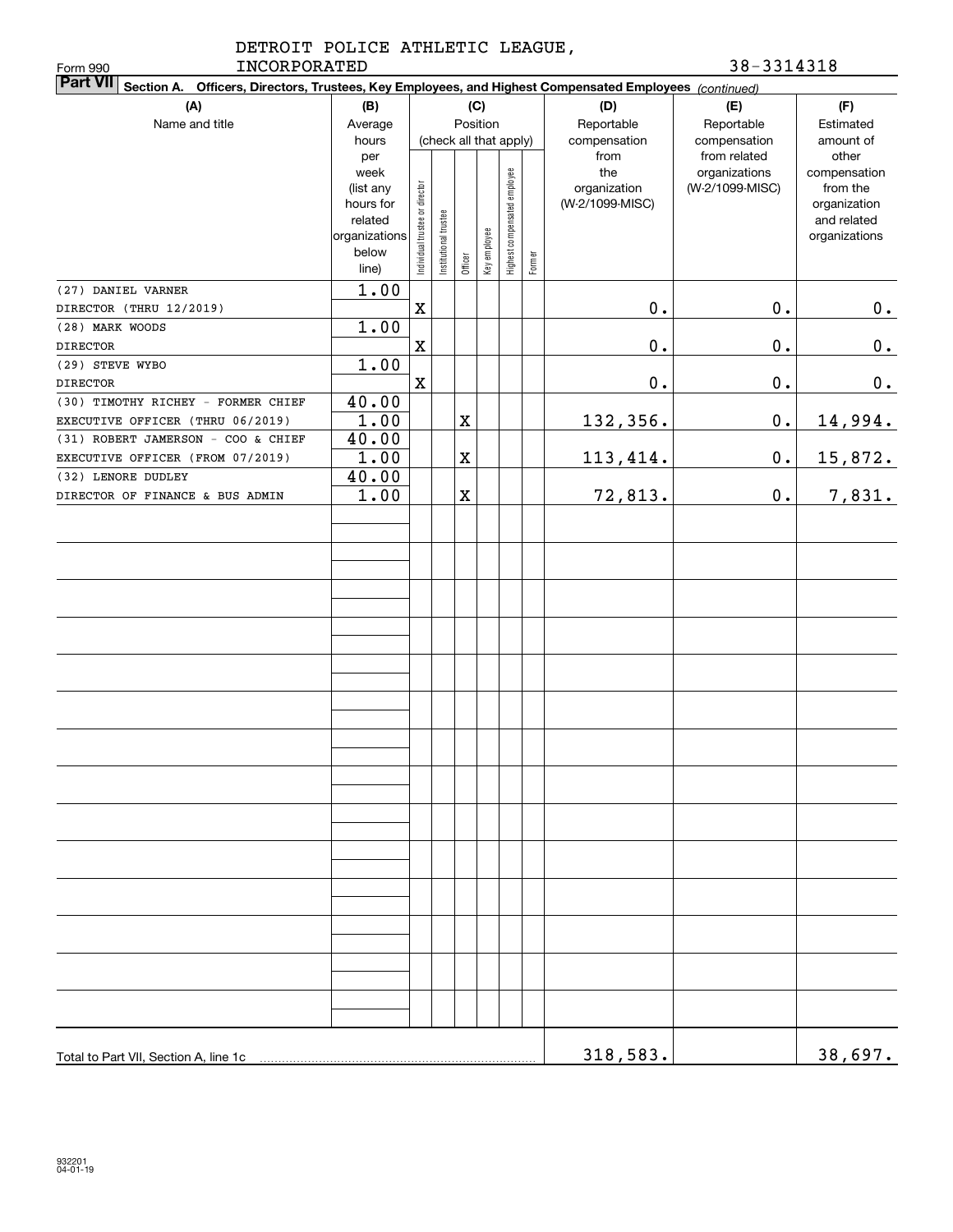|              | DETROIT POLICE ATHLETIC LEAGUE. |            |
|--------------|---------------------------------|------------|
| INCORPORATED |                                 | 38-3314318 |

| INCORPORATED<br>Form 990                                                                                                  |                                                                                     |                                |                       |         |              |                              |        |                                                | 38-3314318                                       |                                                                                   |
|---------------------------------------------------------------------------------------------------------------------------|-------------------------------------------------------------------------------------|--------------------------------|-----------------------|---------|--------------|------------------------------|--------|------------------------------------------------|--------------------------------------------------|-----------------------------------------------------------------------------------|
| <b>Part VII</b><br>Section A. Officers, Directors, Trustees, Key Employees, and Highest Compensated Employees (continued) |                                                                                     |                                |                       |         |              |                              |        |                                                |                                                  |                                                                                   |
| (A)                                                                                                                       | (B)                                                                                 | (C)<br>Position                |                       |         |              |                              |        | (D)                                            | (E)                                              | (F)                                                                               |
| Name and title                                                                                                            | Average<br>hours                                                                    |                                |                       |         |              | (check all that apply)       |        | Reportable<br>compensation                     | Reportable<br>compensation                       | Estimated<br>amount of                                                            |
|                                                                                                                           | per<br>week<br>(list any<br>hours for<br>related<br>organizations<br>below<br>line) | Individual trustee or director | Institutional trustee | Officer | Key employee | Highest compensated employee | Former | from<br>the<br>organization<br>(W-2/1099-MISC) | from related<br>organizations<br>(W-2/1099-MISC) | other<br>compensation<br>from the<br>organization<br>and related<br>organizations |
| (27) DANIEL VARNER                                                                                                        | $\overline{1}$ .00                                                                  |                                |                       |         |              |                              |        |                                                |                                                  |                                                                                   |
| DIRECTOR (THRU 12/2019)                                                                                                   |                                                                                     | $\mathbf X$                    |                       |         |              |                              |        | $0$ .                                          | $\mathbf 0$ .                                    | 0.                                                                                |
| (28) MARK WOODS                                                                                                           | 1.00                                                                                |                                |                       |         |              |                              |        |                                                |                                                  |                                                                                   |
| <b>DIRECTOR</b>                                                                                                           |                                                                                     | $\mathbf X$                    |                       |         |              |                              |        | $\mathbf 0$ .                                  | $\mathbf 0$ .                                    | 0.                                                                                |
| (29) STEVE WYBO                                                                                                           | 1.00                                                                                |                                |                       |         |              |                              |        |                                                |                                                  |                                                                                   |
| <b>DIRECTOR</b>                                                                                                           |                                                                                     | $\mathbf X$                    |                       |         |              |                              |        | $0$ .                                          | $\mathbf 0$ .                                    | 0.                                                                                |
| (30) TIMOTHY RICHEY - FORMER CHIEF                                                                                        | 40.00                                                                               |                                |                       |         |              |                              |        |                                                |                                                  |                                                                                   |
| EXECUTIVE OFFICER (THRU 06/2019)                                                                                          | 1.00                                                                                |                                |                       | X       |              |                              |        | 132,356.                                       | $\mathbf 0$ .                                    | 14,994.                                                                           |
| (31) ROBERT JAMERSON - COO & CHIEF                                                                                        | 40.00                                                                               |                                |                       |         |              |                              |        |                                                |                                                  |                                                                                   |
| EXECUTIVE OFFICER (FROM 07/2019)                                                                                          | 1.00                                                                                |                                |                       | X       |              |                              |        | 113, 414.                                      | 0.                                               | 15,872.                                                                           |
| (32) LENORE DUDLEY                                                                                                        | 40.00                                                                               |                                |                       |         |              |                              |        |                                                |                                                  |                                                                                   |
| DIRECTOR OF FINANCE & BUS ADMIN                                                                                           | 1.00                                                                                |                                |                       | X       |              |                              |        | 72,813.                                        | $\mathbf 0$ .                                    | 7,831.                                                                            |
|                                                                                                                           |                                                                                     |                                |                       |         |              |                              |        |                                                |                                                  |                                                                                   |
|                                                                                                                           |                                                                                     |                                |                       |         |              |                              |        |                                                |                                                  |                                                                                   |
| Total to Part VII, Section A, line 1c                                                                                     |                                                                                     |                                |                       |         |              |                              |        | 318,583.                                       |                                                  | 38,697.                                                                           |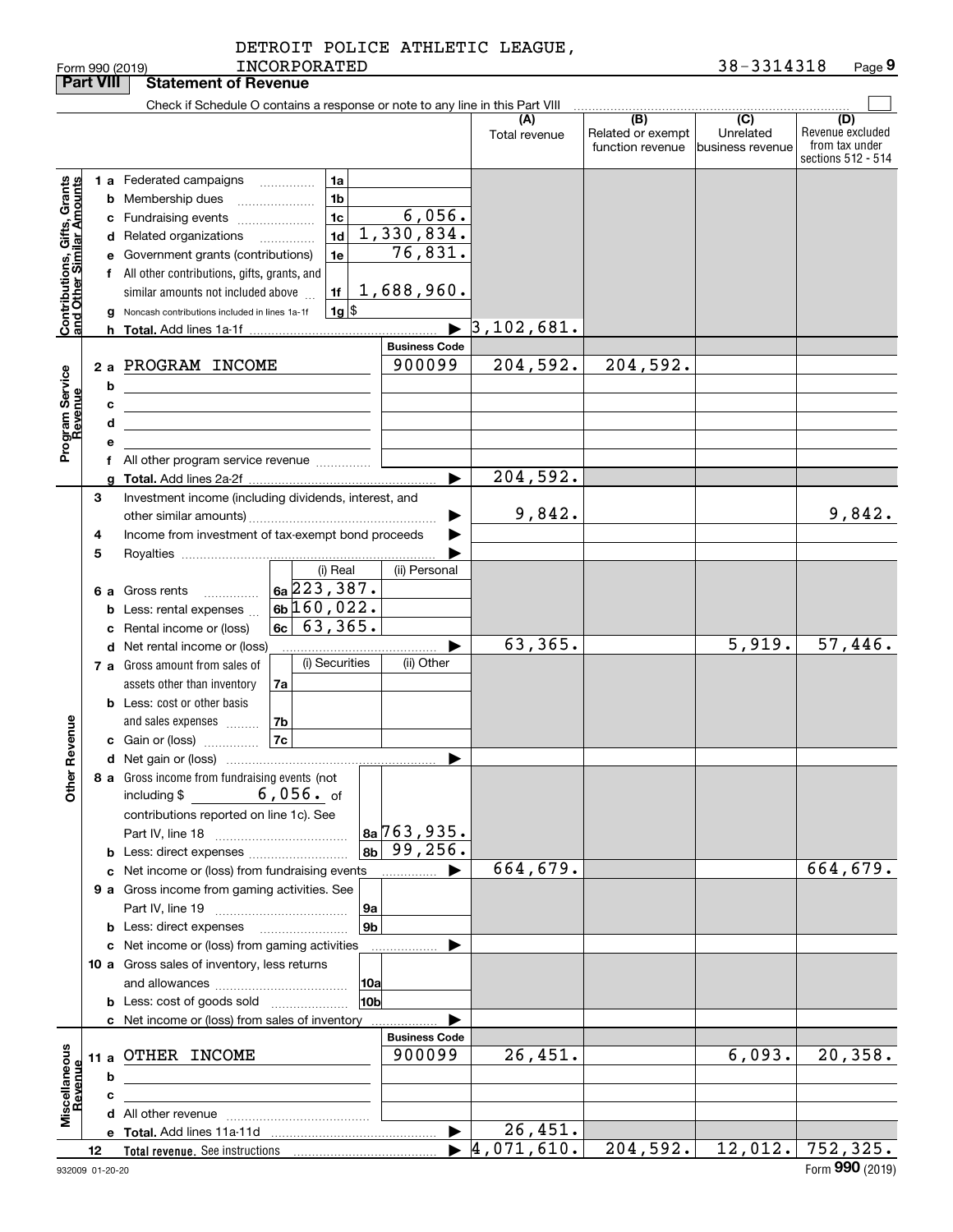| DETROIT POLICE ATHLETIC LEAGUE, |  |
|---------------------------------|--|
|---------------------------------|--|

|                                                           | <b>Part VIII</b> |             | <b>Statement of Revenue</b>                                                                                                                                                                                                                                                                                                                                                                                                                  |                                                                                 |                                              |                                              |                                      |                                                                 |
|-----------------------------------------------------------|------------------|-------------|----------------------------------------------------------------------------------------------------------------------------------------------------------------------------------------------------------------------------------------------------------------------------------------------------------------------------------------------------------------------------------------------------------------------------------------------|---------------------------------------------------------------------------------|----------------------------------------------|----------------------------------------------|--------------------------------------|-----------------------------------------------------------------|
|                                                           |                  |             | Check if Schedule O contains a response or note to any line in this Part VIII                                                                                                                                                                                                                                                                                                                                                                |                                                                                 |                                              |                                              |                                      |                                                                 |
|                                                           |                  |             |                                                                                                                                                                                                                                                                                                                                                                                                                                              |                                                                                 | (A)<br>Total revenue                         | (B)<br>Related or exempt<br>function revenue | (C)<br>Unrelated<br>business revenue | (D)<br>Revenue excluded<br>from tax under<br>sections 512 - 514 |
| Contributions, Gifts, Grants<br>and Other Similar Amounts |                  | b           | 1 a Federated campaigns<br>1a<br>1 <sub>b</sub><br><b>b</b> Membership dues<br>1 <sub>c</sub><br>c Fundraising events<br>1d<br>d Related organizations<br>1e<br>e Government grants (contributions)<br>f All other contributions, gifts, grants, and<br>1f<br>similar amounts not included above<br>$1g$ \$<br>g Noncash contributions included in lines 1a-1f<br>2 a PROGRAM INCOME<br><u> 1980 - Johann Barn, fransk politik (d. 1980)</u> | 6,056.<br>1,330,834.<br>76,831.<br>1,688,960.<br><b>Business Code</b><br>900099 | $\blacktriangleright$ 3,102,681.<br>204,592. | $\overline{204}$ , 592.                      |                                      |                                                                 |
| Program Service<br>Revenue                                |                  | c<br>d<br>e | the control of the control of the control of the control of the control of<br>the control of the control of the control of the control of the control of<br>f All other program service revenue                                                                                                                                                                                                                                              |                                                                                 |                                              |                                              |                                      |                                                                 |
|                                                           |                  |             |                                                                                                                                                                                                                                                                                                                                                                                                                                              |                                                                                 | 204, 592.                                    |                                              |                                      |                                                                 |
|                                                           | 3<br>4<br>5      |             | Investment income (including dividends, interest, and<br>Income from investment of tax-exempt bond proceeds                                                                                                                                                                                                                                                                                                                                  |                                                                                 | 9,842.                                       |                                              |                                      | 9,842.                                                          |
|                                                           |                  |             | (i) Real<br>$6a\overline{223}$ , 387.<br>6 a Gross rents<br>$6b$ 160,022.<br><b>b</b> Less: rental expenses<br>6c   63, 365.<br>c Rental income or (loss)                                                                                                                                                                                                                                                                                    | (ii) Personal                                                                   |                                              |                                              |                                      |                                                                 |
|                                                           |                  |             | d Net rental income or (loss)                                                                                                                                                                                                                                                                                                                                                                                                                |                                                                                 | 63,365.                                      |                                              | 5,919.                               | 57,446.                                                         |
| Revenue                                                   |                  |             | (i) Securities<br>7 a Gross amount from sales of<br>assets other than inventory<br>7a<br><b>b</b> Less: cost or other basis<br>7b<br>and sales expenses<br>$\vert$ 7c $\vert$<br>c Gain or (loss)                                                                                                                                                                                                                                            | (ii) Other                                                                      |                                              |                                              |                                      |                                                                 |
|                                                           |                  |             |                                                                                                                                                                                                                                                                                                                                                                                                                                              |                                                                                 |                                              |                                              |                                      |                                                                 |
| <b>Othe</b>                                               |                  |             | 8 a Gross income from fundraising events (not<br>$6,056.$ of<br>including $$$<br>contributions reported on line 1c). See<br><b>b</b> Less: direct expenses                                                                                                                                                                                                                                                                                   | $8a$ 763, 935.<br>$8b$ 99, 256.                                                 |                                              |                                              |                                      |                                                                 |
|                                                           |                  |             | c Net income or (loss) from fundraising events                                                                                                                                                                                                                                                                                                                                                                                               | ▶<br>.                                                                          | 664,679.                                     |                                              |                                      | 664,679.                                                        |
|                                                           |                  |             | 9 a Gross income from gaming activities. See<br>9a<br>9 <sub>b</sub><br><b>b</b> Less: direct expenses <b>manually</b>                                                                                                                                                                                                                                                                                                                       |                                                                                 |                                              |                                              |                                      |                                                                 |
|                                                           |                  |             | c Net income or (loss) from gaming activities<br>.                                                                                                                                                                                                                                                                                                                                                                                           |                                                                                 |                                              |                                              |                                      |                                                                 |
|                                                           |                  |             | 10 a Gross sales of inventory, less returns<br> 10a<br><b>b</b> Less: cost of goods sold<br>10 <sub>b</sub>                                                                                                                                                                                                                                                                                                                                  |                                                                                 |                                              |                                              |                                      |                                                                 |
|                                                           |                  |             | c Net income or (loss) from sales of inventory                                                                                                                                                                                                                                                                                                                                                                                               |                                                                                 |                                              |                                              |                                      |                                                                 |
| Miscellaneous<br>Revenue                                  |                  | b           | 11 a OTHER INCOME<br>the control of the control of the control of the control of the                                                                                                                                                                                                                                                                                                                                                         | <b>Business Code</b><br>900099                                                  | 26,451.                                      |                                              | 6,093.                               | 20, 358.                                                        |
|                                                           |                  | c           | the control of the control of the control of the control of the control of                                                                                                                                                                                                                                                                                                                                                                   |                                                                                 |                                              |                                              |                                      |                                                                 |
|                                                           |                  |             |                                                                                                                                                                                                                                                                                                                                                                                                                                              | $\blacktriangleright$                                                           | 26,451.                                      |                                              |                                      |                                                                 |
|                                                           | 12               |             |                                                                                                                                                                                                                                                                                                                                                                                                                                              |                                                                                 | $\blacktriangleright$ 4,071,610.             | 204,592.                                     |                                      | $12,012.$ 752,325.                                              |
|                                                           |                  |             |                                                                                                                                                                                                                                                                                                                                                                                                                                              |                                                                                 |                                              |                                              |                                      |                                                                 |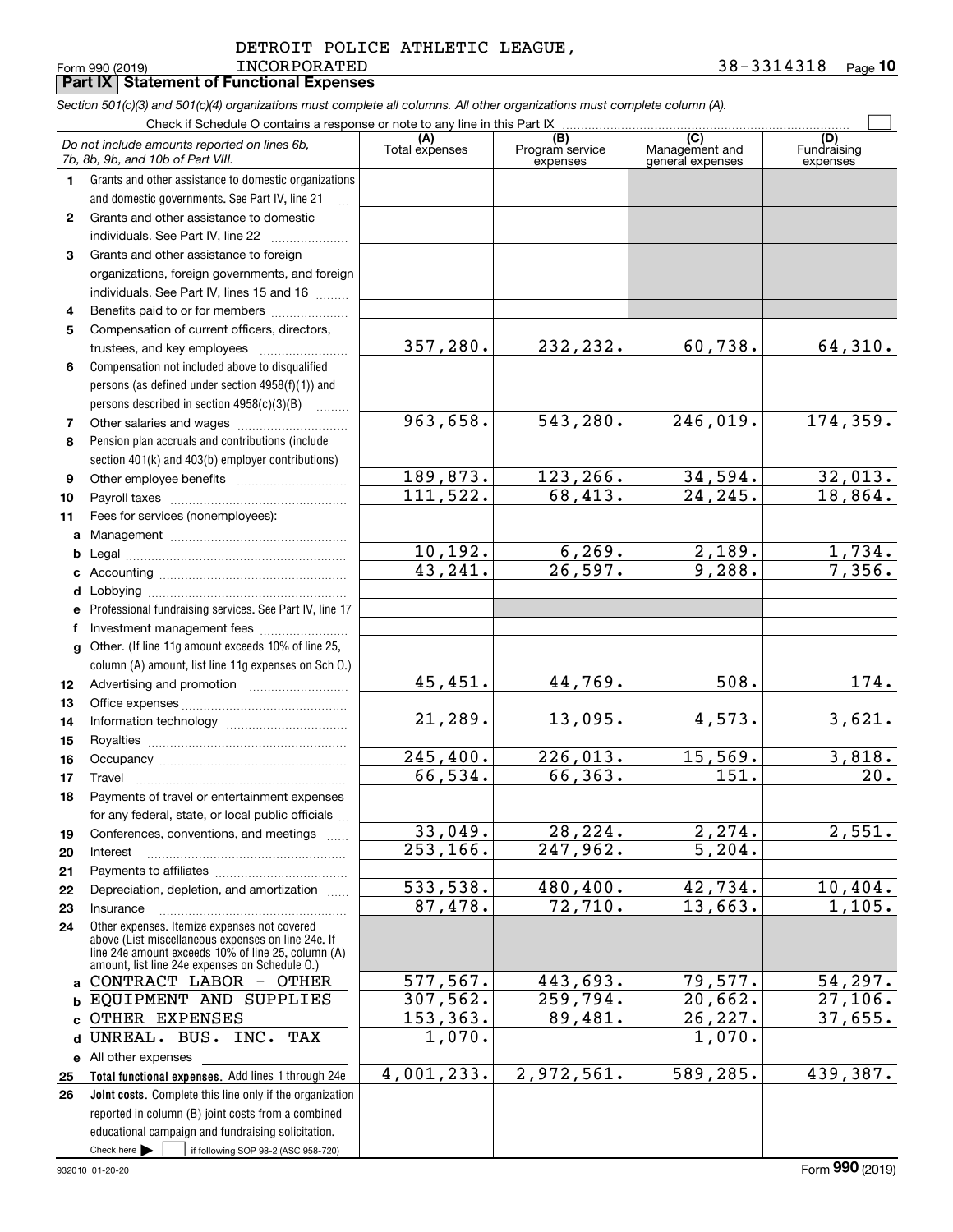Form 990 (2019) Page **Part IX Statement of Functional Expenses 10** INCORPORATED 38-3314318

|                  | Section 501(c)(3) and 501(c)(4) organizations must complete all columns. All other organizations must complete column (A).                               |                |                             |                                    |                                |
|------------------|----------------------------------------------------------------------------------------------------------------------------------------------------------|----------------|-----------------------------|------------------------------------|--------------------------------|
|                  | Check if Schedule O contains a response or note to any line in this Part IX                                                                              | (A)            | (B)                         | (C)                                |                                |
|                  | Do not include amounts reported on lines 6b,<br>7b, 8b, 9b, and 10b of Part VIII.                                                                        | Total expenses | Program service<br>expenses | Management and<br>general expenses | (D)<br>Fundraising<br>expenses |
| 1.               | Grants and other assistance to domestic organizations                                                                                                    |                |                             |                                    |                                |
|                  | and domestic governments. See Part IV, line 21                                                                                                           |                |                             |                                    |                                |
| $\mathbf{2}$     | Grants and other assistance to domestic                                                                                                                  |                |                             |                                    |                                |
|                  | individuals. See Part IV, line 22                                                                                                                        |                |                             |                                    |                                |
| 3                | Grants and other assistance to foreign                                                                                                                   |                |                             |                                    |                                |
|                  | organizations, foreign governments, and foreign                                                                                                          |                |                             |                                    |                                |
|                  | individuals. See Part IV, lines 15 and 16                                                                                                                |                |                             |                                    |                                |
| 4                | Benefits paid to or for members                                                                                                                          |                |                             |                                    |                                |
| 5                | Compensation of current officers, directors,                                                                                                             | 357,280.       |                             | 60,738.                            |                                |
|                  | trustees, and key employees                                                                                                                              |                | 232,232.                    |                                    | 64,310.                        |
| 6                | Compensation not included above to disqualified                                                                                                          |                |                             |                                    |                                |
|                  | persons (as defined under section 4958(f)(1)) and                                                                                                        |                |                             |                                    |                                |
|                  | persons described in section 4958(c)(3)(B)                                                                                                               | 963,658.       |                             | 246,019.                           |                                |
| 7                |                                                                                                                                                          |                | 543,280.                    |                                    | 174, 359.                      |
| 8                | Pension plan accruals and contributions (include                                                                                                         |                |                             |                                    |                                |
|                  | section 401(k) and 403(b) employer contributions)                                                                                                        | 189,873.       | 123,266.                    | 34,594.                            | 32,013.                        |
| 9                |                                                                                                                                                          | 111,522.       | 68,413.                     | 24,245.                            | 18,864.                        |
| 10               |                                                                                                                                                          |                |                             |                                    |                                |
| 11               | Fees for services (nonemployees):                                                                                                                        |                |                             |                                    |                                |
| a                |                                                                                                                                                          | 10, 192.       | 6, 269.                     | 2,189.                             |                                |
| b                |                                                                                                                                                          | 43,241.        | $\overline{26}$ , 597.      | 9,288.                             | $\frac{1,734}{7,356}$ .        |
| c                |                                                                                                                                                          |                |                             |                                    |                                |
| d                |                                                                                                                                                          |                |                             |                                    |                                |
| e                | Professional fundraising services. See Part IV, line 17<br>Investment management fees                                                                    |                |                             |                                    |                                |
| f                | Other. (If line 11g amount exceeds 10% of line 25,                                                                                                       |                |                             |                                    |                                |
| g                | column (A) amount, list line 11g expenses on Sch O.)                                                                                                     |                |                             |                                    |                                |
| 12 <sup>12</sup> |                                                                                                                                                          | 45,451.        | 44,769.                     | 508.                               | 174.                           |
| 13               |                                                                                                                                                          |                |                             |                                    |                                |
| 14               |                                                                                                                                                          | 21,289.        | 13,095.                     | 4,573.                             | 3,621.                         |
| 15               |                                                                                                                                                          |                |                             |                                    |                                |
| 16               |                                                                                                                                                          | 245, 400.      | 226,013.                    | 15,569.                            | 3,818.                         |
| 17               |                                                                                                                                                          | 66,534.        | 66,363.                     | 151.                               | 20.                            |
| 18               | Payments of travel or entertainment expenses                                                                                                             |                |                             |                                    |                                |
|                  | for any federal, state, or local public officials                                                                                                        |                |                             |                                    |                                |
| 19               | Conferences, conventions, and meetings                                                                                                                   | 33,049.        | 28,224.                     | 2, 274.                            | 2,551.                         |
| 20               | Interest                                                                                                                                                 | 253, 166.      | 247,962.                    | 5,204.                             |                                |
| 21               |                                                                                                                                                          |                |                             |                                    |                                |
| 22               | Depreciation, depletion, and amortization                                                                                                                | 533,538.       | 480,400.                    | 42,734.                            | 10,404.                        |
| 23               | Insurance                                                                                                                                                | 87,478.        | 72,710.                     | 13,663.                            | 1,105.                         |
| 24               | Other expenses. Itemize expenses not covered<br>above (List miscellaneous expenses on line 24e. If<br>line 24e amount exceeds 10% of line 25, column (A) |                |                             |                                    |                                |
|                  | amount, list line 24e expenses on Schedule 0.)<br>CONTRACT LABOR - OTHER                                                                                 | 577, 567.      | 443,693.                    | 79,577.                            | 54,297.                        |
| a                | EQUIPMENT AND SUPPLIES                                                                                                                                   | 307,562.       | 259,794.                    | 20,662.                            | 27,106.                        |
| b                | OTHER EXPENSES                                                                                                                                           | 153, 363.      | 89,481.                     | 26,227.                            | 37,655.                        |
| C                | UNREAL. BUS. INC. TAX                                                                                                                                    | 1,070.         |                             | 1,070.                             |                                |
| d                |                                                                                                                                                          |                |                             |                                    |                                |
|                  | e All other expenses                                                                                                                                     | 4,001,233.     | 2,972,561.                  | 589,285.                           | 439,387.                       |
| 25<br>26         | Total functional expenses. Add lines 1 through 24e<br>Joint costs. Complete this line only if the organization                                           |                |                             |                                    |                                |
|                  | reported in column (B) joint costs from a combined                                                                                                       |                |                             |                                    |                                |
|                  | educational campaign and fundraising solicitation.                                                                                                       |                |                             |                                    |                                |
|                  | Check here $\blacktriangleright$<br>if following SOP 98-2 (ASC 958-720)                                                                                  |                |                             |                                    |                                |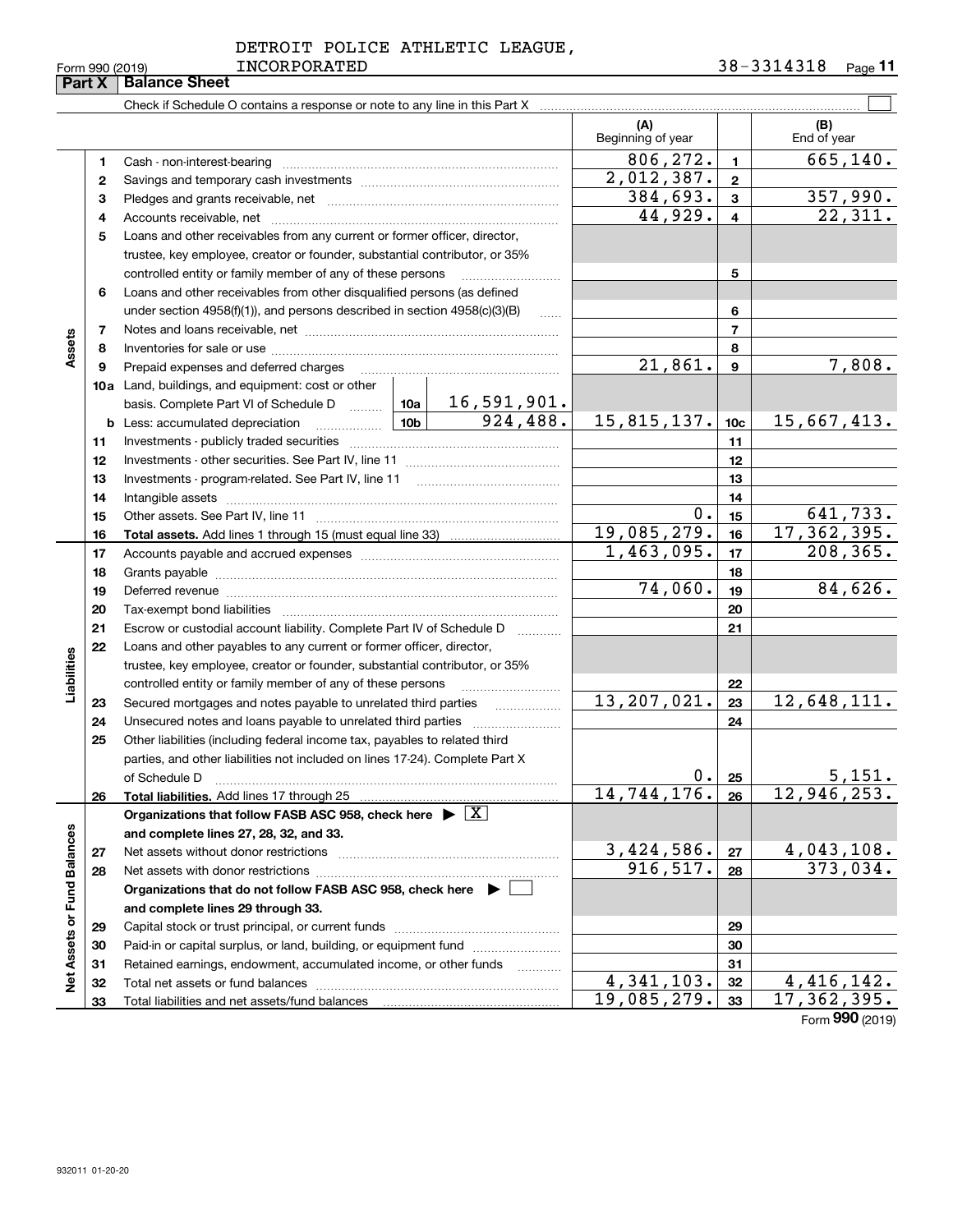**33**

 $\overline{a}$ 

Total liabilities and net assets/fund balances

|               | DETROIT POLICE ATHLETIC LEAGUE, |  |
|---------------|---------------------------------|--|
| ------------- |                                 |  |

Form 990 (2019) INCORPORATED 3 8 – 3 3 1 4 3 1 8 <sub>Page</sub> 11

|                             |    | Check if Schedule O contains a response or note to any line in this Part X                                                                                                                                                     |                 |                                                                                                                                                                                                                                                                                                                                                                                                                                               |                          |                 |                    |
|-----------------------------|----|--------------------------------------------------------------------------------------------------------------------------------------------------------------------------------------------------------------------------------|-----------------|-----------------------------------------------------------------------------------------------------------------------------------------------------------------------------------------------------------------------------------------------------------------------------------------------------------------------------------------------------------------------------------------------------------------------------------------------|--------------------------|-----------------|--------------------|
|                             |    |                                                                                                                                                                                                                                |                 |                                                                                                                                                                                                                                                                                                                                                                                                                                               | (A)<br>Beginning of year |                 | (B)<br>End of year |
|                             | 1  | Cash - non-interest-bearing                                                                                                                                                                                                    |                 | $\begin{minipage}{0.5\textwidth} \begin{tabular}{ l l l } \hline & \multicolumn{1}{ l l } \hline & \multicolumn{1}{ l } \multicolumn{1}{ l } \multicolumn{1}{ l } \multicolumn{1}{ l } \multicolumn{1}{ l } \multicolumn{1}{ l } \multicolumn{1}{ l } \multicolumn{1}{ l } \multicolumn{1}{ l } \multicolumn{1}{ l } \multicolumn{1}{ l } \multicolumn{1}{ l } \multicolumn{1}{ l } \multicolumn{1}{ l } \multicolumn{1}{ l } \multicolumn{1$ | 806,272.                 | 1.              | 665,140.           |
|                             | 2  |                                                                                                                                                                                                                                |                 |                                                                                                                                                                                                                                                                                                                                                                                                                                               | 2,012,387.               | $\mathbf{2}$    |                    |
|                             | 3  |                                                                                                                                                                                                                                |                 |                                                                                                                                                                                                                                                                                                                                                                                                                                               | 384,693.                 | 3               | 357,990.           |
|                             | 4  |                                                                                                                                                                                                                                |                 |                                                                                                                                                                                                                                                                                                                                                                                                                                               | 44,929.                  | 4               | 22,311.            |
|                             | 5  | Loans and other receivables from any current or former officer, director,                                                                                                                                                      |                 |                                                                                                                                                                                                                                                                                                                                                                                                                                               |                          |                 |                    |
|                             |    | trustee, key employee, creator or founder, substantial contributor, or 35%                                                                                                                                                     |                 |                                                                                                                                                                                                                                                                                                                                                                                                                                               |                          |                 |                    |
|                             |    | controlled entity or family member of any of these persons                                                                                                                                                                     |                 |                                                                                                                                                                                                                                                                                                                                                                                                                                               |                          | 5               |                    |
|                             | 6  | Loans and other receivables from other disqualified persons (as defined                                                                                                                                                        |                 |                                                                                                                                                                                                                                                                                                                                                                                                                                               |                          |                 |                    |
|                             |    | under section $4958(f)(1)$ , and persons described in section $4958(c)(3)(B)$                                                                                                                                                  |                 | 6                                                                                                                                                                                                                                                                                                                                                                                                                                             |                          |                 |                    |
|                             | 7  |                                                                                                                                                                                                                                |                 | <b>Secure</b>                                                                                                                                                                                                                                                                                                                                                                                                                                 |                          | $\overline{7}$  |                    |
| Assets                      | 8  |                                                                                                                                                                                                                                |                 |                                                                                                                                                                                                                                                                                                                                                                                                                                               |                          | 8               |                    |
|                             | 9  | Prepaid expenses and deferred charges                                                                                                                                                                                          |                 |                                                                                                                                                                                                                                                                                                                                                                                                                                               | 21,861.                  | 9               | 7,808.             |
|                             |    | <b>10a</b> Land, buildings, and equipment: cost or other                                                                                                                                                                       |                 |                                                                                                                                                                                                                                                                                                                                                                                                                                               |                          |                 |                    |
|                             |    | basis. Complete Part VI of Schedule D                                                                                                                                                                                          | 10a             | 16,591,901.                                                                                                                                                                                                                                                                                                                                                                                                                                   |                          |                 |                    |
|                             |    |                                                                                                                                                                                                                                | 10 <sub>b</sub> | 924,488.                                                                                                                                                                                                                                                                                                                                                                                                                                      | 15,815,137.              | 10 <sub>c</sub> | 15,667,413.        |
|                             | 11 |                                                                                                                                                                                                                                |                 | 11                                                                                                                                                                                                                                                                                                                                                                                                                                            |                          |                 |                    |
|                             | 12 |                                                                                                                                                                                                                                |                 | 12                                                                                                                                                                                                                                                                                                                                                                                                                                            |                          |                 |                    |
|                             | 13 |                                                                                                                                                                                                                                |                 | 13                                                                                                                                                                                                                                                                                                                                                                                                                                            |                          |                 |                    |
|                             | 14 |                                                                                                                                                                                                                                |                 | 14                                                                                                                                                                                                                                                                                                                                                                                                                                            |                          |                 |                    |
|                             | 15 |                                                                                                                                                                                                                                |                 | 0.                                                                                                                                                                                                                                                                                                                                                                                                                                            | 15                       | 641,733.        |                    |
|                             | 16 |                                                                                                                                                                                                                                | 19,085,279.     | 16                                                                                                                                                                                                                                                                                                                                                                                                                                            | 17, 362, 395.            |                 |                    |
|                             | 17 |                                                                                                                                                                                                                                | 1,463,095.      | 17                                                                                                                                                                                                                                                                                                                                                                                                                                            | 208,365.                 |                 |                    |
|                             | 18 |                                                                                                                                                                                                                                |                 | 18                                                                                                                                                                                                                                                                                                                                                                                                                                            |                          |                 |                    |
|                             | 19 | Deferred revenue material contracts and a contract of the contract of the contract of the contract of the contract of the contract of the contract of the contract of the contract of the contract of the contract of the cont |                 |                                                                                                                                                                                                                                                                                                                                                                                                                                               | 74,060.                  | 19              | 84,626.            |
|                             | 20 |                                                                                                                                                                                                                                |                 |                                                                                                                                                                                                                                                                                                                                                                                                                                               |                          | 20              |                    |
|                             | 21 | Escrow or custodial account liability. Complete Part IV of Schedule D                                                                                                                                                          |                 |                                                                                                                                                                                                                                                                                                                                                                                                                                               |                          | 21              |                    |
|                             | 22 | Loans and other payables to any current or former officer, director,                                                                                                                                                           |                 |                                                                                                                                                                                                                                                                                                                                                                                                                                               |                          |                 |                    |
|                             |    | trustee, key employee, creator or founder, substantial contributor, or 35%                                                                                                                                                     |                 |                                                                                                                                                                                                                                                                                                                                                                                                                                               |                          |                 |                    |
| Liabilities                 |    | controlled entity or family member of any of these persons                                                                                                                                                                     |                 |                                                                                                                                                                                                                                                                                                                                                                                                                                               |                          | 22              |                    |
|                             | 23 | Secured mortgages and notes payable to unrelated third parties                                                                                                                                                                 |                 | .                                                                                                                                                                                                                                                                                                                                                                                                                                             | 13,207,021.              | 23              | 12,648,111.        |
|                             | 24 | Unsecured notes and loans payable to unrelated third parties                                                                                                                                                                   |                 |                                                                                                                                                                                                                                                                                                                                                                                                                                               |                          | 24              |                    |
|                             | 25 | Other liabilities (including federal income tax, payables to related third                                                                                                                                                     |                 |                                                                                                                                                                                                                                                                                                                                                                                                                                               |                          |                 |                    |
|                             |    | parties, and other liabilities not included on lines 17-24). Complete Part X                                                                                                                                                   |                 |                                                                                                                                                                                                                                                                                                                                                                                                                                               |                          |                 |                    |
|                             |    | of Schedule D                                                                                                                                                                                                                  |                 |                                                                                                                                                                                                                                                                                                                                                                                                                                               | $0$ .                    | 25              | 5,151.             |
|                             | 26 | Total liabilities. Add lines 17 through 25                                                                                                                                                                                     |                 |                                                                                                                                                                                                                                                                                                                                                                                                                                               | 14, 744, 176.            | 26              | 12,946,253.        |
|                             |    | Organizations that follow FASB ASC 958, check here $\triangleright \lfloor X \rfloor$                                                                                                                                          |                 |                                                                                                                                                                                                                                                                                                                                                                                                                                               |                          |                 |                    |
|                             |    | and complete lines 27, 28, 32, and 33.                                                                                                                                                                                         |                 |                                                                                                                                                                                                                                                                                                                                                                                                                                               |                          |                 |                    |
|                             | 27 | Net assets without donor restrictions                                                                                                                                                                                          |                 |                                                                                                                                                                                                                                                                                                                                                                                                                                               | 3,424,586.               | 27              | 4,043,108.         |
|                             | 28 |                                                                                                                                                                                                                                |                 |                                                                                                                                                                                                                                                                                                                                                                                                                                               | 916, 517.                | 28              | 373,034.           |
|                             |    | Organizations that do not follow FASB ASC 958, check here $\blacktriangleright$                                                                                                                                                |                 |                                                                                                                                                                                                                                                                                                                                                                                                                                               |                          |                 |                    |
|                             |    | and complete lines 29 through 33.                                                                                                                                                                                              |                 |                                                                                                                                                                                                                                                                                                                                                                                                                                               |                          |                 |                    |
|                             | 29 |                                                                                                                                                                                                                                |                 |                                                                                                                                                                                                                                                                                                                                                                                                                                               |                          | 29              |                    |
| Net Assets or Fund Balances | 30 | Paid-in or capital surplus, or land, building, or equipment fund                                                                                                                                                               |                 |                                                                                                                                                                                                                                                                                                                                                                                                                                               |                          | 30              |                    |
|                             | 31 | Retained earnings, endowment, accumulated income, or other funds                                                                                                                                                               |                 | .                                                                                                                                                                                                                                                                                                                                                                                                                                             |                          | 31              |                    |
|                             | 32 |                                                                                                                                                                                                                                | 4,341,103.      | 32                                                                                                                                                                                                                                                                                                                                                                                                                                            | 4, 416, 142.             |                 |                    |

Form (2019) **990**

**33**19,085,279. 17,362,395.

## **Part X Balance Sheet** INCORPORATED 38-3314318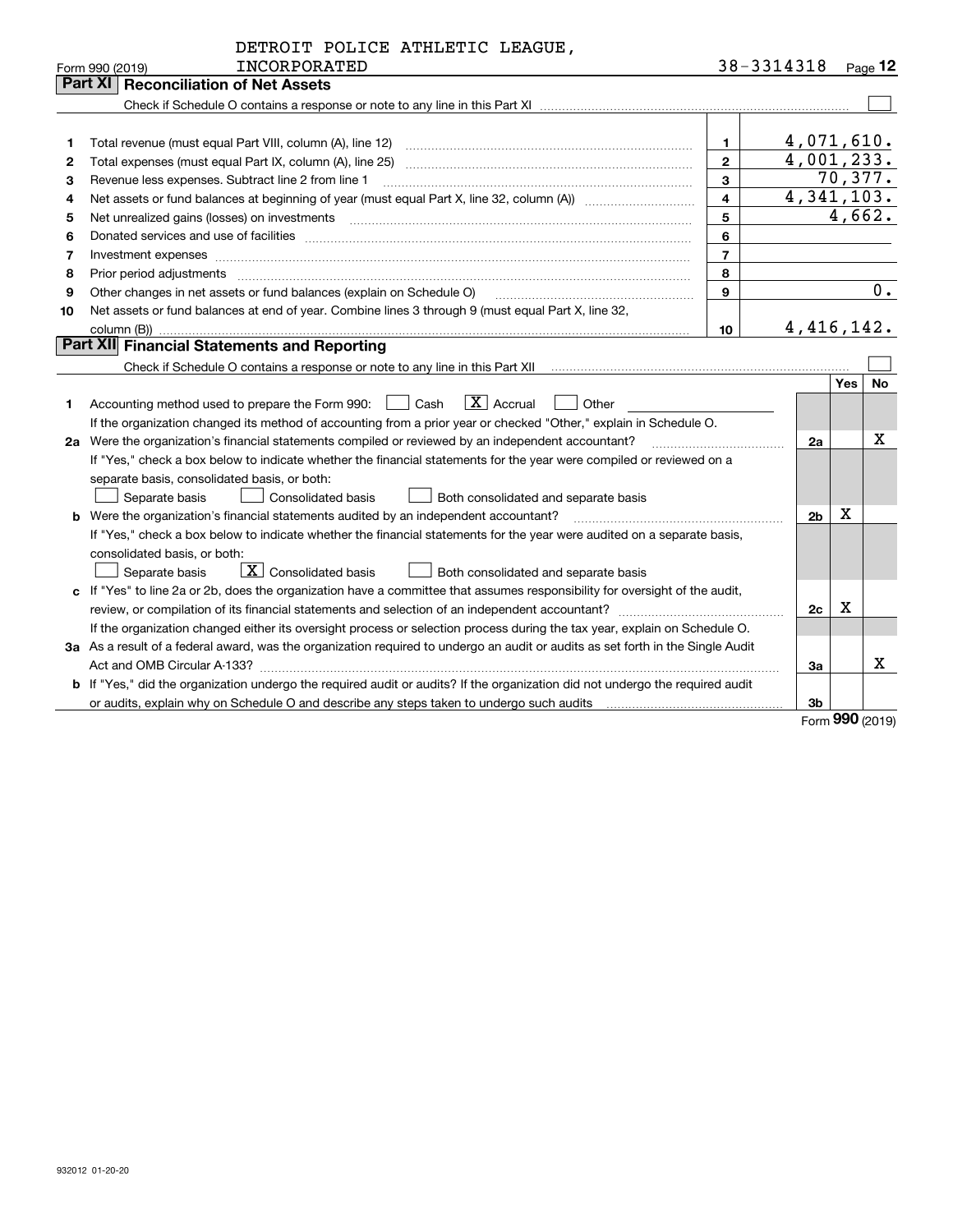|              | DETROIT POLICE ATHLETIC LEAGUE,                                                                                                                                                                                                |                         |                            |                  |              |
|--------------|--------------------------------------------------------------------------------------------------------------------------------------------------------------------------------------------------------------------------------|-------------------------|----------------------------|------------------|--------------|
|              | INCORPORATED<br>Form 990 (2019)                                                                                                                                                                                                |                         | 38-3314318                 |                  | $Page$ 12    |
|              | <b>Part XI Reconciliation of Net Assets</b>                                                                                                                                                                                    |                         |                            |                  |              |
|              |                                                                                                                                                                                                                                |                         |                            |                  |              |
|              |                                                                                                                                                                                                                                |                         |                            |                  |              |
| 1            |                                                                                                                                                                                                                                | $\mathbf 1$             | 4,071,610.                 |                  |              |
| $\mathbf{2}$ |                                                                                                                                                                                                                                | $\overline{2}$          | 4,001,233.                 |                  |              |
| З            | Revenue less expenses. Subtract line 2 from line 1                                                                                                                                                                             | 3                       |                            |                  | 70,377.      |
| 4            |                                                                                                                                                                                                                                | $\overline{\mathbf{4}}$ | $\overline{4}$ , 341, 103. |                  |              |
| 5            |                                                                                                                                                                                                                                | 5                       |                            |                  | 4,662.       |
| 6            |                                                                                                                                                                                                                                | 6                       |                            |                  |              |
| 7            | Investment expenses www.communication.com/www.communication.com/www.communication.com/www.com                                                                                                                                  | $\overline{7}$          |                            |                  |              |
| 8            | Prior period adjustments manufactured content and all the content of the content of the content of the content of the content of the content of the content of the content of the content of the content of the content of the | 8                       |                            |                  |              |
| 9            | Other changes in net assets or fund balances (explain on Schedule O)                                                                                                                                                           | 9                       |                            |                  | 0.           |
| 10           | Net assets or fund balances at end of year. Combine lines 3 through 9 (must equal Part X, line 32,                                                                                                                             |                         |                            |                  |              |
|              |                                                                                                                                                                                                                                | 10                      | 4, 416, 142.               |                  |              |
|              | Part XII Financial Statements and Reporting                                                                                                                                                                                    |                         |                            |                  |              |
|              |                                                                                                                                                                                                                                |                         |                            |                  |              |
|              |                                                                                                                                                                                                                                |                         |                            | Yes <sub>1</sub> | <b>No</b>    |
| 1            | $ X $ Accrual<br>Accounting method used to prepare the Form 990: <u>[16</u> ] Cash<br>  Other                                                                                                                                  |                         |                            |                  |              |
|              | If the organization changed its method of accounting from a prior year or checked "Other," explain in Schedule O.                                                                                                              |                         |                            |                  |              |
|              | 2a Were the organization's financial statements compiled or reviewed by an independent accountant?                                                                                                                             |                         | 2a                         |                  | $\mathbf{x}$ |
|              | If "Yes," check a box below to indicate whether the financial statements for the year were compiled or reviewed on a                                                                                                           |                         |                            |                  |              |
|              | separate basis, consolidated basis, or both:                                                                                                                                                                                   |                         |                            |                  |              |
|              | Separate basis<br><b>Consolidated basis</b><br>Both consolidated and separate basis                                                                                                                                            |                         |                            |                  |              |
|              |                                                                                                                                                                                                                                |                         | 2 <sub>b</sub>             | х                |              |
|              | If "Yes," check a box below to indicate whether the financial statements for the year were audited on a separate basis,                                                                                                        |                         |                            |                  |              |
|              | consolidated basis, or both:                                                                                                                                                                                                   |                         |                            |                  |              |
|              | $\vert X \vert$ Consolidated basis<br>Both consolidated and separate basis<br>Separate basis                                                                                                                                   |                         |                            |                  |              |
|              | c If "Yes" to line 2a or 2b, does the organization have a committee that assumes responsibility for oversight of the audit,                                                                                                    |                         |                            |                  |              |
|              |                                                                                                                                                                                                                                |                         | 2c                         | x                |              |
|              | If the organization changed either its oversight process or selection process during the tax year, explain on Schedule O.                                                                                                      |                         |                            |                  |              |
|              | 3a As a result of a federal award, was the organization required to undergo an audit or audits as set forth in the Single Audit                                                                                                |                         |                            |                  |              |
|              | Act and OMB Circular A-133?                                                                                                                                                                                                    |                         | 3a                         |                  | x            |
|              | b If "Yes," did the organization undergo the required audit or audits? If the organization did not undergo the required audit                                                                                                  |                         |                            |                  |              |
|              | or audits, explain why on Schedule O and describe any steps taken to undergo such audits                                                                                                                                       |                         | 3b                         |                  |              |

Form (2019) **990**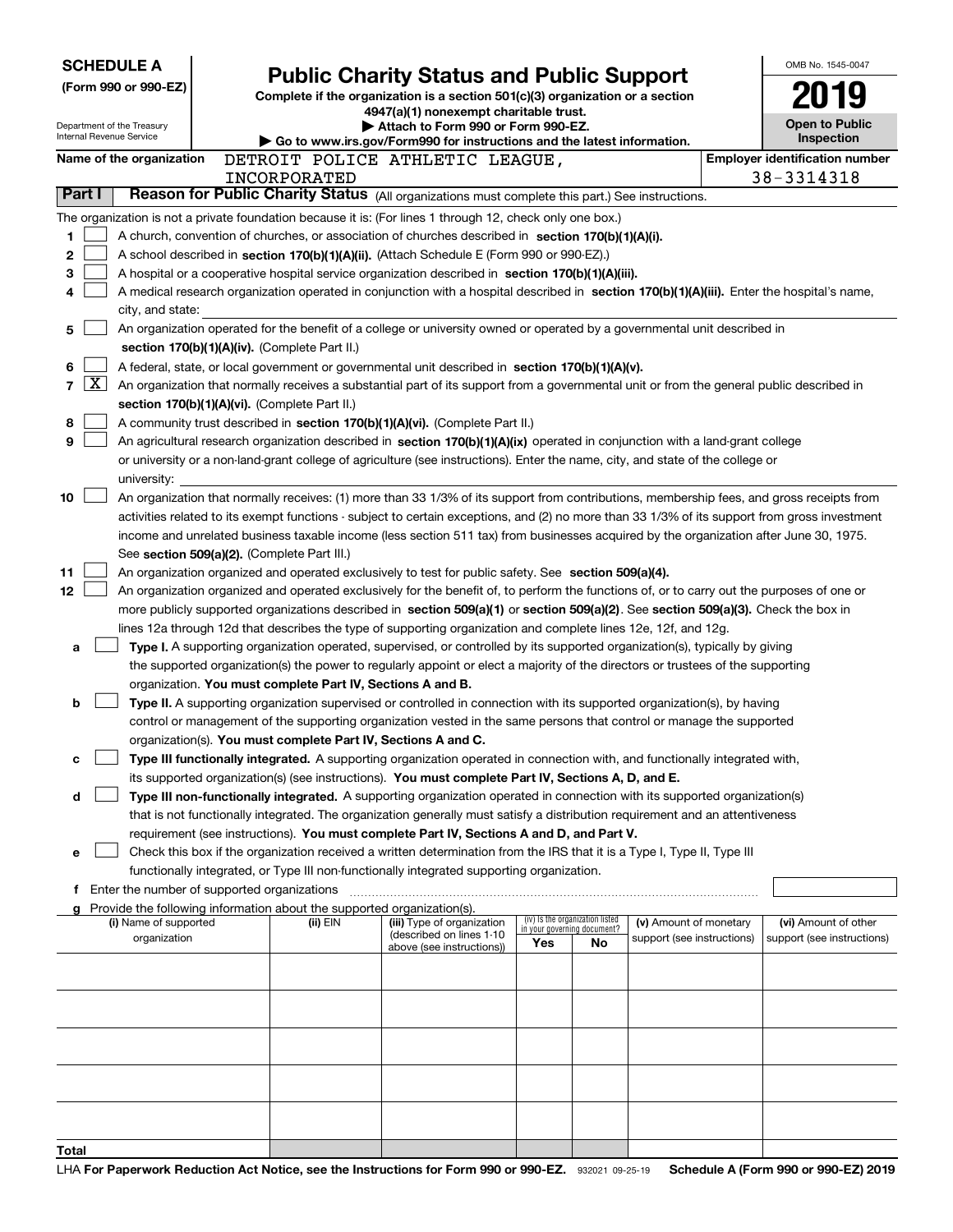| <b>SCHEDULE A</b>                                      |                                               | <b>Public Charity Status and Public Support</b>                                                                                                                                                                                                      |                                                                |                            | OMB No. 1545-0047                     |
|--------------------------------------------------------|-----------------------------------------------|------------------------------------------------------------------------------------------------------------------------------------------------------------------------------------------------------------------------------------------------------|----------------------------------------------------------------|----------------------------|---------------------------------------|
| (Form 990 or 990-EZ)                                   |                                               | Complete if the organization is a section 501(c)(3) organization or a section                                                                                                                                                                        |                                                                |                            |                                       |
|                                                        |                                               | 4947(a)(1) nonexempt charitable trust.                                                                                                                                                                                                               |                                                                |                            |                                       |
| Department of the Treasury<br>Internal Revenue Service |                                               | Attach to Form 990 or Form 990-EZ.                                                                                                                                                                                                                   |                                                                |                            | <b>Open to Public</b><br>Inspection   |
| Name of the organization                               |                                               | Go to www.irs.gov/Form990 for instructions and the latest information.<br>DETROIT POLICE ATHLETIC LEAGUE,                                                                                                                                            |                                                                |                            | <b>Employer identification number</b> |
|                                                        | INCORPORATED                                  |                                                                                                                                                                                                                                                      |                                                                |                            | 38-3314318                            |
| Part I                                                 |                                               | Reason for Public Charity Status (All organizations must complete this part.) See instructions.                                                                                                                                                      |                                                                |                            |                                       |
|                                                        |                                               | The organization is not a private foundation because it is: (For lines 1 through 12, check only one box.)                                                                                                                                            |                                                                |                            |                                       |
| 1                                                      |                                               | A church, convention of churches, or association of churches described in section $170(b)(1)(A)(i)$ .                                                                                                                                                |                                                                |                            |                                       |
| 2                                                      |                                               | A school described in section 170(b)(1)(A)(ii). (Attach Schedule E (Form 990 or 990-EZ).)                                                                                                                                                            |                                                                |                            |                                       |
| 3                                                      |                                               | A hospital or a cooperative hospital service organization described in section 170(b)(1)(A)(iii).                                                                                                                                                    |                                                                |                            |                                       |
| 4                                                      |                                               | A medical research organization operated in conjunction with a hospital described in section 170(b)(1)(A)(iii). Enter the hospital's name,                                                                                                           |                                                                |                            |                                       |
| city, and state:                                       |                                               |                                                                                                                                                                                                                                                      |                                                                |                            |                                       |
| 5                                                      |                                               | An organization operated for the benefit of a college or university owned or operated by a governmental unit described in                                                                                                                            |                                                                |                            |                                       |
|                                                        | section 170(b)(1)(A)(iv). (Complete Part II.) |                                                                                                                                                                                                                                                      |                                                                |                            |                                       |
| 6<br>$\overline{\text{X}}$<br>$\overline{7}$           |                                               | A federal, state, or local government or governmental unit described in section 170(b)(1)(A)(v).                                                                                                                                                     |                                                                |                            |                                       |
|                                                        | section 170(b)(1)(A)(vi). (Complete Part II.) | An organization that normally receives a substantial part of its support from a governmental unit or from the general public described in                                                                                                            |                                                                |                            |                                       |
| 8                                                      |                                               | A community trust described in section 170(b)(1)(A)(vi). (Complete Part II.)                                                                                                                                                                         |                                                                |                            |                                       |
| 9                                                      |                                               | An agricultural research organization described in section 170(b)(1)(A)(ix) operated in conjunction with a land-grant college                                                                                                                        |                                                                |                            |                                       |
|                                                        |                                               | or university or a non-land-grant college of agriculture (see instructions). Enter the name, city, and state of the college or                                                                                                                       |                                                                |                            |                                       |
| university:                                            |                                               |                                                                                                                                                                                                                                                      |                                                                |                            |                                       |
| 10                                                     |                                               | An organization that normally receives: (1) more than 33 1/3% of its support from contributions, membership fees, and gross receipts from                                                                                                            |                                                                |                            |                                       |
|                                                        |                                               | activities related to its exempt functions - subject to certain exceptions, and (2) no more than 33 1/3% of its support from gross investment                                                                                                        |                                                                |                            |                                       |
|                                                        |                                               | income and unrelated business taxable income (less section 511 tax) from businesses acquired by the organization after June 30, 1975.                                                                                                                |                                                                |                            |                                       |
|                                                        | See section 509(a)(2). (Complete Part III.)   |                                                                                                                                                                                                                                                      |                                                                |                            |                                       |
| 11                                                     |                                               | An organization organized and operated exclusively to test for public safety. See section 509(a)(4).                                                                                                                                                 |                                                                |                            |                                       |
| 12 <sub>2</sub>                                        |                                               | An organization organized and operated exclusively for the benefit of, to perform the functions of, or to carry out the purposes of one or                                                                                                           |                                                                |                            |                                       |
|                                                        |                                               | more publicly supported organizations described in section 509(a)(1) or section 509(a)(2). See section 509(a)(3). Check the box in<br>lines 12a through 12d that describes the type of supporting organization and complete lines 12e, 12f, and 12g. |                                                                |                            |                                       |
| a                                                      |                                               | Type I. A supporting organization operated, supervised, or controlled by its supported organization(s), typically by giving                                                                                                                          |                                                                |                            |                                       |
|                                                        |                                               | the supported organization(s) the power to regularly appoint or elect a majority of the directors or trustees of the supporting                                                                                                                      |                                                                |                            |                                       |
|                                                        |                                               | organization. You must complete Part IV, Sections A and B.                                                                                                                                                                                           |                                                                |                            |                                       |
| b                                                      |                                               | Type II. A supporting organization supervised or controlled in connection with its supported organization(s), by having                                                                                                                              |                                                                |                            |                                       |
|                                                        |                                               | control or management of the supporting organization vested in the same persons that control or manage the supported                                                                                                                                 |                                                                |                            |                                       |
|                                                        |                                               | organization(s). You must complete Part IV, Sections A and C.                                                                                                                                                                                        |                                                                |                            |                                       |
| c                                                      |                                               | Type III functionally integrated. A supporting organization operated in connection with, and functionally integrated with,                                                                                                                           |                                                                |                            |                                       |
|                                                        |                                               | its supported organization(s) (see instructions). You must complete Part IV, Sections A, D, and E.                                                                                                                                                   |                                                                |                            |                                       |
| d                                                      |                                               | Type III non-functionally integrated. A supporting organization operated in connection with its supported organization(s)                                                                                                                            |                                                                |                            |                                       |
|                                                        |                                               | that is not functionally integrated. The organization generally must satisfy a distribution requirement and an attentiveness                                                                                                                         |                                                                |                            |                                       |
| е                                                      |                                               | requirement (see instructions). You must complete Part IV, Sections A and D, and Part V.<br>Check this box if the organization received a written determination from the IRS that it is a Type I, Type II, Type III                                  |                                                                |                            |                                       |
|                                                        |                                               | functionally integrated, or Type III non-functionally integrated supporting organization.                                                                                                                                                            |                                                                |                            |                                       |
| f                                                      |                                               |                                                                                                                                                                                                                                                      |                                                                |                            |                                       |
| a                                                      |                                               | Provide the following information about the supported organization(s).                                                                                                                                                                               |                                                                |                            |                                       |
| (i) Name of supported                                  | (ii) EIN                                      | (iii) Type of organization<br>(described on lines 1-10                                                                                                                                                                                               | (iv) Is the organization listed<br>in your governing document? | (v) Amount of monetary     | (vi) Amount of other                  |
| organization                                           |                                               | above (see instructions))                                                                                                                                                                                                                            | Yes<br><b>No</b>                                               | support (see instructions) | support (see instructions)            |
|                                                        |                                               |                                                                                                                                                                                                                                                      |                                                                |                            |                                       |
|                                                        |                                               |                                                                                                                                                                                                                                                      |                                                                |                            |                                       |
|                                                        |                                               |                                                                                                                                                                                                                                                      |                                                                |                            |                                       |
|                                                        |                                               |                                                                                                                                                                                                                                                      |                                                                |                            |                                       |
|                                                        |                                               |                                                                                                                                                                                                                                                      |                                                                |                            |                                       |
|                                                        |                                               |                                                                                                                                                                                                                                                      |                                                                |                            |                                       |
|                                                        |                                               |                                                                                                                                                                                                                                                      |                                                                |                            |                                       |
|                                                        |                                               |                                                                                                                                                                                                                                                      |                                                                |                            |                                       |
|                                                        |                                               |                                                                                                                                                                                                                                                      |                                                                |                            |                                       |
| Total                                                  |                                               |                                                                                                                                                                                                                                                      |                                                                |                            |                                       |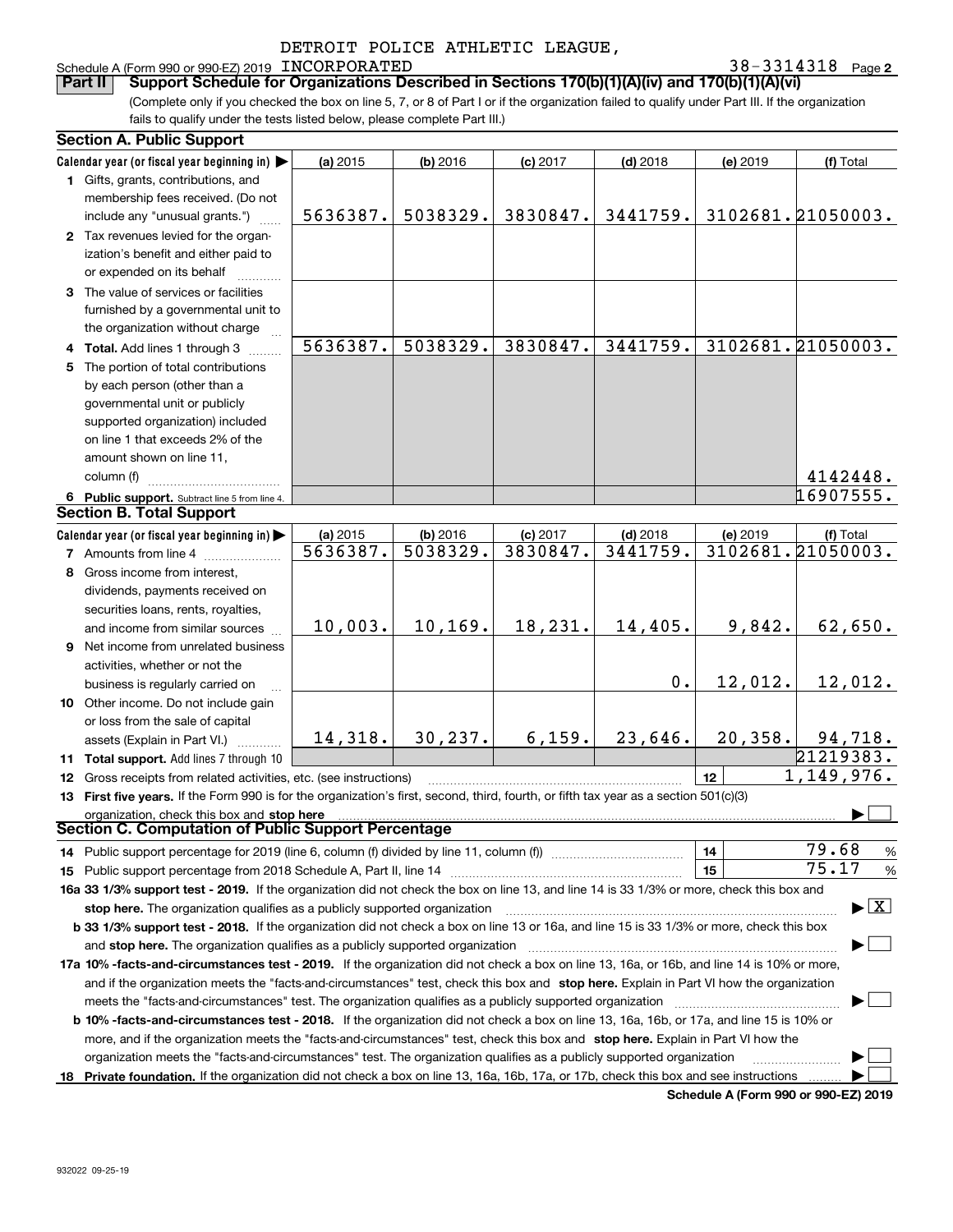## Schedule A (Form 990 or 990-EZ) 2019 Page INCORPORATED 38-3314318

**2**

(Complete only if you checked the box on line 5, 7, or 8 of Part I or if the organization failed to qualify under Part III. If the organization fails to qualify under the tests listed below, please complete Part III.) **Part II** Support Schedule for Organizations Described in Sections 170(b)(1)(A)(iv) and 170(b)(1)(A)(vi)

| <b>Section A. Public Support</b>                                                                                                               |          |          |            |            |          |                   |
|------------------------------------------------------------------------------------------------------------------------------------------------|----------|----------|------------|------------|----------|-------------------|
| Calendar year (or fiscal year beginning in) $\blacktriangleright$                                                                              | (a) 2015 | (b) 2016 | $(c)$ 2017 | $(d)$ 2018 | (e) 2019 | (f) Total         |
| 1 Gifts, grants, contributions, and                                                                                                            |          |          |            |            |          |                   |
| membership fees received. (Do not                                                                                                              |          |          |            |            |          |                   |
| include any "unusual grants.")                                                                                                                 | 5636387. | 5038329. | 3830847.   | 3441759.   |          | 3102681.21050003. |
| 2 Tax revenues levied for the organ-                                                                                                           |          |          |            |            |          |                   |
| ization's benefit and either paid to                                                                                                           |          |          |            |            |          |                   |
| or expended on its behalf                                                                                                                      |          |          |            |            |          |                   |
| 3 The value of services or facilities                                                                                                          |          |          |            |            |          |                   |
| furnished by a governmental unit to                                                                                                            |          |          |            |            |          |                   |
| the organization without charge                                                                                                                |          |          |            |            |          |                   |
| 4 Total. Add lines 1 through 3                                                                                                                 | 5636387. | 5038329. | 3830847.   | 3441759.   |          | 3102681.21050003. |
| 5 The portion of total contributions                                                                                                           |          |          |            |            |          |                   |
| by each person (other than a                                                                                                                   |          |          |            |            |          |                   |
| governmental unit or publicly                                                                                                                  |          |          |            |            |          |                   |
| supported organization) included                                                                                                               |          |          |            |            |          |                   |
| on line 1 that exceeds 2% of the                                                                                                               |          |          |            |            |          |                   |
| amount shown on line 11,                                                                                                                       |          |          |            |            |          |                   |
| column (f)                                                                                                                                     |          |          |            |            |          | 4142448.          |
| 6 Public support. Subtract line 5 from line 4.                                                                                                 |          |          |            |            |          | 16907555.         |
| <b>Section B. Total Support</b>                                                                                                                |          |          |            |            |          |                   |
| Calendar year (or fiscal year beginning in)                                                                                                    | (a) 2015 | (b) 2016 | $(c)$ 2017 | $(d)$ 2018 | (e) 2019 | (f) Total         |
| <b>7</b> Amounts from line 4                                                                                                                   | 5636387. | 5038329. | 3830847.   | 3441759.   |          | 3102681.21050003. |
| 8 Gross income from interest,                                                                                                                  |          |          |            |            |          |                   |
| dividends, payments received on                                                                                                                |          |          |            |            |          |                   |
| securities loans, rents, royalties,                                                                                                            |          |          |            |            |          |                   |
| and income from similar sources                                                                                                                | 10,003.  | 10, 169. | 18,231.    | 14,405.    | 9,842.   | 62,650.           |
| 9 Net income from unrelated business                                                                                                           |          |          |            |            |          |                   |
| activities, whether or not the                                                                                                                 |          |          |            |            |          |                   |
| business is regularly carried on                                                                                                               |          |          |            | 0.         | 12,012.  | 12,012.           |
| 10 Other income. Do not include gain                                                                                                           |          |          |            |            |          |                   |
| or loss from the sale of capital                                                                                                               |          |          |            |            |          |                   |
| assets (Explain in Part VI.)                                                                                                                   | 14,318.  | 30, 237. | 6,159.     | 23,646.    | 20,358.  | 94,718.           |
| 11 Total support. Add lines 7 through 10                                                                                                       |          |          |            |            |          | 21219383.         |
| 12 Gross receipts from related activities, etc. (see instructions)                                                                             |          |          |            |            | 12       | 1,149,976.        |
| 13 First five years. If the Form 990 is for the organization's first, second, third, fourth, or fifth tax year as a section 501(c)(3)          |          |          |            |            |          |                   |
| organization, check this box and stop here                                                                                                     |          |          |            |            |          |                   |
| Section C. Computation of Public Support Percentage                                                                                            |          |          |            |            |          |                   |
| 14 Public support percentage for 2019 (line 6, column (f) divided by line 11, column (f) <i>mummumumum</i>                                     |          |          |            |            | 14       | 79.68<br>%        |
|                                                                                                                                                |          |          |            |            | 15       | 75.17<br>%        |
| 16a 33 1/3% support test - 2019. If the organization did not check the box on line 13, and line 14 is 33 1/3% or more, check this box and      |          |          |            |            |          |                   |
| $\blacktriangleright$ $\boxed{\text{X}}$<br>stop here. The organization qualifies as a publicly supported organization                         |          |          |            |            |          |                   |
| b 33 1/3% support test - 2018. If the organization did not check a box on line 13 or 16a, and line 15 is 33 1/3% or more, check this box       |          |          |            |            |          |                   |
| and stop here. The organization qualifies as a publicly supported organization                                                                 |          |          |            |            |          |                   |
| 17a 10% -facts-and-circumstances test - 2019. If the organization did not check a box on line 13, 16a, or 16b, and line 14 is 10% or more,     |          |          |            |            |          |                   |
| and if the organization meets the "facts-and-circumstances" test, check this box and stop here. Explain in Part VI how the organization        |          |          |            |            |          |                   |
| meets the "facts-and-circumstances" test. The organization qualifies as a publicly supported organization                                      |          |          |            |            |          |                   |
| <b>b 10% -facts-and-circumstances test - 2018.</b> If the organization did not check a box on line 13, 16a, 16b, or 17a, and line 15 is 10% or |          |          |            |            |          |                   |
| more, and if the organization meets the "facts-and-circumstances" test, check this box and stop here. Explain in Part VI how the               |          |          |            |            |          |                   |
| organization meets the "facts-and-circumstances" test. The organization qualifies as a publicly supported organization                         |          |          |            |            |          |                   |
| 18 Private foundation. If the organization did not check a box on line 13, 16a, 16b, 17a, or 17b, check this box and see instructions          |          |          |            |            |          |                   |

**Schedule A (Form 990 or 990-EZ) 2019**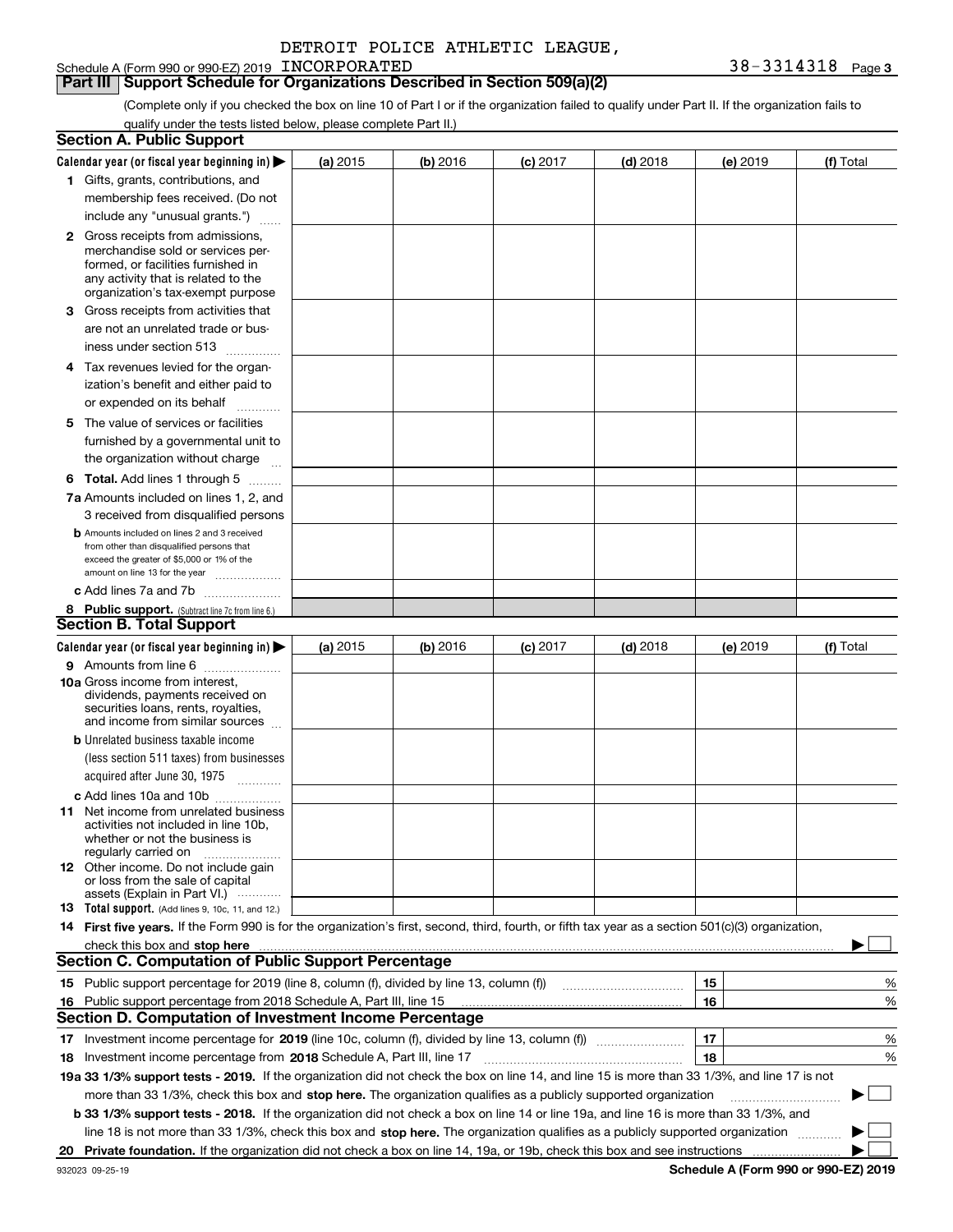## **Part III Support Schedule for Organizations Described in Section 509(a)(2)**

(Complete only if you checked the box on line 10 of Part I or if the organization failed to qualify under Part II. If the organization fails to qualify under the tests listed below, please complete Part II.)

|    | <b>Section A. Public Support</b>                                                                                                                                                                                               |          |            |            |                                                                                                                      |          |           |
|----|--------------------------------------------------------------------------------------------------------------------------------------------------------------------------------------------------------------------------------|----------|------------|------------|----------------------------------------------------------------------------------------------------------------------|----------|-----------|
|    | Calendar year (or fiscal year beginning in) $\blacktriangleright$                                                                                                                                                              | (a) 2015 | (b) 2016   | $(c)$ 2017 | $(d)$ 2018                                                                                                           | (e) 2019 | (f) Total |
|    | 1 Gifts, grants, contributions, and                                                                                                                                                                                            |          |            |            |                                                                                                                      |          |           |
|    | membership fees received. (Do not                                                                                                                                                                                              |          |            |            |                                                                                                                      |          |           |
|    | include any "unusual grants.")                                                                                                                                                                                                 |          |            |            |                                                                                                                      |          |           |
|    | <b>2</b> Gross receipts from admissions,                                                                                                                                                                                       |          |            |            |                                                                                                                      |          |           |
|    | merchandise sold or services per-                                                                                                                                                                                              |          |            |            |                                                                                                                      |          |           |
|    | formed, or facilities furnished in                                                                                                                                                                                             |          |            |            |                                                                                                                      |          |           |
|    | any activity that is related to the<br>organization's tax-exempt purpose                                                                                                                                                       |          |            |            |                                                                                                                      |          |           |
|    | 3 Gross receipts from activities that                                                                                                                                                                                          |          |            |            |                                                                                                                      |          |           |
|    | are not an unrelated trade or bus-                                                                                                                                                                                             |          |            |            |                                                                                                                      |          |           |
|    | iness under section 513                                                                                                                                                                                                        |          |            |            |                                                                                                                      |          |           |
|    | 4 Tax revenues levied for the organ-                                                                                                                                                                                           |          |            |            |                                                                                                                      |          |           |
|    | ization's benefit and either paid to                                                                                                                                                                                           |          |            |            |                                                                                                                      |          |           |
|    | or expended on its behalf<br>.                                                                                                                                                                                                 |          |            |            |                                                                                                                      |          |           |
|    | 5 The value of services or facilities                                                                                                                                                                                          |          |            |            |                                                                                                                      |          |           |
|    | furnished by a governmental unit to                                                                                                                                                                                            |          |            |            |                                                                                                                      |          |           |
|    | the organization without charge                                                                                                                                                                                                |          |            |            |                                                                                                                      |          |           |
|    | <b>6 Total.</b> Add lines 1 through 5                                                                                                                                                                                          |          |            |            |                                                                                                                      |          |           |
|    | 7a Amounts included on lines 1, 2, and                                                                                                                                                                                         |          |            |            |                                                                                                                      |          |           |
|    | 3 received from disqualified persons                                                                                                                                                                                           |          |            |            |                                                                                                                      |          |           |
|    | <b>b</b> Amounts included on lines 2 and 3 received                                                                                                                                                                            |          |            |            |                                                                                                                      |          |           |
|    | from other than disqualified persons that                                                                                                                                                                                      |          |            |            |                                                                                                                      |          |           |
|    | exceed the greater of \$5,000 or 1% of the                                                                                                                                                                                     |          |            |            |                                                                                                                      |          |           |
|    | amount on line 13 for the year                                                                                                                                                                                                 |          |            |            |                                                                                                                      |          |           |
|    | c Add lines 7a and 7b                                                                                                                                                                                                          |          |            |            |                                                                                                                      |          |           |
|    | 8 Public support. (Subtract line 7c from line 6.)<br><b>Section B. Total Support</b>                                                                                                                                           |          |            |            |                                                                                                                      |          |           |
|    |                                                                                                                                                                                                                                |          |            |            |                                                                                                                      |          |           |
|    | Calendar year (or fiscal year beginning in) $\blacktriangleright$                                                                                                                                                              | (a) 2015 | $(b)$ 2016 | $(c)$ 2017 | $(d)$ 2018                                                                                                           | (e) 2019 | (f) Total |
|    | 9 Amounts from line 6<br><b>10a</b> Gross income from interest,                                                                                                                                                                |          |            |            |                                                                                                                      |          |           |
|    | dividends, payments received on                                                                                                                                                                                                |          |            |            |                                                                                                                      |          |           |
|    | securities loans, rents, royalties,                                                                                                                                                                                            |          |            |            |                                                                                                                      |          |           |
|    | and income from similar sources                                                                                                                                                                                                |          |            |            |                                                                                                                      |          |           |
|    | <b>b</b> Unrelated business taxable income                                                                                                                                                                                     |          |            |            |                                                                                                                      |          |           |
|    | (less section 511 taxes) from businesses                                                                                                                                                                                       |          |            |            |                                                                                                                      |          |           |
|    | acquired after June 30, 1975 [10001]                                                                                                                                                                                           |          |            |            |                                                                                                                      |          |           |
|    | c Add lines 10a and 10b                                                                                                                                                                                                        |          |            |            |                                                                                                                      |          |           |
|    | 11 Net income from unrelated business<br>activities not included in line 10b,                                                                                                                                                  |          |            |            |                                                                                                                      |          |           |
|    | whether or not the business is                                                                                                                                                                                                 |          |            |            |                                                                                                                      |          |           |
|    | regularly carried on                                                                                                                                                                                                           |          |            |            |                                                                                                                      |          |           |
|    | <b>12</b> Other income. Do not include gain<br>or loss from the sale of capital                                                                                                                                                |          |            |            |                                                                                                                      |          |           |
|    | assets (Explain in Part VI.)                                                                                                                                                                                                   |          |            |            |                                                                                                                      |          |           |
|    | <b>13</b> Total support. (Add lines 9, 10c, 11, and 12.)                                                                                                                                                                       |          |            |            |                                                                                                                      |          |           |
|    | 14 First five years. If the Form 990 is for the organization's first, second, third, fourth, or fifth tax year as a section 501(c)(3) organization,                                                                            |          |            |            |                                                                                                                      |          |           |
|    | check this box and stop here manufactured and content to the state of the state of the state of the state of the state of the state of the state of the state of the state of the state of the state of the state of the state |          |            |            |                                                                                                                      |          |           |
|    | <b>Section C. Computation of Public Support Percentage</b>                                                                                                                                                                     |          |            |            |                                                                                                                      |          |           |
|    | 15 Public support percentage for 2019 (line 8, column (f), divided by line 13, column (f))                                                                                                                                     |          |            |            | <u> 1986 - Johann Stoff, deutscher Stoff, deutscher Stoff, deutscher Stoff, deutscher Stoff, deutscher Stoff, de</u> | 15       | %         |
|    | 16 Public support percentage from 2018 Schedule A, Part III, line 15                                                                                                                                                           |          |            |            |                                                                                                                      | 16       | %         |
|    | Section D. Computation of Investment Income Percentage                                                                                                                                                                         |          |            |            |                                                                                                                      |          |           |
| 17 | Investment income percentage for 2019 (line 10c, column (f), divided by line 13, column (f) <i></i>                                                                                                                            |          |            |            |                                                                                                                      | 17       | %         |
|    | <b>18</b> Investment income percentage from <b>2018</b> Schedule A, Part III, line 17                                                                                                                                          |          |            |            |                                                                                                                      | 18       | %         |
|    | 19a 33 1/3% support tests - 2019. If the organization did not check the box on line 14, and line 15 is more than 33 1/3%, and line 17 is not                                                                                   |          |            |            |                                                                                                                      |          |           |
|    | more than 33 1/3%, check this box and stop here. The organization qualifies as a publicly supported organization                                                                                                               |          |            |            |                                                                                                                      |          | ▶         |
|    | b 33 1/3% support tests - 2018. If the organization did not check a box on line 14 or line 19a, and line 16 is more than 33 1/3%, and                                                                                          |          |            |            |                                                                                                                      |          |           |
|    | line 18 is not more than 33 1/3%, check this box and stop here. The organization qualifies as a publicly supported organization                                                                                                |          |            |            |                                                                                                                      |          |           |
| 20 |                                                                                                                                                                                                                                |          |            |            |                                                                                                                      |          |           |
|    |                                                                                                                                                                                                                                |          |            |            |                                                                                                                      |          |           |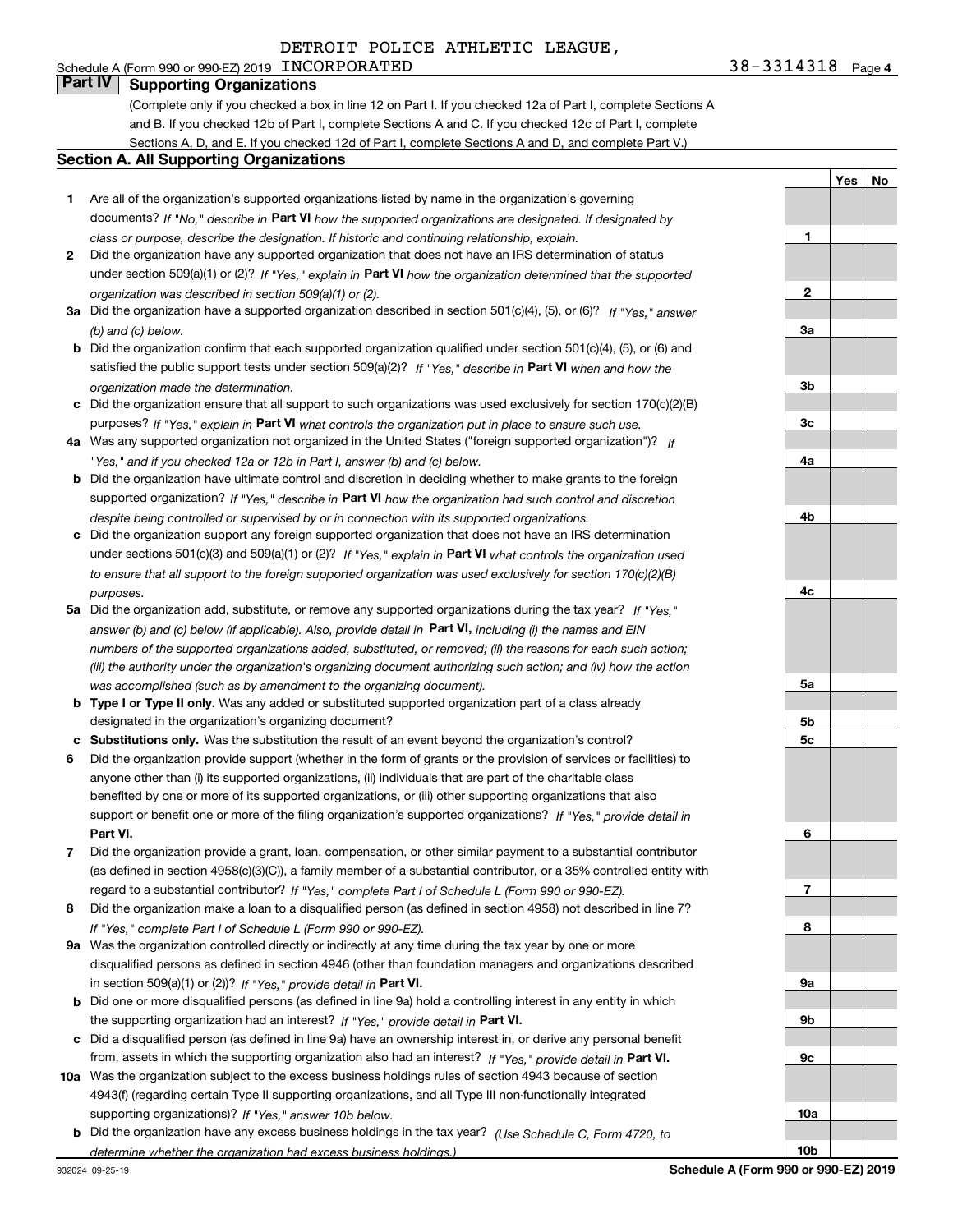## Schedule A (Form 990 or 990-EZ) 2019 Page INCORPORATED 38-3314318 **Part IV Supporting Organizations**

(Complete only if you checked a box in line 12 on Part I. If you checked 12a of Part I, complete Sections A and B. If you checked 12b of Part I, complete Sections A and C. If you checked 12c of Part I, complete

Sections A, D, and E. If you checked 12d of Part I, complete Sections A and D, and complete Part V.)

#### **Section A. All Supporting Organizations**

- **1** Are all of the organization's supported organizations listed by name in the organization's governing documents? If "No," describe in **Part VI** how the supported organizations are designated. If designated by *class or purpose, describe the designation. If historic and continuing relationship, explain.*
- **2** Did the organization have any supported organization that does not have an IRS determination of status under section 509(a)(1) or (2)? If "Yes," explain in Part VI how the organization determined that the supported *organization was described in section 509(a)(1) or (2).*
- **3a** Did the organization have a supported organization described in section 501(c)(4), (5), or (6)? If "Yes," answer *(b) and (c) below.*
- **b** Did the organization confirm that each supported organization qualified under section 501(c)(4), (5), or (6) and satisfied the public support tests under section 509(a)(2)? If "Yes," describe in **Part VI** when and how the *organization made the determination.*
- **c**Did the organization ensure that all support to such organizations was used exclusively for section 170(c)(2)(B) purposes? If "Yes," explain in **Part VI** what controls the organization put in place to ensure such use.
- **4a***If* Was any supported organization not organized in the United States ("foreign supported organization")? *"Yes," and if you checked 12a or 12b in Part I, answer (b) and (c) below.*
- **b** Did the organization have ultimate control and discretion in deciding whether to make grants to the foreign supported organization? If "Yes," describe in **Part VI** how the organization had such control and discretion *despite being controlled or supervised by or in connection with its supported organizations.*
- **c** Did the organization support any foreign supported organization that does not have an IRS determination under sections 501(c)(3) and 509(a)(1) or (2)? If "Yes," explain in **Part VI** what controls the organization used *to ensure that all support to the foreign supported organization was used exclusively for section 170(c)(2)(B) purposes.*
- **5a***If "Yes,"* Did the organization add, substitute, or remove any supported organizations during the tax year? answer (b) and (c) below (if applicable). Also, provide detail in **Part VI,** including (i) the names and EIN *numbers of the supported organizations added, substituted, or removed; (ii) the reasons for each such action; (iii) the authority under the organization's organizing document authorizing such action; and (iv) how the action was accomplished (such as by amendment to the organizing document).*
- **b** Type I or Type II only. Was any added or substituted supported organization part of a class already designated in the organization's organizing document?
- **cSubstitutions only.**  Was the substitution the result of an event beyond the organization's control?
- **6** Did the organization provide support (whether in the form of grants or the provision of services or facilities) to **Part VI.** *If "Yes," provide detail in* support or benefit one or more of the filing organization's supported organizations? anyone other than (i) its supported organizations, (ii) individuals that are part of the charitable class benefited by one or more of its supported organizations, or (iii) other supporting organizations that also
- **7**Did the organization provide a grant, loan, compensation, or other similar payment to a substantial contributor *If "Yes," complete Part I of Schedule L (Form 990 or 990-EZ).* regard to a substantial contributor? (as defined in section 4958(c)(3)(C)), a family member of a substantial contributor, or a 35% controlled entity with
- **8** Did the organization make a loan to a disqualified person (as defined in section 4958) not described in line 7? *If "Yes," complete Part I of Schedule L (Form 990 or 990-EZ).*
- **9a** Was the organization controlled directly or indirectly at any time during the tax year by one or more in section 509(a)(1) or (2))? If "Yes," *provide detail in* <code>Part VI.</code> disqualified persons as defined in section 4946 (other than foundation managers and organizations described
- **b** Did one or more disqualified persons (as defined in line 9a) hold a controlling interest in any entity in which the supporting organization had an interest? If "Yes," provide detail in P**art VI**.
- **c**Did a disqualified person (as defined in line 9a) have an ownership interest in, or derive any personal benefit from, assets in which the supporting organization also had an interest? If "Yes," provide detail in P**art VI.**
- **10a** Was the organization subject to the excess business holdings rules of section 4943 because of section supporting organizations)? If "Yes," answer 10b below. 4943(f) (regarding certain Type II supporting organizations, and all Type III non-functionally integrated
- **b** Did the organization have any excess business holdings in the tax year? (Use Schedule C, Form 4720, to *determine whether the organization had excess business holdings.)*

**5c6789a 9b9c10a10bSchedule A (Form 990 or 990-EZ) 2019**

**1**

**2**

**3a**

**3b**

**3c**

**4a**

**4b**

**4c**

**5a**

**5b**

**YesNo**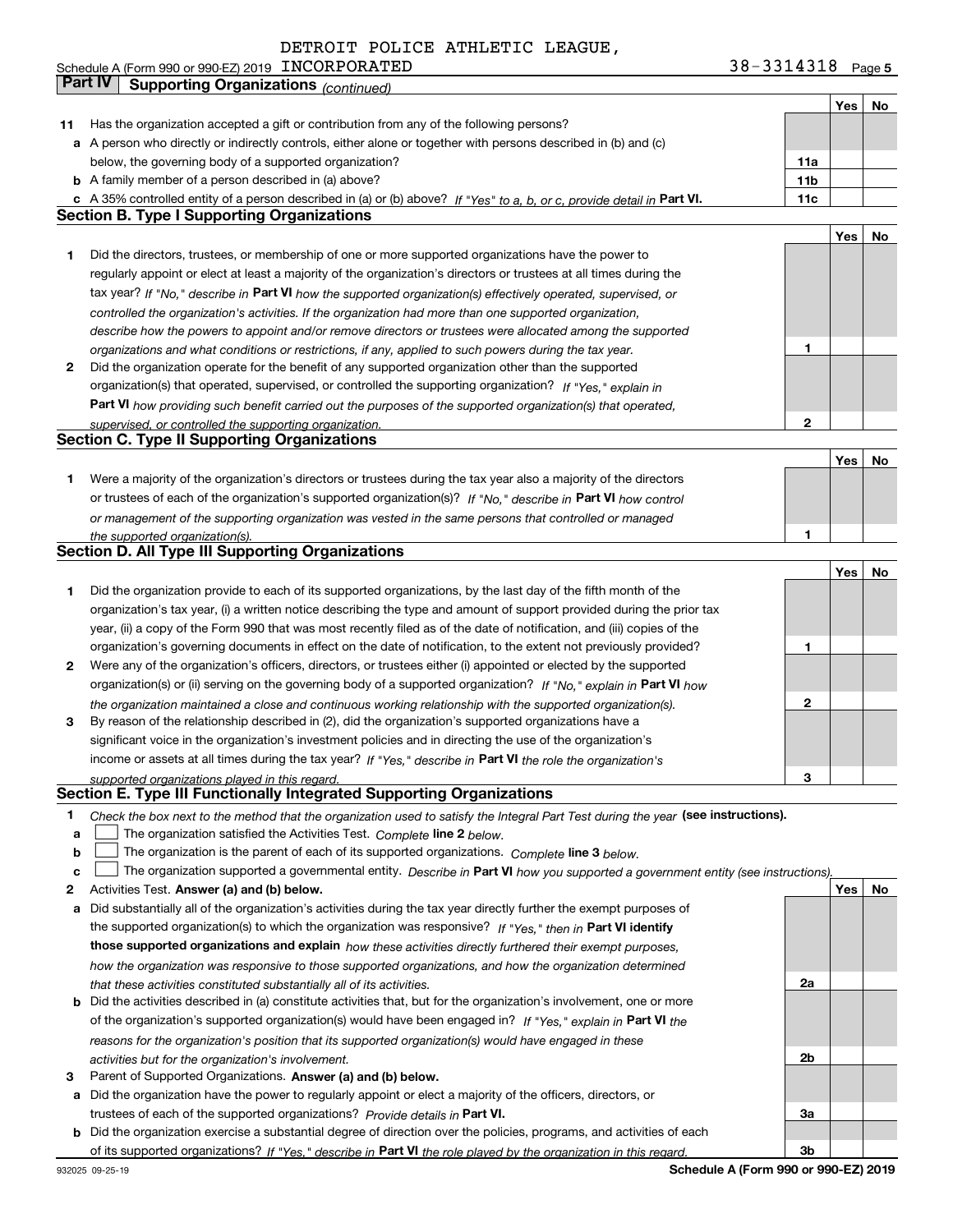| 11 | Has the organization accepted a gift or contribution from any of the following persons?                                           |                 |            |    |
|----|-----------------------------------------------------------------------------------------------------------------------------------|-----------------|------------|----|
|    | a A person who directly or indirectly controls, either alone or together with persons described in (b) and (c)                    |                 |            |    |
|    | below, the governing body of a supported organization?                                                                            | 11a             |            |    |
|    | <b>b</b> A family member of a person described in (a) above?                                                                      | 11 <sub>b</sub> |            |    |
|    | c A 35% controlled entity of a person described in (a) or (b) above? If "Yes" to a, b, or c, provide detail in Part VI.           | 11c             |            |    |
|    | <b>Section B. Type I Supporting Organizations</b>                                                                                 |                 |            |    |
|    |                                                                                                                                   |                 | Yes        | No |
| 1  | Did the directors, trustees, or membership of one or more supported organizations have the power to                               |                 |            |    |
|    | regularly appoint or elect at least a majority of the organization's directors or trustees at all times during the                |                 |            |    |
|    | tax year? If "No," describe in Part VI how the supported organization(s) effectively operated, supervised, or                     |                 |            |    |
|    | controlled the organization's activities. If the organization had more than one supported organization,                           |                 |            |    |
|    | describe how the powers to appoint and/or remove directors or trustees were allocated among the supported                         |                 |            |    |
|    | organizations and what conditions or restrictions, if any, applied to such powers during the tax year.                            | 1               |            |    |
| 2  | Did the organization operate for the benefit of any supported organization other than the supported                               |                 |            |    |
|    | organization(s) that operated, supervised, or controlled the supporting organization? If "Yes." explain in                        |                 |            |    |
|    | Part VI how providing such benefit carried out the purposes of the supported organization(s) that operated,                       |                 |            |    |
|    | supervised, or controlled the supporting organization.                                                                            | $\overline{2}$  |            |    |
|    | <b>Section C. Type II Supporting Organizations</b>                                                                                |                 |            |    |
|    |                                                                                                                                   |                 | Yes        | No |
| 1  | Were a majority of the organization's directors or trustees during the tax year also a majority of the directors                  |                 |            |    |
|    | or trustees of each of the organization's supported organization(s)? If "No," describe in Part VI how control                     |                 |            |    |
|    | or management of the supporting organization was vested in the same persons that controlled or managed                            |                 |            |    |
|    | the supported organization(s).                                                                                                    | 1               |            |    |
|    | <b>Section D. All Type III Supporting Organizations</b>                                                                           |                 |            |    |
|    |                                                                                                                                   |                 | Yes        | No |
| 1  | Did the organization provide to each of its supported organizations, by the last day of the fifth month of the                    |                 |            |    |
|    | organization's tax year, (i) a written notice describing the type and amount of support provided during the prior tax             |                 |            |    |
|    | year, (ii) a copy of the Form 990 that was most recently filed as of the date of notification, and (iii) copies of the            |                 |            |    |
|    | organization's governing documents in effect on the date of notification, to the extent not previously provided?                  | 1               |            |    |
| 2  | Were any of the organization's officers, directors, or trustees either (i) appointed or elected by the supported                  |                 |            |    |
|    | organization(s) or (ii) serving on the governing body of a supported organization? If "No." explain in Part VI how                |                 |            |    |
|    | the organization maintained a close and continuous working relationship with the supported organization(s).                       | $\mathbf{2}$    |            |    |
| з  | By reason of the relationship described in (2), did the organization's supported organizations have a                             |                 |            |    |
|    | significant voice in the organization's investment policies and in directing the use of the organization's                        |                 |            |    |
|    | income or assets at all times during the tax year? If "Yes," describe in Part VI the role the organization's                      |                 |            |    |
|    | supported organizations played in this regard.                                                                                    | з               |            |    |
|    | Section E. Type III Functionally Integrated Supporting Organizations                                                              |                 |            |    |
| 1  | Check the box next to the method that the organization used to satisfy the Integral Part Test during the year (see instructions). |                 |            |    |
| a  | The organization satisfied the Activities Test. Complete line 2 below.                                                            |                 |            |    |
| b  | The organization is the parent of each of its supported organizations. Complete line 3 below.                                     |                 |            |    |
| C  | The organization supported a governmental entity. Describe in Part VI how you supported a government entity (see instructions)    |                 |            |    |
| 2  | Activities Test. Answer (a) and (b) below.                                                                                        |                 | <b>Yes</b> | No |

- **a** Did substantially all of the organization's activities during the tax year directly further the exempt purposes of **b** Did the activities described in (a) constitute activities that, but for the organization's involvement, one or more the supported organization(s) to which the organization was responsive? If "Yes," then in **Part VI identify those supported organizations and explain**  *how these activities directly furthered their exempt purposes, how the organization was responsive to those supported organizations, and how the organization determined that these activities constituted substantially all of its activities.*
- of the organization's supported organization(s) would have been engaged in? If "Yes," explain in **Part VI** the *reasons for the organization's position that its supported organization(s) would have engaged in these activities but for the organization's involvement.*
- **3**Parent of Supported Organizations. Answer (a) and (b) below.
- **a** Did the organization have the power to regularly appoint or elect a majority of the officers, directors, or trustees of each of the supported organizations? *Provide details in* Part VI.
- **b** Did the organization exercise a substantial degree of direction over the policies, programs, and activities of each of its supported organizations? If "Yes," describe in Part VI the role played by the organization in this regard.

**Part IV Supporting Organizations** *(continued)*

**Schedule A (Form 990 or 990-EZ) 2019**

**2a**

**2b**

**3a**

**3b**

**YesNo**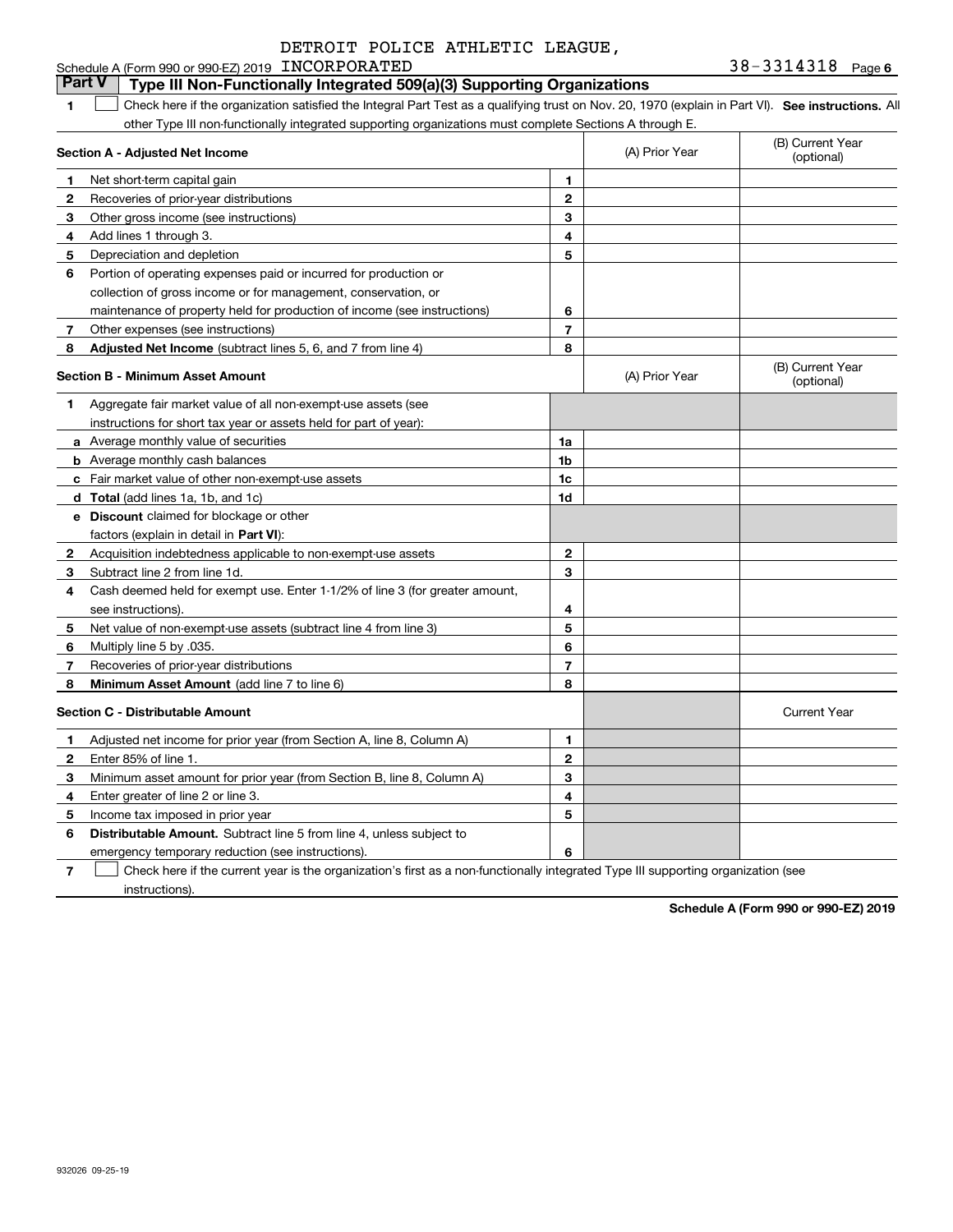#### **1SEP 10. See instructions.** All antegral Part Test as a qualifying trust on Nov. 20, 1970 (explain in Part VI). See instructions. All **Section A - Adjusted Net Income 123** Other gross income (see instructions) **4**Add lines 1 through 3. **56** Portion of operating expenses paid or incurred for production or **7**Other expenses (see instructions) **8** Adjusted Net Income (subtract lines 5, 6, and 7 from line 4) **8 8 1234567Section B - Minimum Asset Amount 1**Aggregate fair market value of all non-exempt-use assets (see **2**Acquisition indebtedness applicable to non-exempt-use assets **3** Subtract line 2 from line 1d. **4**Cash deemed held for exempt use. Enter 1-1/2% of line 3 (for greater amount, **5** Net value of non-exempt-use assets (subtract line 4 from line 3) **678a** Average monthly value of securities **b** Average monthly cash balances **c**Fair market value of other non-exempt-use assets **dTotal**  (add lines 1a, 1b, and 1c) **eDiscount** claimed for blockage or other **1a1b1c1d2345678**factors (explain in detail in **Part VI**): **Minimum Asset Amount**  (add line 7 to line 6) **Section C - Distributable Amount 123456123456Distributable Amount.** Subtract line 5 from line 4, unless subject to Schedule A (Form 990 or 990-EZ) 2019 Page INCORPORATED 38-3314318 other Type III non-functionally integrated supporting organizations must complete Sections A through E. (B) Current Year (optional)(A) Prior Year Net short-term capital gain Recoveries of prior-year distributions Depreciation and depletion collection of gross income or for management, conservation, or maintenance of property held for production of income (see instructions) (B) Current Year (optional)(A) Prior Year instructions for short tax year or assets held for part of year): see instructions). Multiply line 5 by .035. Recoveries of prior-year distributions Current Year Adjusted net income for prior year (from Section A, line 8, Column A) Enter 85% of line 1. Minimum asset amount for prior year (from Section B, line 8, Column A) Enter greater of line 2 or line 3. Income tax imposed in prior year **Part V Type III Non-Functionally Integrated 509(a)(3) Supporting Organizations**   $\mathcal{L}^{\text{max}}$

emergency temporary reduction (see instructions).

**7**Check here if the current year is the organization's first as a non-functionally integrated Type III supporting organization (see instructions). $\mathcal{L}^{\text{max}}$ 

**Schedule A (Form 990 or 990-EZ) 2019**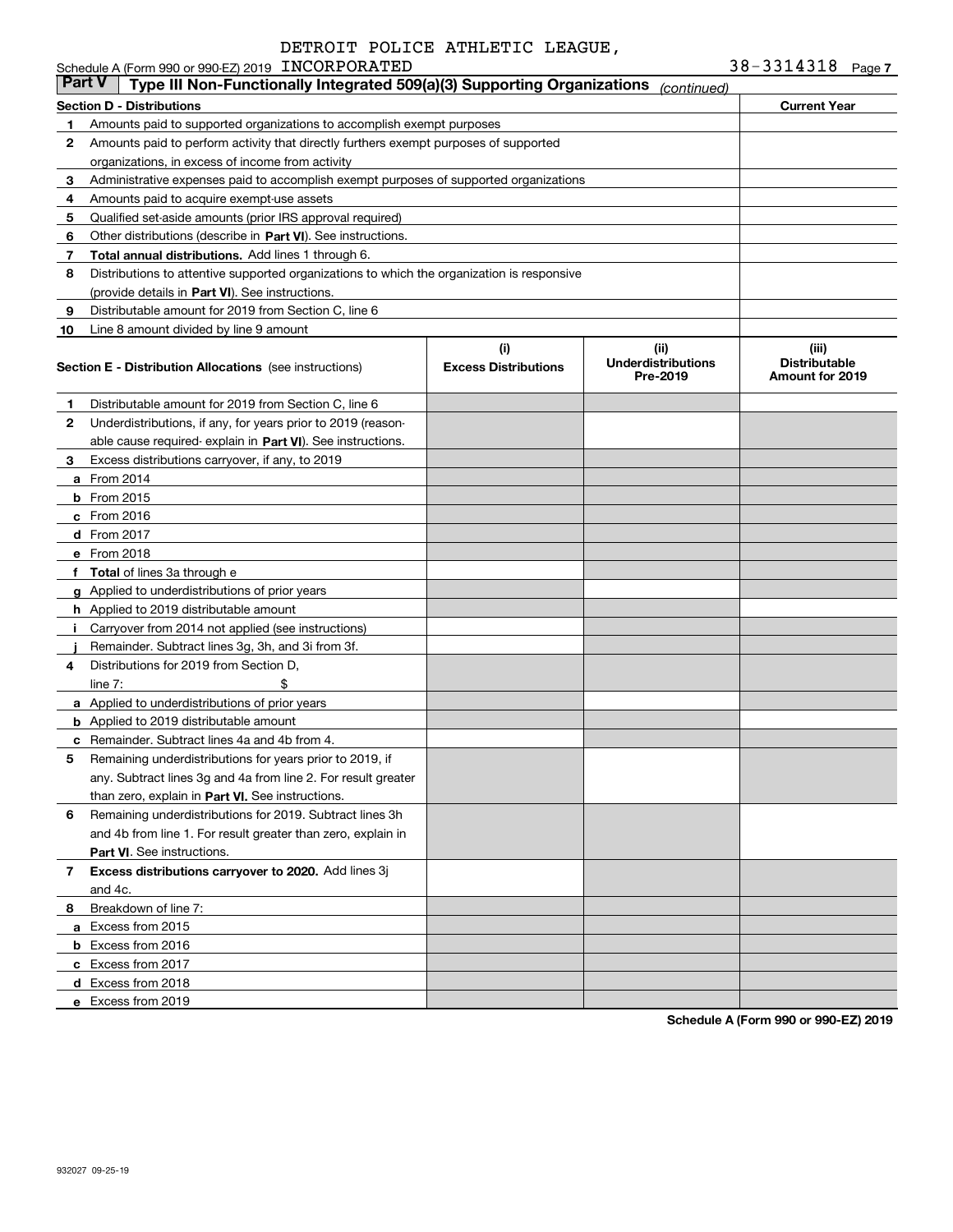|               | Schedule A (Form 990 or 990-EZ) 2019 INCORPORATED                                          |                                    |                                               | 38-3314318                                              | Page 7 |
|---------------|--------------------------------------------------------------------------------------------|------------------------------------|-----------------------------------------------|---------------------------------------------------------|--------|
| <b>Part V</b> | Type III Non-Functionally Integrated 509(a)(3) Supporting Organizations                    |                                    | (continued)                                   |                                                         |        |
|               | Section D - Distributions                                                                  |                                    |                                               | <b>Current Year</b>                                     |        |
| 1             | Amounts paid to supported organizations to accomplish exempt purposes                      |                                    |                                               |                                                         |        |
| 2             | Amounts paid to perform activity that directly furthers exempt purposes of supported       |                                    |                                               |                                                         |        |
|               | organizations, in excess of income from activity                                           |                                    |                                               |                                                         |        |
| 3             | Administrative expenses paid to accomplish exempt purposes of supported organizations      |                                    |                                               |                                                         |        |
| 4             | Amounts paid to acquire exempt-use assets                                                  |                                    |                                               |                                                         |        |
| 5             | Qualified set-aside amounts (prior IRS approval required)                                  |                                    |                                               |                                                         |        |
| 6             | Other distributions (describe in Part VI). See instructions.                               |                                    |                                               |                                                         |        |
| 7             | Total annual distributions. Add lines 1 through 6.                                         |                                    |                                               |                                                         |        |
| 8             | Distributions to attentive supported organizations to which the organization is responsive |                                    |                                               |                                                         |        |
|               | (provide details in Part VI). See instructions.                                            |                                    |                                               |                                                         |        |
| 9             | Distributable amount for 2019 from Section C, line 6                                       |                                    |                                               |                                                         |        |
| 10            | Line 8 amount divided by line 9 amount                                                     |                                    |                                               |                                                         |        |
|               | <b>Section E - Distribution Allocations</b> (see instructions)                             | (i)<br><b>Excess Distributions</b> | (ii)<br><b>Underdistributions</b><br>Pre-2019 | (iii)<br><b>Distributable</b><br><b>Amount for 2019</b> |        |
| 1             | Distributable amount for 2019 from Section C, line 6                                       |                                    |                                               |                                                         |        |
| 2             | Underdistributions, if any, for years prior to 2019 (reason-                               |                                    |                                               |                                                         |        |
|               | able cause required- explain in Part VI). See instructions.                                |                                    |                                               |                                                         |        |
| З             | Excess distributions carryover, if any, to 2019                                            |                                    |                                               |                                                         |        |
|               | <b>a</b> From 2014                                                                         |                                    |                                               |                                                         |        |
|               | <b>b</b> From 2015                                                                         |                                    |                                               |                                                         |        |
|               | c From 2016                                                                                |                                    |                                               |                                                         |        |
|               | d From 2017                                                                                |                                    |                                               |                                                         |        |
|               | e From 2018                                                                                |                                    |                                               |                                                         |        |
|               | f Total of lines 3a through e                                                              |                                    |                                               |                                                         |        |
|               | <b>g</b> Applied to underdistributions of prior years                                      |                                    |                                               |                                                         |        |
|               | <b>h</b> Applied to 2019 distributable amount                                              |                                    |                                               |                                                         |        |
| Ť.            | Carryover from 2014 not applied (see instructions)                                         |                                    |                                               |                                                         |        |
|               | Remainder. Subtract lines 3g, 3h, and 3i from 3f.                                          |                                    |                                               |                                                         |        |
| 4             | Distributions for 2019 from Section D.                                                     |                                    |                                               |                                                         |        |
|               | \$<br>line $7:$                                                                            |                                    |                                               |                                                         |        |
|               | <b>a</b> Applied to underdistributions of prior years                                      |                                    |                                               |                                                         |        |
|               | <b>b</b> Applied to 2019 distributable amount                                              |                                    |                                               |                                                         |        |
|               | <b>c</b> Remainder. Subtract lines 4a and 4b from 4.                                       |                                    |                                               |                                                         |        |
|               | Remaining underdistributions for years prior to 2019, if                                   |                                    |                                               |                                                         |        |
|               | any. Subtract lines 3g and 4a from line 2. For result greater                              |                                    |                                               |                                                         |        |
|               | than zero, explain in Part VI. See instructions.                                           |                                    |                                               |                                                         |        |
| 6             | Remaining underdistributions for 2019. Subtract lines 3h                                   |                                    |                                               |                                                         |        |
|               | and 4b from line 1. For result greater than zero, explain in                               |                                    |                                               |                                                         |        |
|               | Part VI. See instructions.                                                                 |                                    |                                               |                                                         |        |
| 7             | Excess distributions carryover to 2020. Add lines 3j                                       |                                    |                                               |                                                         |        |
|               | and 4c.                                                                                    |                                    |                                               |                                                         |        |
| 8             | Breakdown of line 7:                                                                       |                                    |                                               |                                                         |        |
|               | a Excess from 2015                                                                         |                                    |                                               |                                                         |        |
|               | <b>b</b> Excess from 2016                                                                  |                                    |                                               |                                                         |        |
|               | c Excess from 2017                                                                         |                                    |                                               |                                                         |        |
|               | d Excess from 2018                                                                         |                                    |                                               |                                                         |        |
|               | e Excess from 2019                                                                         |                                    |                                               |                                                         |        |
|               |                                                                                            |                                    |                                               |                                                         |        |

**Schedule A (Form 990 or 990-EZ) 2019**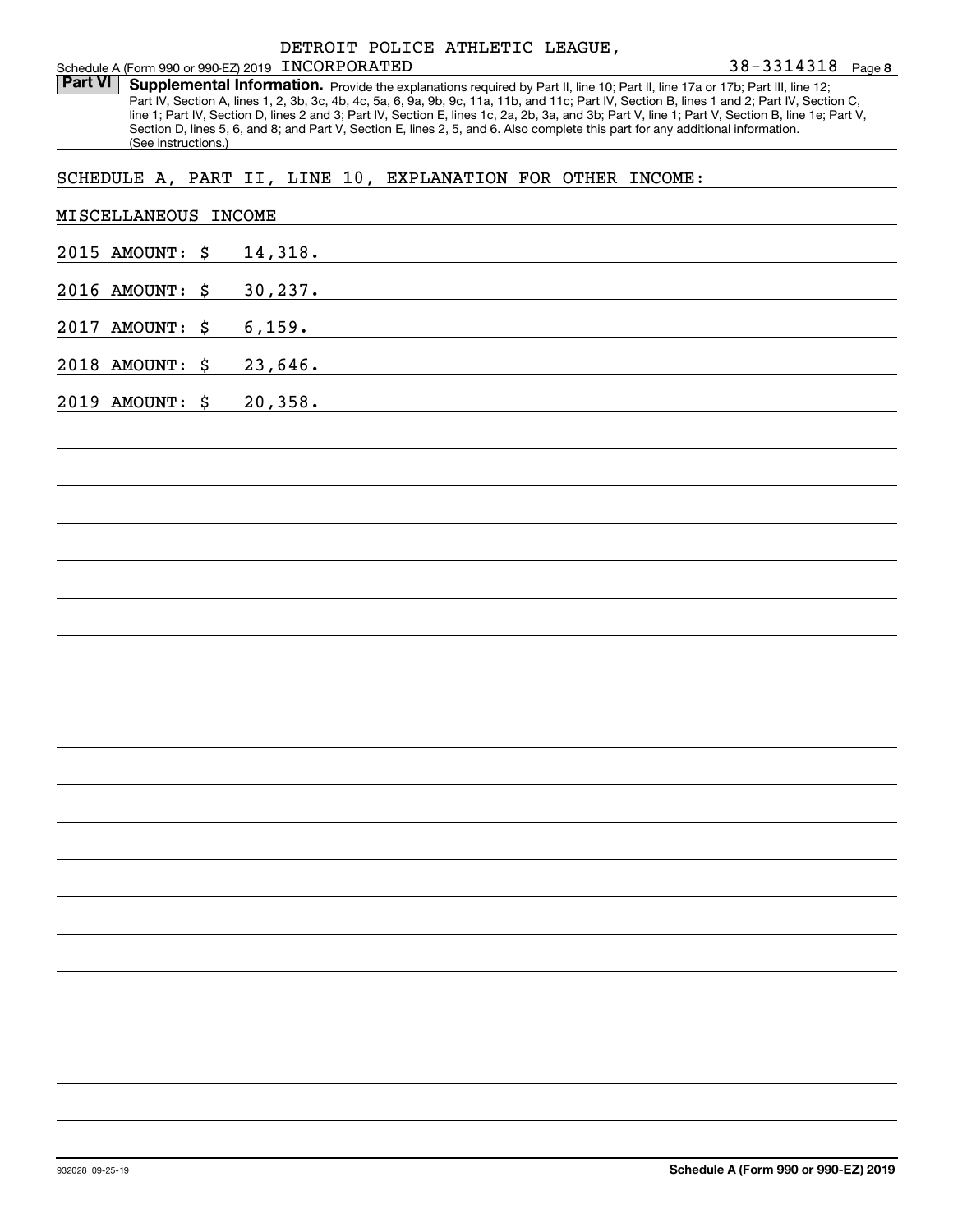Part VI | Supplemental Information. Provide the explanations required by Part II, line 10; Part II, line 17a or 17b; Part III, line 12; Part IV, Section A, lines 1, 2, 3b, 3c, 4b, 4c, 5a, 6, 9a, 9b, 9c, 11a, 11b, and 11c; Part IV, Section B, lines 1 and 2; Part IV, Section C, line 1; Part IV, Section D, lines 2 and 3; Part IV, Section E, lines 1c, 2a, 2b, 3a, and 3b; Part V, line 1; Part V, Section B, line 1e; Part V, Section D, lines 5, 6, and 8; and Part V, Section E, lines 2, 5, and 6. Also complete this part for any additional information. (See instructions.)

## SCHEDULE A, PART II, LINE 10, EXPLANATION FOR OTHER INCOME:

|                 | MISCELLANEOUS INCOME |          |  |  |  |  |  |
|-----------------|----------------------|----------|--|--|--|--|--|
| 2015 AMOUNT: \$ |                      | 14,318.  |  |  |  |  |  |
| 2016 AMOUNT: \$ |                      | 30, 237. |  |  |  |  |  |
| 2017 AMOUNT: \$ |                      | 6,159.   |  |  |  |  |  |
| 2018 AMOUNT: \$ |                      | 23,646.  |  |  |  |  |  |
| 2019 AMOUNT: \$ |                      | 20, 358. |  |  |  |  |  |
|                 |                      |          |  |  |  |  |  |
|                 |                      |          |  |  |  |  |  |
|                 |                      |          |  |  |  |  |  |
|                 |                      |          |  |  |  |  |  |
|                 |                      |          |  |  |  |  |  |
|                 |                      |          |  |  |  |  |  |
|                 |                      |          |  |  |  |  |  |
|                 |                      |          |  |  |  |  |  |
|                 |                      |          |  |  |  |  |  |
|                 |                      |          |  |  |  |  |  |
|                 |                      |          |  |  |  |  |  |
|                 |                      |          |  |  |  |  |  |
|                 |                      |          |  |  |  |  |  |
|                 |                      |          |  |  |  |  |  |
|                 |                      |          |  |  |  |  |  |
|                 |                      |          |  |  |  |  |  |
|                 |                      |          |  |  |  |  |  |
|                 |                      |          |  |  |  |  |  |
|                 |                      |          |  |  |  |  |  |
|                 |                      |          |  |  |  |  |  |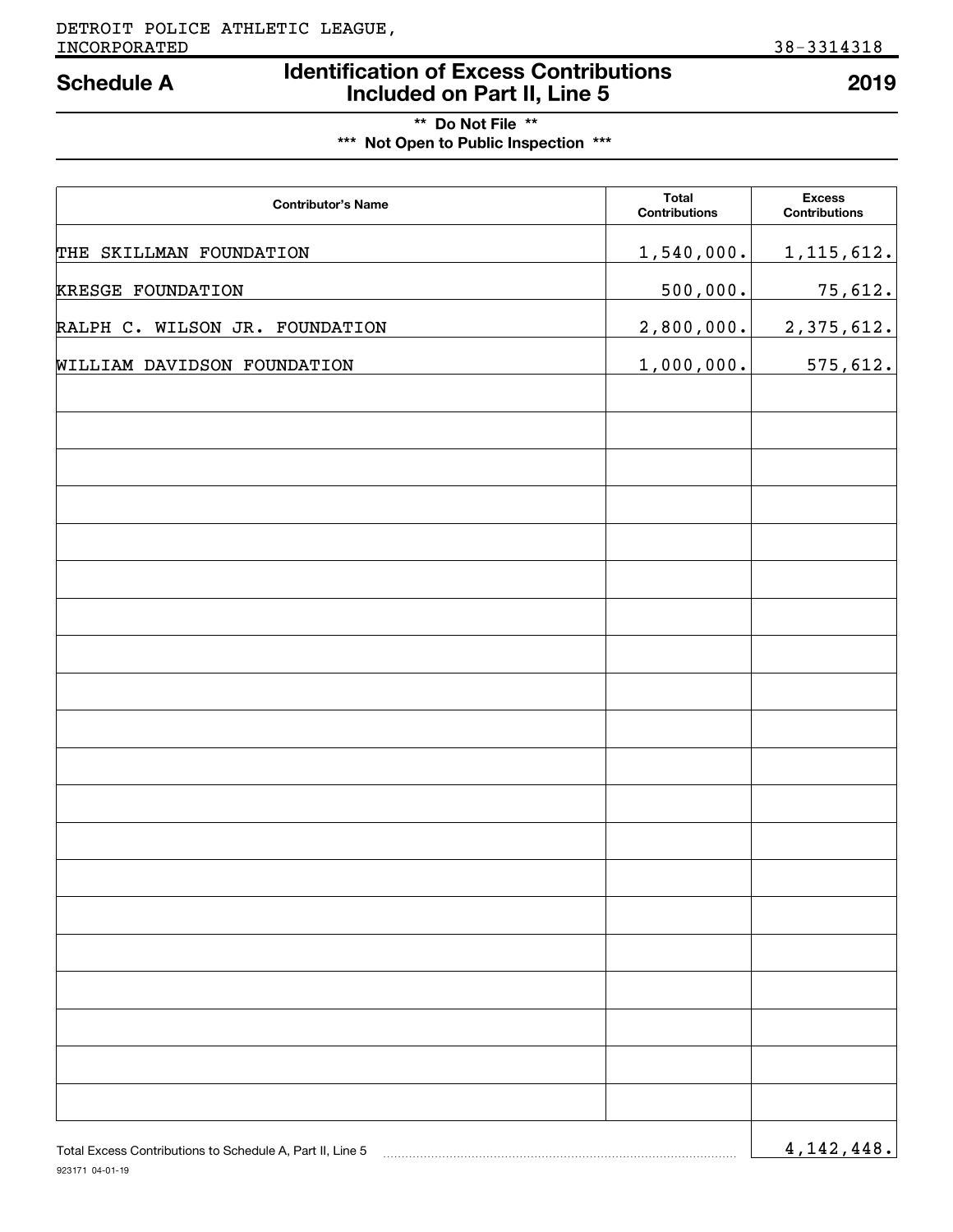## **Identification of Excess Contributions Included on Part II, Line 5 Schedule A 2019**

## **\*\* Do Not File \*\* \*\*\* Not Open to Public Inspection \*\*\***

| <b>Contributor's Name</b>      | <b>Total</b><br><b>Contributions</b> | <b>Excess</b><br><b>Contributions</b> |
|--------------------------------|--------------------------------------|---------------------------------------|
| THE SKILLMAN FOUNDATION        | 1,540,000.                           | 1, 115, 612.                          |
| <b>KRESGE FOUNDATION</b>       | 500,000.                             | 75,612.                               |
| RALPH C. WILSON JR. FOUNDATION | 2,800,000.                           | 2,375,612.                            |
| WILLIAM DAVIDSON FOUNDATION    | 1,000,000.                           | 575,612.                              |
|                                |                                      |                                       |
|                                |                                      |                                       |
|                                |                                      |                                       |
|                                |                                      |                                       |
|                                |                                      |                                       |
|                                |                                      |                                       |
|                                |                                      |                                       |
|                                |                                      |                                       |
|                                |                                      |                                       |
|                                |                                      |                                       |
|                                |                                      |                                       |
|                                |                                      |                                       |
|                                |                                      |                                       |
|                                |                                      |                                       |
|                                |                                      |                                       |
|                                |                                      |                                       |
|                                |                                      |                                       |
|                                |                                      |                                       |
|                                |                                      |                                       |
|                                |                                      |                                       |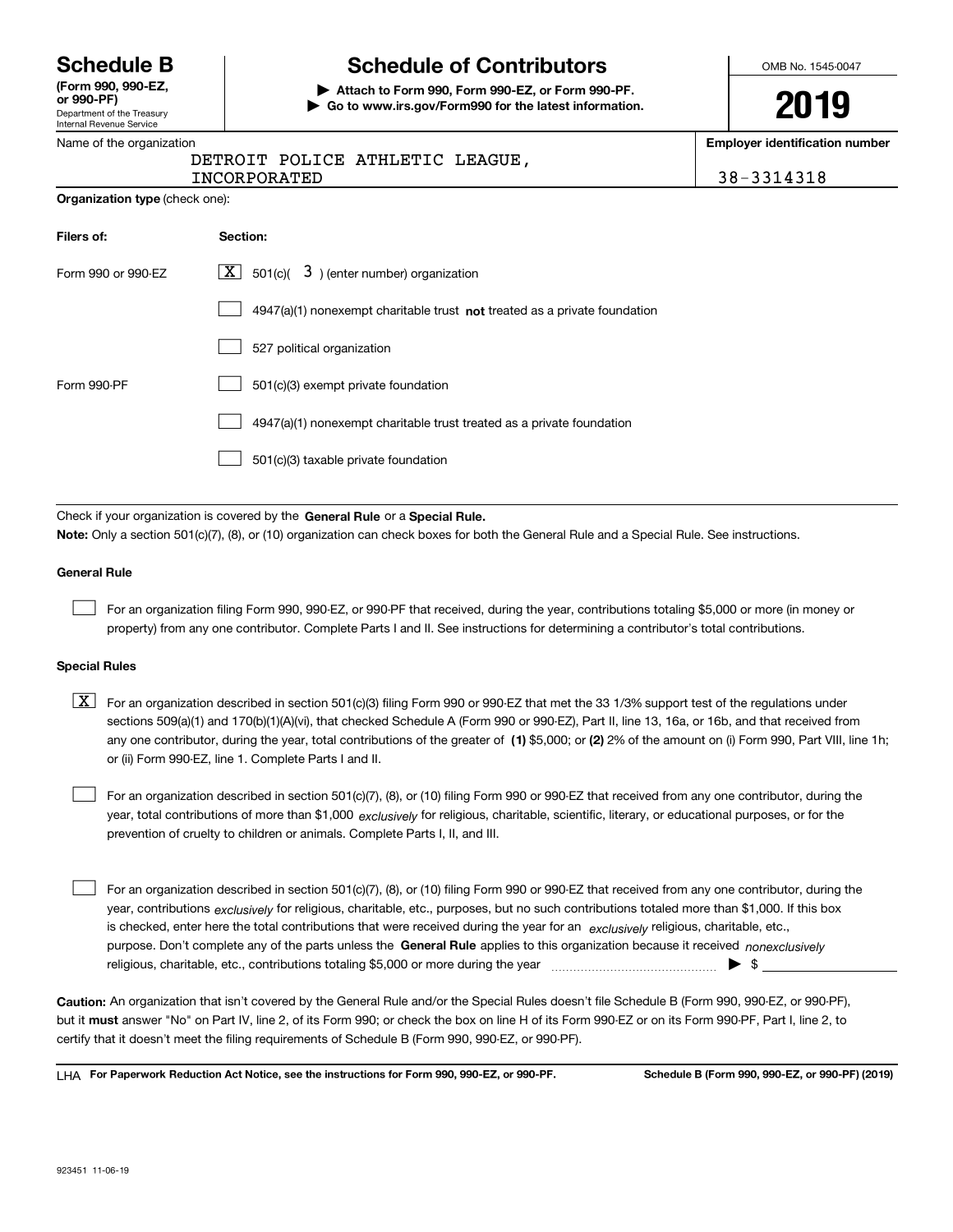Department of the Treasury Internal Revenue Service **(Form 990, 990-EZ, or 990-PF)**

**Organization type** (check one):

## **Schedule B Schedule of Contributors**

**| Attach to Form 990, Form 990-EZ, or Form 990-PF. | Go to www.irs.gov/Form990 for the latest information.** OMB No. 1545-0047

# **2019**

**Employer identification number**

| Name of the organization        | Em |
|---------------------------------|----|
| DETROIT POLICE ATHLETIC LEAGUE. |    |
| INCORPORATED                    |    |

8-3314318

| Filers of:         | Section:                                                                  |
|--------------------|---------------------------------------------------------------------------|
| Form 990 or 990-EZ | $\boxed{\textbf{X}}$ 501(c)( 3) (enter number) organization               |
|                    | 4947(a)(1) nonexempt charitable trust not treated as a private foundation |
|                    | 527 political organization                                                |
| Form 990-PF        | 501(c)(3) exempt private foundation                                       |
|                    | 4947(a)(1) nonexempt charitable trust treated as a private foundation     |
|                    | 501(c)(3) taxable private foundation                                      |

Check if your organization is covered by the **General Rule** or a **Special Rule. Note:**  Only a section 501(c)(7), (8), or (10) organization can check boxes for both the General Rule and a Special Rule. See instructions.

#### **General Rule**

 $\mathcal{L}^{\text{max}}$ 

For an organization filing Form 990, 990-EZ, or 990-PF that received, during the year, contributions totaling \$5,000 or more (in money or property) from any one contributor. Complete Parts I and II. See instructions for determining a contributor's total contributions.

#### **Special Rules**

any one contributor, during the year, total contributions of the greater of  $\,$  (1) \$5,000; or **(2)** 2% of the amount on (i) Form 990, Part VIII, line 1h;  $\boxed{\textbf{X}}$  For an organization described in section 501(c)(3) filing Form 990 or 990-EZ that met the 33 1/3% support test of the regulations under sections 509(a)(1) and 170(b)(1)(A)(vi), that checked Schedule A (Form 990 or 990-EZ), Part II, line 13, 16a, or 16b, and that received from or (ii) Form 990-EZ, line 1. Complete Parts I and II.

year, total contributions of more than \$1,000 *exclusively* for religious, charitable, scientific, literary, or educational purposes, or for the For an organization described in section 501(c)(7), (8), or (10) filing Form 990 or 990-EZ that received from any one contributor, during the prevention of cruelty to children or animals. Complete Parts I, II, and III.  $\mathcal{L}^{\text{max}}$ 

purpose. Don't complete any of the parts unless the **General Rule** applies to this organization because it received *nonexclusively* year, contributions <sub>exclusively</sub> for religious, charitable, etc., purposes, but no such contributions totaled more than \$1,000. If this box is checked, enter here the total contributions that were received during the year for an  $\;$ exclusively religious, charitable, etc., For an organization described in section 501(c)(7), (8), or (10) filing Form 990 or 990-EZ that received from any one contributor, during the religious, charitable, etc., contributions totaling \$5,000 or more during the year  $\Box$ — $\Box$   $\Box$  $\mathcal{L}^{\text{max}}$ 

**Caution:**  An organization that isn't covered by the General Rule and/or the Special Rules doesn't file Schedule B (Form 990, 990-EZ, or 990-PF),  **must** but it answer "No" on Part IV, line 2, of its Form 990; or check the box on line H of its Form 990-EZ or on its Form 990-PF, Part I, line 2, to certify that it doesn't meet the filing requirements of Schedule B (Form 990, 990-EZ, or 990-PF).

**For Paperwork Reduction Act Notice, see the instructions for Form 990, 990-EZ, or 990-PF. Schedule B (Form 990, 990-EZ, or 990-PF) (2019)** LHA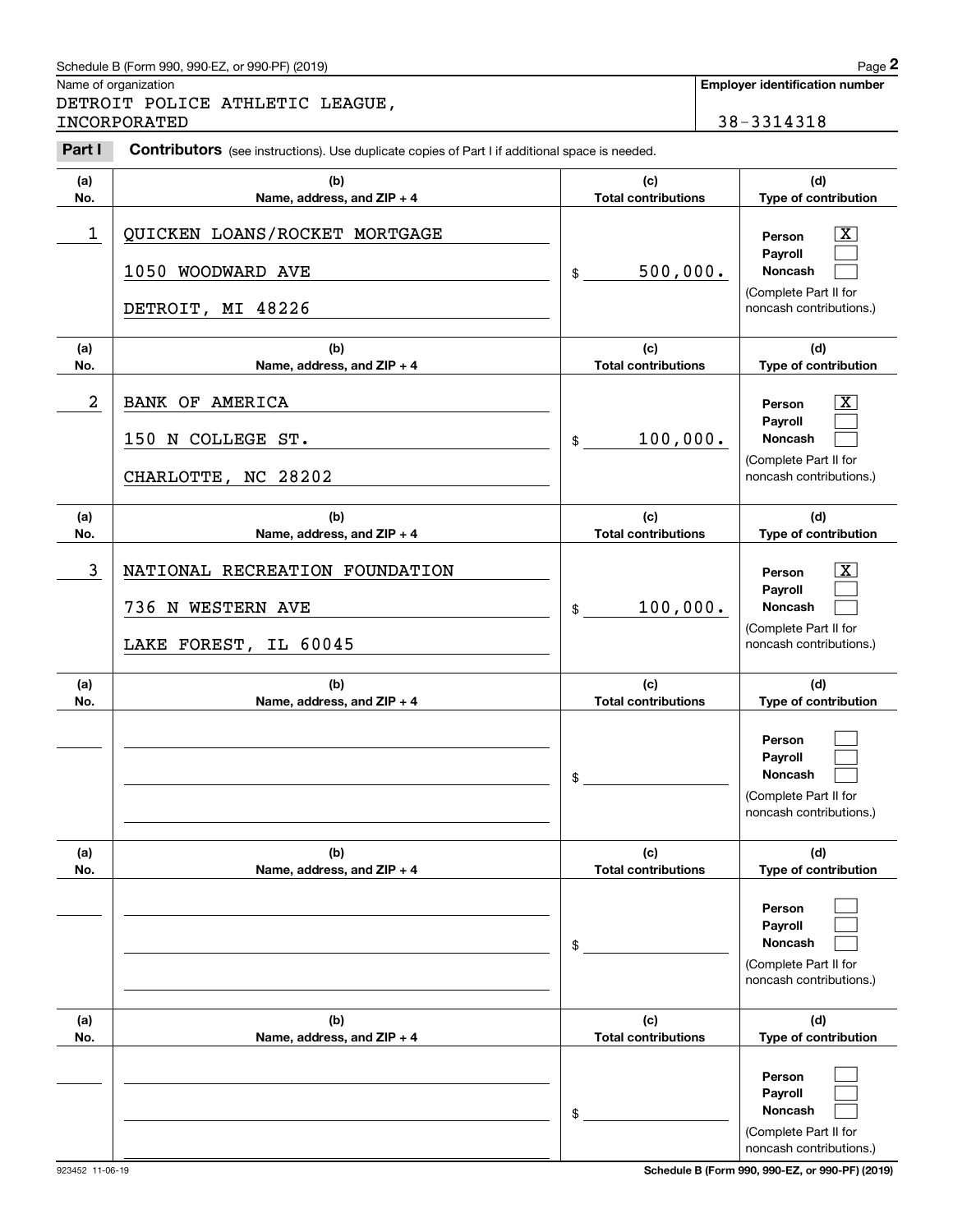## Schedule B (Form 990, 990-EZ, or 990-PF) (2019) Page 2

|            | Schedule B (Form 990, 990-EZ, or 990-PF) (2019)                                                |                                   | Page 2                                                                                                      |
|------------|------------------------------------------------------------------------------------------------|-----------------------------------|-------------------------------------------------------------------------------------------------------------|
|            | Name of organization<br>DETROIT POLICE ATHLETIC LEAGUE,<br>INCORPORATED                        |                                   | <b>Employer identification number</b><br>38-3314318                                                         |
| Part I     | Contributors (see instructions). Use duplicate copies of Part I if additional space is needed. |                                   |                                                                                                             |
| (a)<br>No. | (b)<br>Name, address, and ZIP + 4                                                              | (c)<br><b>Total contributions</b> | (d)<br>Type of contribution                                                                                 |
| 1          | QUICKEN LOANS/ROCKET MORTGAGE<br>1050 WOODWARD AVE<br>DETROIT, MI 48226                        | 500,000.<br>\$                    | $\mathbf{X}$<br>Person<br>Payroll<br>Noncash<br>(Complete Part II for<br>noncash contributions.)            |
| (a)<br>No. | (b)<br>Name, address, and ZIP + 4                                                              | (c)<br><b>Total contributions</b> | (d)<br>Type of contribution                                                                                 |
| 2          | <b>BANK OF AMERICA</b><br>150 N COLLEGE ST.<br>CHARLOTTE, NC 28202                             | 100,000.<br>\$                    | $\overline{\mathbf{X}}$<br>Person<br>Payroll<br>Noncash<br>(Complete Part II for<br>noncash contributions.) |
| (a)<br>No. | (b)<br>Name, address, and ZIP + 4                                                              | (c)<br><b>Total contributions</b> | (d)<br>Type of contribution                                                                                 |
| 3          | NATIONAL RECREATION FOUNDATION<br>736 N WESTERN AVE<br>LAKE FOREST, IL 60045                   | 100,000.<br>\$                    | $\overline{\mathbf{X}}$<br>Person<br>Payroll<br>Noncash<br>(Complete Part II for<br>noncash contributions.) |
| (a)<br>No. | (b)<br>Name, address, and ZIP + 4                                                              | (c)<br><b>Total contributions</b> | (d)<br>Type of contribution                                                                                 |
|            |                                                                                                | \$                                | Person<br>Payroll<br>Noncash<br>(Complete Part II for<br>noncash contributions.)                            |
| (a)<br>No. | (b)<br>Name, address, and ZIP + 4                                                              | (c)<br><b>Total contributions</b> | (d)<br>Type of contribution                                                                                 |
|            |                                                                                                | \$                                | Person<br>Payroll<br>Noncash<br>(Complete Part II for<br>noncash contributions.)                            |
| (a)<br>No. | (b)<br>Name, address, and ZIP + 4                                                              | (c)<br><b>Total contributions</b> | (d)<br>Type of contribution                                                                                 |
|            |                                                                                                | \$                                | Person<br>Payroll<br>Noncash<br>(Complete Part II for<br>noncash contributions.)                            |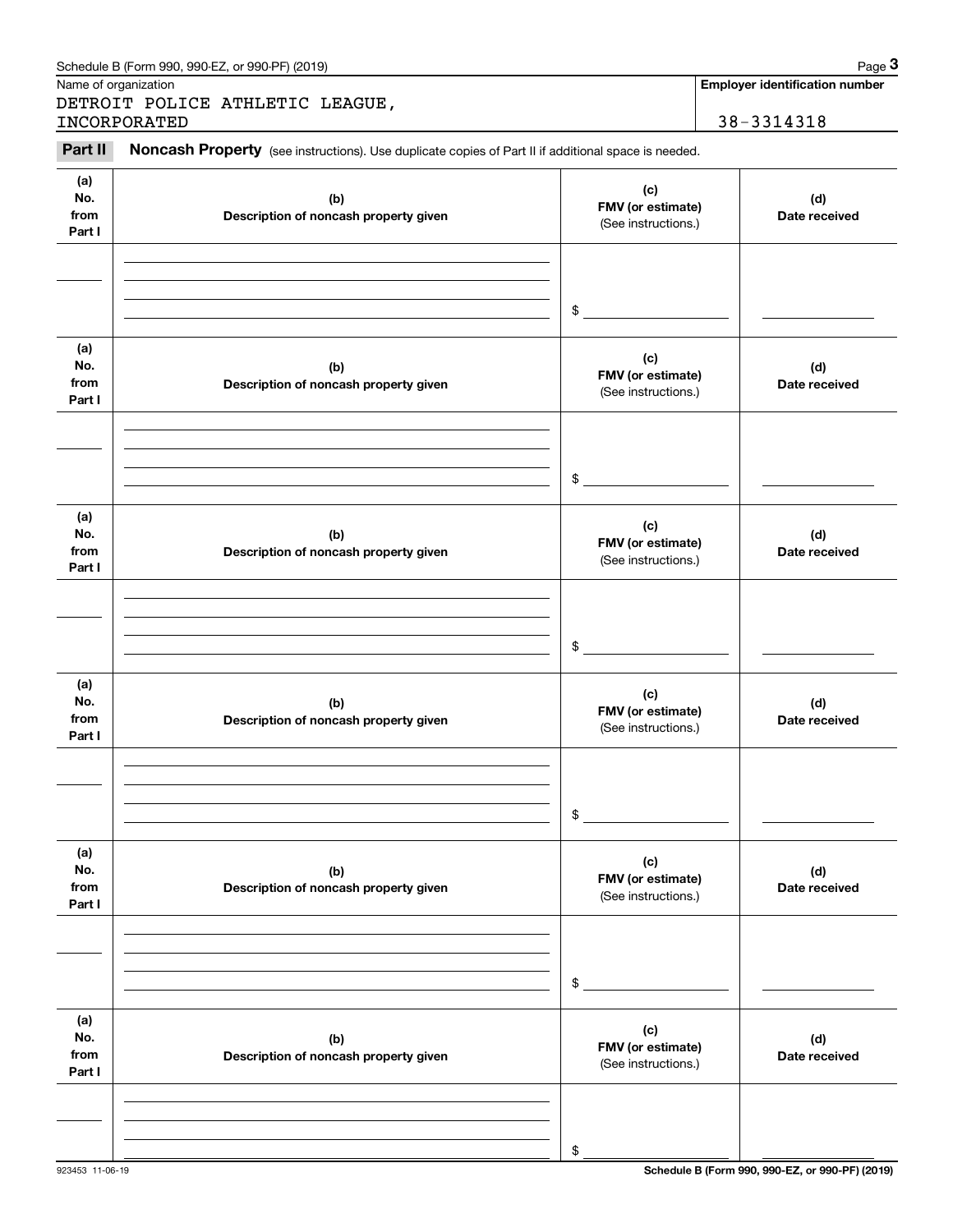|                              | Schedule B (Form 990, 990-EZ, or 990-PF) (2019)                                                     |                                                    | Page 3                                |
|------------------------------|-----------------------------------------------------------------------------------------------------|----------------------------------------------------|---------------------------------------|
|                              | Name of organization                                                                                |                                                    | <b>Employer identification number</b> |
|                              | DETROIT POLICE ATHLETIC LEAGUE,<br>INCORPORATED                                                     |                                                    | 38-3314318                            |
|                              |                                                                                                     |                                                    |                                       |
| Part II                      | Noncash Property (see instructions). Use duplicate copies of Part II if additional space is needed. |                                                    |                                       |
| (a)<br>No.<br>from<br>Part I | (b)<br>Description of noncash property given                                                        | (c)<br>FMV (or estimate)<br>(See instructions.)    | (d)<br>Date received                  |
| (a)<br>No.                   | (b)                                                                                                 | $\sim$<br>(c)                                      | (d)                                   |
| from<br>Part I               | Description of noncash property given                                                               | FMV (or estimate)<br>(See instructions.)<br>$\sim$ | Date received                         |
| (a)<br>No.<br>from<br>Part I | (b)<br>Description of noncash property given                                                        | (c)<br>FMV (or estimate)<br>(See instructions.)    | (d)<br>Date received                  |
| (a)<br>No.                   | (b)                                                                                                 | $\sim$<br>(c)<br>FMV (or estimate)                 | (d)                                   |
| from<br>Part I               | Description of noncash property given                                                               | (See instructions.)<br>\$                          | Date received                         |
| (a)<br>No.<br>from<br>Part I | (b)<br>Description of noncash property given                                                        | (c)<br>FMV (or estimate)<br>(See instructions.)    | (d)<br>Date received                  |
|                              |                                                                                                     | \$                                                 |                                       |
| (a)<br>No.<br>from<br>Part I | (b)<br>Description of noncash property given                                                        | (c)<br>FMV (or estimate)<br>(See instructions.)    | (d)<br>Date received                  |
|                              |                                                                                                     | \$                                                 |                                       |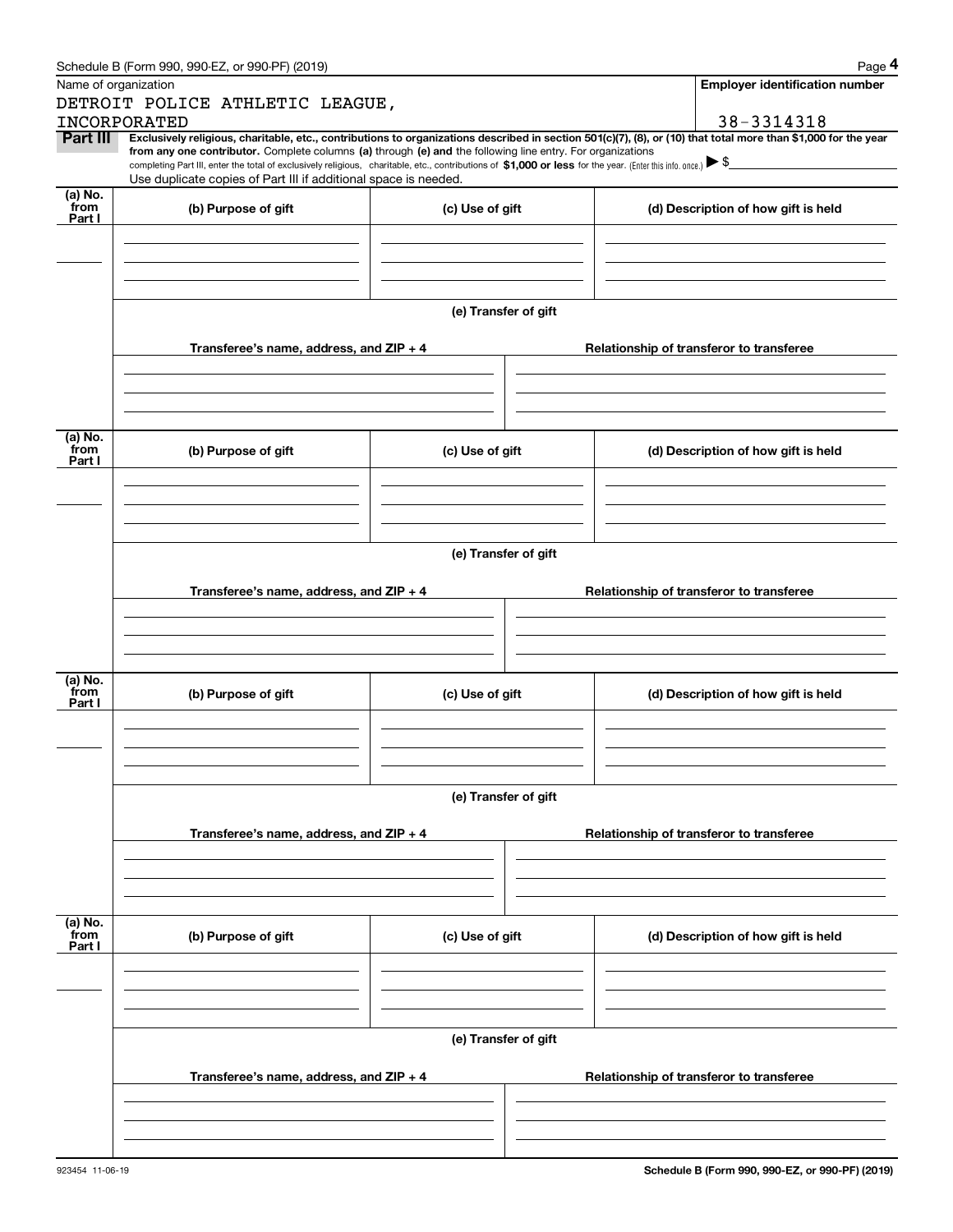|                 | Schedule B (Form 990, 990-EZ, or 990-PF) (2019)                                                                                                                                                                                                                                                 |                                          | Page 4                                                                                                                                                         |  |  |  |
|-----------------|-------------------------------------------------------------------------------------------------------------------------------------------------------------------------------------------------------------------------------------------------------------------------------------------------|------------------------------------------|----------------------------------------------------------------------------------------------------------------------------------------------------------------|--|--|--|
|                 | Name of organization                                                                                                                                                                                                                                                                            |                                          | <b>Employer identification number</b>                                                                                                                          |  |  |  |
|                 | DETROIT POLICE ATHLETIC LEAGUE,                                                                                                                                                                                                                                                                 |                                          |                                                                                                                                                                |  |  |  |
|                 | INCORPORATED                                                                                                                                                                                                                                                                                    |                                          | 38-3314318                                                                                                                                                     |  |  |  |
| Part III        | from any one contributor. Complete columns (a) through (e) and the following line entry. For organizations<br>completing Part III, enter the total of exclusively religious, charitable, etc., contributions of \$1,000 or less for the year. (Enter this info. once.) $\blacktriangleright$ \$ |                                          | Exclusively religious, charitable, etc., contributions to organizations described in section 501(c)(7), (8), or (10) that total more than \$1,000 for the year |  |  |  |
|                 | Use duplicate copies of Part III if additional space is needed.                                                                                                                                                                                                                                 |                                          |                                                                                                                                                                |  |  |  |
| (a) No.         |                                                                                                                                                                                                                                                                                                 |                                          |                                                                                                                                                                |  |  |  |
| from<br>Part I  | (b) Purpose of gift                                                                                                                                                                                                                                                                             | (c) Use of gift                          | (d) Description of how gift is held                                                                                                                            |  |  |  |
|                 |                                                                                                                                                                                                                                                                                                 |                                          |                                                                                                                                                                |  |  |  |
|                 |                                                                                                                                                                                                                                                                                                 |                                          |                                                                                                                                                                |  |  |  |
|                 |                                                                                                                                                                                                                                                                                                 |                                          |                                                                                                                                                                |  |  |  |
|                 |                                                                                                                                                                                                                                                                                                 |                                          |                                                                                                                                                                |  |  |  |
|                 |                                                                                                                                                                                                                                                                                                 | (e) Transfer of gift                     |                                                                                                                                                                |  |  |  |
|                 |                                                                                                                                                                                                                                                                                                 |                                          |                                                                                                                                                                |  |  |  |
|                 | Transferee's name, address, and ZIP + 4                                                                                                                                                                                                                                                         | Relationship of transferor to transferee |                                                                                                                                                                |  |  |  |
|                 |                                                                                                                                                                                                                                                                                                 |                                          |                                                                                                                                                                |  |  |  |
|                 |                                                                                                                                                                                                                                                                                                 |                                          |                                                                                                                                                                |  |  |  |
|                 |                                                                                                                                                                                                                                                                                                 |                                          |                                                                                                                                                                |  |  |  |
| (a) No.         |                                                                                                                                                                                                                                                                                                 |                                          |                                                                                                                                                                |  |  |  |
| from<br>Part I  | (b) Purpose of gift                                                                                                                                                                                                                                                                             | (c) Use of gift                          | (d) Description of how gift is held                                                                                                                            |  |  |  |
|                 |                                                                                                                                                                                                                                                                                                 |                                          |                                                                                                                                                                |  |  |  |
|                 |                                                                                                                                                                                                                                                                                                 |                                          |                                                                                                                                                                |  |  |  |
|                 |                                                                                                                                                                                                                                                                                                 |                                          |                                                                                                                                                                |  |  |  |
|                 |                                                                                                                                                                                                                                                                                                 |                                          |                                                                                                                                                                |  |  |  |
|                 | (e) Transfer of gift                                                                                                                                                                                                                                                                            |                                          |                                                                                                                                                                |  |  |  |
|                 |                                                                                                                                                                                                                                                                                                 |                                          |                                                                                                                                                                |  |  |  |
|                 | Transferee's name, address, and ZIP + 4                                                                                                                                                                                                                                                         |                                          | Relationship of transferor to transferee                                                                                                                       |  |  |  |
|                 |                                                                                                                                                                                                                                                                                                 |                                          |                                                                                                                                                                |  |  |  |
|                 |                                                                                                                                                                                                                                                                                                 |                                          |                                                                                                                                                                |  |  |  |
|                 |                                                                                                                                                                                                                                                                                                 |                                          |                                                                                                                                                                |  |  |  |
| (a) No.<br>from |                                                                                                                                                                                                                                                                                                 | (c) Use of gift                          |                                                                                                                                                                |  |  |  |
| Part I          | (b) Purpose of gift                                                                                                                                                                                                                                                                             |                                          | (d) Description of how gift is held                                                                                                                            |  |  |  |
|                 |                                                                                                                                                                                                                                                                                                 |                                          |                                                                                                                                                                |  |  |  |
|                 |                                                                                                                                                                                                                                                                                                 |                                          |                                                                                                                                                                |  |  |  |
|                 |                                                                                                                                                                                                                                                                                                 |                                          |                                                                                                                                                                |  |  |  |
|                 |                                                                                                                                                                                                                                                                                                 |                                          |                                                                                                                                                                |  |  |  |
|                 | (e) Transfer of gift                                                                                                                                                                                                                                                                            |                                          |                                                                                                                                                                |  |  |  |
|                 | Transferee's name, address, and $ZIP + 4$                                                                                                                                                                                                                                                       |                                          | Relationship of transferor to transferee                                                                                                                       |  |  |  |
|                 |                                                                                                                                                                                                                                                                                                 |                                          |                                                                                                                                                                |  |  |  |
|                 |                                                                                                                                                                                                                                                                                                 |                                          |                                                                                                                                                                |  |  |  |
|                 |                                                                                                                                                                                                                                                                                                 |                                          |                                                                                                                                                                |  |  |  |
|                 |                                                                                                                                                                                                                                                                                                 |                                          |                                                                                                                                                                |  |  |  |
| (a) No.<br>from | (b) Purpose of gift                                                                                                                                                                                                                                                                             | (c) Use of gift                          | (d) Description of how gift is held                                                                                                                            |  |  |  |
| Part I          |                                                                                                                                                                                                                                                                                                 |                                          |                                                                                                                                                                |  |  |  |
|                 |                                                                                                                                                                                                                                                                                                 |                                          |                                                                                                                                                                |  |  |  |
|                 |                                                                                                                                                                                                                                                                                                 |                                          |                                                                                                                                                                |  |  |  |
|                 |                                                                                                                                                                                                                                                                                                 |                                          |                                                                                                                                                                |  |  |  |
|                 | (e) Transfer of gift                                                                                                                                                                                                                                                                            |                                          |                                                                                                                                                                |  |  |  |
|                 |                                                                                                                                                                                                                                                                                                 |                                          |                                                                                                                                                                |  |  |  |
|                 | Transferee's name, address, and ZIP + 4                                                                                                                                                                                                                                                         |                                          | Relationship of transferor to transferee                                                                                                                       |  |  |  |
|                 |                                                                                                                                                                                                                                                                                                 |                                          |                                                                                                                                                                |  |  |  |
|                 |                                                                                                                                                                                                                                                                                                 |                                          |                                                                                                                                                                |  |  |  |
|                 |                                                                                                                                                                                                                                                                                                 |                                          |                                                                                                                                                                |  |  |  |
|                 |                                                                                                                                                                                                                                                                                                 |                                          |                                                                                                                                                                |  |  |  |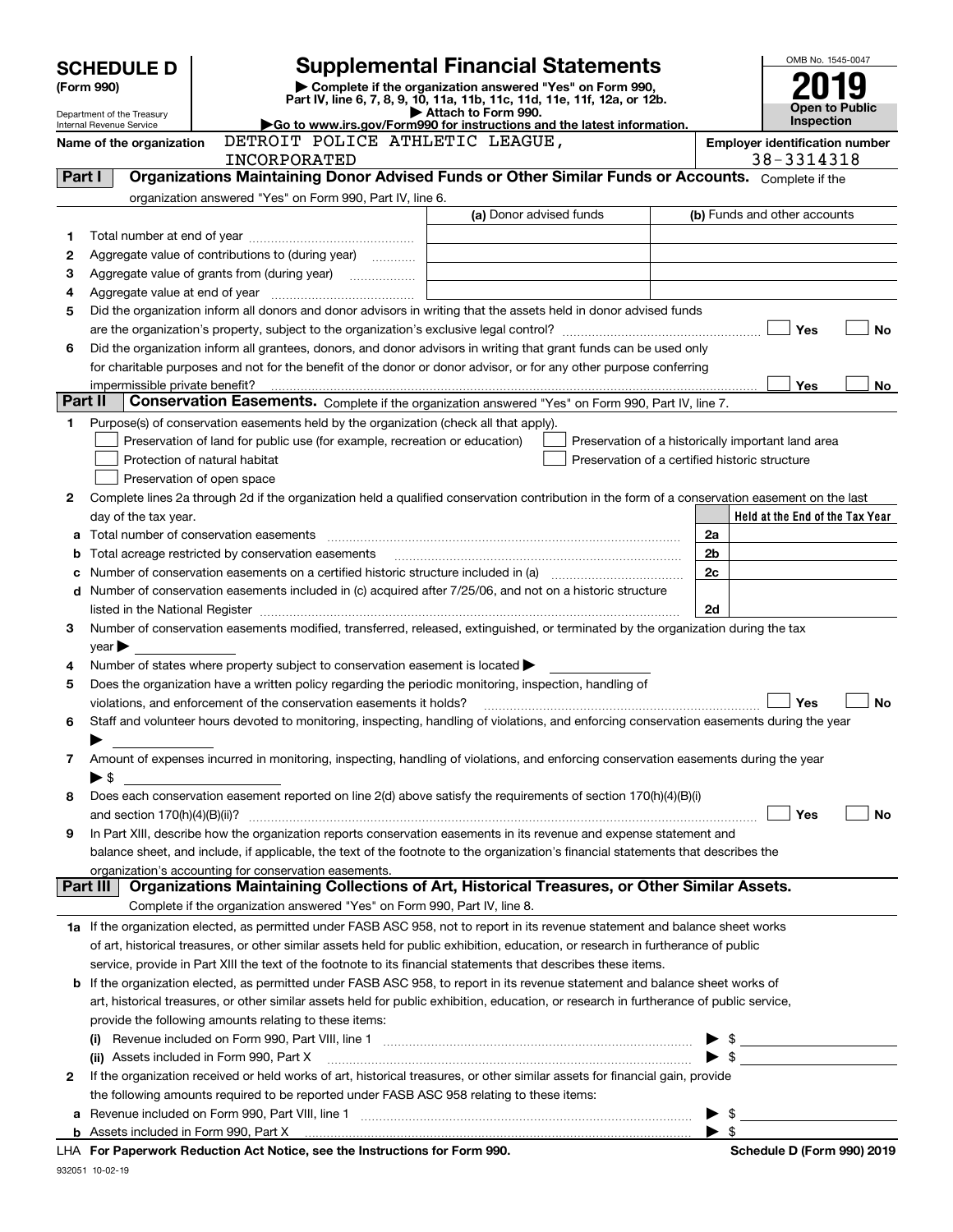|         | <b>SCHEDULE D</b>              |                                                                                                                                                | <b>Supplemental Financial Statements</b>                                                                                             |                                                                                                      |                          | OMB No. 1545-0047                                   |  |  |
|---------|--------------------------------|------------------------------------------------------------------------------------------------------------------------------------------------|--------------------------------------------------------------------------------------------------------------------------------------|------------------------------------------------------------------------------------------------------|--------------------------|-----------------------------------------------------|--|--|
|         | (Form 990)                     |                                                                                                                                                | Complete if the organization answered "Yes" on Form 990,<br>Part IV, line 6, 7, 8, 9, 10, 11a, 11b, 11c, 11d, 11e, 11f, 12a, or 12b. |                                                                                                      |                          |                                                     |  |  |
|         | Department of the Treasury     |                                                                                                                                                | Attach to Form 990.                                                                                                                  | Go to www.irs.gov/Form990 for instructions and the latest information.                               |                          |                                                     |  |  |
|         | Internal Revenue Service       | DETROIT POLICE ATHLETIC LEAGUE,                                                                                                                |                                                                                                                                      |                                                                                                      | Inspection               |                                                     |  |  |
|         | Name of the organization       | INCORPORATED                                                                                                                                   |                                                                                                                                      |                                                                                                      |                          | <b>Employer identification number</b><br>38-3314318 |  |  |
| Part I  |                                | Organizations Maintaining Donor Advised Funds or Other Similar Funds or Accounts. Complete if the                                              |                                                                                                                                      |                                                                                                      |                          |                                                     |  |  |
|         |                                | organization answered "Yes" on Form 990, Part IV, line 6.                                                                                      |                                                                                                                                      |                                                                                                      |                          |                                                     |  |  |
|         |                                |                                                                                                                                                | (a) Donor advised funds                                                                                                              |                                                                                                      |                          | (b) Funds and other accounts                        |  |  |
| 1       |                                |                                                                                                                                                |                                                                                                                                      |                                                                                                      |                          |                                                     |  |  |
| 2       |                                | Aggregate value of contributions to (during year)                                                                                              |                                                                                                                                      |                                                                                                      |                          |                                                     |  |  |
| з       |                                |                                                                                                                                                |                                                                                                                                      |                                                                                                      |                          |                                                     |  |  |
| 4       |                                |                                                                                                                                                |                                                                                                                                      |                                                                                                      |                          |                                                     |  |  |
| 5       |                                | Did the organization inform all donors and donor advisors in writing that the assets held in donor advised funds                               |                                                                                                                                      |                                                                                                      |                          |                                                     |  |  |
|         |                                |                                                                                                                                                |                                                                                                                                      |                                                                                                      |                          | Yes<br>No                                           |  |  |
| 6       |                                | Did the organization inform all grantees, donors, and donor advisors in writing that grant funds can be used only                              |                                                                                                                                      |                                                                                                      |                          |                                                     |  |  |
|         |                                | for charitable purposes and not for the benefit of the donor or donor advisor, or for any other purpose conferring                             |                                                                                                                                      |                                                                                                      |                          |                                                     |  |  |
| Part II | impermissible private benefit? |                                                                                                                                                |                                                                                                                                      |                                                                                                      |                          | Yes<br>No                                           |  |  |
|         |                                | Conservation Easements. Complete if the organization answered "Yes" on Form 990, Part IV, line 7.                                              |                                                                                                                                      |                                                                                                      |                          |                                                     |  |  |
| 1       |                                | Purpose(s) of conservation easements held by the organization (check all that apply).                                                          |                                                                                                                                      |                                                                                                      |                          |                                                     |  |  |
|         |                                | Preservation of land for public use (for example, recreation or education)                                                                     |                                                                                                                                      | Preservation of a historically important land area<br>Preservation of a certified historic structure |                          |                                                     |  |  |
|         |                                | Protection of natural habitat<br>Preservation of open space                                                                                    |                                                                                                                                      |                                                                                                      |                          |                                                     |  |  |
| 2       |                                | Complete lines 2a through 2d if the organization held a qualified conservation contribution in the form of a conservation easement on the last |                                                                                                                                      |                                                                                                      |                          |                                                     |  |  |
|         | day of the tax year.           |                                                                                                                                                |                                                                                                                                      |                                                                                                      |                          | Held at the End of the Tax Year                     |  |  |
|         |                                |                                                                                                                                                |                                                                                                                                      |                                                                                                      | 2a                       |                                                     |  |  |
| b       |                                | Total acreage restricted by conservation easements                                                                                             |                                                                                                                                      |                                                                                                      | 2b                       |                                                     |  |  |
| с       |                                |                                                                                                                                                |                                                                                                                                      |                                                                                                      | 2c                       |                                                     |  |  |
|         |                                | d Number of conservation easements included in (c) acquired after 7/25/06, and not on a historic structure                                     |                                                                                                                                      |                                                                                                      |                          |                                                     |  |  |
|         |                                |                                                                                                                                                |                                                                                                                                      |                                                                                                      | 2d                       |                                                     |  |  |
| 3       |                                | Number of conservation easements modified, transferred, released, extinguished, or terminated by the organization during the tax               |                                                                                                                                      |                                                                                                      |                          |                                                     |  |  |
|         | year                           |                                                                                                                                                |                                                                                                                                      |                                                                                                      |                          |                                                     |  |  |
| 4       |                                | Number of states where property subject to conservation easement is located >                                                                  |                                                                                                                                      |                                                                                                      |                          |                                                     |  |  |
| 5       |                                | Does the organization have a written policy regarding the periodic monitoring, inspection, handling of                                         |                                                                                                                                      |                                                                                                      |                          |                                                     |  |  |
|         |                                | violations, and enforcement of the conservation easements it holds?                                                                            |                                                                                                                                      |                                                                                                      |                          | <b>No</b><br>Yes                                    |  |  |
| 6       |                                | Staff and volunteer hours devoted to monitoring, inspecting, handling of violations, and enforcing conservation easements during the year      |                                                                                                                                      |                                                                                                      |                          |                                                     |  |  |
|         |                                |                                                                                                                                                |                                                                                                                                      |                                                                                                      |                          |                                                     |  |  |
| 7       |                                | Amount of expenses incurred in monitoring, inspecting, handling of violations, and enforcing conservation easements during the year            |                                                                                                                                      |                                                                                                      |                          |                                                     |  |  |
|         | $\blacktriangleright$ \$       | Does each conservation easement reported on line 2(d) above satisfy the requirements of section 170(h)(4)(B)(i)                                |                                                                                                                                      |                                                                                                      |                          |                                                     |  |  |
| 8       |                                |                                                                                                                                                |                                                                                                                                      |                                                                                                      |                          | Yes<br>No                                           |  |  |
| 9       |                                | In Part XIII, describe how the organization reports conservation easements in its revenue and expense statement and                            |                                                                                                                                      |                                                                                                      |                          |                                                     |  |  |
|         |                                | balance sheet, and include, if applicable, the text of the footnote to the organization's financial statements that describes the              |                                                                                                                                      |                                                                                                      |                          |                                                     |  |  |
|         |                                | organization's accounting for conservation easements.                                                                                          |                                                                                                                                      |                                                                                                      |                          |                                                     |  |  |
|         | Part III                       | Organizations Maintaining Collections of Art, Historical Treasures, or Other Similar Assets.                                                   |                                                                                                                                      |                                                                                                      |                          |                                                     |  |  |
|         |                                | Complete if the organization answered "Yes" on Form 990, Part IV, line 8.                                                                      |                                                                                                                                      |                                                                                                      |                          |                                                     |  |  |
|         |                                | 1a If the organization elected, as permitted under FASB ASC 958, not to report in its revenue statement and balance sheet works                |                                                                                                                                      |                                                                                                      |                          |                                                     |  |  |
|         |                                | of art, historical treasures, or other similar assets held for public exhibition, education, or research in furtherance of public              |                                                                                                                                      |                                                                                                      |                          |                                                     |  |  |
|         |                                | service, provide in Part XIII the text of the footnote to its financial statements that describes these items.                                 |                                                                                                                                      |                                                                                                      |                          |                                                     |  |  |
|         |                                | <b>b</b> If the organization elected, as permitted under FASB ASC 958, to report in its revenue statement and balance sheet works of           |                                                                                                                                      |                                                                                                      |                          |                                                     |  |  |
|         |                                | art, historical treasures, or other similar assets held for public exhibition, education, or research in furtherance of public service,        |                                                                                                                                      |                                                                                                      |                          |                                                     |  |  |
|         |                                | provide the following amounts relating to these items:                                                                                         |                                                                                                                                      |                                                                                                      |                          |                                                     |  |  |
|         | (i)                            |                                                                                                                                                |                                                                                                                                      |                                                                                                      |                          | $\frac{1}{2}$                                       |  |  |
|         |                                | (ii) Assets included in Form 990, Part X                                                                                                       |                                                                                                                                      |                                                                                                      |                          | $\blacktriangleright$ \$                            |  |  |
| 2       |                                | If the organization received or held works of art, historical treasures, or other similar assets for financial gain, provide                   |                                                                                                                                      |                                                                                                      |                          |                                                     |  |  |
|         |                                | the following amounts required to be reported under FASB ASC 958 relating to these items:                                                      |                                                                                                                                      |                                                                                                      |                          |                                                     |  |  |
|         |                                |                                                                                                                                                |                                                                                                                                      |                                                                                                      | -\$                      |                                                     |  |  |
|         |                                | Beneamed Bedrotten Act Netter are the best matters for Franc 800                                                                               |                                                                                                                                      |                                                                                                      | $\blacktriangleright$ \$ |                                                     |  |  |

**For Paperwork Reduction Act Notice, see the Instructions for Form 990. Schedule D (Form 990) 2019** LHA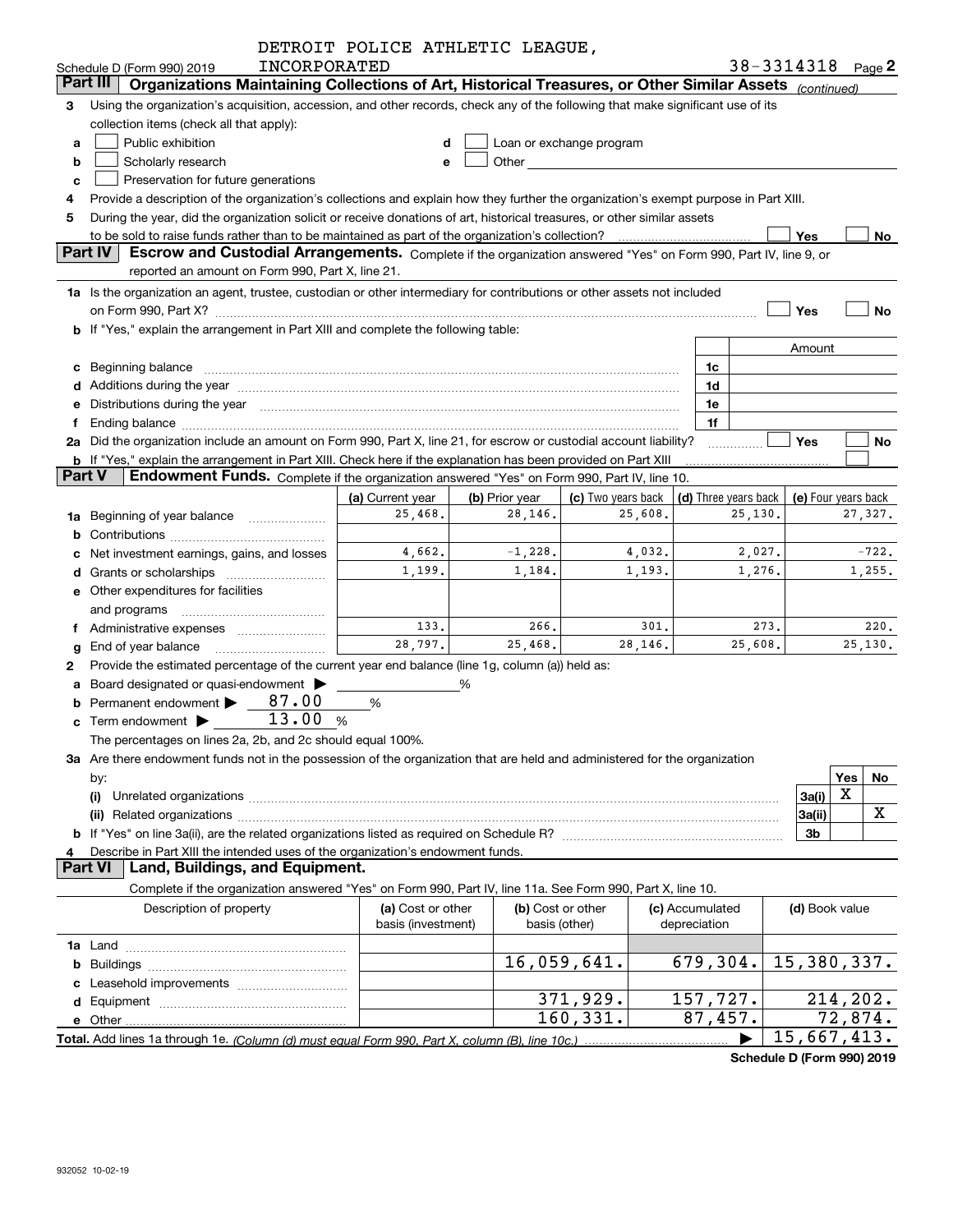|               |                                                                                                                                                                                                                                | DETROIT POLICE ATHLETIC LEAGUE,         |                                    |                                                                                                                                                                                                                               |         |                                                  |         |                |                           |
|---------------|--------------------------------------------------------------------------------------------------------------------------------------------------------------------------------------------------------------------------------|-----------------------------------------|------------------------------------|-------------------------------------------------------------------------------------------------------------------------------------------------------------------------------------------------------------------------------|---------|--------------------------------------------------|---------|----------------|---------------------------|
|               | INCORPORATED<br>Schedule D (Form 990) 2019                                                                                                                                                                                     |                                         |                                    |                                                                                                                                                                                                                               |         |                                                  |         |                | 38-3314318 Page 2         |
|               | Organizations Maintaining Collections of Art, Historical Treasures, or Other Similar Assets (continued)<br>Part III                                                                                                            |                                         |                                    |                                                                                                                                                                                                                               |         |                                                  |         |                |                           |
| 3             | Using the organization's acquisition, accession, and other records, check any of the following that make significant use of its                                                                                                |                                         |                                    |                                                                                                                                                                                                                               |         |                                                  |         |                |                           |
|               | collection items (check all that apply):                                                                                                                                                                                       |                                         |                                    |                                                                                                                                                                                                                               |         |                                                  |         |                |                           |
| a             | Public exhibition                                                                                                                                                                                                              |                                         |                                    | Loan or exchange program                                                                                                                                                                                                      |         |                                                  |         |                |                           |
| b             | Scholarly research                                                                                                                                                                                                             | е                                       |                                    | Other and the contract of the contract of the contract of the contract of the contract of the contract of the contract of the contract of the contract of the contract of the contract of the contract of the contract of the |         |                                                  |         |                |                           |
| c             | Preservation for future generations                                                                                                                                                                                            |                                         |                                    |                                                                                                                                                                                                                               |         |                                                  |         |                |                           |
|               | Provide a description of the organization's collections and explain how they further the organization's exempt purpose in Part XIII.                                                                                           |                                         |                                    |                                                                                                                                                                                                                               |         |                                                  |         |                |                           |
| 5             | During the year, did the organization solicit or receive donations of art, historical treasures, or other similar assets                                                                                                       |                                         |                                    |                                                                                                                                                                                                                               |         |                                                  |         |                |                           |
|               | to be sold to raise funds rather than to be maintained as part of the organization's collection?                                                                                                                               |                                         |                                    |                                                                                                                                                                                                                               |         |                                                  |         | Yes            | No                        |
|               | <b>Part IV</b><br>Escrow and Custodial Arrangements. Complete if the organization answered "Yes" on Form 990, Part IV, line 9, or                                                                                              |                                         |                                    |                                                                                                                                                                                                                               |         |                                                  |         |                |                           |
|               | reported an amount on Form 990, Part X, line 21.                                                                                                                                                                               |                                         |                                    |                                                                                                                                                                                                                               |         |                                                  |         |                |                           |
|               | 1a Is the organization an agent, trustee, custodian or other intermediary for contributions or other assets not included                                                                                                       |                                         |                                    |                                                                                                                                                                                                                               |         |                                                  |         |                |                           |
|               | on Form 990, Part X? [11] matter contracts and contracts and contracts are contracted as a form 990, Part X?                                                                                                                   |                                         |                                    |                                                                                                                                                                                                                               |         |                                                  |         | Yes            | <b>No</b>                 |
|               | b If "Yes," explain the arrangement in Part XIII and complete the following table:                                                                                                                                             |                                         |                                    |                                                                                                                                                                                                                               |         |                                                  |         |                |                           |
|               |                                                                                                                                                                                                                                |                                         |                                    |                                                                                                                                                                                                                               |         |                                                  |         | Amount         |                           |
|               | c Beginning balance measurements and the state of the state of the state of the state of the state of the state of the state of the state of the state of the state of the state of the state of the state of the state of the |                                         |                                    |                                                                                                                                                                                                                               |         | 1c                                               |         |                |                           |
|               |                                                                                                                                                                                                                                |                                         |                                    |                                                                                                                                                                                                                               |         | 1d                                               |         |                |                           |
|               | e Distributions during the year manufactured and contain an account of the year manufactured and the year manufactured and the year manufactured and the year manufactured and the year manufactured and the year manufactured |                                         |                                    |                                                                                                                                                                                                                               |         | 1e                                               |         |                |                           |
| f             |                                                                                                                                                                                                                                |                                         |                                    |                                                                                                                                                                                                                               |         | 1f                                               |         |                |                           |
|               | 2a Did the organization include an amount on Form 990, Part X, line 21, for escrow or custodial account liability?                                                                                                             |                                         |                                    |                                                                                                                                                                                                                               |         |                                                  |         | Yes            | No                        |
| <b>Part V</b> | <b>b</b> If "Yes," explain the arrangement in Part XIII. Check here if the explanation has been provided on Part XIII<br>Endowment Funds. Complete if the organization answered "Yes" on Form 990, Part IV, line 10.           |                                         |                                    |                                                                                                                                                                                                                               |         |                                                  |         |                |                           |
|               |                                                                                                                                                                                                                                | (a) Current year                        | (b) Prior year                     | (c) Two years back                                                                                                                                                                                                            |         | (d) Three years back $\vert$ (e) Four years back |         |                |                           |
|               | <b>1a</b> Beginning of year balance <i>manumumum</i>                                                                                                                                                                           | 25,468.                                 | 28,146.                            |                                                                                                                                                                                                                               | 25,608. |                                                  | 25,130. |                | 27,327.                   |
| b             |                                                                                                                                                                                                                                |                                         |                                    |                                                                                                                                                                                                                               |         |                                                  |         |                |                           |
|               | Net investment earnings, gains, and losses                                                                                                                                                                                     | 4,662.                                  | $-1,228.$                          |                                                                                                                                                                                                                               | 4,032.  |                                                  | 2,027.  |                | $-722.$                   |
|               |                                                                                                                                                                                                                                | 1,199.                                  | 1,184.                             |                                                                                                                                                                                                                               | 1,193.  |                                                  | 1,276.  |                | 1,255.                    |
|               | e Other expenditures for facilities                                                                                                                                                                                            |                                         |                                    |                                                                                                                                                                                                                               |         |                                                  |         |                |                           |
|               | and programs                                                                                                                                                                                                                   |                                         |                                    |                                                                                                                                                                                                                               |         |                                                  |         |                |                           |
|               | f Administrative expenses <i>manually communicative</i>                                                                                                                                                                        | 133.                                    | 266.                               |                                                                                                                                                                                                                               | 301.    |                                                  | 273.    |                | 220.                      |
| g             | End of year balance                                                                                                                                                                                                            | 28,797.                                 | 25,468.                            |                                                                                                                                                                                                                               | 28,146. |                                                  | 25,608. |                | 25,130.                   |
| 2             | Provide the estimated percentage of the current year end balance (line 1g, column (a)) held as:                                                                                                                                |                                         |                                    |                                                                                                                                                                                                                               |         |                                                  |         |                |                           |
|               | a Board designated or quasi-endowment >                                                                                                                                                                                        |                                         | ℅                                  |                                                                                                                                                                                                                               |         |                                                  |         |                |                           |
|               | 87.00<br>Permanent endowment                                                                                                                                                                                                   | %                                       |                                    |                                                                                                                                                                                                                               |         |                                                  |         |                |                           |
|               | 13.00%<br><b>c</b> Term endowment $\blacktriangleright$                                                                                                                                                                        |                                         |                                    |                                                                                                                                                                                                                               |         |                                                  |         |                |                           |
|               | The percentages on lines 2a, 2b, and 2c should equal 100%.                                                                                                                                                                     |                                         |                                    |                                                                                                                                                                                                                               |         |                                                  |         |                |                           |
|               | 3a Are there endowment funds not in the possession of the organization that are held and administered for the organization                                                                                                     |                                         |                                    |                                                                                                                                                                                                                               |         |                                                  |         |                |                           |
|               | by:                                                                                                                                                                                                                            |                                         |                                    |                                                                                                                                                                                                                               |         |                                                  |         |                | Yes<br>No                 |
|               | (i)                                                                                                                                                                                                                            |                                         |                                    |                                                                                                                                                                                                                               |         |                                                  |         | 3a(i)          | X                         |
|               |                                                                                                                                                                                                                                |                                         |                                    |                                                                                                                                                                                                                               |         |                                                  |         | 3a(ii)         | X                         |
|               |                                                                                                                                                                                                                                |                                         |                                    |                                                                                                                                                                                                                               |         |                                                  |         | 3b             |                           |
| 4             | Describe in Part XIII the intended uses of the organization's endowment funds.                                                                                                                                                 |                                         |                                    |                                                                                                                                                                                                                               |         |                                                  |         |                |                           |
|               | Land, Buildings, and Equipment.<br><b>Part VI</b>                                                                                                                                                                              |                                         |                                    |                                                                                                                                                                                                                               |         |                                                  |         |                |                           |
|               | Complete if the organization answered "Yes" on Form 990, Part IV, line 11a. See Form 990, Part X, line 10.                                                                                                                     |                                         |                                    |                                                                                                                                                                                                                               |         |                                                  |         |                |                           |
|               | Description of property                                                                                                                                                                                                        | (a) Cost or other<br>basis (investment) | (b) Cost or other<br>basis (other) |                                                                                                                                                                                                                               |         | (c) Accumulated<br>depreciation                  |         | (d) Book value |                           |
|               |                                                                                                                                                                                                                                |                                         |                                    |                                                                                                                                                                                                                               |         |                                                  |         |                |                           |
|               |                                                                                                                                                                                                                                |                                         |                                    | 16,059,641.                                                                                                                                                                                                                   |         | 679,304.                                         |         |                | 15,380,337.               |
|               |                                                                                                                                                                                                                                |                                         |                                    |                                                                                                                                                                                                                               |         |                                                  |         |                |                           |
|               |                                                                                                                                                                                                                                |                                         |                                    | 371,929.                                                                                                                                                                                                                      |         | 157,727.                                         |         |                | 214, 202.                 |
|               | e Other                                                                                                                                                                                                                        |                                         |                                    | 160, 331.                                                                                                                                                                                                                     |         | 87,457.                                          |         |                | 72,874.                   |
|               |                                                                                                                                                                                                                                |                                         |                                    |                                                                                                                                                                                                                               |         |                                                  |         |                | $\overline{15,667,413}$ . |

**Schedule D (Form 990) 2019**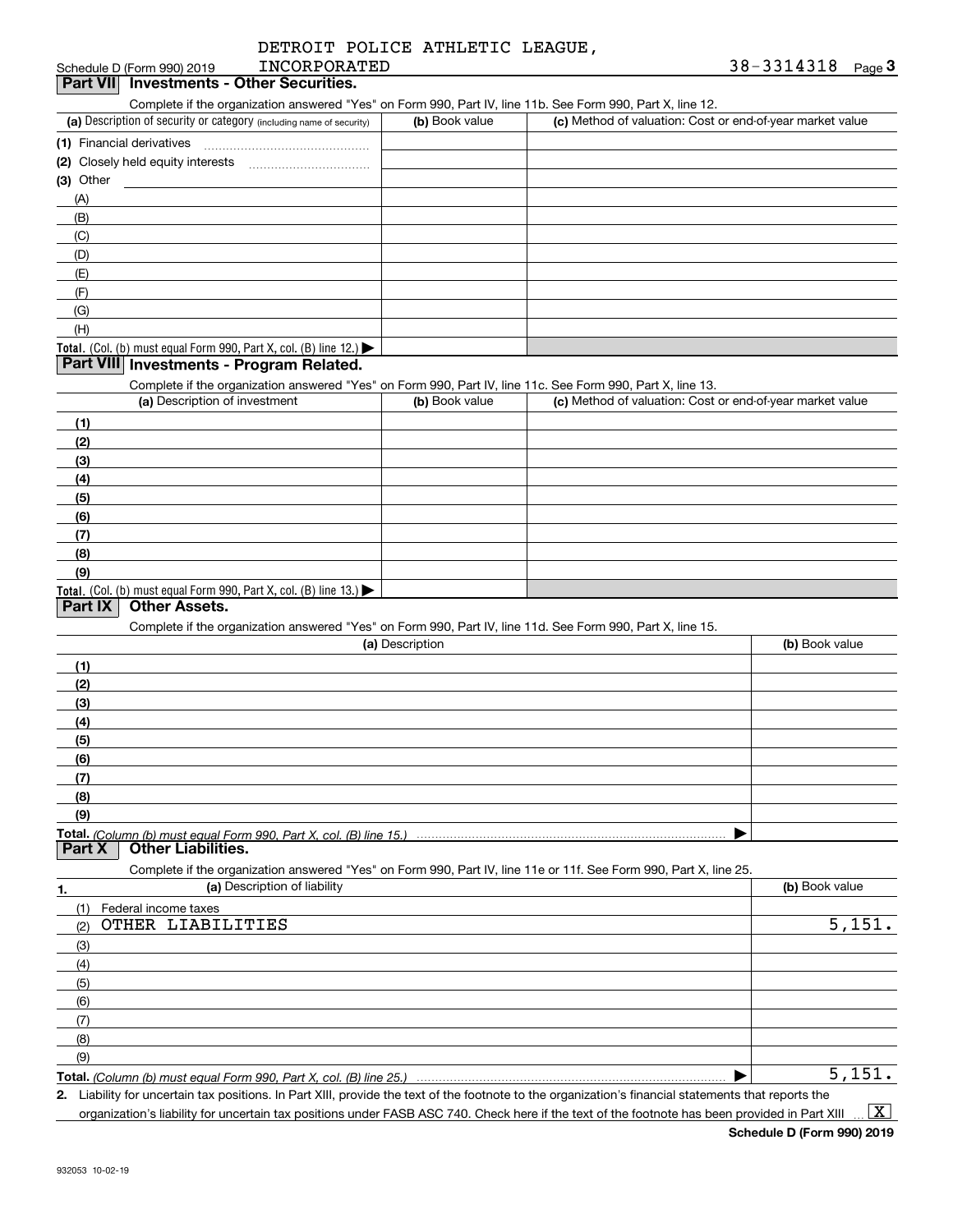|              | DETROIT POLICE ATHLETIC LEAGUE, |  |
|--------------|---------------------------------|--|
| INCORPORATED |                                 |  |

#### Schedule D (Form 990) 2019 **Part VII Investments - Other Securities.**

Complete if the organization answered "Yes" on Form 990, Part IV, line 11b. See Form 990, Part X, line 12.

| (a) Description of security or category (including name of security)                          | (b) Book value | (c) Method of valuation: Cost or end-of-year market value |
|-----------------------------------------------------------------------------------------------|----------------|-----------------------------------------------------------|
| (1) Financial derivatives                                                                     |                |                                                           |
| (2) Closely held equity interests                                                             |                |                                                           |
| $(3)$ Other                                                                                   |                |                                                           |
| (A)                                                                                           |                |                                                           |
| (B)                                                                                           |                |                                                           |
| (C)                                                                                           |                |                                                           |
| (D)                                                                                           |                |                                                           |
| (E)                                                                                           |                |                                                           |
| (F)                                                                                           |                |                                                           |
| (G)                                                                                           |                |                                                           |
| (H)                                                                                           |                |                                                           |
| <b>Total.</b> (Col. (b) must equal Form 990, Part X, col. (B) line 12.) $\blacktriangleright$ |                |                                                           |

#### **Part VIII Investments - Program Related.**

Complete if the organization answered "Yes" on Form 990, Part IV, line 11c. See Form 990, Part X, line 13.

| (a) Description of investment                                       | (b) Book value | (c) Method of valuation: Cost or end-of-year market value |
|---------------------------------------------------------------------|----------------|-----------------------------------------------------------|
| (1)                                                                 |                |                                                           |
| (2)                                                                 |                |                                                           |
| $\left(3\right)$                                                    |                |                                                           |
| (4)                                                                 |                |                                                           |
| $\frac{1}{2}$                                                       |                |                                                           |
| (6)                                                                 |                |                                                           |
| (7)                                                                 |                |                                                           |
| (8)                                                                 |                |                                                           |
| (9)                                                                 |                |                                                           |
| Total. (Col. (b) must equal Form 990, Part X, col. (B) line $13$ .) |                |                                                           |

## **Part IX Other Assets.**

Complete if the organization answered "Yes" on Form 990, Part IV, line 11d. See Form 990, Part X, line 15.

|          | (a) Description                                                                                                   | (b) Book value |
|----------|-------------------------------------------------------------------------------------------------------------------|----------------|
| (1)      |                                                                                                                   |                |
| (2)      |                                                                                                                   |                |
| (3)      |                                                                                                                   |                |
| (4)      |                                                                                                                   |                |
| (5)      |                                                                                                                   |                |
| (6)      |                                                                                                                   |                |
| (7)      |                                                                                                                   |                |
| (8)      |                                                                                                                   |                |
| (9)      |                                                                                                                   |                |
|          |                                                                                                                   |                |
| Part $X$ | <b>Other Liabilities.</b>                                                                                         |                |
|          | Complete if the organization answered "Yes" on Form 990, Part IV, line 11e or 11f. See Form 990, Part X, line 25. |                |

| 1.  | (a) Description of liability | (b) Book value |
|-----|------------------------------|----------------|
| (1) | Federal income taxes         |                |
| (2) | OTHER LIABILITIES            | 5,151.         |
| (3) |                              |                |
| (4) |                              |                |
| (5) |                              |                |
| (6) |                              |                |
| (7) |                              |                |
| (8) |                              |                |
| (9) |                              |                |
|     |                              | 5,151.         |

**Total.**  *(Column (b) must equal Form 990, Part X, col. (B) line 25.)* 

**2.**Liability for uncertain tax positions. In Part XIII, provide the text of the footnote to the organization's financial statements that reports the organization's liability for uncertain tax positions under FASB ASC 740. Check here if the text of the footnote has been provided in Part XIII  $\vert$  X  $\vert$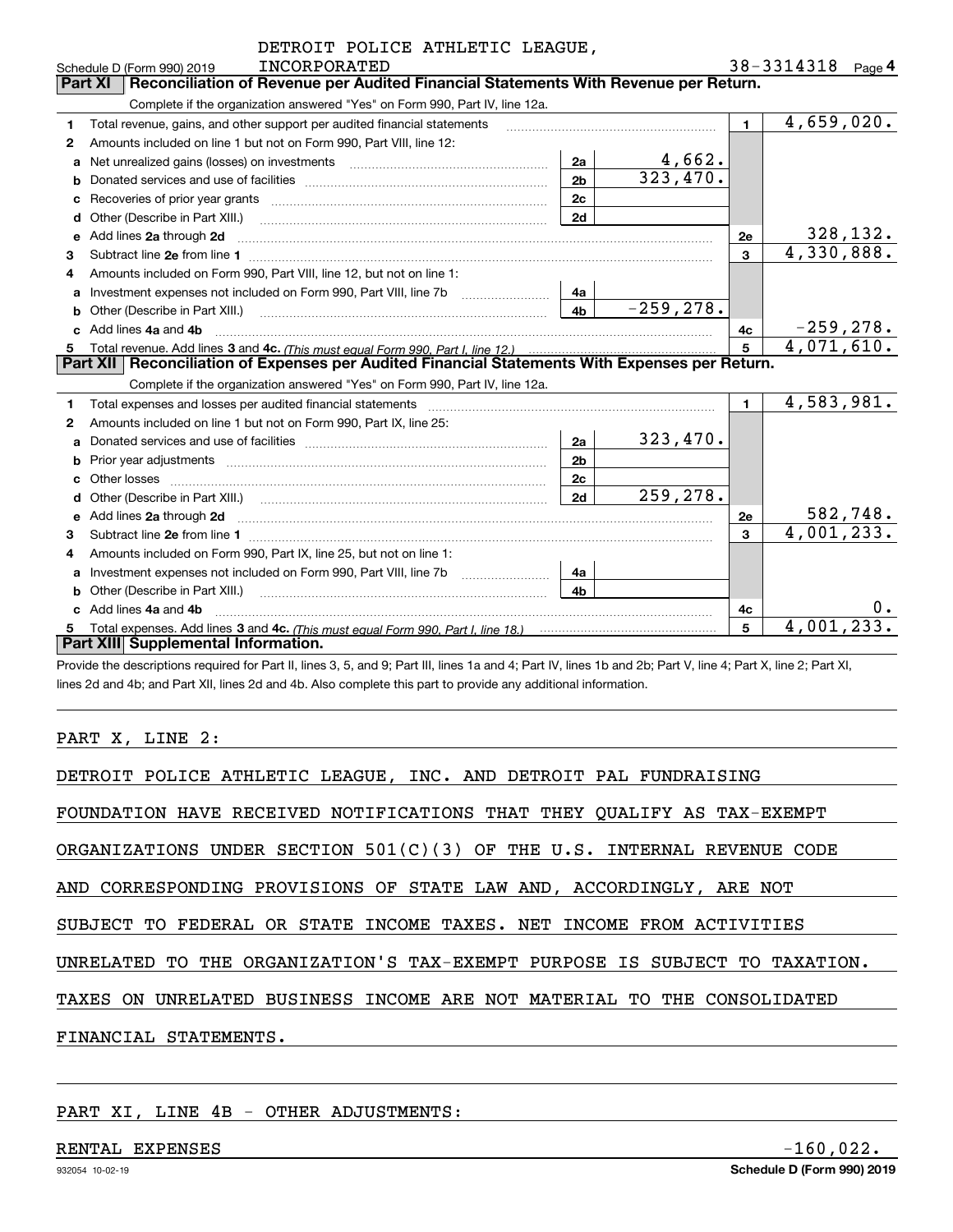|   | DETROIT POLICE ATHLETIC LEAGUE,                                                                                                                                                                                                     |                |              |                |                   |
|---|-------------------------------------------------------------------------------------------------------------------------------------------------------------------------------------------------------------------------------------|----------------|--------------|----------------|-------------------|
|   | <b>INCORPORATED</b><br>Schedule D (Form 990) 2019                                                                                                                                                                                   |                |              |                | 38-3314318 Page 4 |
|   | Reconciliation of Revenue per Audited Financial Statements With Revenue per Return.<br>Part XI                                                                                                                                      |                |              |                |                   |
|   | Complete if the organization answered "Yes" on Form 990, Part IV, line 12a.                                                                                                                                                         |                |              |                |                   |
| 1 | Total revenue, gains, and other support per audited financial statements                                                                                                                                                            |                |              | $\blacksquare$ | 4,659,020.        |
| 2 | Amounts included on line 1 but not on Form 990, Part VIII, line 12:                                                                                                                                                                 |                |              |                |                   |
| a | Net unrealized gains (losses) on investments [11] matter contracts and the unrealized gains (losses) on investments                                                                                                                 | 2a             | 4,662.       |                |                   |
| b |                                                                                                                                                                                                                                     | 2 <sub>b</sub> | 323,470.     |                |                   |
|   |                                                                                                                                                                                                                                     | 2c             |              |                |                   |
|   | Other (Describe in Part XIII.) [100] [100] [100] [100] [100] [100] [100] [100] [100] [100] [100] [100] [100] [                                                                                                                      | 2d             |              |                |                   |
| е | Add lines 2a through 2d                                                                                                                                                                                                             |                |              | 2e             | 328, 132.         |
| 3 |                                                                                                                                                                                                                                     |                |              | 3              | 4,330,888.        |
| 4 | Amounts included on Form 990, Part VIII, line 12, but not on line 1:                                                                                                                                                                |                |              |                |                   |
| a | Investment expenses not included on Form 990, Part VIII, line 7b                                                                                                                                                                    | 4a             |              |                |                   |
| b |                                                                                                                                                                                                                                     | 4b             | $-259, 278.$ |                |                   |
|   | Add lines 4a and 4b                                                                                                                                                                                                                 |                |              | 4c             | $-259, 278.$      |
|   |                                                                                                                                                                                                                                     |                |              | 5              | 4,071,610.        |
|   | Part XII   Reconciliation of Expenses per Audited Financial Statements With Expenses per Return.                                                                                                                                    |                |              |                |                   |
|   | Complete if the organization answered "Yes" on Form 990, Part IV, line 12a.                                                                                                                                                         |                |              |                |                   |
| 1 | Total expenses and losses per audited financial statements                                                                                                                                                                          |                |              | $\blacksquare$ | 4,583,981.        |
| 2 | Amounts included on line 1 but not on Form 990, Part IX, line 25:                                                                                                                                                                   |                |              |                |                   |
| a |                                                                                                                                                                                                                                     | 2a             | 323,470.     |                |                   |
| b |                                                                                                                                                                                                                                     | 2 <sub>b</sub> |              |                |                   |
|   | Other losses                                                                                                                                                                                                                        | 2c             |              |                |                   |
|   |                                                                                                                                                                                                                                     | 2d             | 259,278.     |                |                   |
| e | Add lines 2a through 2d <b>contained a contained a contained a contained a</b> contained a contained a contained a contained a contained a contained a contained a contained a contained a contained a contained a contained a cont |                |              | 2е             | 582,748.          |
| 3 |                                                                                                                                                                                                                                     |                |              | 3              | 4,001,233.        |
| 4 | Amounts included on Form 990, Part IX, line 25, but not on line 1:                                                                                                                                                                  |                |              |                |                   |
| a | Investment expenses not included on Form 990, Part VIII, line 7b                                                                                                                                                                    | 4a             |              |                |                   |
| b |                                                                                                                                                                                                                                     | 4 <sub>h</sub> |              |                |                   |
|   | Add lines 4a and 4b                                                                                                                                                                                                                 |                |              | 4c             | 0.                |
|   | Total expenses. Add lines 3 and 4c. (This must equal Form 990, Part I, line 18.) <b>Construe that the State II</b>                                                                                                                  |                |              | 5              | 4,001,233.        |
|   | Part XIII Supplemental Information.                                                                                                                                                                                                 |                |              |                |                   |
|   |                                                                                                                                                                                                                                     |                |              |                |                   |

Provide the descriptions required for Part II, lines 3, 5, and 9; Part III, lines 1a and 4; Part IV, lines 1b and 2b; Part V, line 4; Part X, line 2; Part XI, lines 2d and 4b; and Part XII, lines 2d and 4b. Also complete this part to provide any additional information.

## PART X, LINE 2:

| DETROIT POLICE ATHLETIC LEAGUE, INC. AND DETROIT PAL FUNDRAISING           |
|----------------------------------------------------------------------------|
| FOUNDATION HAVE RECEIVED NOTIFICATIONS THAT THEY QUALIFY AS TAX-EXEMPT     |
| ORGANIZATIONS UNDER SECTION $501(C)(3)$ OF THE U.S. INTERNAL REVENUE CODE  |
| AND CORRESPONDING PROVISIONS OF STATE LAW AND, ACCORDINGLY, ARE NOT        |
| SUBJECT TO FEDERAL OR STATE INCOME TAXES. NET INCOME FROM ACTIVITIES       |
| UNRELATED TO THE ORGANIZATION'S TAX-EXEMPT PURPOSE IS SUBJECT TO TAXATION. |
| TAXES ON UNRELATED BUSINESS INCOME ARE NOT MATERIAL TO THE CONSOLIDATED    |
| FINANCIAL STATEMENTS.                                                      |

PART XI, LINE 4B - OTHER ADJUSTMENTS: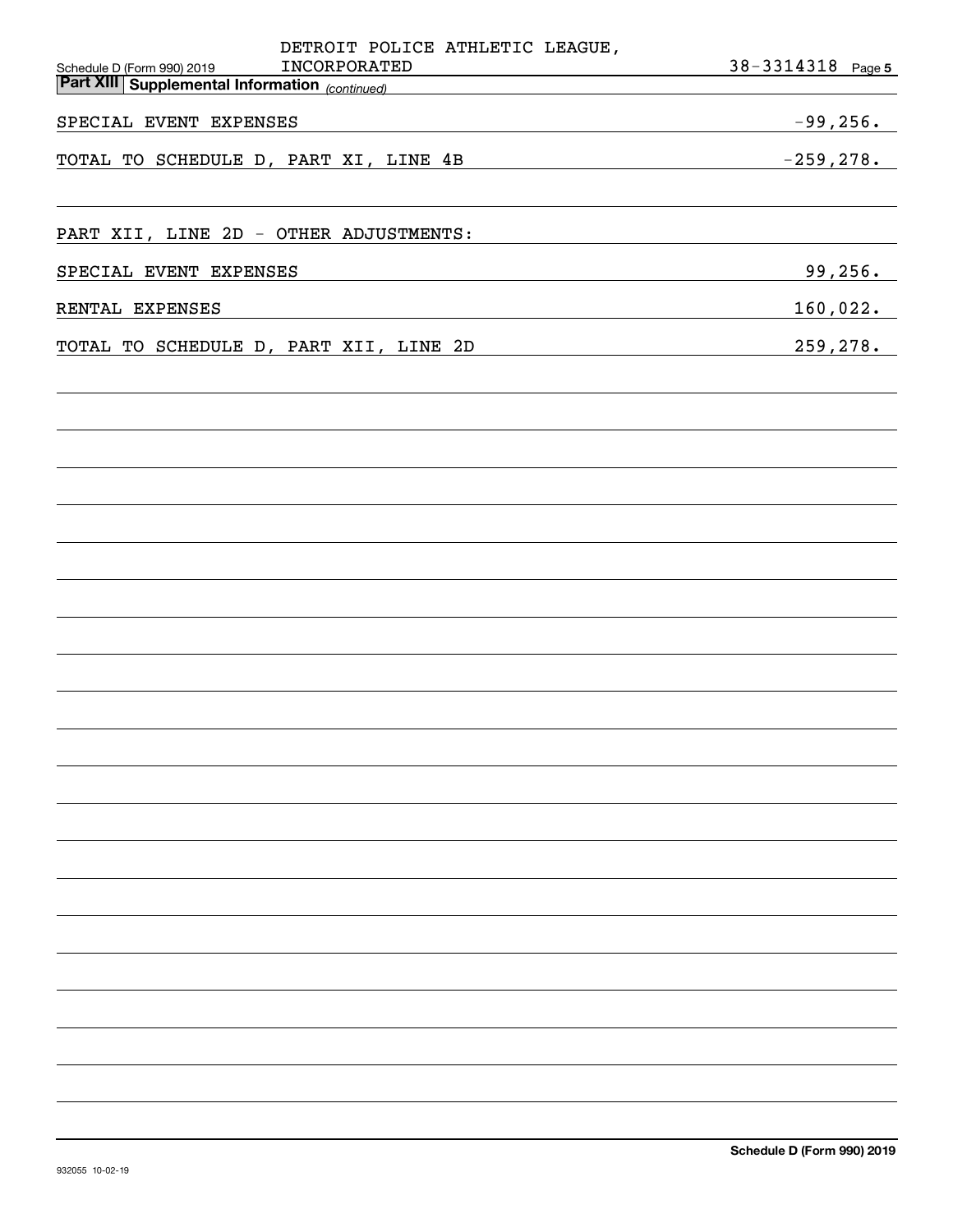| DETROIT POLICE ATHLETIC LEAGUE,                                                                     |                   |
|-----------------------------------------------------------------------------------------------------|-------------------|
| INCORPORATED<br>Schedule D (Form 990) 2019<br><b>Part XIII Supplemental Information</b> (continued) | 38-3314318 Page 5 |
|                                                                                                     |                   |
| SPECIAL EVENT EXPENSES                                                                              | $-99,256.$        |
| TOTAL TO SCHEDULE D, PART XI, LINE 4B                                                               | $-259, 278.$      |
|                                                                                                     |                   |
|                                                                                                     |                   |
| PART XII, LINE 2D - OTHER ADJUSTMENTS:                                                              |                   |
| SPECIAL EVENT EXPENSES                                                                              | 99,256.           |
|                                                                                                     |                   |
| RENTAL EXPENSES                                                                                     | 160,022.          |
| TOTAL TO SCHEDULE D, PART XII, LINE 2D                                                              | 259,278.          |
|                                                                                                     |                   |
|                                                                                                     |                   |
|                                                                                                     |                   |
|                                                                                                     |                   |
|                                                                                                     |                   |
|                                                                                                     |                   |
|                                                                                                     |                   |
|                                                                                                     |                   |
|                                                                                                     |                   |
|                                                                                                     |                   |
|                                                                                                     |                   |
|                                                                                                     |                   |
|                                                                                                     |                   |
|                                                                                                     |                   |
|                                                                                                     |                   |
|                                                                                                     |                   |
|                                                                                                     |                   |
|                                                                                                     |                   |
|                                                                                                     |                   |
|                                                                                                     |                   |
|                                                                                                     |                   |
|                                                                                                     |                   |
|                                                                                                     |                   |
|                                                                                                     |                   |
|                                                                                                     |                   |
|                                                                                                     |                   |
|                                                                                                     |                   |
|                                                                                                     |                   |
|                                                                                                     |                   |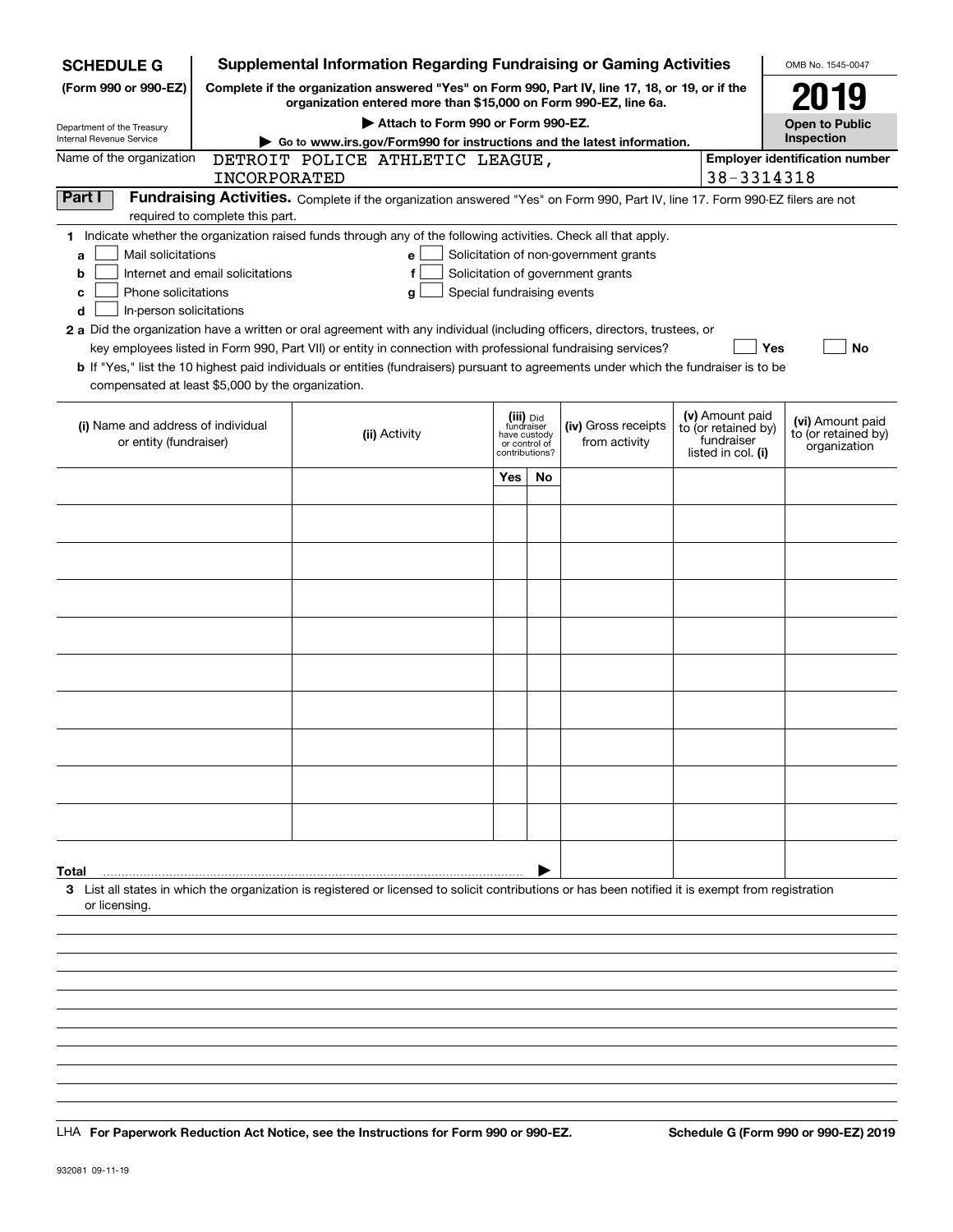| <b>SCHEDULE G</b>                                            |                                  | <b>Supplemental Information Regarding Fundraising or Gaming Activities</b>                                                                                          |                            |                                                                            |                                       |                                                                            | OMB No. 1545-0047                                       |
|--------------------------------------------------------------|----------------------------------|---------------------------------------------------------------------------------------------------------------------------------------------------------------------|----------------------------|----------------------------------------------------------------------------|---------------------------------------|----------------------------------------------------------------------------|---------------------------------------------------------|
| (Form 990 or 990-EZ)                                         |                                  | Complete if the organization answered "Yes" on Form 990, Part IV, line 17, 18, or 19, or if the<br>organization entered more than \$15,000 on Form 990-EZ, line 6a. |                            |                                                                            |                                       |                                                                            | 2019                                                    |
| Department of the Treasury                                   |                                  | Attach to Form 990 or Form 990-EZ.                                                                                                                                  |                            |                                                                            |                                       |                                                                            | <b>Open to Public</b>                                   |
| Internal Revenue Service                                     |                                  | Go to www.irs.gov/Form990 for instructions and the latest information.                                                                                              |                            |                                                                            |                                       |                                                                            | Inspection                                              |
| Name of the organization                                     |                                  | DETROIT POLICE ATHLETIC LEAGUE,                                                                                                                                     |                            |                                                                            |                                       |                                                                            | <b>Employer identification number</b>                   |
|                                                              | <b>INCORPORATED</b>              |                                                                                                                                                                     |                            |                                                                            |                                       | 38-3314318                                                                 |                                                         |
| Part I                                                       |                                  | Fundraising Activities. Complete if the organization answered "Yes" on Form 990, Part IV, line 17. Form 990-EZ filers are not                                       |                            |                                                                            |                                       |                                                                            |                                                         |
|                                                              | required to complete this part.  |                                                                                                                                                                     |                            |                                                                            |                                       |                                                                            |                                                         |
|                                                              |                                  | 1 Indicate whether the organization raised funds through any of the following activities. Check all that apply.                                                     |                            |                                                                            |                                       |                                                                            |                                                         |
| Mail solicitations<br>a                                      |                                  | е                                                                                                                                                                   |                            |                                                                            | Solicitation of non-government grants |                                                                            |                                                         |
| b                                                            | Internet and email solicitations | f                                                                                                                                                                   |                            |                                                                            | Solicitation of government grants     |                                                                            |                                                         |
| Phone solicitations<br>с                                     |                                  | g                                                                                                                                                                   | Special fundraising events |                                                                            |                                       |                                                                            |                                                         |
| In-person solicitations<br>d                                 |                                  |                                                                                                                                                                     |                            |                                                                            |                                       |                                                                            |                                                         |
|                                                              |                                  | 2 a Did the organization have a written or oral agreement with any individual (including officers, directors, trustees, or                                          |                            |                                                                            |                                       |                                                                            |                                                         |
|                                                              |                                  | key employees listed in Form 990, Part VII) or entity in connection with professional fundraising services?                                                         |                            |                                                                            |                                       | Yes                                                                        | No                                                      |
|                                                              |                                  | b If "Yes," list the 10 highest paid individuals or entities (fundraisers) pursuant to agreements under which the fundraiser is to be                               |                            |                                                                            |                                       |                                                                            |                                                         |
| compensated at least \$5,000 by the organization.            |                                  |                                                                                                                                                                     |                            |                                                                            |                                       |                                                                            |                                                         |
| (i) Name and address of individual<br>or entity (fundraiser) |                                  | (ii) Activity                                                                                                                                                       |                            | (iii) Did<br>fundraiser<br>have custody<br>or control of<br>contributions? | (iv) Gross receipts<br>from activity  | (v) Amount paid<br>to (or retained by)<br>fundraiser<br>listed in col. (i) | (vi) Amount paid<br>to (or retained by)<br>organization |
|                                                              |                                  |                                                                                                                                                                     | Yes                        | No                                                                         |                                       |                                                                            |                                                         |
|                                                              |                                  |                                                                                                                                                                     |                            |                                                                            |                                       |                                                                            |                                                         |
|                                                              |                                  |                                                                                                                                                                     |                            |                                                                            |                                       |                                                                            |                                                         |
|                                                              |                                  |                                                                                                                                                                     |                            |                                                                            |                                       |                                                                            |                                                         |
|                                                              |                                  |                                                                                                                                                                     |                            |                                                                            |                                       |                                                                            |                                                         |
|                                                              |                                  |                                                                                                                                                                     |                            |                                                                            |                                       |                                                                            |                                                         |
|                                                              |                                  |                                                                                                                                                                     |                            |                                                                            |                                       |                                                                            |                                                         |
|                                                              |                                  |                                                                                                                                                                     |                            |                                                                            |                                       |                                                                            |                                                         |
|                                                              |                                  |                                                                                                                                                                     |                            |                                                                            |                                       |                                                                            |                                                         |
|                                                              |                                  |                                                                                                                                                                     |                            |                                                                            |                                       |                                                                            |                                                         |
|                                                              |                                  |                                                                                                                                                                     |                            |                                                                            |                                       |                                                                            |                                                         |
|                                                              |                                  |                                                                                                                                                                     |                            |                                                                            |                                       |                                                                            |                                                         |
|                                                              |                                  |                                                                                                                                                                     |                            |                                                                            |                                       |                                                                            |                                                         |
|                                                              |                                  |                                                                                                                                                                     |                            |                                                                            |                                       |                                                                            |                                                         |
|                                                              |                                  |                                                                                                                                                                     |                            |                                                                            |                                       |                                                                            |                                                         |
|                                                              |                                  |                                                                                                                                                                     |                            |                                                                            |                                       |                                                                            |                                                         |
|                                                              |                                  |                                                                                                                                                                     |                            |                                                                            |                                       |                                                                            |                                                         |
|                                                              |                                  |                                                                                                                                                                     |                            |                                                                            |                                       |                                                                            |                                                         |
|                                                              |                                  |                                                                                                                                                                     |                            |                                                                            |                                       |                                                                            |                                                         |
|                                                              |                                  |                                                                                                                                                                     |                            |                                                                            |                                       |                                                                            |                                                         |
|                                                              |                                  |                                                                                                                                                                     |                            |                                                                            |                                       |                                                                            |                                                         |
| Total                                                        |                                  |                                                                                                                                                                     |                            |                                                                            |                                       |                                                                            |                                                         |
| or licensing.                                                |                                  | 3 List all states in which the organization is registered or licensed to solicit contributions or has been notified it is exempt from registration                  |                            |                                                                            |                                       |                                                                            |                                                         |
|                                                              |                                  |                                                                                                                                                                     |                            |                                                                            |                                       |                                                                            |                                                         |
|                                                              |                                  |                                                                                                                                                                     |                            |                                                                            |                                       |                                                                            |                                                         |
|                                                              |                                  |                                                                                                                                                                     |                            |                                                                            |                                       |                                                                            |                                                         |
|                                                              |                                  |                                                                                                                                                                     |                            |                                                                            |                                       |                                                                            |                                                         |
|                                                              |                                  |                                                                                                                                                                     |                            |                                                                            |                                       |                                                                            |                                                         |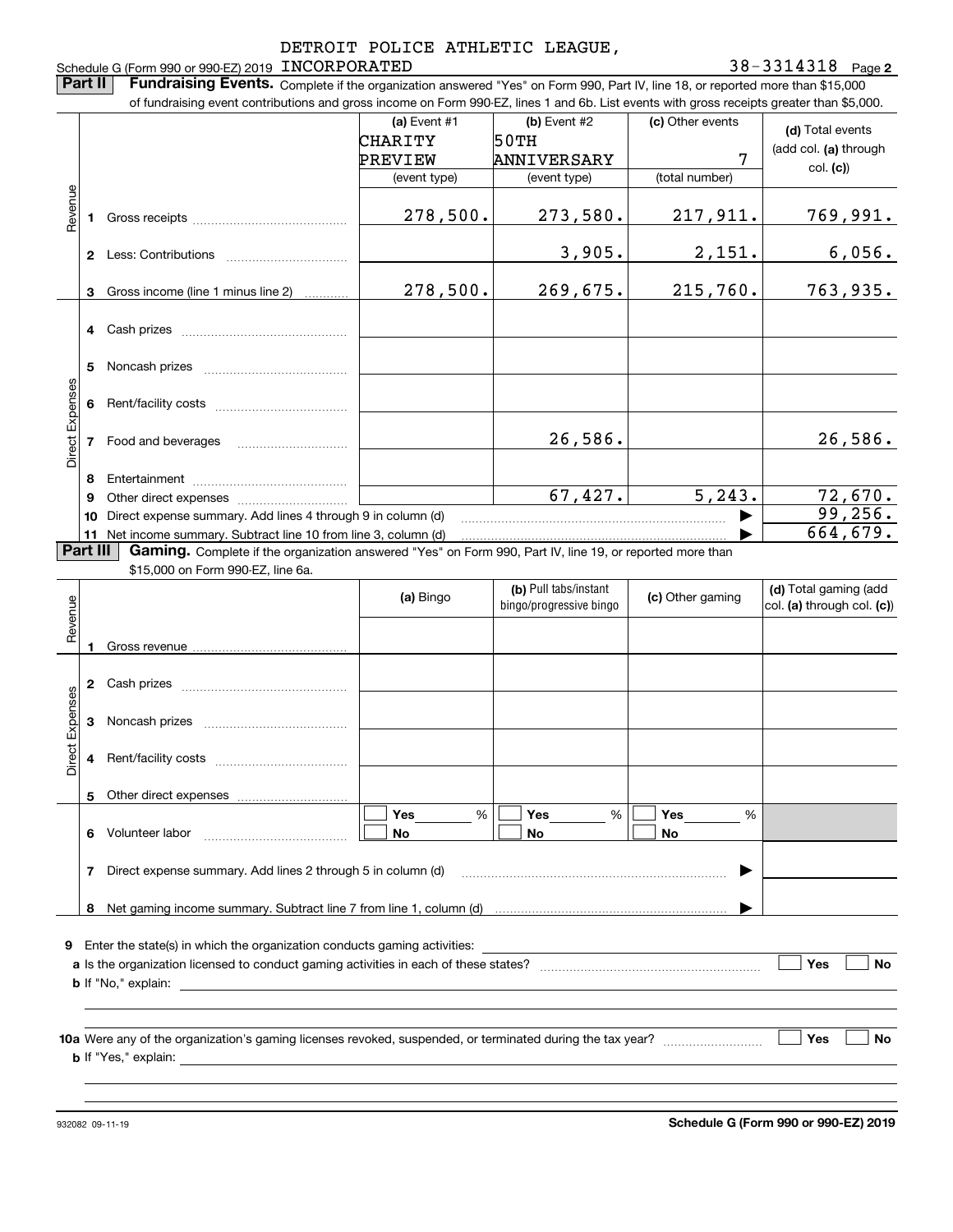#### **2** Schedule G (Form 990 or 990-EZ) 2019 Page INCORPORATED 38-3314318

**Part II** | Fundraising Events. Complete if the organization answered "Yes" on Form 990, Part IV, line 18, or reported more than \$15,000

|                 |          | of fundraising event contributions and gross income on Form 990-EZ, lines 1 and 6b. List events with gross receipts greater than \$5,000.                                                                                                |                |                         |                  |                            |
|-----------------|----------|------------------------------------------------------------------------------------------------------------------------------------------------------------------------------------------------------------------------------------------|----------------|-------------------------|------------------|----------------------------|
|                 |          |                                                                                                                                                                                                                                          | (a) Event $#1$ | (b) Event #2            | (c) Other events | (d) Total events           |
|                 |          |                                                                                                                                                                                                                                          | CHARITY        | 50TH                    |                  |                            |
|                 |          |                                                                                                                                                                                                                                          | PREVIEW        | ANNIVERSARY             | 7                | (add col. (a) through      |
|                 |          |                                                                                                                                                                                                                                          | (event type)   | (event type)            | (total number)   | col. (c)                   |
| Revenue         |          |                                                                                                                                                                                                                                          |                |                         |                  |                            |
|                 | 1.       |                                                                                                                                                                                                                                          | 278,500.       | 273,580.                | 217,911.         | 769,991.                   |
|                 |          |                                                                                                                                                                                                                                          |                |                         |                  |                            |
|                 |          | 2 Less: Contributions                                                                                                                                                                                                                    |                | 3,905.                  | 2,151.           | 6,056.                     |
|                 |          |                                                                                                                                                                                                                                          |                |                         |                  |                            |
|                 | 3        | Gross income (line 1 minus line 2)                                                                                                                                                                                                       | 278,500.       | 269,675.                | 215,760.         | 763,935.                   |
|                 |          |                                                                                                                                                                                                                                          |                |                         |                  |                            |
|                 |          |                                                                                                                                                                                                                                          |                |                         |                  |                            |
|                 |          |                                                                                                                                                                                                                                          |                |                         |                  |                            |
|                 | 5        |                                                                                                                                                                                                                                          |                |                         |                  |                            |
|                 |          |                                                                                                                                                                                                                                          |                |                         |                  |                            |
|                 |          |                                                                                                                                                                                                                                          |                |                         |                  |                            |
| Direct Expenses |          |                                                                                                                                                                                                                                          |                |                         |                  |                            |
|                 |          | 7 Food and beverages                                                                                                                                                                                                                     |                | 26,586.                 |                  | 26,586.                    |
|                 |          |                                                                                                                                                                                                                                          |                |                         |                  |                            |
|                 | 8        |                                                                                                                                                                                                                                          |                |                         |                  |                            |
|                 | 9        |                                                                                                                                                                                                                                          |                | 67,427.                 | 5, 243.          | 72,670.                    |
|                 | 10       | Direct expense summary. Add lines 4 through 9 in column (d)                                                                                                                                                                              |                |                         |                  | 99, 256.                   |
|                 |          | 11 Net income summary. Subtract line 10 from line 3, column (d)                                                                                                                                                                          |                |                         |                  | 664, 679.                  |
|                 | Part III | Gaming. Complete if the organization answered "Yes" on Form 990, Part IV, line 19, or reported more than                                                                                                                                 |                |                         |                  |                            |
|                 |          | \$15,000 on Form 990-EZ, line 6a.                                                                                                                                                                                                        |                |                         |                  |                            |
|                 |          |                                                                                                                                                                                                                                          |                | (b) Pull tabs/instant   |                  | (d) Total gaming (add      |
| Revenue         |          |                                                                                                                                                                                                                                          | (a) Bingo      | bingo/progressive bingo | (c) Other gaming | col. (a) through col. (c)) |
|                 |          |                                                                                                                                                                                                                                          |                |                         |                  |                            |
|                 |          |                                                                                                                                                                                                                                          |                |                         |                  |                            |
|                 |          |                                                                                                                                                                                                                                          |                |                         |                  |                            |
|                 |          |                                                                                                                                                                                                                                          |                |                         |                  |                            |
|                 |          |                                                                                                                                                                                                                                          |                |                         |                  |                            |
| Expenses        | 3        |                                                                                                                                                                                                                                          |                |                         |                  |                            |
|                 |          |                                                                                                                                                                                                                                          |                |                         |                  |                            |
| Direct          |          |                                                                                                                                                                                                                                          |                |                         |                  |                            |
|                 |          |                                                                                                                                                                                                                                          |                |                         |                  |                            |
|                 |          | 5 Other direct expenses                                                                                                                                                                                                                  |                |                         |                  |                            |
|                 |          |                                                                                                                                                                                                                                          | %<br>Yes       | $\%$<br>Yes             | Yes<br>%         |                            |
|                 |          |                                                                                                                                                                                                                                          |                |                         |                  |                            |
|                 |          | 6 Volunteer labor                                                                                                                                                                                                                        | No             | No                      | No               |                            |
|                 |          |                                                                                                                                                                                                                                          |                |                         |                  |                            |
|                 | 7        |                                                                                                                                                                                                                                          |                |                         |                  |                            |
|                 |          | Direct expense summary. Add lines 2 through 5 in column (d)                                                                                                                                                                              |                |                         |                  |                            |
|                 |          |                                                                                                                                                                                                                                          |                |                         |                  |                            |
|                 |          |                                                                                                                                                                                                                                          |                |                         |                  |                            |
|                 |          | <b>9</b> Enter the state(s) in which the organization conducts gaming activities:                                                                                                                                                        |                |                         |                  |                            |
|                 |          |                                                                                                                                                                                                                                          |                |                         |                  | No                         |
|                 |          |                                                                                                                                                                                                                                          |                |                         |                  | Yes                        |
|                 |          | <b>b</b> If "No," explain: <u>example</u> and the set of the set of the set of the set of the set of the set of the set of the set of the set of the set of the set of the set of the set of the set of the set of the set of the set of |                |                         |                  |                            |
|                 |          |                                                                                                                                                                                                                                          |                |                         |                  |                            |
|                 |          |                                                                                                                                                                                                                                          |                |                         |                  | Yes<br>No                  |
|                 |          |                                                                                                                                                                                                                                          |                |                         |                  |                            |
|                 |          |                                                                                                                                                                                                                                          |                |                         |                  |                            |

**Schedule G (Form 990 or 990-EZ) 2019**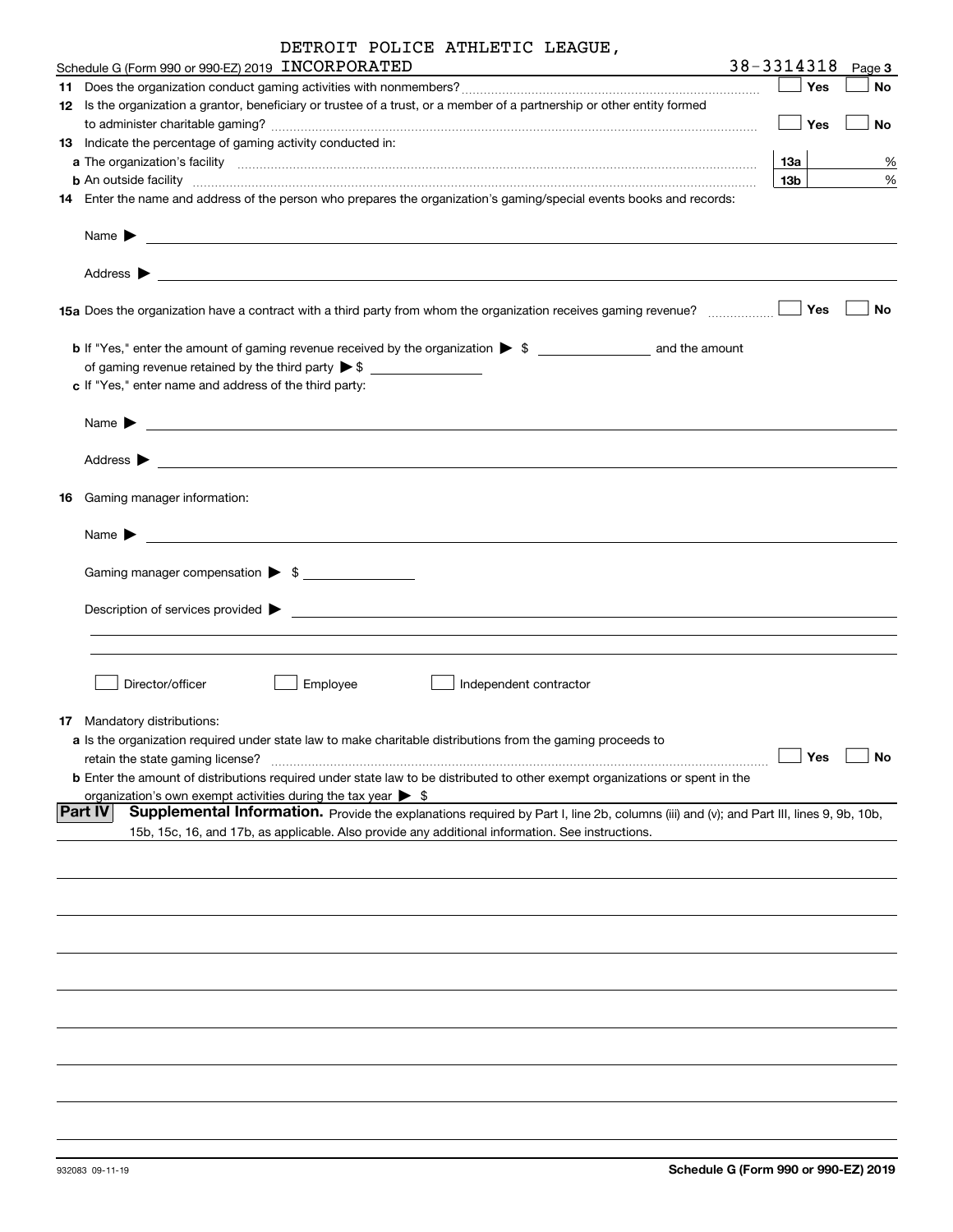| DETROIT POLICE ATHLETIC LEAGUE, |  |  |  |  |
|---------------------------------|--|--|--|--|
|---------------------------------|--|--|--|--|

| Schedule G (Form 990 or 990-EZ) 2019 INCORPORATED                                                                                                                                                                                         | 38-3314318      |     | Page 3               |
|-------------------------------------------------------------------------------------------------------------------------------------------------------------------------------------------------------------------------------------------|-----------------|-----|----------------------|
|                                                                                                                                                                                                                                           |                 | Yes | No                   |
| 12 Is the organization a grantor, beneficiary or trustee of a trust, or a member of a partnership or other entity formed                                                                                                                  |                 |     |                      |
|                                                                                                                                                                                                                                           |                 | Yes | No                   |
| <b>13</b> Indicate the percentage of gaming activity conducted in:                                                                                                                                                                        |                 |     |                      |
|                                                                                                                                                                                                                                           | 13а             |     | %                    |
| <b>b</b> An outside facility <b>contained and the contract of the contract of the contract of the contract of the contract of the contract of the contract of the contract of the contract of the contract of the contract of the con</b> | 13 <sub>b</sub> |     | %                    |
| 14 Enter the name and address of the person who prepares the organization's gaming/special events books and records:                                                                                                                      |                 |     |                      |
| Name $\triangleright$ $\square$                                                                                                                                                                                                           |                 |     |                      |
| 15a Does the organization have a contract with a third party from whom the organization receives gaming revenue?                                                                                                                          |                 | Yes | No                   |
|                                                                                                                                                                                                                                           |                 |     |                      |
|                                                                                                                                                                                                                                           |                 |     |                      |
|                                                                                                                                                                                                                                           |                 |     |                      |
| c If "Yes," enter name and address of the third party:                                                                                                                                                                                    |                 |     |                      |
| Name $\blacktriangleright$                                                                                                                                                                                                                |                 |     |                      |
|                                                                                                                                                                                                                                           |                 |     |                      |
| <b>16</b> Gaming manager information:                                                                                                                                                                                                     |                 |     |                      |
| Name $\blacktriangleright$<br><u> 2008 - Andrea State Barbara, amerikan personal di sebagai personal di sebagai personal di sebagai personal di</u>                                                                                       |                 |     |                      |
| Gaming manager compensation > \$                                                                                                                                                                                                          |                 |     |                      |
| Description of services provided $\blacktriangleright$ $\lrcorner$ $\lrcorner$                                                                                                                                                            |                 |     |                      |
|                                                                                                                                                                                                                                           |                 |     |                      |
| Director/officer<br>Employee<br>Independent contractor                                                                                                                                                                                    |                 |     |                      |
| <b>17</b> Mandatory distributions:                                                                                                                                                                                                        |                 |     |                      |
| <b>a</b> Is the organization required under state law to make charitable distributions from the gaming proceeds to                                                                                                                        |                 |     |                      |
| retain the state gaming license?                                                                                                                                                                                                          |                 |     | $\Box$ Yes $\Box$ No |
| <b>b</b> Enter the amount of distributions required under state law to be distributed to other exempt organizations or spent in the                                                                                                       |                 |     |                      |
| organization's own exempt activities during the tax year $\triangleright$ \$                                                                                                                                                              |                 |     |                      |
| <b>Part IV</b><br>Supplemental Information. Provide the explanations required by Part I, line 2b, columns (iii) and (v); and Part III, lines 9, 9b, 10b,                                                                                  |                 |     |                      |
| 15b, 15c, 16, and 17b, as applicable. Also provide any additional information. See instructions.                                                                                                                                          |                 |     |                      |
|                                                                                                                                                                                                                                           |                 |     |                      |
|                                                                                                                                                                                                                                           |                 |     |                      |
|                                                                                                                                                                                                                                           |                 |     |                      |
|                                                                                                                                                                                                                                           |                 |     |                      |
|                                                                                                                                                                                                                                           |                 |     |                      |
|                                                                                                                                                                                                                                           |                 |     |                      |
|                                                                                                                                                                                                                                           |                 |     |                      |
|                                                                                                                                                                                                                                           |                 |     |                      |
|                                                                                                                                                                                                                                           |                 |     |                      |
|                                                                                                                                                                                                                                           |                 |     |                      |
|                                                                                                                                                                                                                                           |                 |     |                      |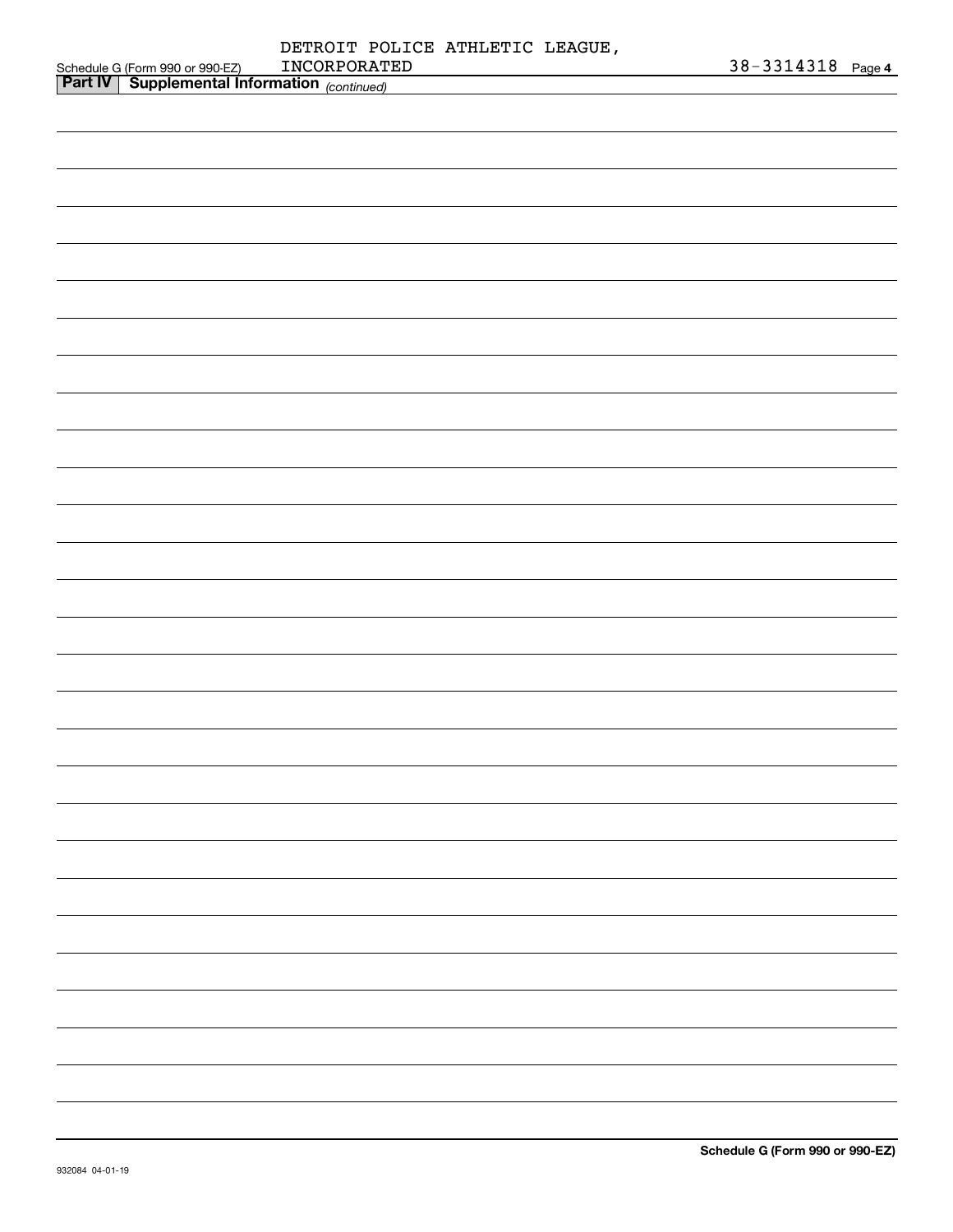|        | DETROIT POLICE ATHLETIC LEAGUE. |                       |  |
|--------|---------------------------------|-----------------------|--|
| 90-EZ) | INCORPORATED                    | $38 - 3314318$ Page 4 |  |
| ____   |                                 |                       |  |

|                                                                                                   | INCORPORATED | 38-3314318 Page 4 |  |
|---------------------------------------------------------------------------------------------------|--------------|-------------------|--|
| Schedule G (Form 990 or 990-EZ) INCORPORAT<br><b>Part IV</b> Supplemental Information (continued) |              |                   |  |
|                                                                                                   |              |                   |  |
|                                                                                                   |              |                   |  |
|                                                                                                   |              |                   |  |
|                                                                                                   |              |                   |  |
|                                                                                                   |              |                   |  |
|                                                                                                   |              |                   |  |
|                                                                                                   |              |                   |  |
|                                                                                                   |              |                   |  |
|                                                                                                   |              |                   |  |
|                                                                                                   |              |                   |  |
|                                                                                                   |              |                   |  |
|                                                                                                   |              |                   |  |
|                                                                                                   |              |                   |  |
|                                                                                                   |              |                   |  |
|                                                                                                   |              |                   |  |
|                                                                                                   |              |                   |  |
|                                                                                                   |              |                   |  |
|                                                                                                   |              |                   |  |
|                                                                                                   |              |                   |  |
|                                                                                                   |              |                   |  |
|                                                                                                   |              |                   |  |
|                                                                                                   |              |                   |  |
|                                                                                                   |              |                   |  |
|                                                                                                   |              |                   |  |
|                                                                                                   |              |                   |  |
|                                                                                                   |              |                   |  |
|                                                                                                   |              |                   |  |
|                                                                                                   |              |                   |  |
|                                                                                                   |              |                   |  |
|                                                                                                   |              |                   |  |
|                                                                                                   |              |                   |  |
|                                                                                                   |              |                   |  |
|                                                                                                   |              |                   |  |
|                                                                                                   |              |                   |  |
|                                                                                                   |              |                   |  |
|                                                                                                   |              |                   |  |
|                                                                                                   |              |                   |  |
|                                                                                                   |              |                   |  |
|                                                                                                   |              |                   |  |
|                                                                                                   |              |                   |  |
|                                                                                                   |              |                   |  |
|                                                                                                   |              |                   |  |
|                                                                                                   |              |                   |  |
|                                                                                                   |              |                   |  |
|                                                                                                   |              |                   |  |
|                                                                                                   |              |                   |  |
|                                                                                                   |              |                   |  |
|                                                                                                   |              |                   |  |
|                                                                                                   |              |                   |  |
|                                                                                                   |              |                   |  |
|                                                                                                   |              |                   |  |
|                                                                                                   |              |                   |  |
|                                                                                                   |              |                   |  |
|                                                                                                   |              |                   |  |
|                                                                                                   |              |                   |  |
|                                                                                                   |              |                   |  |
|                                                                                                   |              |                   |  |
|                                                                                                   |              |                   |  |
|                                                                                                   |              |                   |  |
|                                                                                                   |              |                   |  |
|                                                                                                   |              |                   |  |
|                                                                                                   |              |                   |  |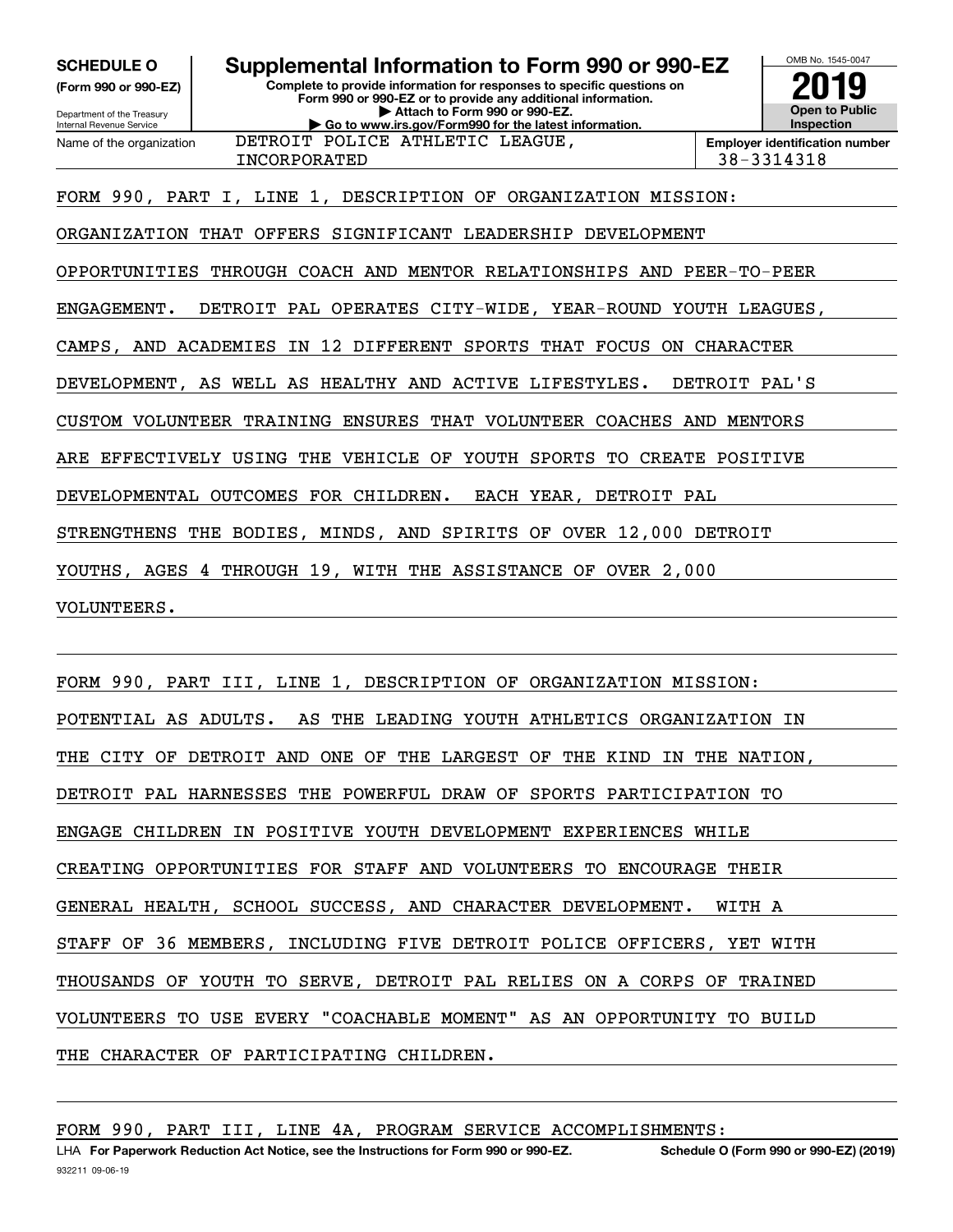**(Form 990 or 990-EZ)**

Department of the Treasury Internal Revenue Service Name of the organization

## **Complete to provide information for responses to specific questions on SCHEDULE O Supplemental Information to Form 990 or 990-EZ**

**Form 990 or 990-EZ or to provide any additional information. | Attach to Form 990 or 990-EZ. | Go to www.irs.gov/Form990 for the latest information.** DETROIT POLICE ATHLETIC LEAGUE,



INCORPORATED 38-3314318

FORM 990, PART I, LINE 1, DESCRIPTION OF ORGANIZATION MISSION:

ORGANIZATION THAT OFFERS SIGNIFICANT LEADERSHIP DEVELOPMENT

OPPORTUNITIES THROUGH COACH AND MENTOR RELATIONSHIPS AND PEER-TO-PEER

ENGAGEMENT. DETROIT PAL OPERATES CITY-WIDE, YEAR-ROUND YOUTH LEAGUES,

CAMPS, AND ACADEMIES IN 12 DIFFERENT SPORTS THAT FOCUS ON CHARACTER

DEVELOPMENT, AS WELL AS HEALTHY AND ACTIVE LIFESTYLES. DETROIT PAL'S

CUSTOM VOLUNTEER TRAINING ENSURES THAT VOLUNTEER COACHES AND MENTORS

ARE EFFECTIVELY USING THE VEHICLE OF YOUTH SPORTS TO CREATE POSITIVE

DEVELOPMENTAL OUTCOMES FOR CHILDREN. EACH YEAR, DETROIT PAL

STRENGTHENS THE BODIES, MINDS, AND SPIRITS OF OVER 12,000 DETROIT

YOUTHS, AGES 4 THROUGH 19, WITH THE ASSISTANCE OF OVER 2,000

VOLUNTEERS.

FORM 990, PART III, LINE 1, DESCRIPTION OF ORGANIZATION MISSION: POTENTIAL AS ADULTS. AS THE LEADING YOUTH ATHLETICS ORGANIZATION IN THE CITY OF DETROIT AND ONE OF THE LARGEST OF THE KIND IN THE NATION, DETROIT PAL HARNESSES THE POWERFUL DRAW OF SPORTS PARTICIPATION TO ENGAGE CHILDREN IN POSITIVE YOUTH DEVELOPMENT EXPERIENCES WHILE CREATING OPPORTUNITIES FOR STAFF AND VOLUNTEERS TO ENCOURAGE THEIR GENERAL HEALTH, SCHOOL SUCCESS, AND CHARACTER DEVELOPMENT. WITH A STAFF OF 36 MEMBERS, INCLUDING FIVE DETROIT POLICE OFFICERS, YET WITH THOUSANDS OF YOUTH TO SERVE, DETROIT PAL RELIES ON A CORPS OF TRAINED VOLUNTEERS TO USE EVERY "COACHABLE MOMENT" AS AN OPPORTUNITY TO BUILD THE CHARACTER OF PARTICIPATING CHILDREN.

FORM 990, PART III, LINE 4A, PROGRAM SERVICE ACCOMPLISHMENTS: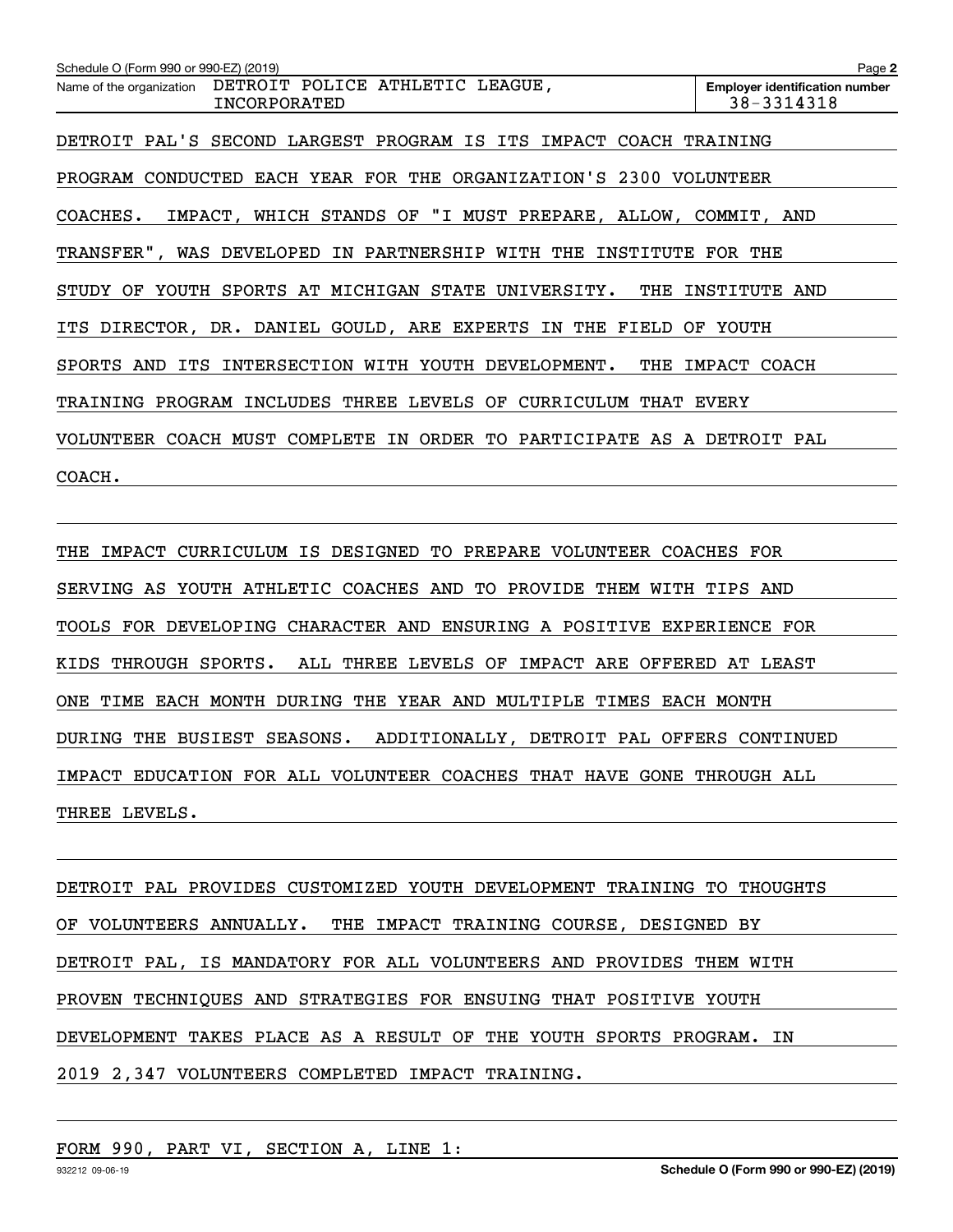**2Employer identification number** Schedule O (Form 990 or 990-EZ) (2019) Page Name of the organization DETROIT POLICE ATHLETIC LEAGUE, DETROIT PAL'S SECOND LARGEST PROGRAM IS ITS IMPACT COACH TRAINING PROGRAM CONDUCTED EACH YEAR FOR THE ORGANIZATION'S 2300 VOLUNTEER COACHES. IMPACT, WHICH STANDS OF "I MUST PREPARE, ALLOW, COMMIT, AND TRANSFER", WAS DEVELOPED IN PARTNERSHIP WITH THE INSTITUTE FOR THE STUDY OF YOUTH SPORTS AT MICHIGAN STATE UNIVERSITY. THE INSTITUTE AND ITS DIRECTOR, DR. DANIEL GOULD, ARE EXPERTS IN THE FIELD OF YOUTH SPORTS AND ITS INTERSECTION WITH YOUTH DEVELOPMENT. THE IMPACT COACH TRAINING PROGRAM INCLUDES THREE LEVELS OF CURRICULUM THAT EVERY VOLUNTEER COACH MUST COMPLETE IN ORDER TO PARTICIPATE AS A DETROIT PAL COACH. INCORPORATED 38-3314318

THE IMPACT CURRICULUM IS DESIGNED TO PREPARE VOLUNTEER COACHES FOR SERVING AS YOUTH ATHLETIC COACHES AND TO PROVIDE THEM WITH TIPS AND TOOLS FOR DEVELOPING CHARACTER AND ENSURING A POSITIVE EXPERIENCE FOR KIDS THROUGH SPORTS. ALL THREE LEVELS OF IMPACT ARE OFFERED AT LEAST ONE TIME EACH MONTH DURING THE YEAR AND MULTIPLE TIMES EACH MONTH DURING THE BUSIEST SEASONS. ADDITIONALLY, DETROIT PAL OFFERS CONTINUED IMPACT EDUCATION FOR ALL VOLUNTEER COACHES THAT HAVE GONE THROUGH ALL THREE LEVELS.

DETROIT PAL PROVIDES CUSTOMIZED YOUTH DEVELOPMENT TRAINING TO THOUGHTS OF VOLUNTEERS ANNUALLY. THE IMPACT TRAINING COURSE, DESIGNED BY DETROIT PAL, IS MANDATORY FOR ALL VOLUNTEERS AND PROVIDES THEM WITH PROVEN TECHNIQUES AND STRATEGIES FOR ENSUING THAT POSITIVE YOUTH DEVELOPMENT TAKES PLACE AS A RESULT OF THE YOUTH SPORTS PROGRAM. IN 2019 2,347 VOLUNTEERS COMPLETED IMPACT TRAINING.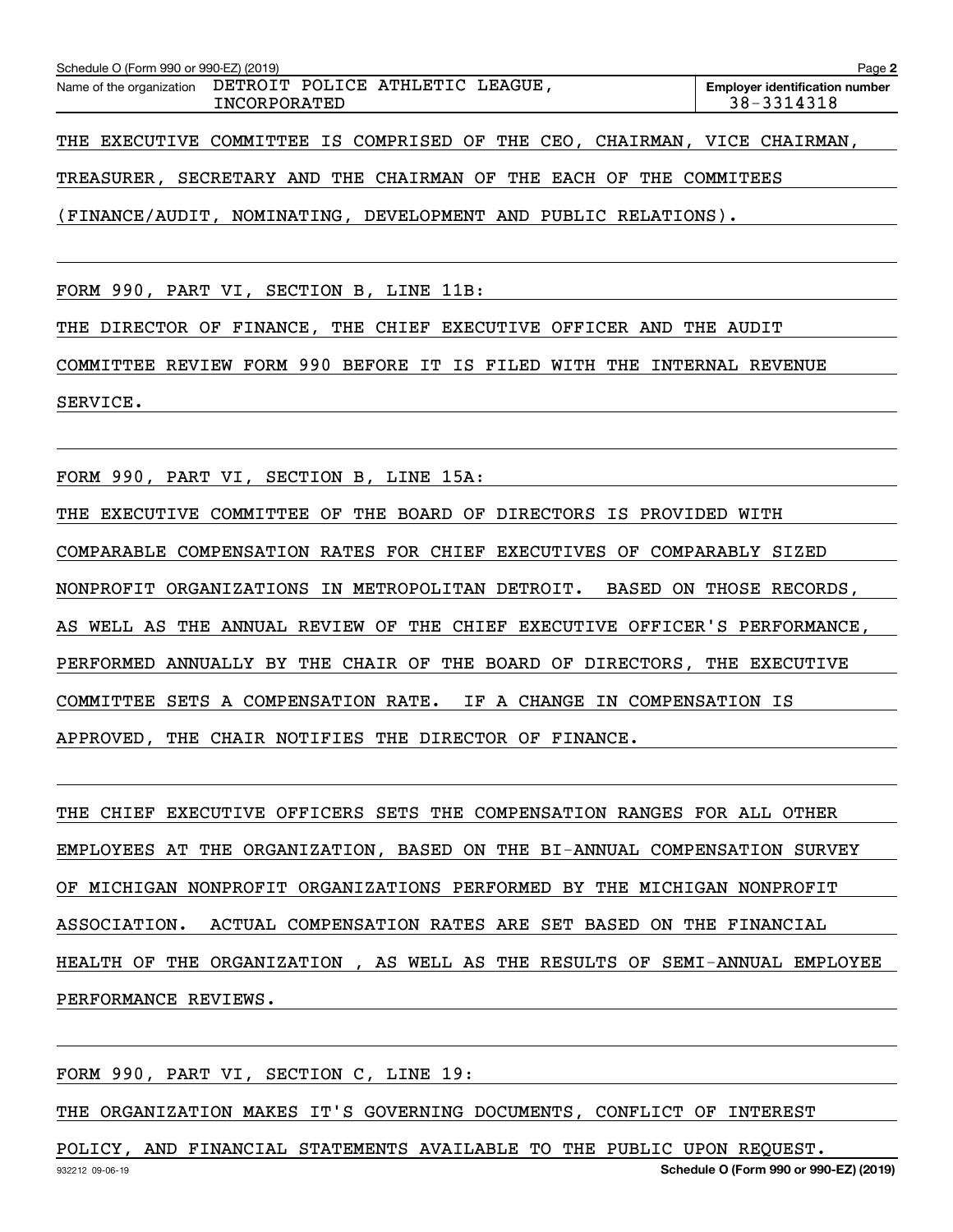| Schedule O (Form 990 or 990-EZ) (2019) |                                                                           | Page 2                                              |
|----------------------------------------|---------------------------------------------------------------------------|-----------------------------------------------------|
|                                        | Name of the organization DETROIT POLICE ATHLETIC LEAGUE,<br>INCORPORATED  | <b>Employer identification number</b><br>38-3314318 |
|                                        | THE EXECUTIVE COMMITTEE IS COMPRISED OF THE CEO, CHAIRMAN, VICE CHAIRMAN, |                                                     |
|                                        | TREASURER, SECRETARY AND THE CHAIRMAN OF THE EACH OF THE COMMITEES        |                                                     |

(FINANCE/AUDIT, NOMINATING, DEVELOPMENT AND PUBLIC RELATIONS).

FORM 990, PART VI, SECTION B, LINE 11B:

THE DIRECTOR OF FINANCE, THE CHIEF EXECUTIVE OFFICER AND THE AUDIT

COMMITTEE REVIEW FORM 990 BEFORE IT IS FILED WITH THE INTERNAL REVENUE

SERVICE.

FORM 990, PART VI, SECTION B, LINE 15A:

THE EXECUTIVE COMMITTEE OF THE BOARD OF DIRECTORS IS PROVIDED WITH COMPARABLE COMPENSATION RATES FOR CHIEF EXECUTIVES OF COMPARABLY SIZED NONPROFIT ORGANIZATIONS IN METROPOLITAN DETROIT. BASED ON THOSE RECORDS, AS WELL AS THE ANNUAL REVIEW OF THE CHIEF EXECUTIVE OFFICER'S PERFORMANCE, PERFORMED ANNUALLY BY THE CHAIR OF THE BOARD OF DIRECTORS, THE EXECUTIVE COMMITTEE SETS A COMPENSATION RATE. IF A CHANGE IN COMPENSATION IS APPROVED, THE CHAIR NOTIFIES THE DIRECTOR OF FINANCE.

THE CHIEF EXECUTIVE OFFICERS SETS THE COMPENSATION RANGES FOR ALL OTHER EMPLOYEES AT THE ORGANIZATION, BASED ON THE BI-ANNUAL COMPENSATION SURVEY OF MICHIGAN NONPROFIT ORGANIZATIONS PERFORMED BY THE MICHIGAN NONPROFIT ASSOCIATION. ACTUAL COMPENSATION RATES ARE SET BASED ON THE FINANCIAL HEALTH OF THE ORGANIZATION , AS WELL AS THE RESULTS OF SEMI-ANNUAL EMPLOYEE PERFORMANCE REVIEWS.

FORM 990, PART VI, SECTION C, LINE 19:

THE ORGANIZATION MAKES IT'S GOVERNING DOCUMENTS, CONFLICT OF INTEREST

932212 09-06-19 **Schedule O (Form 990 or 990-EZ) (2019)** POLICY, AND FINANCIAL STATEMENTS AVAILABLE TO THE PUBLIC UPON REQUEST.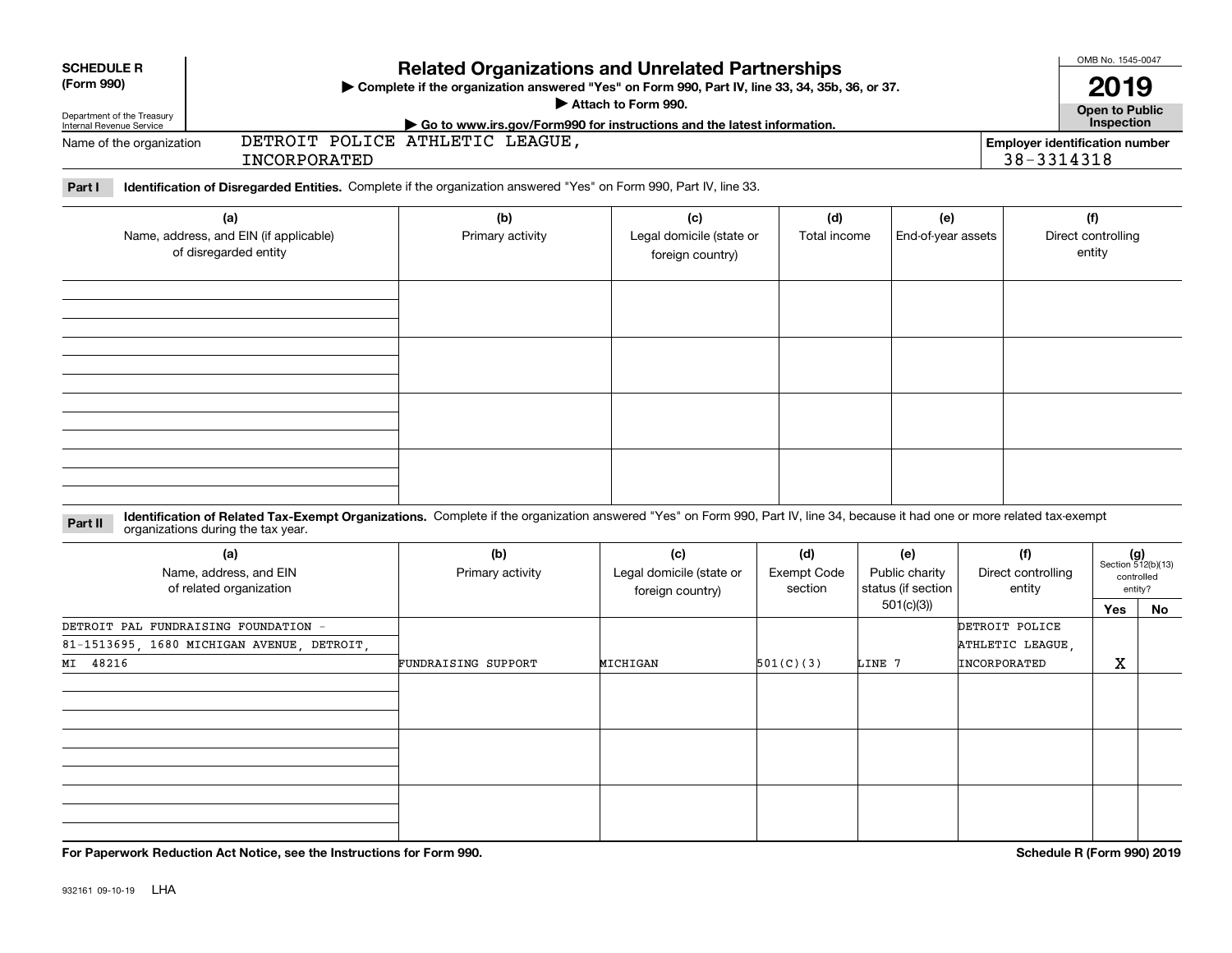| <b>SCHEDULE R</b><br>(Form 990)<br>Department of the Treasury<br>Internal Revenue Service |                                                                                                                                                                                                                    | <b>Related Organizations and Unrelated Partnerships</b><br>Complete if the organization answered "Yes" on Form 990, Part IV, line 33, 34, 35b, 36, or 37.<br>Attach to Form 990.<br>Go to www.irs.gov/Form990 for instructions and the latest information. |                                                     | OMB No. 1545-0047<br>2019<br>Open to Public<br>Inspection |                                                          |                                                     |                                     |                                                            |
|-------------------------------------------------------------------------------------------|--------------------------------------------------------------------------------------------------------------------------------------------------------------------------------------------------------------------|------------------------------------------------------------------------------------------------------------------------------------------------------------------------------------------------------------------------------------------------------------|-----------------------------------------------------|-----------------------------------------------------------|----------------------------------------------------------|-----------------------------------------------------|-------------------------------------|------------------------------------------------------------|
| Name of the organization                                                                  | INCORPORATED                                                                                                                                                                                                       | DETROIT POLICE ATHLETIC LEAGUE,                                                                                                                                                                                                                            |                                                     |                                                           |                                                          | <b>Employer identification number</b><br>38-3314318 |                                     |                                                            |
| Part I                                                                                    | Identification of Disregarded Entities. Complete if the organization answered "Yes" on Form 990, Part IV, line 33.                                                                                                 |                                                                                                                                                                                                                                                            |                                                     |                                                           |                                                          |                                                     |                                     |                                                            |
|                                                                                           | (a)<br>Name, address, and EIN (if applicable)<br>of disregarded entity                                                                                                                                             | (b)<br>Primary activity                                                                                                                                                                                                                                    | (c)<br>Legal domicile (state or<br>foreign country) | (d)<br>Total income                                       | (e)<br>End-of-year assets                                |                                                     | (f)<br>Direct controlling<br>entity |                                                            |
|                                                                                           |                                                                                                                                                                                                                    |                                                                                                                                                                                                                                                            |                                                     |                                                           |                                                          |                                                     |                                     |                                                            |
|                                                                                           |                                                                                                                                                                                                                    |                                                                                                                                                                                                                                                            |                                                     |                                                           |                                                          |                                                     |                                     |                                                            |
| Part II                                                                                   | Identification of Related Tax-Exempt Organizations. Complete if the organization answered "Yes" on Form 990, Part IV, line 34, because it had one or more related tax-exempt<br>organizations during the tax year. |                                                                                                                                                                                                                                                            |                                                     |                                                           |                                                          |                                                     |                                     |                                                            |
|                                                                                           | (a)<br>Name, address, and EIN<br>of related organization                                                                                                                                                           | (b)<br>Primary activity                                                                                                                                                                                                                                    | (c)<br>Legal domicile (state or<br>foreign country) | (d)<br><b>Exempt Code</b><br>section                      | (e)<br>Public charity<br>status (if section<br>501(c)(3) | (f)<br>Direct controlling<br>entity                 | Yes                                 | $(g)$<br>Section 512(b)(13)<br>controlled<br>entity?<br>No |
| MI 48216                                                                                  | DETROIT PAL FUNDRAISING FOUNDATION -<br>81-1513695, 1680 MICHIGAN AVENUE, DETROIT,                                                                                                                                 | FUNDRAISING SUPPORT                                                                                                                                                                                                                                        | MICHIGAN                                            | 501(C)(3)                                                 | LINE 7                                                   | DETROIT POLICE<br>ATHLETIC LEAGUE,<br>INCORPORATED  | x                                   |                                                            |
|                                                                                           |                                                                                                                                                                                                                    |                                                                                                                                                                                                                                                            |                                                     |                                                           |                                                          |                                                     |                                     |                                                            |
|                                                                                           |                                                                                                                                                                                                                    |                                                                                                                                                                                                                                                            |                                                     |                                                           |                                                          |                                                     |                                     |                                                            |
|                                                                                           |                                                                                                                                                                                                                    |                                                                                                                                                                                                                                                            |                                                     |                                                           |                                                          |                                                     |                                     |                                                            |

**For Paperwork Reduction Act Notice, see the Instructions for Form 990. Schedule R (Form 990) 2019**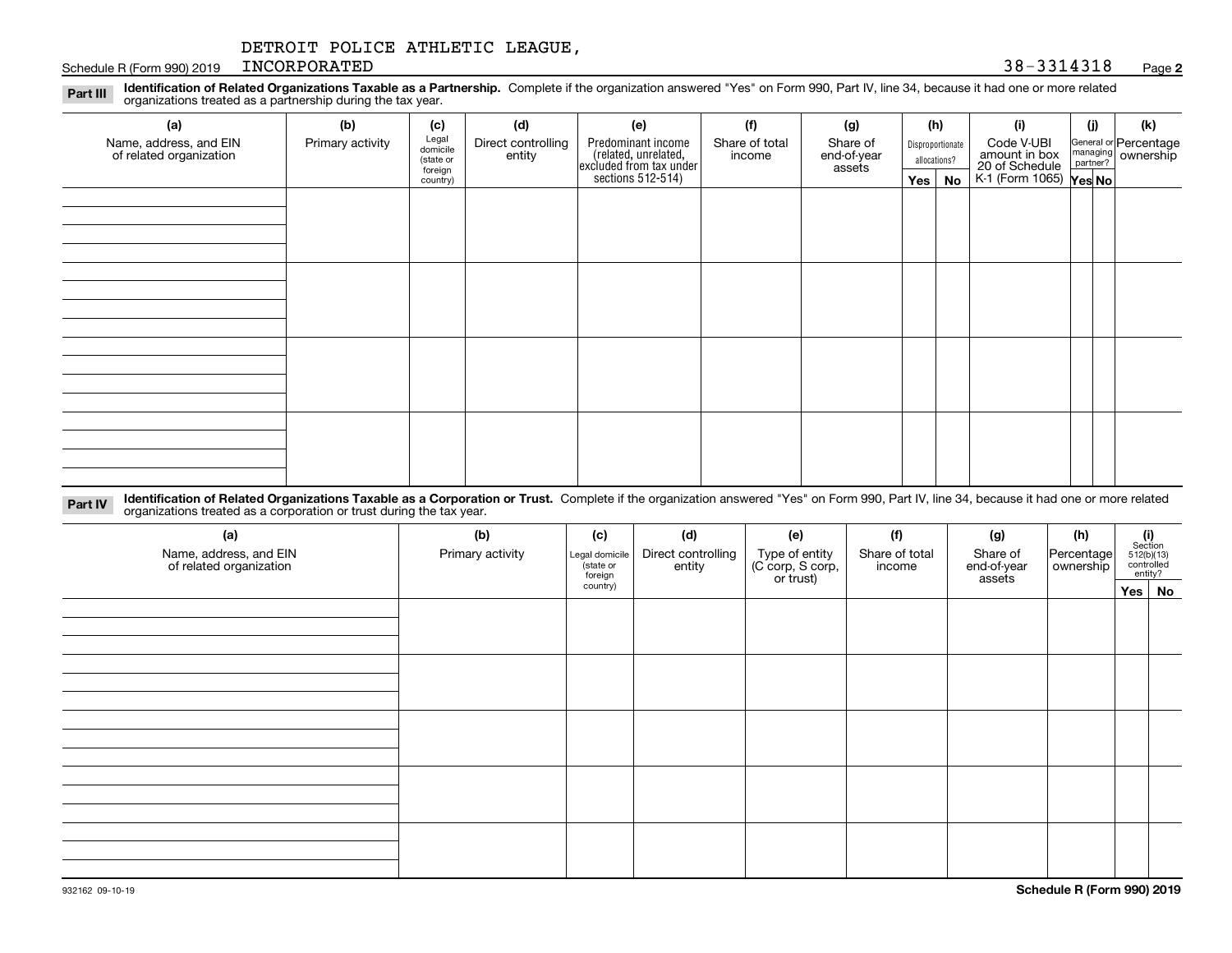Schedule R (Form 990) 2019 RNCORPORATED 38 - 3314318 INCORPORATED 38-3314318

#### **2**

**Identification of Related Organizations Taxable as a Partnership.** Complete if the organization answered "Yes" on Form 990, Part IV, line 34, because it had one or more related **Part III** organizations treated as a partnership during the tax year.

| (a)                                               | (b)              | (c)                                       | (d)                          | (e)                                                                                       | (f)                      | (g)                               |                                  | (h) | (i)                                                                     | (i) | (k)                                                     |  |  |
|---------------------------------------------------|------------------|-------------------------------------------|------------------------------|-------------------------------------------------------------------------------------------|--------------------------|-----------------------------------|----------------------------------|-----|-------------------------------------------------------------------------|-----|---------------------------------------------------------|--|--|
| Name, address, and EIN<br>of related organization | Primary activity | Legal<br>domicile<br>(state or<br>foreign | Direct controlling<br>entity | Predominant income<br>related, unrelated,<br>excluded from tax under<br>sections 512-514) | Share of total<br>income | Share of<br>end-of-year<br>assets | Disproportionate<br>allocations? |     | Code V-UBI<br>amount in box<br>20 of Schedule<br>K-1 (Form 1065) Yes No |     | General or Percentage<br>managing ownership<br>partner? |  |  |
|                                                   |                  | country)                                  |                              |                                                                                           |                          |                                   | $Yes \mid$                       | No  |                                                                         |     |                                                         |  |  |
|                                                   |                  |                                           |                              |                                                                                           |                          |                                   |                                  |     |                                                                         |     |                                                         |  |  |
|                                                   |                  |                                           |                              |                                                                                           |                          |                                   |                                  |     |                                                                         |     |                                                         |  |  |
|                                                   |                  |                                           |                              |                                                                                           |                          |                                   |                                  |     |                                                                         |     |                                                         |  |  |
|                                                   |                  |                                           |                              |                                                                                           |                          |                                   |                                  |     |                                                                         |     |                                                         |  |  |
|                                                   |                  |                                           |                              |                                                                                           |                          |                                   |                                  |     |                                                                         |     |                                                         |  |  |
|                                                   |                  |                                           |                              |                                                                                           |                          |                                   |                                  |     |                                                                         |     |                                                         |  |  |
|                                                   |                  |                                           |                              |                                                                                           |                          |                                   |                                  |     |                                                                         |     |                                                         |  |  |
|                                                   |                  |                                           |                              |                                                                                           |                          |                                   |                                  |     |                                                                         |     |                                                         |  |  |
|                                                   |                  |                                           |                              |                                                                                           |                          |                                   |                                  |     |                                                                         |     |                                                         |  |  |
|                                                   |                  |                                           |                              |                                                                                           |                          |                                   |                                  |     |                                                                         |     |                                                         |  |  |
|                                                   |                  |                                           |                              |                                                                                           |                          |                                   |                                  |     |                                                                         |     |                                                         |  |  |
|                                                   |                  |                                           |                              |                                                                                           |                          |                                   |                                  |     |                                                                         |     |                                                         |  |  |
|                                                   |                  |                                           |                              |                                                                                           |                          |                                   |                                  |     |                                                                         |     |                                                         |  |  |
|                                                   |                  |                                           |                              |                                                                                           |                          |                                   |                                  |     |                                                                         |     |                                                         |  |  |
|                                                   |                  |                                           |                              |                                                                                           |                          |                                   |                                  |     |                                                                         |     |                                                         |  |  |
|                                                   |                  |                                           |                              |                                                                                           |                          |                                   |                                  |     |                                                                         |     |                                                         |  |  |
|                                                   |                  |                                           |                              |                                                                                           |                          |                                   |                                  |     |                                                                         |     |                                                         |  |  |

**Identification of Related Organizations Taxable as a Corporation or Trust.** Complete if the organization answered "Yes" on Form 990, Part IV, line 34, because it had one or more related **Part IV** organizations treated as a corporation or trust during the tax year.

| (a)<br>Name, address, and EIN<br>of related organization | (b)<br>Primary activity | (c)<br>Legal domicile<br>(state or<br>foreign | (d)<br>Direct controlling<br>entity | (e)<br>Type of entity<br>(C corp, S corp,<br>or trust) | (f)<br>Share of total<br>income | (g)<br>Share of<br>end-of-year<br>assets | (h)<br>Percentage<br>ownership | $\begin{array}{c} \textbf{(i)}\\ \text{Section}\\ 512 \text{(b)} \text{(13)}\\ \text{controlled} \\ \text{entity?} \end{array}$ |
|----------------------------------------------------------|-------------------------|-----------------------------------------------|-------------------------------------|--------------------------------------------------------|---------------------------------|------------------------------------------|--------------------------------|---------------------------------------------------------------------------------------------------------------------------------|
|                                                          |                         | country)                                      |                                     |                                                        |                                 |                                          |                                | Yes   No                                                                                                                        |
|                                                          |                         |                                               |                                     |                                                        |                                 |                                          |                                |                                                                                                                                 |
|                                                          |                         |                                               |                                     |                                                        |                                 |                                          |                                |                                                                                                                                 |
|                                                          |                         |                                               |                                     |                                                        |                                 |                                          |                                |                                                                                                                                 |
|                                                          |                         |                                               |                                     |                                                        |                                 |                                          |                                |                                                                                                                                 |
|                                                          |                         |                                               |                                     |                                                        |                                 |                                          |                                |                                                                                                                                 |
|                                                          |                         |                                               |                                     |                                                        |                                 |                                          |                                |                                                                                                                                 |
|                                                          |                         |                                               |                                     |                                                        |                                 |                                          |                                |                                                                                                                                 |
|                                                          |                         |                                               |                                     |                                                        |                                 |                                          |                                |                                                                                                                                 |
|                                                          |                         |                                               |                                     |                                                        |                                 |                                          |                                |                                                                                                                                 |
|                                                          |                         |                                               |                                     |                                                        |                                 |                                          |                                |                                                                                                                                 |
|                                                          |                         |                                               |                                     |                                                        |                                 |                                          |                                |                                                                                                                                 |
|                                                          |                         |                                               |                                     |                                                        |                                 |                                          |                                |                                                                                                                                 |
|                                                          |                         |                                               |                                     |                                                        |                                 |                                          |                                |                                                                                                                                 |
|                                                          |                         |                                               |                                     |                                                        |                                 |                                          |                                |                                                                                                                                 |
|                                                          |                         |                                               |                                     |                                                        |                                 |                                          |                                |                                                                                                                                 |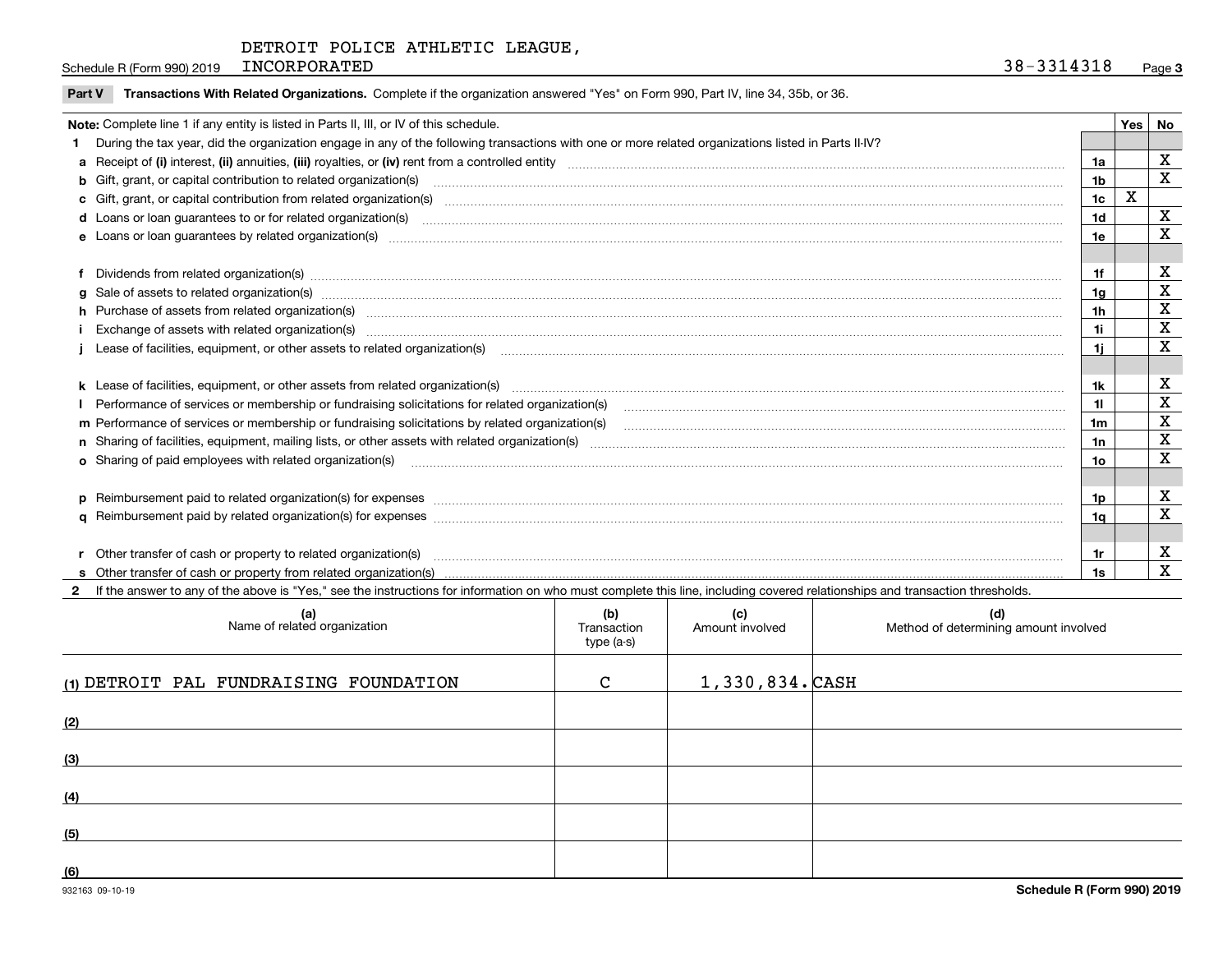Schedule R (Form 990) 2019 INCORPORATED 38 - 3314318 INCORPORATED 38-3314318

| Note: Complete line 1 if any entity is listed in Parts II, III, or IV of this schedule.                                                                                                                                        |     | Yes | No          |
|--------------------------------------------------------------------------------------------------------------------------------------------------------------------------------------------------------------------------------|-----|-----|-------------|
| During the tax year, did the organization engage in any of the following transactions with one or more related organizations listed in Parts II-IV?                                                                            |     |     |             |
|                                                                                                                                                                                                                                | 1a  |     | X           |
| <b>b</b> Gift, grant, or capital contribution to related organization(s)                                                                                                                                                       | 1b  |     | X           |
| c Gift, grant, or capital contribution from related organization(s)                                                                                                                                                            | 1c  | X   |             |
| d Loans or loan guarantees to or for related organization(s) committion contracts are constructed as a contract or contract or contract or contract or contract or contract or contract or contract or contract or contract or | 1d  |     | X           |
| e Loans or loan quarantees by related organization(s)                                                                                                                                                                          | 1e  |     | x           |
|                                                                                                                                                                                                                                |     |     |             |
| f Dividends from related organization(s) manufactured contains and contained a series of the contact of the contact of the contact of the contact of the contact of the contact of the contact of the contact of the contact o | 1f  |     | x           |
| g Sale of assets to related organization(s) www.assettion.com/www.assettion.com/www.assettion.com/www.assettion.com/www.assettion.com/www.assettion.com/www.assettion.com/www.assettion.com/www.assettion.com/www.assettion.co | 1g  |     | х           |
| h Purchase of assets from related organization(s) manufactured and content and content and content and content and content and content and content and content and content and content and content and content and content and | 1h  |     | х           |
|                                                                                                                                                                                                                                | 1i  |     | х           |
|                                                                                                                                                                                                                                | 1i. |     | $\mathbf X$ |
|                                                                                                                                                                                                                                |     |     |             |
|                                                                                                                                                                                                                                | 1k  |     | х           |
| Performance of services or membership or fundraising solicitations for related organization(s)                                                                                                                                 | 11  |     | X           |
| m Performance of services or membership or fundraising solicitations by related organization(s)                                                                                                                                | 1m  |     | х           |
|                                                                                                                                                                                                                                | 1n  |     | $\mathbf X$ |
| o Sharing of paid employees with related organization(s) manufactured content to the content of the content of the content of the content of the content of the content of the content of the content of the content of the co | 10  |     | x           |
|                                                                                                                                                                                                                                |     |     |             |
|                                                                                                                                                                                                                                | 1p. |     | х           |
|                                                                                                                                                                                                                                | 1a  |     | х           |
|                                                                                                                                                                                                                                |     |     |             |
| r Other transfer of cash or property to related organization(s)                                                                                                                                                                | 1r  |     | X           |
|                                                                                                                                                                                                                                | 1s  |     | х           |

**2**If the answer to any of the above is "Yes," see the instructions for information on who must complete this line, including covered relationships and transaction thresholds.

| (a)<br>Name of related organization    | (b)<br>Transaction<br>type (a-s) | (c)<br>Amount involved | (d)<br>Method of determining amount involved |
|----------------------------------------|----------------------------------|------------------------|----------------------------------------------|
| (1) DETROIT PAL FUNDRAISING FOUNDATION | C                                | $1,330,834.$ CASH      |                                              |
| (2)                                    |                                  |                        |                                              |
| (3)                                    |                                  |                        |                                              |
| (4)                                    |                                  |                        |                                              |
| (5)                                    |                                  |                        |                                              |
| (6)                                    |                                  |                        |                                              |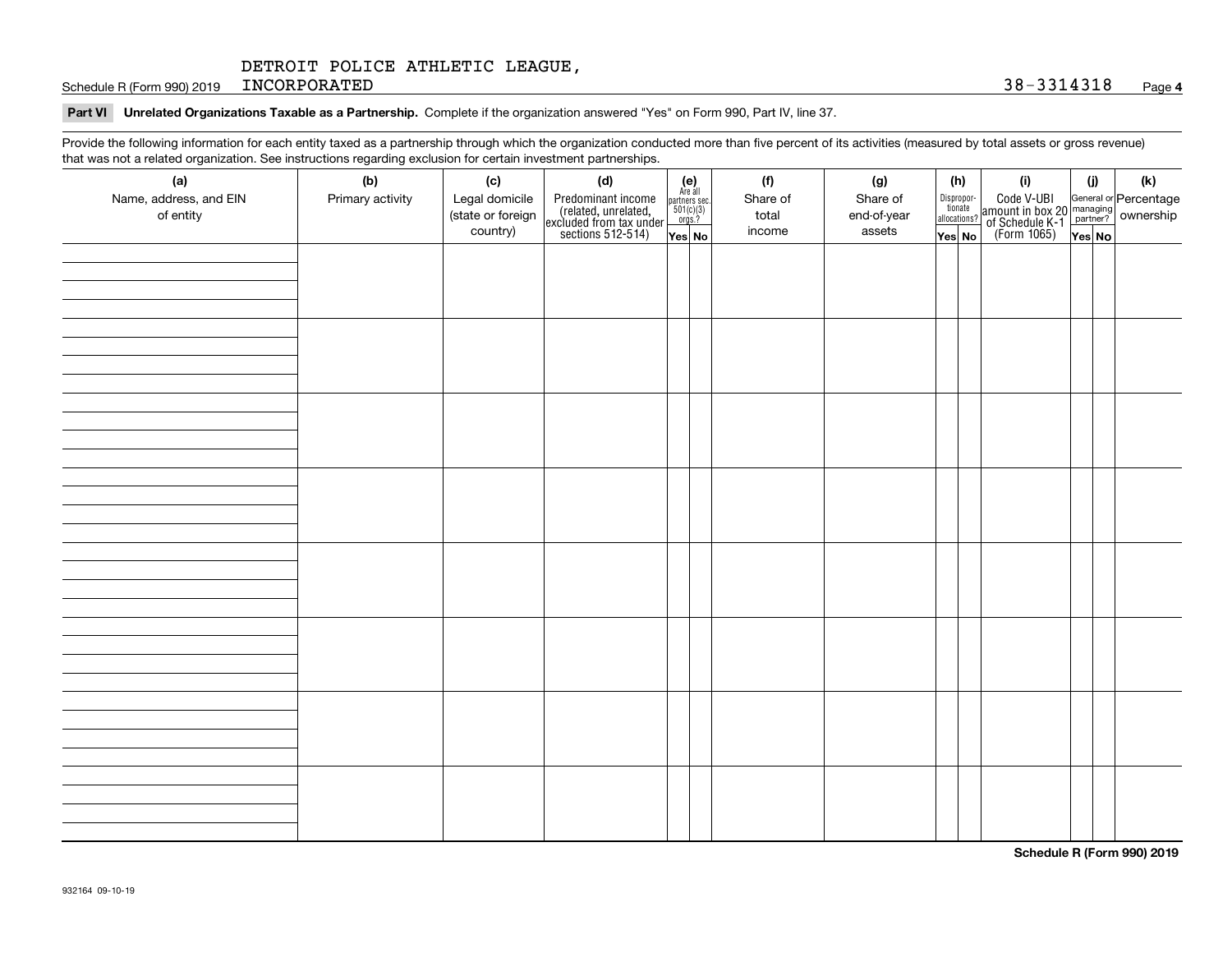Schedule R (Form 990) 2019 INCORPORATED 38 - 3314318 INCORPORATED 38-3314318

#### **Part VI Unrelated Organizations Taxable as a Partnership. Complete if the organization answered "Yes" on Form 990, Part IV, line 37.**

Provide the following information for each entity taxed as a partnership through which the organization conducted more than five percent of its activities (measured by total assets or gross revenue) that was not a related organization. See instructions regarding exclusion for certain investment partnerships.

| (a)<br>Name, address, and EIN<br>of entity | . <del>ت</del> .<br>(b)<br>Primary activity | (c)<br>Legal domicile<br>(state or foreign<br>country) | (d)<br>Predominant income<br>(related, unrelated,<br>excluded from tax under<br>sections 512-514) | (e)<br>Are all<br>partners sec.<br>$501(c)(3)$<br>orgs.?<br>Yes No | (f)<br>Share of<br>total<br>income | (g)<br>Share of<br>end-of-year<br>assets | (h)<br>Dispropor-<br>tionate<br>allocations?<br>Yes No | (i)<br>Code V-UBI<br>amount in box 20 managing<br>of Schedule K-1 partner?<br>(Form 1065)<br>ves No | (j)<br>Yes No | $(\mathsf{k})$ |
|--------------------------------------------|---------------------------------------------|--------------------------------------------------------|---------------------------------------------------------------------------------------------------|--------------------------------------------------------------------|------------------------------------|------------------------------------------|--------------------------------------------------------|-----------------------------------------------------------------------------------------------------|---------------|----------------|
|                                            |                                             |                                                        |                                                                                                   |                                                                    |                                    |                                          |                                                        |                                                                                                     |               |                |
|                                            |                                             |                                                        |                                                                                                   |                                                                    |                                    |                                          |                                                        |                                                                                                     |               |                |
|                                            |                                             |                                                        |                                                                                                   |                                                                    |                                    |                                          |                                                        |                                                                                                     |               |                |
|                                            |                                             |                                                        |                                                                                                   |                                                                    |                                    |                                          |                                                        |                                                                                                     |               |                |
|                                            |                                             |                                                        |                                                                                                   |                                                                    |                                    |                                          |                                                        |                                                                                                     |               |                |
|                                            |                                             |                                                        |                                                                                                   |                                                                    |                                    |                                          |                                                        |                                                                                                     |               |                |
|                                            |                                             |                                                        |                                                                                                   |                                                                    |                                    |                                          |                                                        |                                                                                                     |               |                |
|                                            |                                             |                                                        |                                                                                                   |                                                                    |                                    |                                          |                                                        |                                                                                                     |               |                |

**Schedule R (Form 990) 2019**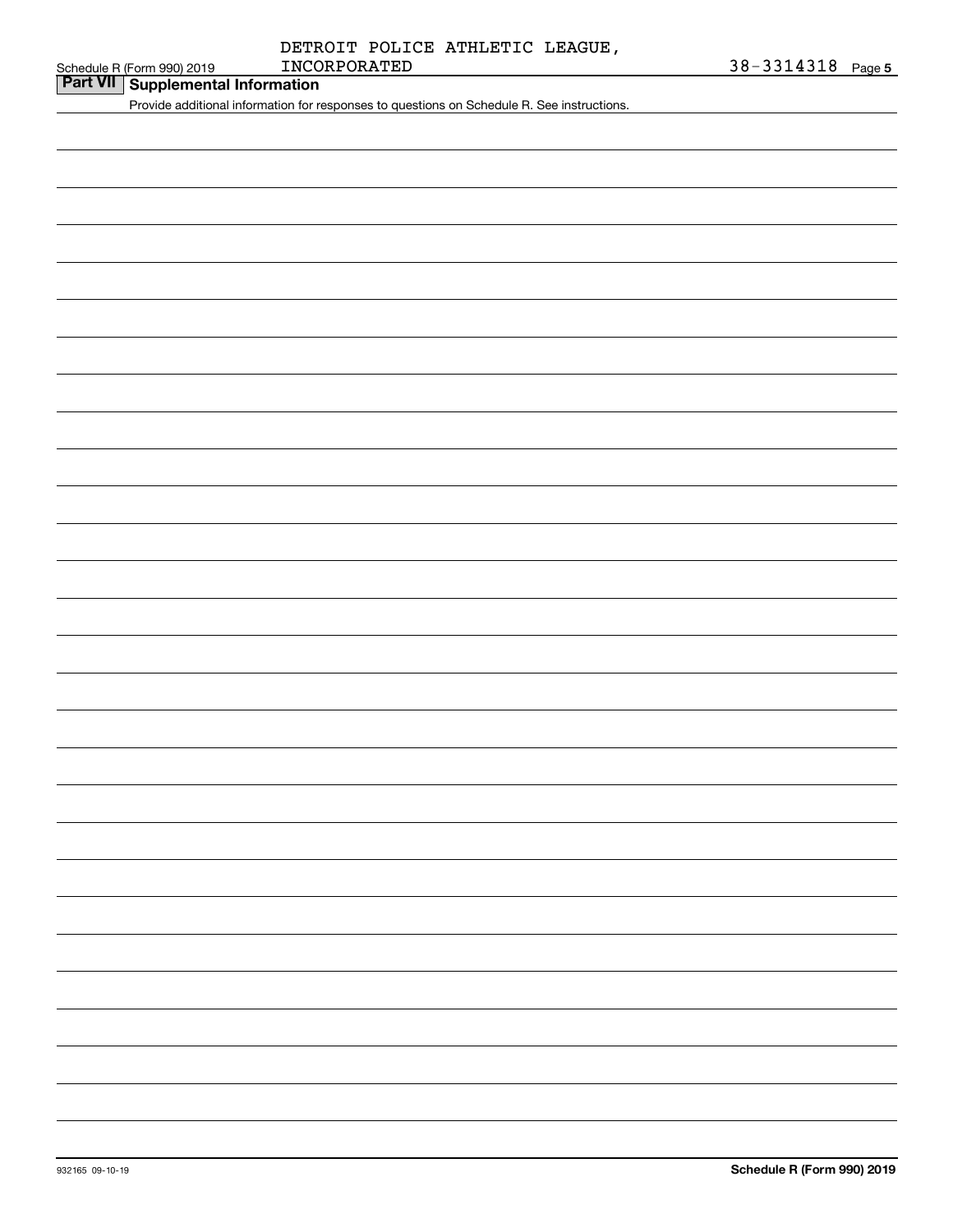## INCORPORATED 38-3314318 DETROIT POLICE ATHLETIC LEAGUE,

## **Part VII Supplemental Information**

Provide additional information for responses to questions on Schedule R. See instructions.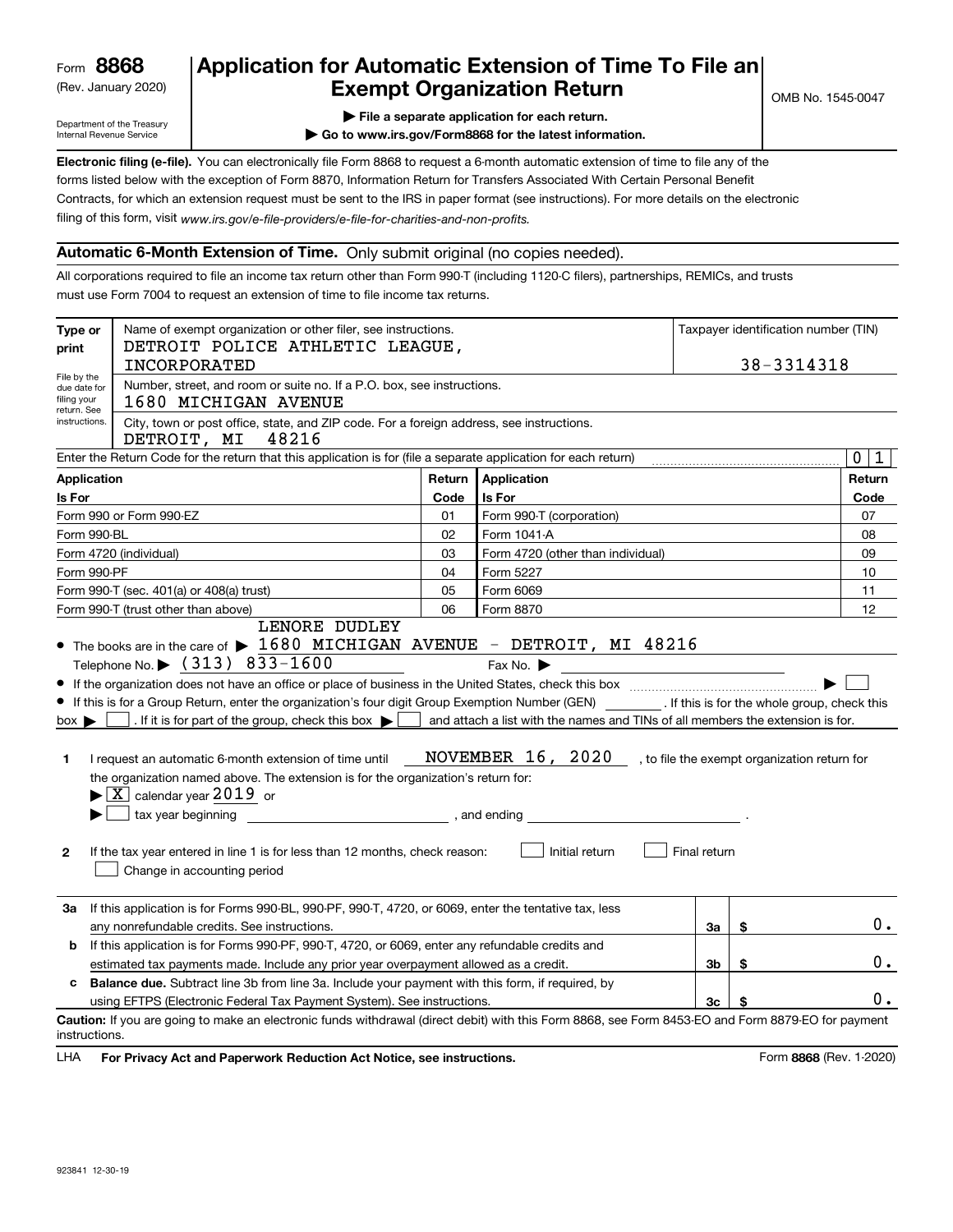(Rev. January 2020)

## **Application for Automatic Extension of Time To File an Exempt Organization Return**

Department of the Treasury Internal Revenue Service

**| File a separate application for each return.**

**| Go to www.irs.gov/Form8868 for the latest information.**

**Electronic filing (e-file).**  You can electronically file Form 8868 to request a 6-month automatic extension of time to file any of the filing of this form, visit www.irs.gov/e-file-providers/e-file-for-charities-and-non-profits. forms listed below with the exception of Form 8870, Information Return for Transfers Associated With Certain Personal Benefit Contracts, for which an extension request must be sent to the IRS in paper format (see instructions). For more details on the electronic

## **Automatic 6-Month Extension of Time.** Only submit original (no copies needed).

All corporations required to file an income tax return other than Form 990-T (including 1120-C filers), partnerships, REMICs, and trusts must use Form 7004 to request an extension of time to file income tax returns.

| Type or<br>print                                            | Name of exempt organization or other filer, see instructions.<br>DETROIT POLICE ATHLETIC LEAGUE,<br>INCORPORATED                                                                                                                                                                                                                                                                                                                                                                                                                                                                 | Taxpayer identification number (TIN)<br>38-3314318 |                                                                                                                       |              |                                              |                            |  |  |  |
|-------------------------------------------------------------|----------------------------------------------------------------------------------------------------------------------------------------------------------------------------------------------------------------------------------------------------------------------------------------------------------------------------------------------------------------------------------------------------------------------------------------------------------------------------------------------------------------------------------------------------------------------------------|----------------------------------------------------|-----------------------------------------------------------------------------------------------------------------------|--------------|----------------------------------------------|----------------------------|--|--|--|
| File by the<br>due date for<br>filing your<br>return. See   | Number, street, and room or suite no. If a P.O. box, see instructions.<br>1680 MICHIGAN AVENUE                                                                                                                                                                                                                                                                                                                                                                                                                                                                                   |                                                    |                                                                                                                       |              |                                              |                            |  |  |  |
| instructions.                                               | City, town or post office, state, and ZIP code. For a foreign address, see instructions.<br>DETROIT, MI<br>48216                                                                                                                                                                                                                                                                                                                                                                                                                                                                 |                                                    |                                                                                                                       |              |                                              |                            |  |  |  |
|                                                             | Enter the Return Code for the return that this application is for (file a separate application for each return)                                                                                                                                                                                                                                                                                                                                                                                                                                                                  |                                                    |                                                                                                                       |              |                                              | $\mathbf 0$<br>$\mathbf 1$ |  |  |  |
| Application                                                 |                                                                                                                                                                                                                                                                                                                                                                                                                                                                                                                                                                                  | Return                                             | Application                                                                                                           |              |                                              | Return                     |  |  |  |
| Is For                                                      |                                                                                                                                                                                                                                                                                                                                                                                                                                                                                                                                                                                  | Code                                               | Is For                                                                                                                |              |                                              | Code                       |  |  |  |
|                                                             | Form 990 or Form 990-EZ                                                                                                                                                                                                                                                                                                                                                                                                                                                                                                                                                          | 01                                                 | Form 990-T (corporation)                                                                                              |              |                                              | 07                         |  |  |  |
| Form 990-BL                                                 |                                                                                                                                                                                                                                                                                                                                                                                                                                                                                                                                                                                  | 02                                                 | Form 1041-A                                                                                                           |              |                                              | 08                         |  |  |  |
|                                                             | Form 4720 (individual)                                                                                                                                                                                                                                                                                                                                                                                                                                                                                                                                                           | 03                                                 | Form 4720 (other than individual)                                                                                     |              |                                              | 09                         |  |  |  |
| Form 990-PF                                                 |                                                                                                                                                                                                                                                                                                                                                                                                                                                                                                                                                                                  | 04                                                 | Form 5227                                                                                                             |              |                                              | 10                         |  |  |  |
| Form 6069<br>Form 990-T (sec. 401(a) or 408(a) trust)<br>05 |                                                                                                                                                                                                                                                                                                                                                                                                                                                                                                                                                                                  |                                                    |                                                                                                                       |              |                                              | 11                         |  |  |  |
|                                                             | Form 990-T (trust other than above)<br>LENORE DUDLEY                                                                                                                                                                                                                                                                                                                                                                                                                                                                                                                             | 06                                                 | Form 8870                                                                                                             |              |                                              | 12                         |  |  |  |
| $box \blacktriangleright$<br>1.<br>$\mathbf{2}$             | If this is for a Group Return, enter the organization's four digit Group Exemption Number (GEN) [f this is for the whole group, check this<br>. If it is for part of the group, check this box $\blacktriangleright$ $\mid$<br>I request an automatic 6-month extension of time until<br>the organization named above. The extension is for the organization's return for:<br>$\blacktriangleright$ $\boxed{\text{X}}$ calendar year 2019 or<br>tax year beginning<br>If the tax year entered in line 1 is for less than 12 months, check reason:<br>Change in accounting period | , and ending                                       | and attach a list with the names and TINs of all members the extension is for.<br>NOVEMBER 16, 2020<br>Initial return | Final return | , to file the exempt organization return for |                            |  |  |  |
| За                                                          | If this application is for Forms 990-BL, 990-PF, 990-T, 4720, or 6069, enter the tentative tax, less<br>any nonrefundable credits. See instructions.                                                                                                                                                                                                                                                                                                                                                                                                                             |                                                    |                                                                                                                       | За           | \$                                           | 0.                         |  |  |  |
| b                                                           | If this application is for Forms 990-PF, 990-T, 4720, or 6069, enter any refundable credits and                                                                                                                                                                                                                                                                                                                                                                                                                                                                                  |                                                    |                                                                                                                       |              |                                              |                            |  |  |  |
|                                                             | \$<br>estimated tax payments made. Include any prior year overpayment allowed as a credit.<br>Зb                                                                                                                                                                                                                                                                                                                                                                                                                                                                                 |                                                    |                                                                                                                       |              |                                              |                            |  |  |  |
| c                                                           | <b>Balance due.</b> Subtract line 3b from line 3a. Include your payment with this form, if required, by                                                                                                                                                                                                                                                                                                                                                                                                                                                                          |                                                    |                                                                                                                       |              |                                              |                            |  |  |  |
|                                                             | using EFTPS (Electronic Federal Tax Payment System). See instructions.                                                                                                                                                                                                                                                                                                                                                                                                                                                                                                           |                                                    |                                                                                                                       | Зc           | \$                                           | 0.                         |  |  |  |
| instructions.                                               | Caution: If you are going to make an electronic funds withdrawal (direct debit) with this Form 8868, see Form 8453-EO and Form 8879-EO for payment                                                                                                                                                                                                                                                                                                                                                                                                                               |                                                    |                                                                                                                       |              |                                              |                            |  |  |  |

**HA** For Privacy Act and Paperwork Reduction Act Notice, see instructions. **But a struction of the Constantion Constant** Form 8868 (Rev. 1-2020) LHA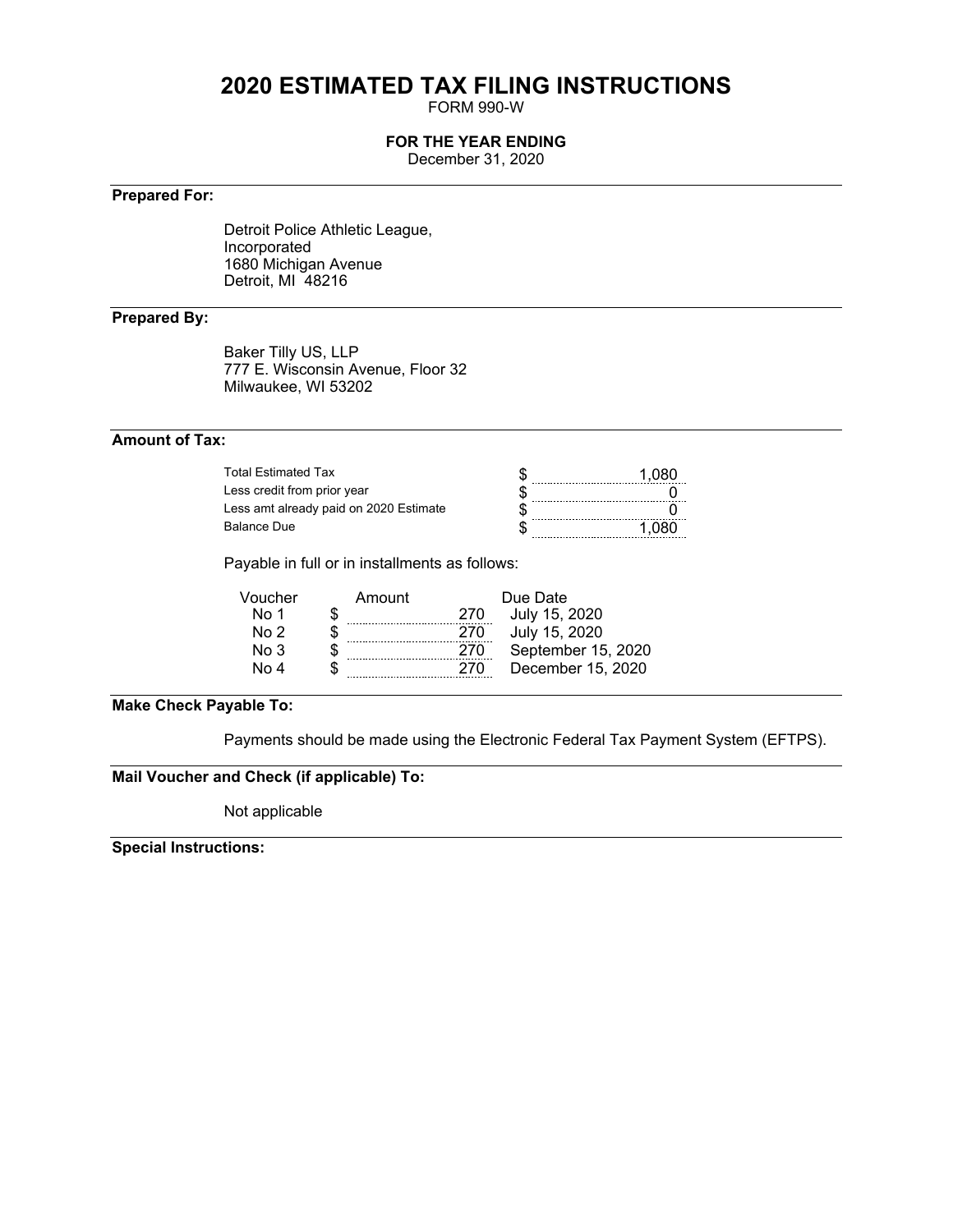# **2020 ESTIMATED TAX FILING INSTRUCTIONS**

FORM 990-W

## **FOR THE YEAR ENDING**

December 31, 2020

## **Prepared For:**

Detroit Police Athletic League, Incorporated 1680 Michigan Avenue Detroit, MI 48216

## **Prepared By:**

Baker Tilly US, LLP 777 E. Wisconsin Avenue, Floor 32 Milwaukee, WI 53202

## **Amount of Tax:**

| Total Estimated Tax                    |  |
|----------------------------------------|--|
| Less credit from prior year            |  |
| Less amt already paid on 2020 Estimate |  |
| <b>Balance Due</b>                     |  |

Payable in full or in installments as follows:

| Voucher         | Amount | Due Date |                    |  |  |  |  |
|-----------------|--------|----------|--------------------|--|--|--|--|
| No 1            |        | 270      | July 15, 2020      |  |  |  |  |
| No 2            |        | 270      | July 15, 2020      |  |  |  |  |
| No <sub>3</sub> |        | 270      | September 15, 2020 |  |  |  |  |
| No 4            |        | 270      | December 15, 2020  |  |  |  |  |
|                 |        |          |                    |  |  |  |  |

## **Make Check Payable To:**

Payments should be made using the Electronic Federal Tax Payment System (EFTPS).

## **Mail Voucher and Check (if applicable) To:**

Not applicable

**Special Instructions:**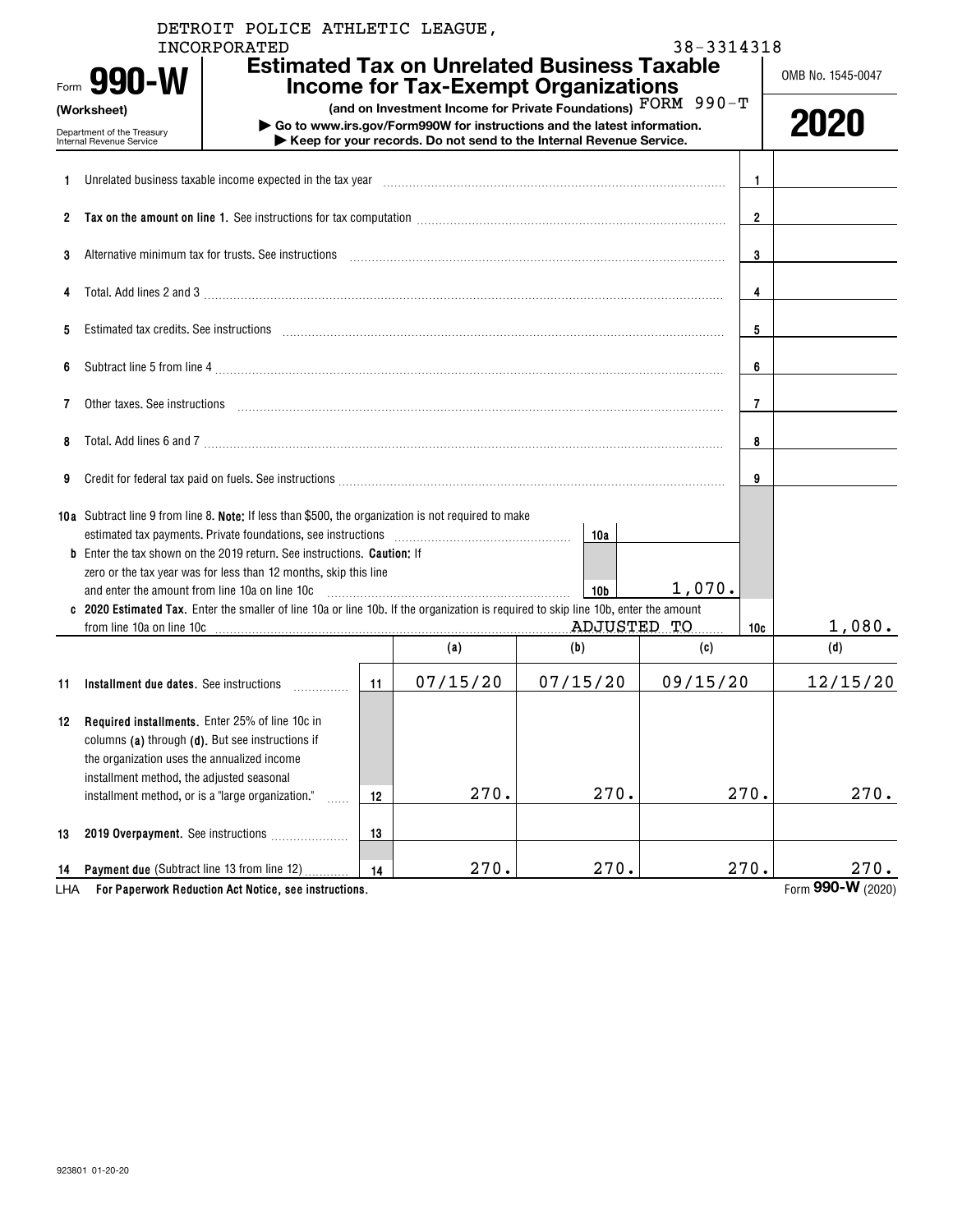|                                                                                                                                                                                                                                     |                                                                                                                                                                                                                                | DETROIT POLICE ATHLETIC LEAGUE,<br><b>INCORPORATED</b> |                |                                                                                                                                                  |                 | 38-3314318 |      |                   |
|-------------------------------------------------------------------------------------------------------------------------------------------------------------------------------------------------------------------------------------|--------------------------------------------------------------------------------------------------------------------------------------------------------------------------------------------------------------------------------|--------------------------------------------------------|----------------|--------------------------------------------------------------------------------------------------------------------------------------------------|-----------------|------------|------|-------------------|
|                                                                                                                                                                                                                                     | Form 990-W                                                                                                                                                                                                                     |                                                        |                | <b>Estimated Tax on Unrelated Business Taxable</b><br><b>Income for Tax-Exempt Organizations</b>                                                 |                 |            |      | OMB No. 1545-0047 |
|                                                                                                                                                                                                                                     | (Worksheet)                                                                                                                                                                                                                    |                                                        |                | (and on Investment Income for Private Foundations) FORM 990-T                                                                                    |                 |            |      |                   |
|                                                                                                                                                                                                                                     | Department of the Treasury<br><b>Internal Revenue Service</b>                                                                                                                                                                  |                                                        |                | Go to www.irs.gov/Form990W for instructions and the latest information.<br>▶ Keep for your records. Do not send to the Internal Revenue Service. |                 |            |      | 2020              |
| 1.                                                                                                                                                                                                                                  | Unrelated business taxable income expected in the tax year manufactured contained business taxable income expected in the tax year manufactured contained business taxable income expected in the tax year manufactured and th |                                                        |                |                                                                                                                                                  |                 |            | 1.   |                   |
|                                                                                                                                                                                                                                     |                                                                                                                                                                                                                                |                                                        |                |                                                                                                                                                  |                 |            |      |                   |
|                                                                                                                                                                                                                                     |                                                                                                                                                                                                                                |                                                        | $\mathbf{2}$   |                                                                                                                                                  |                 |            |      |                   |
| 3                                                                                                                                                                                                                                   | Alternative minimum tax for trusts. See instructions                                                                                                                                                                           |                                                        |                |                                                                                                                                                  |                 |            | 3    |                   |
| 4                                                                                                                                                                                                                                   | Total. Add lines 2 and 3 manufactured and control and control of the 2 and 3 manufactured and 3 manufactured and control of the state of the state of the state of the state of the state of the state of the state of the sta |                                                        |                |                                                                                                                                                  |                 |            | 4    |                   |
| 5                                                                                                                                                                                                                                   | Estimated tax credits. See instructions entertainment and an according to the internal contract of the internal contract of the internal contract of the internal contract of the internal contract of the internal contract o |                                                        | 5              |                                                                                                                                                  |                 |            |      |                   |
| 6                                                                                                                                                                                                                                   |                                                                                                                                                                                                                                |                                                        | 6              |                                                                                                                                                  |                 |            |      |                   |
| 7                                                                                                                                                                                                                                   | Other taxes. See instructions entertainment and an according to the state of the state of the state of the state of the state of the state of the state of the state of the state of the state of the state of the state of th |                                                        | $\overline{7}$ |                                                                                                                                                  |                 |            |      |                   |
| Total. Add lines 6 and 7 [11] manufacture contract to an analysis of the contract of the contract of the contract of the contract of the contract of the contract of the contract of the contract of the contract of the contr<br>8 |                                                                                                                                                                                                                                |                                                        |                |                                                                                                                                                  |                 |            |      |                   |
| 9                                                                                                                                                                                                                                   |                                                                                                                                                                                                                                |                                                        | 9              |                                                                                                                                                  |                 |            |      |                   |
|                                                                                                                                                                                                                                     | 10a Subtract line 9 from line 8. Note: If less than \$500, the organization is not required to make                                                                                                                            |                                                        |                |                                                                                                                                                  | 10a             |            |      |                   |
|                                                                                                                                                                                                                                     | <b>b</b> Enter the tax shown on the 2019 return. See instructions. <b>Caution:</b> If                                                                                                                                          |                                                        |                |                                                                                                                                                  |                 |            |      |                   |
|                                                                                                                                                                                                                                     | zero or the tax year was for less than 12 months, skip this line                                                                                                                                                               |                                                        |                |                                                                                                                                                  |                 |            |      |                   |
|                                                                                                                                                                                                                                     | and enter the amount from line 10a on line 10c<br>c 2020 Estimated Tax. Enter the smaller of line 10a or line 10b. If the organization is required to skip line 10b, enter the amount                                          |                                                        |                |                                                                                                                                                  | 10 <sub>b</sub> | 1,070.     |      |                   |
|                                                                                                                                                                                                                                     | from line 10a on line 10c                                                                                                                                                                                                      |                                                        |                |                                                                                                                                                  | <b>ADJUSTED</b> | TО         | 10c  | 1,080.            |
|                                                                                                                                                                                                                                     |                                                                                                                                                                                                                                |                                                        |                | (a)                                                                                                                                              | (b)             | (c)        |      | (d)               |
| 11                                                                                                                                                                                                                                  | Installment due dates. See instructions                                                                                                                                                                                        |                                                        | 11             | 07/15/20                                                                                                                                         | 07/15/20        | 09/15/20   |      | 12/15/20          |
| 12                                                                                                                                                                                                                                  | Required installments. Enter 25% of line 10c in<br>columns (a) through (d). But see instructions if                                                                                                                            |                                                        |                |                                                                                                                                                  |                 |            |      |                   |
|                                                                                                                                                                                                                                     | the organization uses the annualized income<br>installment method, the adjusted seasonal                                                                                                                                       |                                                        |                |                                                                                                                                                  |                 |            |      |                   |
|                                                                                                                                                                                                                                     | installment method, or is a "large organization."                                                                                                                                                                              | .                                                      | 12             | 270.                                                                                                                                             | 270.            |            | 270. | 270.              |
| 13                                                                                                                                                                                                                                  | 2019 Overpayment. See instructions                                                                                                                                                                                             |                                                        | 13             |                                                                                                                                                  |                 |            |      |                   |
| 14                                                                                                                                                                                                                                  | Payment due (Subtract line 13 from line 12)                                                                                                                                                                                    |                                                        | 14             | 270.                                                                                                                                             | 270.            |            | 270. | 270.              |
| LHA                                                                                                                                                                                                                                 |                                                                                                                                                                                                                                | For Paperwork Reduction Act Notice, see instructions.  |                |                                                                                                                                                  |                 |            |      | Form 990-W (2020) |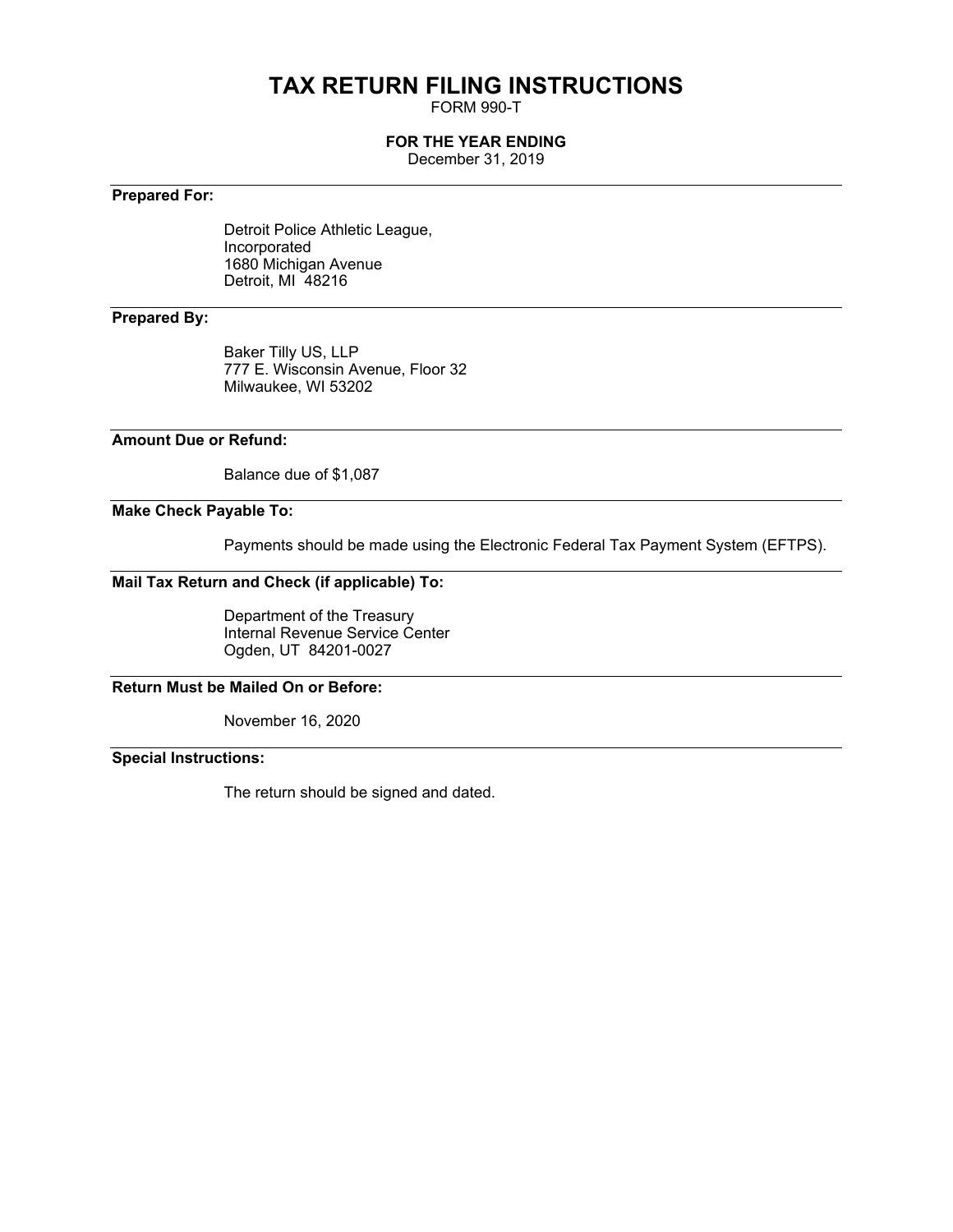# **TAX RETURN FILING INSTRUCTIONS**

FORM 990-T

## **FOR THE YEAR ENDING**

December 31, 2019

## **Prepared For:**

Detroit Police Athletic League, Incorporated 1680 Michigan Avenue Detroit, MI 48216

## **Prepared By:**

Baker Tilly US, LLP 777 E. Wisconsin Avenue, Floor 32 Milwaukee, WI 53202

## **Amount Due or Refund:**

Balance due of \$1,087

## **Make Check Payable To:**

Payments should be made using the Electronic Federal Tax Payment System (EFTPS).

## **Mail Tax Return and Check (if applicable) To:**

Department of the Treasury Internal Revenue Service Center Ogden, UT 84201-0027

## **Return Must be Mailed On or Before:**

November 16, 2020

**Special Instructions:**

The return should be signed and dated.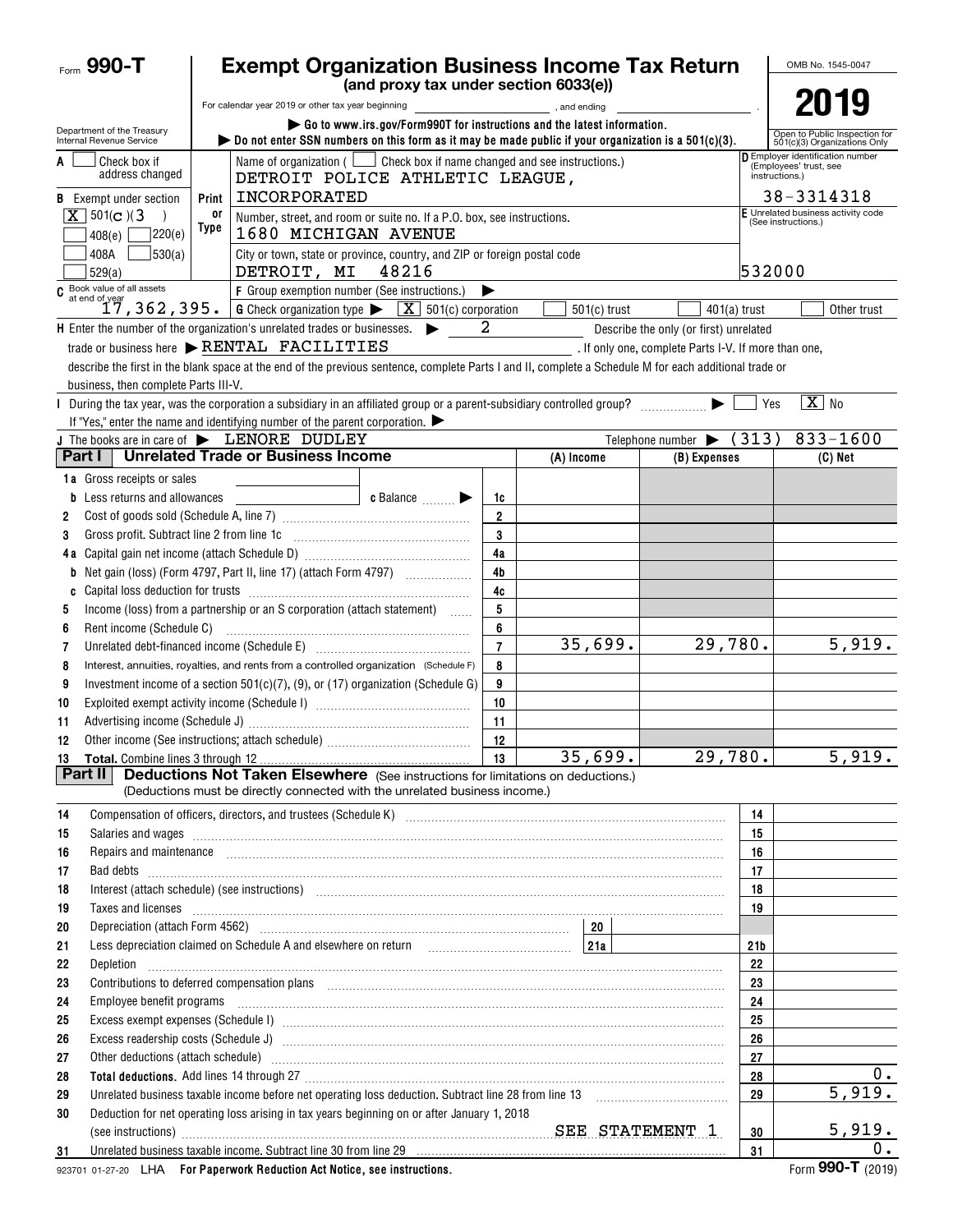| Form 990-T                                             | <b>Exempt Organization Business Income Tax Return</b>                                                                                                                                                                          |                                                                         |                |                |                                                      |                                                           |                                                                              |  |  |
|--------------------------------------------------------|--------------------------------------------------------------------------------------------------------------------------------------------------------------------------------------------------------------------------------|-------------------------------------------------------------------------|----------------|----------------|------------------------------------------------------|-----------------------------------------------------------|------------------------------------------------------------------------------|--|--|
|                                                        |                                                                                                                                                                                                                                | (and proxy tax under section 6033(e))                                   |                |                |                                                      |                                                           |                                                                              |  |  |
|                                                        | For calendar year 2019 or other tax year beginning                                                                                                                                                                             |                                                                         |                | and ending,    |                                                      |                                                           | 2019                                                                         |  |  |
| Department of the Treasury<br>Internal Revenue Service | bo not enter SSN numbers on this form as it may be made public if your organization is a $501(c)(3)$ .                                                                                                                         | Go to www.irs.gov/Form990T for instructions and the latest information. |                |                |                                                      |                                                           | Open to Public Inspection for<br>501(c)(3) Organizations Only                |  |  |
| Check box if<br>A<br>address changed                   | Name of organization $($ $\Box$ Check box if name changed and see instructions.)<br>DETROIT POLICE ATHLETIC LEAGUE,                                                                                                            |                                                                         |                |                |                                                      |                                                           | D Employer identification number<br>(Employees' trust, see<br>instructions.) |  |  |
| <b>B</b> Exempt under section                          | Print                                                                                                                                                                                                                          | INCORPORATED                                                            |                |                |                                                      |                                                           |                                                                              |  |  |
| $X \mid 501(c)$ (3)                                    | 0ľ<br>Number, street, and room or suite no. If a P.O. box, see instructions.                                                                                                                                                   |                                                                         |                |                |                                                      | E Unrelated business activity code<br>(See instructions.) |                                                                              |  |  |
| 408(e)                                                 | Type<br>220(e)                                                                                                                                                                                                                 | 1680 MICHIGAN AVENUE                                                    |                |                |                                                      |                                                           |                                                                              |  |  |
| 408A<br>529(a)                                         | 530(a) <br>City or town, state or province, country, and ZIP or foreign postal code<br>DETROIT, MI                                                                                                                             | 48216                                                                   |                |                |                                                      | 532000                                                    |                                                                              |  |  |
|                                                        | C Book value of all assets<br>at end of year<br>$17, 362, 395.$<br>F Group exemption number (See instructions.)<br>▶                                                                                                           |                                                                         |                |                |                                                      |                                                           |                                                                              |  |  |
|                                                        | <b>G</b> Check organization type $\blacktriangleright \boxed{X}$ 501(c) corporation                                                                                                                                            |                                                                         |                | $501(c)$ trust | $401(a)$ trust                                       |                                                           | Other trust                                                                  |  |  |
|                                                        | <b>H</b> Enter the number of the organization's unrelated trades or businesses.                                                                                                                                                | 2<br>$\blacktriangleright$                                              |                |                | Describe the only (or first) unrelated               |                                                           |                                                                              |  |  |
|                                                        | trade or business here > RENTAL FACILITIES                                                                                                                                                                                     |                                                                         |                |                | . If only one, complete Parts I-V. If more than one, |                                                           |                                                                              |  |  |
|                                                        | describe the first in the blank space at the end of the previous sentence, complete Parts I and II, complete a Schedule M for each additional trade or                                                                         |                                                                         |                |                |                                                      |                                                           |                                                                              |  |  |
| business, then complete Parts III-V.                   |                                                                                                                                                                                                                                |                                                                         |                |                |                                                      |                                                           |                                                                              |  |  |
|                                                        | During the tax year, was the corporation a subsidiary in an affiliated group or a parent-subsidiary controlled group?                                                                                                          |                                                                         |                |                | .                                                    | Yes                                                       | $\boxed{\text{X}}$ No                                                        |  |  |
|                                                        | If "Yes," enter the name and identifying number of the parent corporation. $\blacktriangleright$                                                                                                                               |                                                                         |                |                | Telephone number $\blacktriangleright$ (313)         |                                                           | $833 - 1600$                                                                 |  |  |
| Part I                                                 | J The books are in care of $\blacktriangleright$ LENORE DUDLEY<br><b>Unrelated Trade or Business Income</b>                                                                                                                    |                                                                         |                | (A) Income     | (B) Expenses                                         |                                                           | $(C)$ Net                                                                    |  |  |
| <b>1a</b> Gross receipts or sales                      |                                                                                                                                                                                                                                |                                                                         |                |                |                                                      |                                                           |                                                                              |  |  |
| Less returns and allowances                            |                                                                                                                                                                                                                                | $\bullet$ Balance $\qquad \qquad \bullet$                               | 1c             |                |                                                      |                                                           |                                                                              |  |  |
| 2                                                      |                                                                                                                                                                                                                                |                                                                         | $\overline{2}$ |                |                                                      |                                                           |                                                                              |  |  |
| 3                                                      | Gross profit. Subtract line 2 from line 1c [11] [11] [12] [12] [13] [14] [15] [15] [15] [15] [15] [15] [15] [1                                                                                                                 |                                                                         | 3              |                |                                                      |                                                           |                                                                              |  |  |
|                                                        |                                                                                                                                                                                                                                |                                                                         | 4a             |                |                                                      |                                                           |                                                                              |  |  |
|                                                        | <b>b</b> Net gain (loss) (Form 4797, Part II, line 17) (attach Form 4797)                                                                                                                                                      |                                                                         | 4 <sub>b</sub> |                |                                                      |                                                           |                                                                              |  |  |
| C                                                      |                                                                                                                                                                                                                                |                                                                         | 4c             |                |                                                      |                                                           |                                                                              |  |  |
| 5                                                      | Income (loss) from a partnership or an S corporation (attach statement)                                                                                                                                                        |                                                                         | 5              |                |                                                      |                                                           |                                                                              |  |  |
| 6                                                      |                                                                                                                                                                                                                                |                                                                         | 6              |                |                                                      |                                                           |                                                                              |  |  |
| 7                                                      | Unrelated debt-financed income (Schedule E) [11] [2010] [2010] [2010] [2010] [2010] [2010] [2010] [2010] [2010                                                                                                                 |                                                                         | $\overline{7}$ | 35,699.        | 29,780.                                              |                                                           | 5,919.                                                                       |  |  |
| 8                                                      | Interest, annuities, royalties, and rents from a controlled organization (Schedule F)                                                                                                                                          |                                                                         | 8              |                |                                                      |                                                           |                                                                              |  |  |
| 9                                                      | Investment income of a section $501(c)(7)$ , (9), or (17) organization (Schedule G)                                                                                                                                            |                                                                         | 9              |                |                                                      |                                                           |                                                                              |  |  |
| 10                                                     |                                                                                                                                                                                                                                |                                                                         | 10             |                |                                                      |                                                           |                                                                              |  |  |
| 11                                                     |                                                                                                                                                                                                                                |                                                                         | 11             |                |                                                      |                                                           |                                                                              |  |  |
| 12                                                     | Other income (See instructions; attach schedule)                                                                                                                                                                               |                                                                         | 12<br>13       |                |                                                      |                                                           |                                                                              |  |  |
| Part II                                                | <b>Deductions Not Taken Elsewhere</b> (See instructions for limitations on deductions.)                                                                                                                                        |                                                                         |                | 35,699.        | 29,780.                                              |                                                           | 5,919.                                                                       |  |  |
|                                                        | (Deductions must be directly connected with the unrelated business income.)                                                                                                                                                    |                                                                         |                |                |                                                      |                                                           |                                                                              |  |  |
| 14                                                     | Compensation of officers, directors, and trustees (Schedule K) [11] [2010] Compensation of officers, directors, and trustees (Schedule K) [11] [2010] [2010] [2010] [2010] [2010] [2010] [2010] [2010] [2010] [2010] [2010] [2 |                                                                         |                |                |                                                      | 14                                                        |                                                                              |  |  |
| 15                                                     | Salaries and wages <b>continuum contract and wages contract and wages contract and wages contract and wages contract and wages contract and wages contract and wages contract and wages contract was a set of th</b>           |                                                                         |                |                |                                                      | 15                                                        |                                                                              |  |  |
| 16                                                     | Repairs and maintenance <i>[1] [1] [1] [1] [1] [1] [1] [1] [1] [1]</i> [1] <b>[1]</b> [1] <b>[1]</b> [1] <b>[1] [1] [1] [1] [1] [1] [1] [1] [1] [1] [1] [1] [1] [1] [1] [1] [1] [1] [1] [1] [1] [1]</b>                        |                                                                         |                |                |                                                      | 16                                                        |                                                                              |  |  |
| 17                                                     |                                                                                                                                                                                                                                |                                                                         |                |                |                                                      | 17                                                        |                                                                              |  |  |
| 18                                                     | Interest (attach schedule) (see instructions) www.communications.communications are interest (attach schedule)                                                                                                                 |                                                                         |                |                |                                                      | 18                                                        |                                                                              |  |  |
| 19                                                     | Taxes and licenses <b>construction and construction of the construction</b> and construction of the construction of the                                                                                                        |                                                                         |                |                |                                                      | 19                                                        |                                                                              |  |  |
| 20                                                     |                                                                                                                                                                                                                                |                                                                         |                |                |                                                      |                                                           |                                                                              |  |  |
| 21                                                     | Less depreciation claimed on Schedule A and elsewhere on return [11] [214]                                                                                                                                                     |                                                                         |                |                |                                                      | 21 <sub>b</sub>                                           |                                                                              |  |  |
| 22<br>Depletion                                        |                                                                                                                                                                                                                                |                                                                         |                |                |                                                      | 22                                                        |                                                                              |  |  |
| 23                                                     | Contributions to deferred compensation plans [11] manufactured contributions to deferred compensation plans [11] manufactured compensation plans [11] manufactured compensation plans [11] manufactured contributions to defer |                                                                         |                |                |                                                      | 23                                                        |                                                                              |  |  |
| 24                                                     | Employee benefit programs in the continuum contract of the contract of the contract of the contract of the contract of the contract of the contract of the contract of the contract of the contract of the contract of the con |                                                                         |                |                |                                                      | 24                                                        |                                                                              |  |  |
| 25                                                     |                                                                                                                                                                                                                                |                                                                         |                |                |                                                      | 25                                                        |                                                                              |  |  |
| 26                                                     |                                                                                                                                                                                                                                |                                                                         |                |                |                                                      | 26                                                        |                                                                              |  |  |
| 27                                                     | Other deductions (attach schedule) manufactured and according to the schedule of the schedule of the schedule                                                                                                                  |                                                                         |                |                |                                                      | 27                                                        | 0.                                                                           |  |  |
| 28                                                     | Unrelated business taxable income before net operating loss deduction. Subtract line 28 from line 13 [11] [12]                                                                                                                 |                                                                         |                |                |                                                      | 28<br>29                                                  | 5,919.                                                                       |  |  |
| 29<br>30                                               | Deduction for net operating loss arising in tax years beginning on or after January 1, 2018                                                                                                                                    |                                                                         |                |                |                                                      |                                                           |                                                                              |  |  |
|                                                        |                                                                                                                                                                                                                                |                                                                         |                |                |                                                      | 30                                                        | 5,919.                                                                       |  |  |
| 31                                                     | Unrelated business taxable income. Subtract line 30 from line 29 [11] Martin Martin Martin Martin Martin Martin Martin Martin Martin Martin Martin Martin Martin Martin Martin Martin Martin Martin Martin Martin Martin Marti |                                                                         |                |                |                                                      | 31                                                        | 0.                                                                           |  |  |
|                                                        |                                                                                                                                                                                                                                |                                                                         |                |                |                                                      |                                                           | <b>000 T</b>                                                                 |  |  |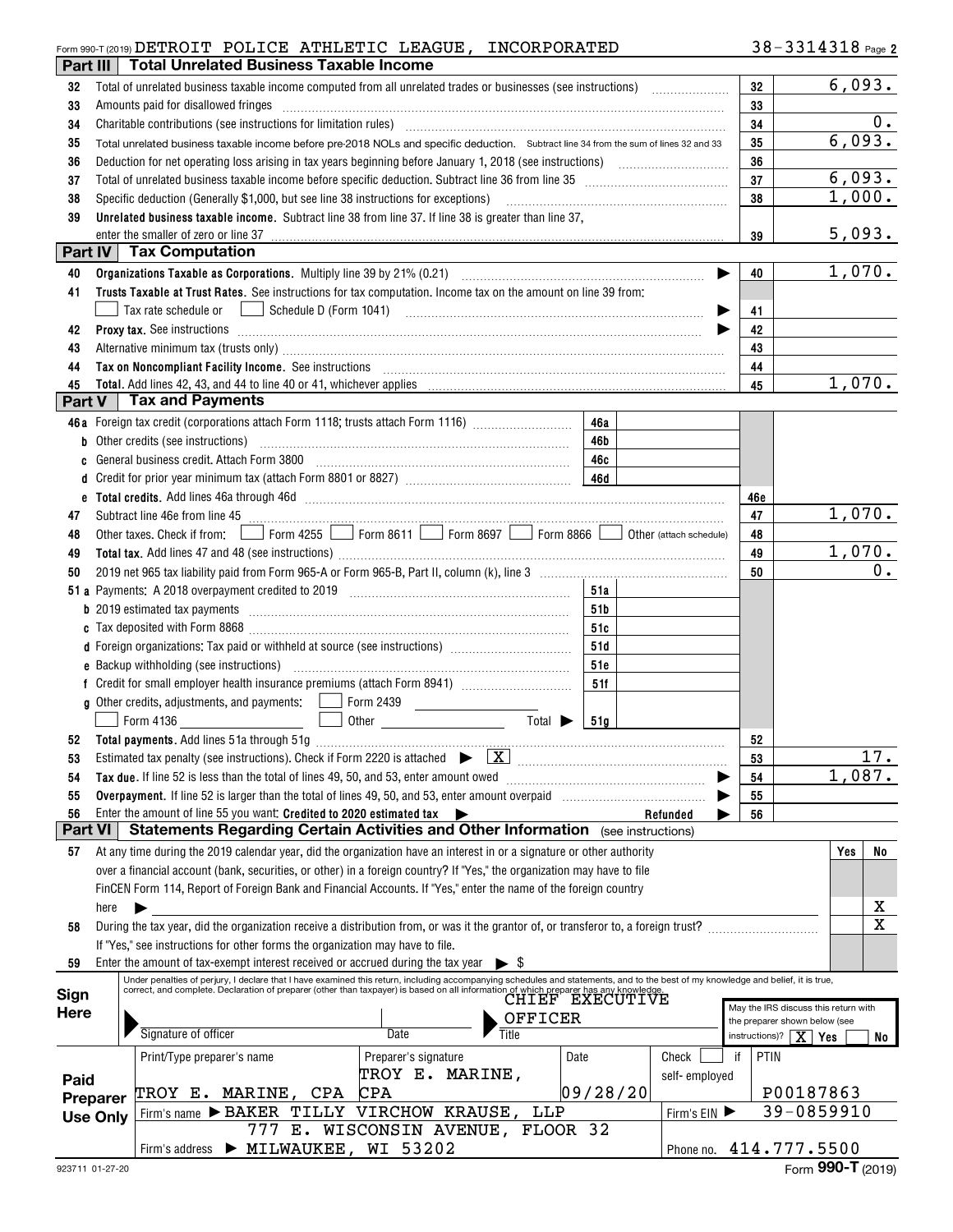## Form 990-T (2019) Page DETROIT POLICE ATHLETIC LEAGUE, INCORPORATED

| Part III       |                 | <b>Total Unrelated Business Taxable Income</b>                                                                                                                                                                                 |                                   |                             |                 |               |     |                                                                       |             |
|----------------|-----------------|--------------------------------------------------------------------------------------------------------------------------------------------------------------------------------------------------------------------------------|-----------------------------------|-----------------------------|-----------------|---------------|-----|-----------------------------------------------------------------------|-------------|
| 32             |                 | Total of unrelated business taxable income computed from all unrelated trades or businesses (see instructions)                                                                                                                 |                                   |                             |                 |               | 32  |                                                                       | 6,093.      |
| 33             |                 | Amounts paid for disallowed fringes                                                                                                                                                                                            |                                   |                             |                 |               | 33  |                                                                       |             |
| 34             |                 |                                                                                                                                                                                                                                |                                   |                             |                 |               | 34  |                                                                       | 0.          |
| 35             |                 | Total unrelated business taxable income before pre-2018 NOLs and specific deduction. Subtract line 34 from the sum of lines 32 and 33                                                                                          |                                   |                             |                 |               | 35  |                                                                       | 6,093.      |
| 36             |                 |                                                                                                                                                                                                                                |                                   |                             |                 |               | 36  |                                                                       |             |
| 37             |                 |                                                                                                                                                                                                                                |                                   |                             |                 |               | 37  |                                                                       | 6,093.      |
| 38             |                 |                                                                                                                                                                                                                                |                                   |                             |                 |               | 38  |                                                                       | 1,000.      |
| 39             |                 | Unrelated business taxable income. Subtract line 38 from line 37. If line 38 is greater than line 37,                                                                                                                          |                                   |                             |                 |               |     |                                                                       |             |
|                |                 | enter the smaller of zero or line 37                                                                                                                                                                                           |                                   |                             |                 |               | 39  |                                                                       | 5,093.      |
| Part IV        |                 | <b>Tax Computation</b>                                                                                                                                                                                                         |                                   |                             |                 |               |     |                                                                       |             |
| 40             |                 |                                                                                                                                                                                                                                |                                   |                             |                 |               | 40  |                                                                       | 1,070.      |
| 41             |                 | Trusts Taxable at Trust Rates. See instructions for tax computation. Income tax on the amount on line 39 from:                                                                                                                 |                                   |                             |                 |               |     |                                                                       |             |
|                |                 |                                                                                                                                                                                                                                |                                   |                             |                 |               | 41  |                                                                       |             |
|                |                 |                                                                                                                                                                                                                                |                                   |                             |                 |               |     |                                                                       |             |
| 42             |                 | Proxy tax. See instructions information and contact the set of the set of the set of the set of the set of the set of the set of the set of the set of the set of the set of the set of the set of the set of the set of the s |                                   |                             |                 |               | 42  |                                                                       |             |
| 43             |                 | Alternative minimum tax (trusts only) manufactured and all alternative minimum tax (trusts only)                                                                                                                               |                                   |                             |                 |               | 43  |                                                                       |             |
| 44             |                 | Tax on Noncompliant Facility Income. See instructions [11] All and the content of the set of Moncompliant Facility Income. See instructions [11] All and the set of Moncompliant Facility Income.                              |                                   |                             |                 |               | 44  |                                                                       |             |
| 45<br>Part V   |                 | <b>Tax and Payments</b>                                                                                                                                                                                                        |                                   |                             |                 |               | 45  |                                                                       | 1,070.      |
|                |                 |                                                                                                                                                                                                                                |                                   |                             |                 |               |     |                                                                       |             |
|                |                 | 46a Foreign tax credit (corporations attach Form 1118; trusts attach Form 1116) [                                                                                                                                              |                                   |                             | 46a             |               |     |                                                                       |             |
|                |                 | b Other credits (see instructions) manufactured contains and contained a contact of the credits (see instructions)                                                                                                             |                                   |                             | 46b             |               |     |                                                                       |             |
| c              |                 |                                                                                                                                                                                                                                |                                   |                             | 46с             |               |     |                                                                       |             |
| d              |                 |                                                                                                                                                                                                                                |                                   |                             |                 |               |     |                                                                       |             |
|                |                 |                                                                                                                                                                                                                                |                                   |                             |                 |               | 46e |                                                                       |             |
| 47             |                 | Subtract line 46e from line 45 <b>magazine and the contract of the 46</b> from line 45                                                                                                                                         |                                   |                             |                 |               | 47  |                                                                       | 1,070.      |
| 48             |                 | Other taxes. Check if from: Form 4255 Form 8611 Form 8697 Form 8896 Other (attach schedule)                                                                                                                                    |                                   |                             |                 |               | 48  |                                                                       |             |
| 49             |                 |                                                                                                                                                                                                                                |                                   |                             |                 |               | 49  |                                                                       | 1,070.      |
| 50             |                 |                                                                                                                                                                                                                                |                                   |                             |                 |               | 50  |                                                                       | 0.          |
|                |                 |                                                                                                                                                                                                                                |                                   |                             | 51a             |               |     |                                                                       |             |
|                |                 |                                                                                                                                                                                                                                |                                   |                             | 51b             |               |     |                                                                       |             |
|                |                 |                                                                                                                                                                                                                                |                                   |                             | 51c             |               |     |                                                                       |             |
|                |                 | d Foreign organizations: Tax paid or withheld at source (see instructions) [1001111111111111111111111111111111                                                                                                                 |                                   |                             | 51d             |               |     |                                                                       |             |
|                |                 |                                                                                                                                                                                                                                |                                   |                             | 51e             |               |     |                                                                       |             |
|                |                 |                                                                                                                                                                                                                                |                                   |                             | 51f             |               |     |                                                                       |             |
|                |                 |                                                                                                                                                                                                                                |                                   |                             |                 |               |     |                                                                       |             |
|                |                 | Form 4136                                                                                                                                                                                                                      |                                   | Total $\blacktriangleright$ | <b>51a</b>      |               |     |                                                                       |             |
| 52             |                 |                                                                                                                                                                                                                                |                                   |                             |                 |               | 52  |                                                                       |             |
|                |                 |                                                                                                                                                                                                                                |                                   |                             |                 |               | 53  |                                                                       | 17.         |
| 54             |                 | Tax due. If line 52 is less than the total of lines 49, 50, and 53, enter amount owed                                                                                                                                          |                                   |                             |                 |               | 54  |                                                                       | 1,087.      |
| 55             |                 |                                                                                                                                                                                                                                |                                   |                             |                 |               | 55  |                                                                       |             |
| 56             |                 | Enter the amount of line 55 you want: Credited to 2020 estimated tax                                                                                                                                                           |                                   |                             |                 | Refunded      | 56  |                                                                       |             |
| <b>Part VI</b> |                 | <b>Statements Regarding Certain Activities and Other Information</b> (see instructions)                                                                                                                                        |                                   |                             |                 |               |     |                                                                       |             |
| 57             |                 | At any time during the 2019 calendar year, did the organization have an interest in or a signature or other authority                                                                                                          |                                   |                             |                 |               |     |                                                                       | No<br>Yes   |
|                |                 | over a financial account (bank, securities, or other) in a foreign country? If "Yes," the organization may have to file                                                                                                        |                                   |                             |                 |               |     |                                                                       |             |
|                |                 | FinCEN Form 114, Report of Foreign Bank and Financial Accounts. If "Yes," enter the name of the foreign country                                                                                                                |                                   |                             |                 |               |     |                                                                       |             |
|                | here            |                                                                                                                                                                                                                                |                                   |                             |                 |               |     |                                                                       | X           |
| 58             |                 | During the tax year, did the organization receive a distribution from, or was it the grantor of, or transferor to, a foreign trust?                                                                                            |                                   |                             |                 |               |     |                                                                       | $\mathbf X$ |
|                |                 | If "Yes," see instructions for other forms the organization may have to file.                                                                                                                                                  |                                   |                             |                 |               |     |                                                                       |             |
| 59             |                 | Enter the amount of tax-exempt interest received or accrued during the tax year                                                                                                                                                |                                   | - \$                        |                 |               |     |                                                                       |             |
|                |                 | Under penalties of perjury, I declare that I have examined this return, including accompanying schedules and statements, and to the best of my knowledge and belief, it is true,                                               |                                   |                             |                 |               |     |                                                                       |             |
| Sign           |                 | correct, and complete. Declaration of preparer (other than taxpayer) is based on all information of which preparer has any knowledge                                                                                           |                                   |                             | CHIEF EXECUTIVE |               |     |                                                                       |             |
| <b>Here</b>    |                 |                                                                                                                                                                                                                                |                                   | OFFICER                     |                 |               |     | May the IRS discuss this return with<br>the preparer shown below (see |             |
|                |                 | Signature of officer                                                                                                                                                                                                           | Date                              | Title                       |                 |               |     | instructions)? $\boxed{\mathbf{X}}$ Yes                               | No          |
|                |                 | Print/Type preparer's name                                                                                                                                                                                                     | Preparer's signature              |                             | Date            | Check         | if  | PTIN                                                                  |             |
|                |                 |                                                                                                                                                                                                                                | TROY E. MARINE,                   |                             |                 | self-employed |     |                                                                       |             |
| Paid           |                 | TROY E. MARINE, CPA                                                                                                                                                                                                            | <b>CPA</b>                        |                             | 09/28/20        |               |     | P00187863                                                             |             |
|                | Preparer        | Firm's name > BAKER TILLY VIRCHOW KRAUSE,                                                                                                                                                                                      |                                   | LLP                         |                 | Firm's EIN    |     | 39-0859910                                                            |             |
|                | <b>Use Only</b> |                                                                                                                                                                                                                                | 777 E. WISCONSIN AVENUE, FLOOR 32 |                             |                 |               |     |                                                                       |             |
|                |                 | Firm's address > MILWAUKEE, WI 53202                                                                                                                                                                                           |                                   |                             |                 |               |     | Phone no. 414.777.5500                                                |             |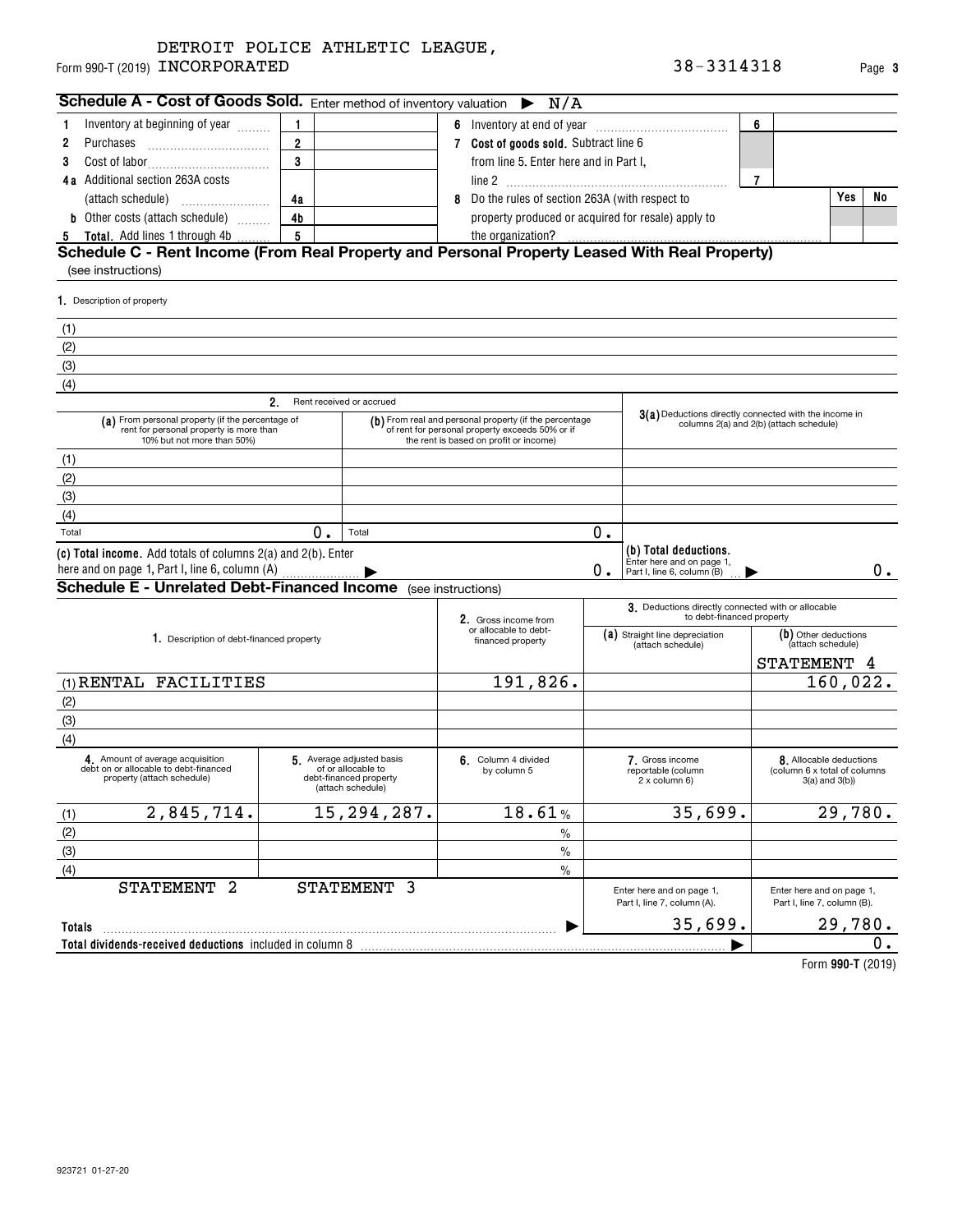| Schedule A - Cost of Goods Sold. Enter method of inventory valuation $\triangleright N/A$                                                                                               |                |                          |                                                                                                                                                                                                                                                         |                                                                         |    |                                                    |                |     |    |
|-----------------------------------------------------------------------------------------------------------------------------------------------------------------------------------------|----------------|--------------------------|---------------------------------------------------------------------------------------------------------------------------------------------------------------------------------------------------------------------------------------------------------|-------------------------------------------------------------------------|----|----------------------------------------------------|----------------|-----|----|
| Inventory at beginning of year                                                                                                                                                          |                |                          |                                                                                                                                                                                                                                                         |                                                                         |    |                                                    | 6              |     |    |
| Purchases<br>2                                                                                                                                                                          | $\overline{2}$ |                          |                                                                                                                                                                                                                                                         | Cost of goods sold. Subtract line 6                                     |    |                                                    |                |     |    |
| Cost of labor                                                                                                                                                                           | $\mathbf{3}$   |                          |                                                                                                                                                                                                                                                         | from line 5. Enter here and in Part I,                                  |    |                                                    |                |     |    |
| Additional section 263A costs<br>4 а                                                                                                                                                    |                |                          |                                                                                                                                                                                                                                                         |                                                                         |    |                                                    | $\overline{7}$ |     |    |
|                                                                                                                                                                                         | 4a             |                          | 8 Do the rules of section 263A (with respect to                                                                                                                                                                                                         |                                                                         |    |                                                    |                | Yes | No |
| <b>b</b> Other costs (attach schedule)<br>5 Total. Add lines 1 through 4b                                                                                                               | 4b             |                          |                                                                                                                                                                                                                                                         | property produced or acquired for resale) apply to<br>the organization? |    |                                                    |                |     |    |
| 1. Description of property<br>(1)<br>(2)                                                                                                                                                |                |                          |                                                                                                                                                                                                                                                         |                                                                         |    |                                                    |                |     |    |
| (3)                                                                                                                                                                                     |                |                          |                                                                                                                                                                                                                                                         |                                                                         |    |                                                    |                |     |    |
| (4)                                                                                                                                                                                     | 2.             | Rent received or accrued |                                                                                                                                                                                                                                                         |                                                                         |    |                                                    |                |     |    |
| (a) From personal property (if the percentage of<br>rent for personal property is more than<br>10% but not more than 50%)                                                               |                |                          | 3(a) Deductions directly connected with the income in<br>(b) From real and personal property (if the percentage<br>columns 2(a) and 2(b) (attach schedule)<br>of rent for personal property exceeds 50% or if<br>the rent is based on profit or income) |                                                                         |    |                                                    |                |     |    |
| (1)                                                                                                                                                                                     |                |                          |                                                                                                                                                                                                                                                         |                                                                         |    |                                                    |                |     |    |
| (2)                                                                                                                                                                                     |                |                          |                                                                                                                                                                                                                                                         |                                                                         |    |                                                    |                |     |    |
| (3)                                                                                                                                                                                     |                |                          |                                                                                                                                                                                                                                                         |                                                                         |    |                                                    |                |     |    |
| (4)                                                                                                                                                                                     |                |                          |                                                                                                                                                                                                                                                         |                                                                         |    |                                                    |                |     |    |
| Total                                                                                                                                                                                   | $\mathbf{0}$ . | Total                    |                                                                                                                                                                                                                                                         |                                                                         | 0. |                                                    |                |     |    |
|                                                                                                                                                                                         |                |                          |                                                                                                                                                                                                                                                         |                                                                         |    | (b) Total deductions.<br>Enter here and on page 1, |                |     | 0. |
|                                                                                                                                                                                         |                |                          |                                                                                                                                                                                                                                                         |                                                                         | 0. | Part I, line 6, column (B)                         |                |     |    |
| (c) Total income. Add totals of columns 2(a) and 2(b). Enter<br>here and on page 1, Part I, line 6, column (A)<br><b>Schedule E - Unrelated Debt-Financed Income</b> (see instructions) |                |                          |                                                                                                                                                                                                                                                         |                                                                         |    |                                                    |                |     |    |

|                                                                                                        |                                                                                               | 2. Gross income from                       | to debt-financed property                                |                                                                                |  |  |  |
|--------------------------------------------------------------------------------------------------------|-----------------------------------------------------------------------------------------------|--------------------------------------------|----------------------------------------------------------|--------------------------------------------------------------------------------|--|--|--|
| 1. Description of debt-financed property                                                               |                                                                                               | or allocable to debt-<br>financed property | (a) Straight line depreciation<br>(attach schedule)      | (b) Other deductions<br>(attach schedule)                                      |  |  |  |
|                                                                                                        |                                                                                               |                                            |                                                          | STATEMENT<br>4                                                                 |  |  |  |
| (1) RENTAL FACILITIES                                                                                  |                                                                                               | 191,826.                                   |                                                          | 160,022.                                                                       |  |  |  |
| (2)                                                                                                    |                                                                                               |                                            |                                                          |                                                                                |  |  |  |
| (3)                                                                                                    |                                                                                               |                                            |                                                          |                                                                                |  |  |  |
| (4)                                                                                                    |                                                                                               |                                            |                                                          |                                                                                |  |  |  |
| 4 Amount of average acquisition<br>debt on or allocable to debt-financed<br>property (attach schedule) | 5 Average adjusted basis<br>of or allocable to<br>debt-financed property<br>(attach schedule) | 6. Column 4 divided<br>by column 5         | 7. Gross income<br>reportable (column<br>2 x column 6)   | 8. Allocable deductions<br>(column 6 x total of columns<br>$3(a)$ and $3(b)$ ) |  |  |  |
| 2,845,714.<br>(1)                                                                                      | 15, 294, 287.                                                                                 | 18.61%                                     | 35,699.                                                  | 29,780.                                                                        |  |  |  |
| (2)                                                                                                    |                                                                                               | $\frac{0}{0}$                              |                                                          |                                                                                |  |  |  |
| (3)                                                                                                    |                                                                                               | $\frac{0}{0}$                              |                                                          |                                                                                |  |  |  |
| (4)                                                                                                    |                                                                                               | $\frac{0}{0}$                              |                                                          |                                                                                |  |  |  |
| 2<br>STATEMENT                                                                                         | STATEMENT 3                                                                                   |                                            | Enter here and on page 1,<br>Part I, line 7, column (A). | Enter here and on page 1,<br>Part I, line 7, column (B).                       |  |  |  |
| <b>Totals</b>                                                                                          |                                                                                               |                                            | 35,699.                                                  | 29,780.                                                                        |  |  |  |
| Total dividends-received deductions included in column 8                                               |                                                                                               |                                            |                                                          | 0.                                                                             |  |  |  |
|                                                                                                        |                                                                                               |                                            |                                                          | $T_{\text{arm}}$ 000 T (0040)                                                  |  |  |  |

**990-T**  Form (2019)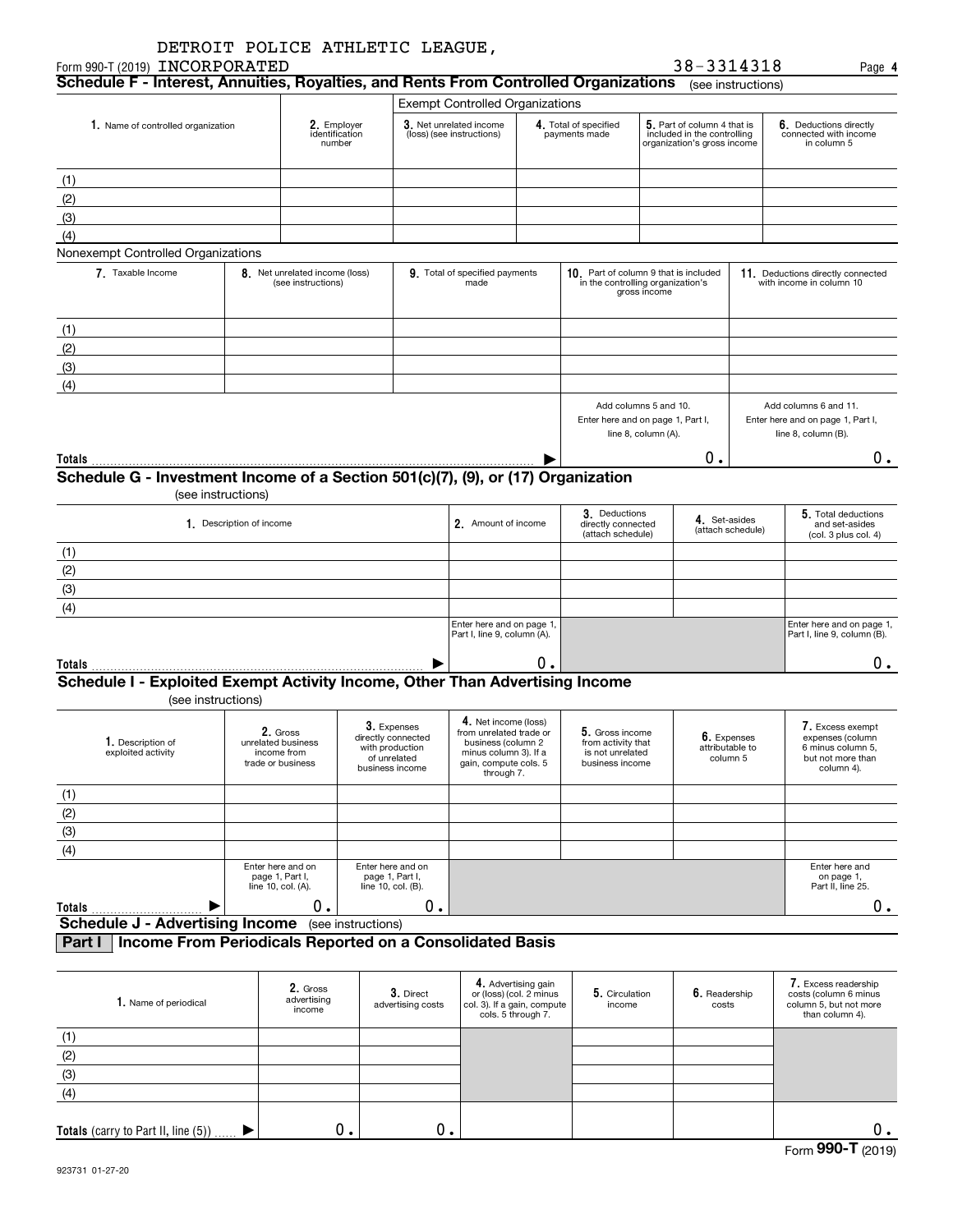|                                           | DETROIT POLICE ATHLETIC LEAGUE, |  |
|-------------------------------------------|---------------------------------|--|
| <b>חים חים כו סרום הראש בהי</b> מי הוא המ |                                 |  |

|                                                                                                            |                               |                                                      |                                        | 38-3314318                                                 | Paɑe                                              |  |  |  |  |
|------------------------------------------------------------------------------------------------------------|-------------------------------|------------------------------------------------------|----------------------------------------|------------------------------------------------------------|---------------------------------------------------|--|--|--|--|
| Schedule F - Interest, Annuities, Royalties, and Rents From Controlled Organizations<br>(see instructions) |                               |                                                      |                                        |                                                            |                                                   |  |  |  |  |
|                                                                                                            |                               | <b>Exempt Controlled Organizations</b>               |                                        |                                                            |                                                   |  |  |  |  |
| Name of controlled organization                                                                            | 2. Employer<br>identification | 3. Net unrelated income<br>(loss) (see instructions) | 4. Total of specified<br>payments made | 5. Part of column 4 that is<br>included in the controlling | $6.$ Deductions directly<br>connected with income |  |  |  |  |

| 1. Name of controlled organization                                               |                          | 2. Employer<br>identification<br>number |                                        | 3. Net unrelated income<br>(loss) (see instructions) | 4. Total of specified<br>payments made |                                                                                        | 5. Part of column 4 that is<br>included in the controlling<br>organization's gross income |                                                               | 6. Deductions directly<br>connected with income<br>in column 5                    |
|----------------------------------------------------------------------------------|--------------------------|-----------------------------------------|----------------------------------------|------------------------------------------------------|----------------------------------------|----------------------------------------------------------------------------------------|-------------------------------------------------------------------------------------------|---------------------------------------------------------------|-----------------------------------------------------------------------------------|
| (1)                                                                              |                          |                                         |                                        |                                                      |                                        |                                                                                        |                                                                                           |                                                               |                                                                                   |
| (2)                                                                              |                          |                                         |                                        |                                                      |                                        |                                                                                        |                                                                                           |                                                               |                                                                                   |
| (3)                                                                              |                          |                                         |                                        |                                                      |                                        |                                                                                        |                                                                                           |                                                               |                                                                                   |
| (4)                                                                              |                          |                                         |                                        |                                                      |                                        |                                                                                        |                                                                                           |                                                               |                                                                                   |
| Nonexempt Controlled Organizations                                               |                          |                                         |                                        |                                                      |                                        |                                                                                        |                                                                                           |                                                               |                                                                                   |
| 7. Taxable Income<br>8. Net unrelated income (loss)<br>(see instructions)        |                          |                                         | 9. Total of specified payments<br>made |                                                      | 10.                                    | Part of column 9 that is included<br>in the controlling organization's<br>gross income |                                                                                           | 11. Deductions directly connected<br>with income in column 10 |                                                                                   |
| (1)                                                                              |                          |                                         |                                        |                                                      |                                        |                                                                                        |                                                                                           |                                                               |                                                                                   |
| (2)                                                                              |                          |                                         |                                        |                                                      |                                        |                                                                                        |                                                                                           |                                                               |                                                                                   |
| (3)                                                                              |                          |                                         |                                        |                                                      |                                        |                                                                                        |                                                                                           |                                                               |                                                                                   |
| (4)                                                                              |                          |                                         |                                        |                                                      |                                        |                                                                                        |                                                                                           |                                                               |                                                                                   |
|                                                                                  |                          |                                         |                                        |                                                      |                                        | Add columns 5 and 10.<br>Enter here and on page 1, Part I,                             | line 8, column (A).                                                                       |                                                               | Add columns 6 and 11.<br>Enter here and on page 1, Part I,<br>line 8, column (B). |
| Totals $\frac{1}{2}$                                                             |                          |                                         |                                        |                                                      |                                        |                                                                                        |                                                                                           | 0.                                                            | 0.                                                                                |
| Schedule G - Investment Income of a Section 501(c)(7), (9), or (17) Organization | (see instructions)       |                                         |                                        |                                                      |                                        |                                                                                        |                                                                                           |                                                               |                                                                                   |
|                                                                                  | 1. Description of income |                                         |                                        | 2. Amount of income                                  |                                        | 3. Deductions<br>directly connected<br>(attach schedule)                               |                                                                                           | 4. Set-asides<br>(attach schedule)                            | 5. Total deductions<br>and set-asides<br>(col. 3 plus col. 4)                     |
| (1)                                                                              |                          |                                         |                                        |                                                      |                                        |                                                                                        |                                                                                           |                                                               |                                                                                   |
| (2)                                                                              |                          |                                         |                                        |                                                      |                                        |                                                                                        |                                                                                           |                                                               |                                                                                   |
| (3)                                                                              |                          |                                         |                                        |                                                      |                                        |                                                                                        |                                                                                           |                                                               |                                                                                   |

| Cahadula L. Evalaited Evanset Astivity Income Other Than Adventising Income |                                                          |  |  |                                                          |  |  |  |  |
|-----------------------------------------------------------------------------|----------------------------------------------------------|--|--|----------------------------------------------------------|--|--|--|--|
| <b>Totals</b>                                                               |                                                          |  |  |                                                          |  |  |  |  |
|                                                                             | Enter here and on page 1,<br>Part I, line 9, column (A). |  |  | Enter here and on page 1,<br>Part I, line 9, column (B). |  |  |  |  |
| (4)                                                                         |                                                          |  |  |                                                          |  |  |  |  |
| וטו                                                                         |                                                          |  |  |                                                          |  |  |  |  |

## **Schedule I - Exploited Exempt Activity Income, Other Than Advertising Income**

(see instructions)

| 1. Description of<br>exploited activity | 2. Gross<br>unrelated business<br>income from<br>trade or business | 3. Expenses<br>directly connected<br>with production<br>of unrelated<br>business income | 4. Net income (loss)<br>from unrelated trade or<br>business (column 2<br>minus column 3). If a<br>gain, compute cols. 5<br>through 7. | 5. Gross income<br>from activity that<br>is not unrelated<br>business income | 6. Expenses<br>attributable to<br>column 5 | 7. Excess exempt<br>expenses (column<br>6 minus column 5,<br>but not more than<br>column 4). |
|-----------------------------------------|--------------------------------------------------------------------|-----------------------------------------------------------------------------------------|---------------------------------------------------------------------------------------------------------------------------------------|------------------------------------------------------------------------------|--------------------------------------------|----------------------------------------------------------------------------------------------|
| (1)                                     |                                                                    |                                                                                         |                                                                                                                                       |                                                                              |                                            |                                                                                              |
| (2)                                     |                                                                    |                                                                                         |                                                                                                                                       |                                                                              |                                            |                                                                                              |
| (3)                                     |                                                                    |                                                                                         |                                                                                                                                       |                                                                              |                                            |                                                                                              |
| (4)                                     |                                                                    |                                                                                         |                                                                                                                                       |                                                                              |                                            |                                                                                              |
|                                         | Enter here and on<br>page 1, Part I,<br>line 10, col. (A).         | Enter here and on<br>page 1, Part I,<br>line $10$ , col. $(B)$ .                        |                                                                                                                                       |                                                                              |                                            | Enter here and<br>on page 1,<br>Part II, line 25.                                            |
| Totals                                  |                                                                    | 0.                                                                                      |                                                                                                                                       |                                                                              |                                            |                                                                                              |
| <b>Schedule J - Advertising Income</b>  |                                                                    | (see instructions)                                                                      |                                                                                                                                       |                                                                              |                                            |                                                                                              |

## **Part I Income From Periodicals Reported on a Consolidated Basis**

| 1. Name of periodical                  | 2. Gross<br>advertising<br>income | 3. Direct<br>advertising costs | 4. Advertising gain<br>or (loss) (col. 2 minus<br>col. 3). If a gain, compute<br>cols. 5 through 7. | 5. Circulation<br>income | 6. Readership<br>costs | 7. Excess readership<br>costs (column 6 minus<br>column 5, but not more<br>than column 4). |
|----------------------------------------|-----------------------------------|--------------------------------|-----------------------------------------------------------------------------------------------------|--------------------------|------------------------|--------------------------------------------------------------------------------------------|
| (1)                                    |                                   |                                |                                                                                                     |                          |                        |                                                                                            |
| (2)                                    |                                   |                                |                                                                                                     |                          |                        |                                                                                            |
| (3)                                    |                                   |                                |                                                                                                     |                          |                        |                                                                                            |
| (4)                                    |                                   |                                |                                                                                                     |                          |                        |                                                                                            |
|                                        |                                   |                                |                                                                                                     |                          |                        |                                                                                            |
| Totals (carry to Part II, line $(5)$ ) | 0.                                | О.                             |                                                                                                     |                          |                        |                                                                                            |

**4**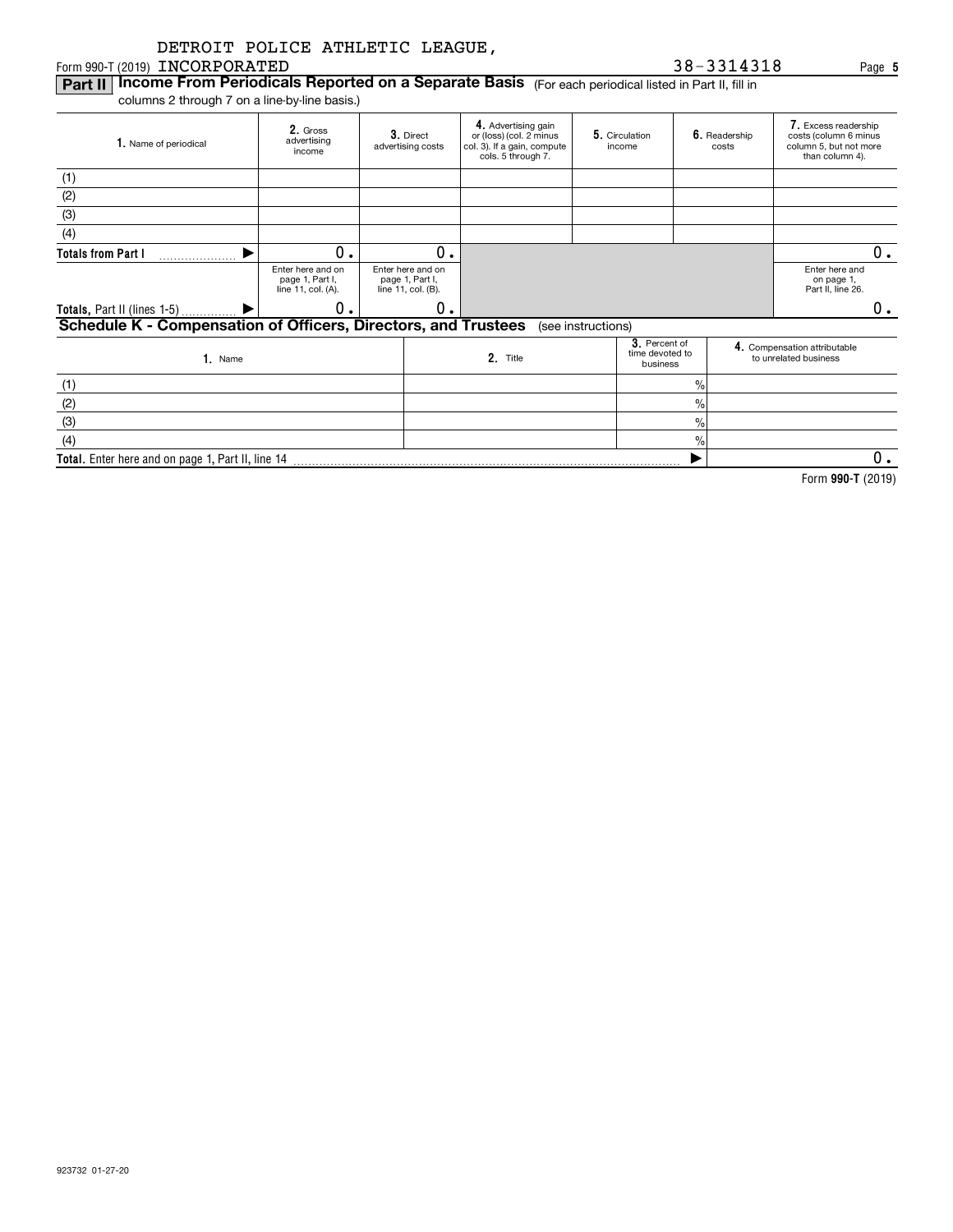#### Form 990-T (2019)  $\blacksquare$   $\blacksquare$   $\blacksquare$   $\blacksquare$   $\blacksquare$   $\blacksquare$   $\blacksquare$   $\blacksquare$   $\blacksquare$   $\blacksquare$   $\blacksquare$   $\blacksquare$   $\blacksquare$   $\blacksquare$   $\blacksquare$   $\blacksquare$   $\blacksquare$   $\blacksquare$   $\blacksquare$   $\blacksquare$   $\blacksquare$   $\blacksquare$   $\blacksquare$   $\blacksquare$   $\blacksquare$   $\blacksquare$   $\blacksquare$   $\blacksquare$   $\blacksquare$

#### **Part II | Income From Periodicals Reported on a Separate Basis** (For each periodical listed in Part II, fill in

**Total.**  Enter here and on page 1, Part II, line 14

columns 2 through 7 on a line-by-line basis.)

| 1. Name of periodical                                          | 2. Gross<br>advertising<br>income                          | 3. Direct<br>advertising costs                             | 4. Advertising gain<br>or (loss) (col. 2 minus<br>col. 3). If a gain, compute<br>cols. 5 through 7. | 5. Circulation<br>income                     | 6. Readership<br>costs |  | 7. Excess readership<br>costs (column 6 minus<br>column 5, but not more<br>than column 4). |
|----------------------------------------------------------------|------------------------------------------------------------|------------------------------------------------------------|-----------------------------------------------------------------------------------------------------|----------------------------------------------|------------------------|--|--------------------------------------------------------------------------------------------|
| (1)                                                            |                                                            |                                                            |                                                                                                     |                                              |                        |  |                                                                                            |
| (2)                                                            |                                                            |                                                            |                                                                                                     |                                              |                        |  |                                                                                            |
| (3)                                                            |                                                            |                                                            |                                                                                                     |                                              |                        |  |                                                                                            |
| (4)                                                            |                                                            |                                                            |                                                                                                     |                                              |                        |  |                                                                                            |
| <b>Totals from Part I</b><br>.                                 | 0.                                                         | 0.                                                         |                                                                                                     |                                              |                        |  | 0.                                                                                         |
|                                                                | Enter here and on<br>page 1, Part I,<br>line 11, col. (A). | Enter here and on<br>page 1, Part I,<br>line 11, col. (B). |                                                                                                     |                                              |                        |  | Enter here and<br>on page 1,<br>Part II, line 26.                                          |
|                                                                | 0.                                                         | 0.                                                         |                                                                                                     |                                              |                        |  | 0.                                                                                         |
| Schedule K - Compensation of Officers, Directors, and Trustees |                                                            |                                                            |                                                                                                     | (see instructions)                           |                        |  |                                                                                            |
| $1.$ Name                                                      |                                                            |                                                            | 2. Title                                                                                            | 3. Percent of<br>time devoted to<br>business |                        |  | 4. Compensation attributable<br>to unrelated business                                      |
| (1)                                                            |                                                            |                                                            |                                                                                                     |                                              | $\frac{9}{10}$         |  |                                                                                            |
| (2)                                                            |                                                            |                                                            |                                                                                                     |                                              | $\frac{9}{10}$         |  |                                                                                            |
| (3)                                                            |                                                            |                                                            |                                                                                                     |                                              | $\frac{9}{10}$         |  |                                                                                            |
| (4)                                                            |                                                            |                                                            |                                                                                                     |                                              | $\frac{9}{0}$          |  |                                                                                            |
| Total. Enter here and on page 1, Part II, line 14              |                                                            |                                                            |                                                                                                     |                                              |                        |  | 0.                                                                                         |

**990-T**  Form (2019)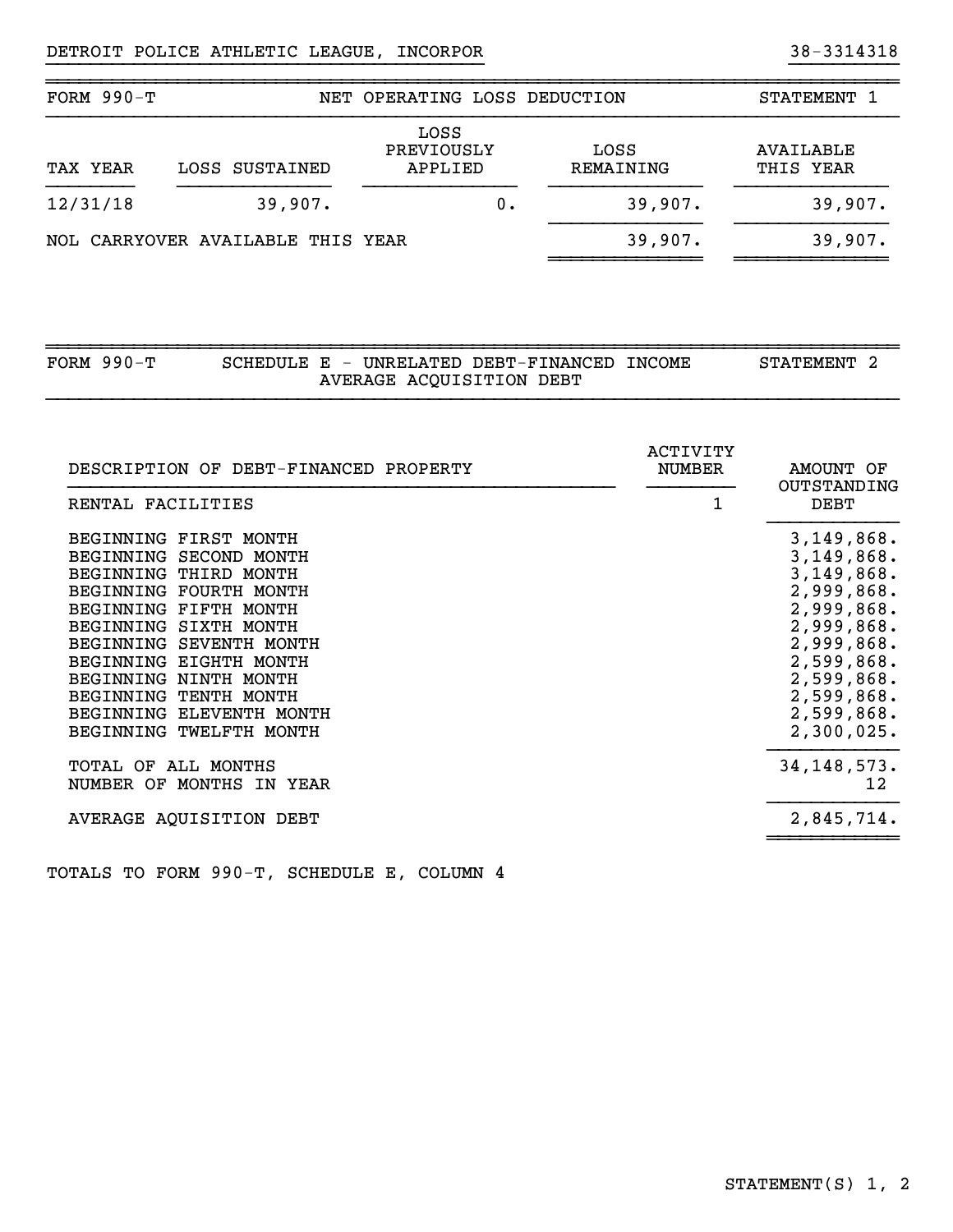| FORM $990-T$ |                                   | NET OPERATING LOSS DEDUCTION  |       |                   | STATEMENT 1                   |
|--------------|-----------------------------------|-------------------------------|-------|-------------------|-------------------------------|
| TAX YEAR     | LOSS SUSTAINED                    | LOSS<br>PREVIOUSLY<br>APPLIED |       | LOSS<br>REMAINING | <b>AVAILABLE</b><br>THIS YEAR |
| 12/31/18     | 39,907.                           |                               | $0$ . | 39,907.           | 39,907.                       |
|              | NOL CARRYOVER AVAILABLE THIS YEAR |                               |       | 39,907.           | 39,907.                       |

}}}}}}}}}}}}}}}}}}}}}}}}}}}}}}}}}}}}}}}} }}}}}}}}}}

~~~~~~~~~~~~~~~~~~~~~~~~~~~~~~~~~~~~~~~~~~~~~~~~~~~~~~~~~~~~~~~~~~~~~~~~~~~~~~

| FORM $990-T$ |  | SCHEDULE E - UNRELATED DEBT-FINANCED INCOME | STATEMENT <sub>2</sub> |  |
|--------------|--|---------------------------------------------|------------------------|--|
|              |  | AVERAGE ACQUISITION DEBT                    |                        |  |

~~~~~~~~~~~~~~~~~~~~~~~~~~~~~~~~~~~~~~~~~~~~~~~~~~~~~~~~~~~~~~~~~~~~~~~~~~~~~~

| DESCRIPTION OF DEBT-FINANCED PROPERTY                                                                                                                                                                                                                                                                        | ACTIVITY<br><b>NUMBER</b> | AMOUNT OF<br>OUTSTANDING                                                                                                                                              |
|--------------------------------------------------------------------------------------------------------------------------------------------------------------------------------------------------------------------------------------------------------------------------------------------------------------|---------------------------|-----------------------------------------------------------------------------------------------------------------------------------------------------------------------|
| RENTAL FACILITIES<br>BEGINNING FIRST MONTH<br>BEGINNING SECOND MONTH<br>BEGINNING THIRD MONTH<br>BEGINNING FOURTH MONTH<br>BEGINNING FIFTH MONTH<br>BEGINNING SIXTH MONTH<br>BEGINNING SEVENTH MONTH<br>BEGINNING EIGHTH MONTH<br>BEGINNING NINTH MONTH<br>BEGINNING TENTH MONTH<br>BEGINNING ELEVENTH MONTH | 1                         | <b>DEBT</b><br>3,149,868.<br>3,149,868.<br>3,149,868.<br>2,999,868.<br>2,999,868.<br>2,999,868.<br>2,999,868.<br>2,599,868.<br>2,599,868.<br>2,599,868.<br>2,599,868. |
| BEGINNING TWELFTH MONTH<br>TOTAL OF ALL MONTHS<br>NUMBER OF MONTHS IN YEAR<br>AVERAGE AQUISITION DEBT                                                                                                                                                                                                        |                           | 2,300,025.<br>34, 148, 573.<br>12<br>2,845,714.                                                                                                                       |

TOTALS TO FORM 990-T, SCHEDULE E, COLUMN 4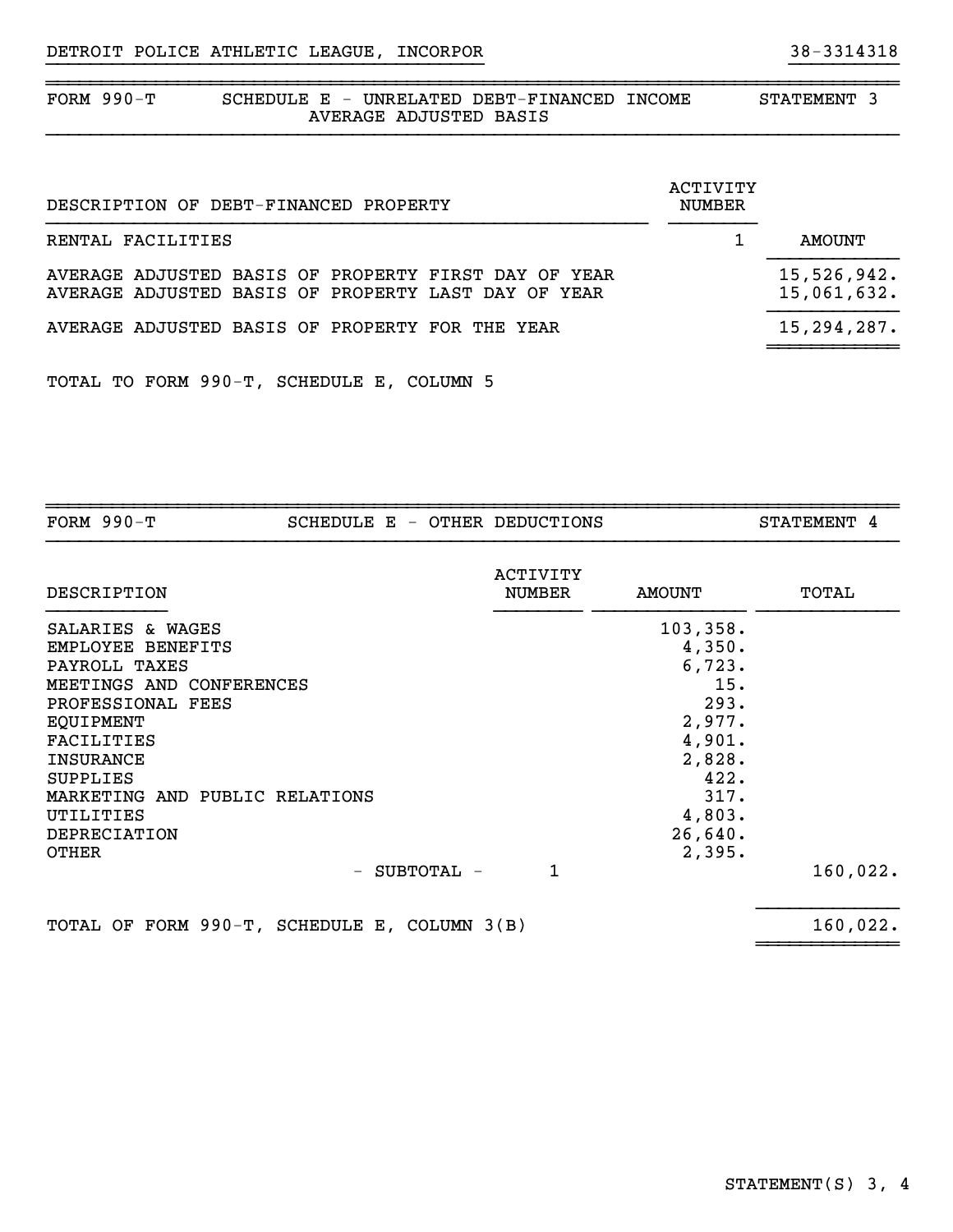| FORM 990-T |                        | SCHEDULE E - UNRELATED DEBT-FINANCED INCOME | <b>STATEMENT</b> |  |
|------------|------------------------|---------------------------------------------|------------------|--|
|            | AVERAGE ADJUSTED BASIS |                                             |                  |  |

}}}}}}}}}}}}}}}}}}}}}}}}}}}}}}}}}}}}}}}} }}}}}}}}}}

| DESCRIPTION OF DEBT-FINANCED PROPERTY                                                                       | ACTIVITY<br><b>NUMBER</b> |                            |
|-------------------------------------------------------------------------------------------------------------|---------------------------|----------------------------|
| RENTAL FACILITIES                                                                                           |                           | AMOUNT                     |
| AVERAGE ADJUSTED BASIS OF PROPERTY FIRST DAY OF YEAR<br>AVERAGE ADJUSTED BASIS OF PROPERTY LAST DAY OF YEAR |                           | 15,526,942.<br>15,061,632. |
| AVERAGE ADJUSTED BASIS OF PROPERTY FOR THE YEAR                                                             |                           | 15,294,287.                |
|                                                                                                             |                           |                            |

TOTAL TO FORM 990-T, SCHEDULE E, COLUMN 5

| FORM $990-T$                                                                                                                                                                                                                                                    |     |  |            | SCHEDULE E - OTHER DEDUCTIONS |                                                                                                                           | STATEMENT 4 |
|-----------------------------------------------------------------------------------------------------------------------------------------------------------------------------------------------------------------------------------------------------------------|-----|--|------------|-------------------------------|---------------------------------------------------------------------------------------------------------------------------|-------------|
| DESCRIPTION                                                                                                                                                                                                                                                     |     |  |            | ACTIVITY<br><b>NUMBER</b>     | <b>AMOUNT</b>                                                                                                             | TOTAL       |
| SALARIES & WAGES<br>EMPLOYEE BENEFITS<br>PAYROLL TAXES<br>MEETINGS AND CONFERENCES<br>PROFESSIONAL FEES<br><b>EQUIPMENT</b><br><b>FACILITIES</b><br>INSURANCE<br><b>SUPPLIES</b><br>MARKETING AND PUBLIC RELATIONS<br>UTILITIES<br>DEPRECIATION<br><b>OTHER</b> | $-$ |  | SUBTOTAL - | 1                             | 103, 358.<br>4,350.<br>6,723.<br>15.<br>293.<br>2,977.<br>4,901.<br>2,828.<br>422.<br>317.<br>4,803.<br>26,640.<br>2,395. | 160,022.    |
| TOTAL OF FORM 990-T, SCHEDULE E, COLUMN 3(B)                                                                                                                                                                                                                    |     |  |            |                               |                                                                                                                           | 160,022.    |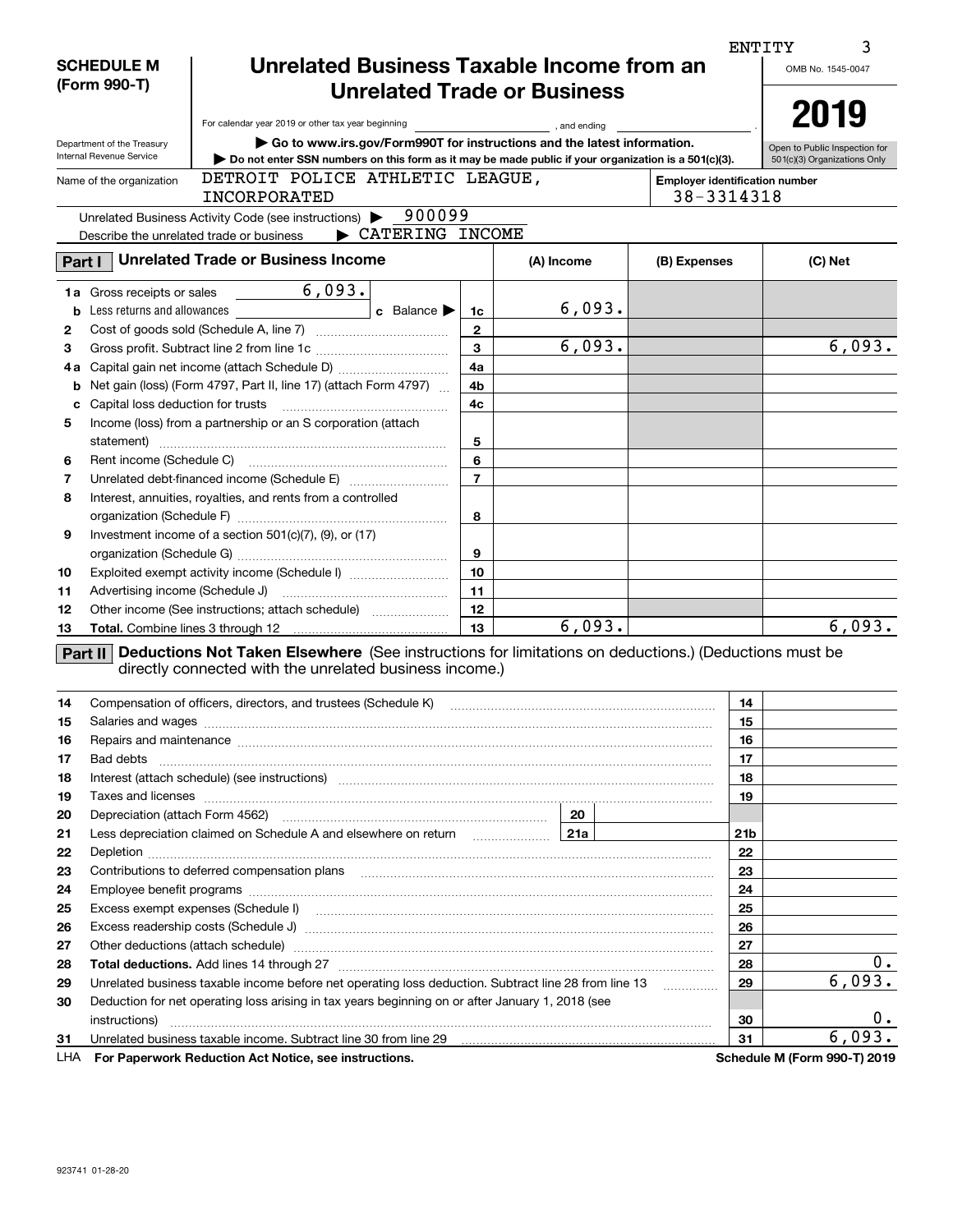|        |                                   |                                                                                                                                                                                                                                      |                |                        |                                | <b>ENTITY</b><br>3            |
|--------|-----------------------------------|--------------------------------------------------------------------------------------------------------------------------------------------------------------------------------------------------------------------------------------|----------------|------------------------|--------------------------------|-------------------------------|
|        | <b>SCHEDULE M</b>                 | Unrelated Business Taxable Income from an                                                                                                                                                                                            |                |                        |                                | OMB No. 1545-0047             |
|        | (Form 990-T)                      | <b>Unrelated Trade or Business</b>                                                                                                                                                                                                   |                |                        |                                |                               |
|        |                                   |                                                                                                                                                                                                                                      |                |                        |                                | 2019                          |
|        |                                   | For calendar year 2019 or other tax year beginning                                                                                                                                                                                   |                | and ending, and ending |                                |                               |
|        | Department of the Treasury        | Go to www.irs.gov/Form990T for instructions and the latest information.                                                                                                                                                              |                |                        |                                | Open to Public Inspection for |
|        | Internal Revenue Service          | Do not enter SSN numbers on this form as it may be made public if your organization is a 501(c)(3).                                                                                                                                  |                |                        |                                | 501(c)(3) Organizations Only  |
|        | Name of the organization          | DETROIT POLICE ATHLETIC LEAGUE,                                                                                                                                                                                                      |                |                        | Employer identification number |                               |
|        |                                   | INCORPORATED                                                                                                                                                                                                                         |                |                        | 38-3314318                     |                               |
|        |                                   | 900099<br>Unrelated Business Activity Code (see instructions)                                                                                                                                                                        |                |                        |                                |                               |
|        |                                   | CATERING INCOME<br>Describe the unrelated trade or business                                                                                                                                                                          |                |                        |                                |                               |
| Part I |                                   | <b>Unrelated Trade or Business Income</b>                                                                                                                                                                                            |                | (A) Income             | (B) Expenses                   | (C) Net                       |
|        | <b>1a</b> Gross receipts or sales | 6,093.                                                                                                                                                                                                                               |                |                        |                                |                               |
|        |                                   | <b>b</b> Less returns and allowances<br><b>c</b> Balance                                                                                                                                                                             | 1c             | 6,093.                 |                                |                               |
| 2      |                                   |                                                                                                                                                                                                                                      | $\mathbf{2}$   |                        |                                |                               |
| 3      |                                   |                                                                                                                                                                                                                                      | 3              | 6,093.                 |                                | 6,093.                        |
| 4а     |                                   |                                                                                                                                                                                                                                      | 4a             |                        |                                |                               |
| b      |                                   | Net gain (loss) (Form 4797, Part II, line 17) (attach Form 4797)                                                                                                                                                                     | 4b             |                        |                                |                               |
| c      |                                   |                                                                                                                                                                                                                                      | 4c             |                        |                                |                               |
| 5      |                                   | Income (loss) from a partnership or an S corporation (attach                                                                                                                                                                         |                |                        |                                |                               |
|        |                                   |                                                                                                                                                                                                                                      | 5              |                        |                                |                               |
| 6      |                                   |                                                                                                                                                                                                                                      | 6              |                        |                                |                               |
| 7      |                                   |                                                                                                                                                                                                                                      | $\overline{7}$ |                        |                                |                               |
| 8      |                                   | Interest, annuities, royalties, and rents from a controlled                                                                                                                                                                          |                |                        |                                |                               |
|        |                                   |                                                                                                                                                                                                                                      | 8              |                        |                                |                               |
| 9      |                                   | Investment income of a section $501(c)(7)$ , (9), or (17)                                                                                                                                                                            |                |                        |                                |                               |
|        |                                   |                                                                                                                                                                                                                                      | 9              |                        |                                |                               |
| 10     |                                   | Exploited exempt activity income (Schedule I)                                                                                                                                                                                        | 10             |                        |                                |                               |
| 11     |                                   |                                                                                                                                                                                                                                      | 11             |                        |                                |                               |
| 12     |                                   | Other income (See instructions; attach schedule)                                                                                                                                                                                     | 12             |                        |                                |                               |
| 13     |                                   |                                                                                                                                                                                                                                      | 13             | 6,093.                 |                                | 6,093.                        |
|        |                                   | Part II Deductions Not Taken Elsewhere (See instructions for limitations on deductions.) (Deductions must be                                                                                                                         |                |                        |                                |                               |
|        |                                   | directly connected with the unrelated business income.)                                                                                                                                                                              |                |                        |                                |                               |
|        |                                   |                                                                                                                                                                                                                                      |                |                        |                                |                               |
| 14     |                                   | Compensation of officers, directors, and trustees (Schedule K)                                                                                                                                                                       |                |                        | 14                             |                               |
| 15     |                                   |                                                                                                                                                                                                                                      |                |                        | 15                             |                               |
| 16     |                                   | Repairs and maintenance <i>communical content of the content of the content of the content of the content of the content of the content of the content of the content of the content of the content of the content of the conten</i> |                |                        | 16                             |                               |
| 17     | Bad debts                         |                                                                                                                                                                                                                                      |                |                        | 17                             |                               |
| 18     |                                   |                                                                                                                                                                                                                                      |                |                        | 18                             |                               |
| 19     |                                   | Taxes and licenses www.communication.communication.com/www.communication.com/www.communication.com                                                                                                                                   |                |                        | 19                             |                               |
| 20     |                                   |                                                                                                                                                                                                                                      |                | 20                     |                                |                               |
| 21     |                                   | Less depreciation claimed on Schedule A and elsewhere on return [21a]                                                                                                                                                                |                |                        | 21b                            |                               |
| 22     |                                   |                                                                                                                                                                                                                                      |                |                        | 22                             |                               |
| 23     |                                   |                                                                                                                                                                                                                                      |                |                        | 23                             |                               |
| 24     |                                   |                                                                                                                                                                                                                                      |                |                        | 24                             |                               |
| 25     |                                   |                                                                                                                                                                                                                                      |                |                        | 25                             |                               |
| 26     |                                   |                                                                                                                                                                                                                                      |                |                        | 26                             |                               |
| 27     |                                   | Other deductions (attach schedule) manufactured and according to the deductions (attach schedule) manufactured                                                                                                                       |                |                        | 27                             |                               |
| 28     |                                   |                                                                                                                                                                                                                                      |                |                        | 28                             | 0.                            |
| 29     |                                   | Unrelated business taxable income before net operating loss deduction. Subtract line 28 from line 13                                                                                                                                 |                |                        | 29<br>.                        | 6,093.                        |
| 30     |                                   | Deduction for net operating loss arising in tax years beginning on or after January 1, 2018 (see                                                                                                                                     |                |                        |                                |                               |
|        | instructions)                     |                                                                                                                                                                                                                                      |                |                        | 30                             | $0 \cdot$                     |
| 31     |                                   | Unrelated business taxable income. Subtract line 30 from line 29 manufactured incommunications in the United S                                                                                                                       |                |                        | 31                             | 6,093.                        |
| LHA    |                                   | For Paperwork Reduction Act Notice, see instructions.                                                                                                                                                                                |                |                        |                                | Schedule M (Form 990-T) 2019  |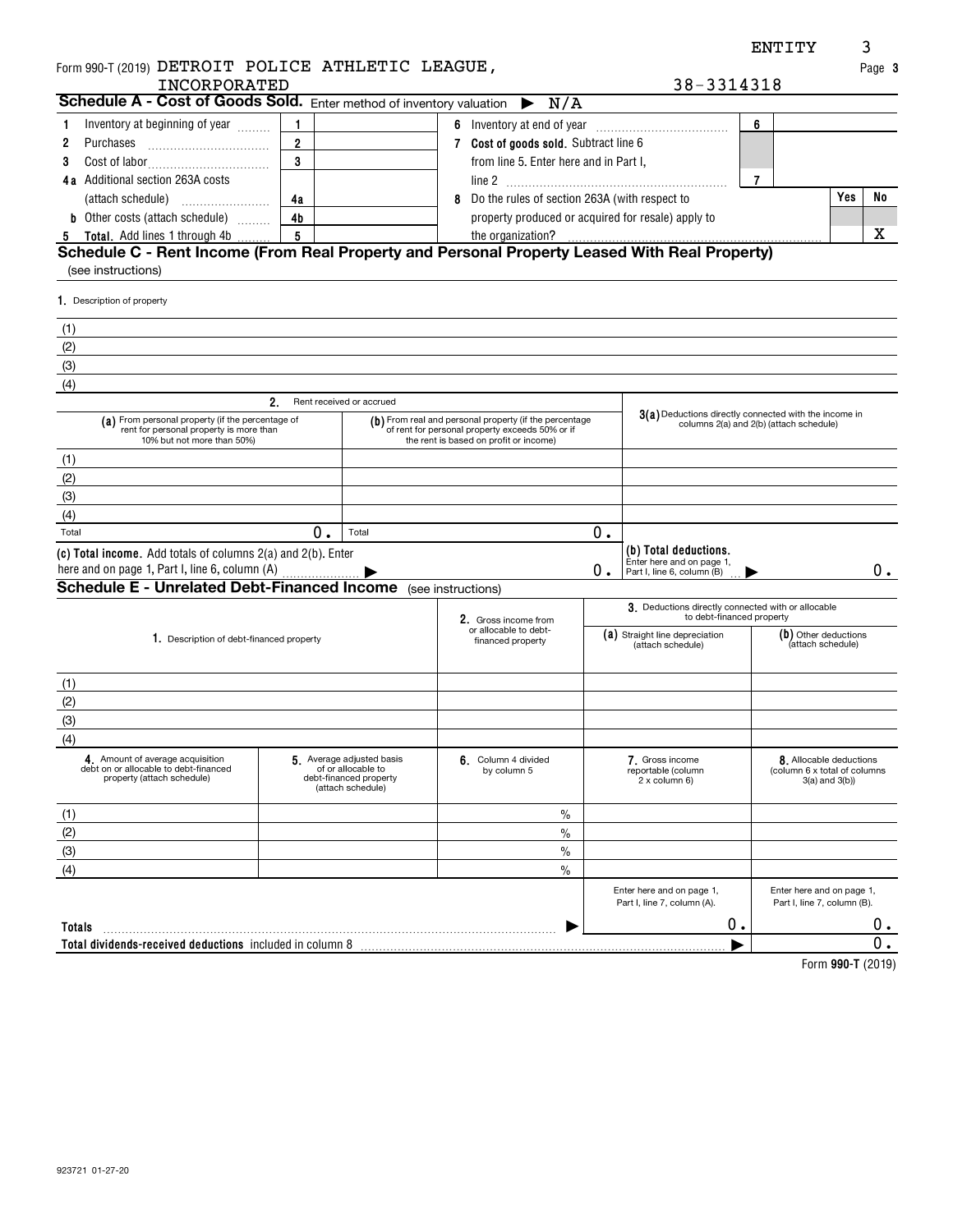| Form 990-T (2019) DETROIT POLICE ATHLETIC LEAGUE,                                                                         |                |                                                                                                |   |                                                                                                                                                     |    |                                                                                 |   |                                                                                | Page 3      |
|---------------------------------------------------------------------------------------------------------------------------|----------------|------------------------------------------------------------------------------------------------|---|-----------------------------------------------------------------------------------------------------------------------------------------------------|----|---------------------------------------------------------------------------------|---|--------------------------------------------------------------------------------|-------------|
| INCORPORATED                                                                                                              |                |                                                                                                |   |                                                                                                                                                     |    | 38-3314318                                                                      |   |                                                                                |             |
| Schedule A - Cost of Goods Sold. Enter method of inventory valuation $\triangleright N/A$                                 |                |                                                                                                |   |                                                                                                                                                     |    |                                                                                 |   |                                                                                |             |
| Inventory at beginning of year<br>1                                                                                       | 1              |                                                                                                |   | 6 Inventory at end of year                                                                                                                          |    |                                                                                 | 6 |                                                                                |             |
| 2<br>Purchases                                                                                                            | $\overline{2}$ |                                                                                                |   | 7 Cost of goods sold. Subtract line 6                                                                                                               |    |                                                                                 |   |                                                                                |             |
| 3                                                                                                                         | 3              |                                                                                                |   | from line 5. Enter here and in Part I,                                                                                                              |    |                                                                                 |   |                                                                                |             |
| 4a Additional section 263A costs                                                                                          |                |                                                                                                |   |                                                                                                                                                     |    |                                                                                 | 7 |                                                                                |             |
|                                                                                                                           | 4a             |                                                                                                | 8 | Do the rules of section 263A (with respect to                                                                                                       |    |                                                                                 |   | Yes                                                                            | No          |
| <b>b</b> Other costs (attach schedule)                                                                                    | 4 <sub>b</sub> |                                                                                                |   | property produced or acquired for resale) apply to                                                                                                  |    |                                                                                 |   |                                                                                |             |
| <b>Total.</b> Add lines 1 through 4b<br><u>5</u>                                                                          | 5              |                                                                                                |   | the organization?                                                                                                                                   |    |                                                                                 |   |                                                                                | x           |
| Schedule C - Rent Income (From Real Property and Personal Property Leased With Real Property)                             |                |                                                                                                |   |                                                                                                                                                     |    |                                                                                 |   |                                                                                |             |
| (see instructions)                                                                                                        |                |                                                                                                |   |                                                                                                                                                     |    |                                                                                 |   |                                                                                |             |
| 1. Description of property                                                                                                |                |                                                                                                |   |                                                                                                                                                     |    |                                                                                 |   |                                                                                |             |
| (1)                                                                                                                       |                |                                                                                                |   |                                                                                                                                                     |    |                                                                                 |   |                                                                                |             |
|                                                                                                                           |                |                                                                                                |   |                                                                                                                                                     |    |                                                                                 |   |                                                                                |             |
| (2)                                                                                                                       |                |                                                                                                |   |                                                                                                                                                     |    |                                                                                 |   |                                                                                |             |
| (3)                                                                                                                       |                |                                                                                                |   |                                                                                                                                                     |    |                                                                                 |   |                                                                                |             |
| (4)                                                                                                                       | 2.             |                                                                                                |   |                                                                                                                                                     |    |                                                                                 |   |                                                                                |             |
|                                                                                                                           |                | Rent received or accrued                                                                       |   |                                                                                                                                                     |    | 3(a) Deductions directly connected with the income in                           |   |                                                                                |             |
| (a) From personal property (if the percentage of<br>rent for personal property is more than<br>10% but not more than 50%) |                |                                                                                                |   | (b) From real and personal property (if the percentage<br>of rent for personal property exceeds 50% or if<br>the rent is based on profit or income) |    |                                                                                 |   | columns 2(a) and 2(b) (attach schedule)                                        |             |
| (1)                                                                                                                       |                |                                                                                                |   |                                                                                                                                                     |    |                                                                                 |   |                                                                                |             |
| (2)                                                                                                                       |                |                                                                                                |   |                                                                                                                                                     |    |                                                                                 |   |                                                                                |             |
| (3)                                                                                                                       |                |                                                                                                |   |                                                                                                                                                     |    |                                                                                 |   |                                                                                |             |
| (4)                                                                                                                       |                |                                                                                                |   |                                                                                                                                                     |    |                                                                                 |   |                                                                                |             |
| Total                                                                                                                     | 0.             | Total                                                                                          |   |                                                                                                                                                     | 0. |                                                                                 |   |                                                                                |             |
| (c) Total income. Add totals of columns 2(a) and 2(b). Enter                                                              |                |                                                                                                |   |                                                                                                                                                     |    | (b) Total deductions.<br>Enter here and on page 1,                              |   |                                                                                |             |
| here and on page 1, Part I, line 6, column (A)<br><b>Schedule E - Unrelated Debt-Financed Income</b> (see instructions)   |                |                                                                                                |   |                                                                                                                                                     | 0. | Part I, line 6, column (B)                                                      |   |                                                                                | 0.          |
|                                                                                                                           |                |                                                                                                |   |                                                                                                                                                     |    |                                                                                 |   |                                                                                |             |
|                                                                                                                           |                |                                                                                                |   | 2. Gross income from                                                                                                                                |    | 3. Deductions directly connected with or allocable<br>to debt-financed property |   |                                                                                |             |
| 1. Description of debt-financed property                                                                                  |                |                                                                                                |   | or allocable to debt-<br>financed property                                                                                                          |    | (a) Straight line depreciation                                                  |   | (b) Other deductions                                                           |             |
|                                                                                                                           |                |                                                                                                |   |                                                                                                                                                     |    | (attach schedule)                                                               |   | (attach schedule)                                                              |             |
| (1)                                                                                                                       |                |                                                                                                |   |                                                                                                                                                     |    |                                                                                 |   |                                                                                |             |
| (2)                                                                                                                       |                |                                                                                                |   |                                                                                                                                                     |    |                                                                                 |   |                                                                                |             |
| (3)                                                                                                                       |                |                                                                                                |   |                                                                                                                                                     |    |                                                                                 |   |                                                                                |             |
| (4)                                                                                                                       |                |                                                                                                |   |                                                                                                                                                     |    |                                                                                 |   |                                                                                |             |
|                                                                                                                           |                |                                                                                                |   |                                                                                                                                                     |    |                                                                                 |   |                                                                                |             |
| Amount of average acquisition<br>debt on or allocable to debt-financed<br>property (attach schedule)                      |                | 5. Average adjusted basis<br>of or allocable to<br>debt-financed property<br>(attach schedule) |   | 6. Column 4 divided<br>by column 5                                                                                                                  |    | 7. Gross income<br>reportable (column<br>2 x column 6)                          |   | 8. Allocable deductions<br>(column 6 x total of columns<br>$3(a)$ and $3(b)$ ) |             |
| (1)                                                                                                                       |                |                                                                                                |   | $\%$                                                                                                                                                |    |                                                                                 |   |                                                                                |             |
| (2)                                                                                                                       |                |                                                                                                |   | $\frac{0}{0}$                                                                                                                                       |    |                                                                                 |   |                                                                                |             |
| (3)                                                                                                                       |                |                                                                                                |   | $\frac{0}{0}$                                                                                                                                       |    |                                                                                 |   |                                                                                |             |
| (4)                                                                                                                       |                |                                                                                                |   | $\frac{0}{0}$                                                                                                                                       |    |                                                                                 |   |                                                                                |             |
|                                                                                                                           |                |                                                                                                |   |                                                                                                                                                     |    | Enter here and on page 1,<br>Part I, line 7, column (A).                        |   | Enter here and on page 1,<br>Part I, line 7, column (B).                       |             |
|                                                                                                                           |                |                                                                                                |   |                                                                                                                                                     |    | 0.                                                                              |   |                                                                                |             |
| Totals                                                                                                                    |                |                                                                                                |   |                                                                                                                                                     |    |                                                                                 |   |                                                                                | $0$ .<br>0. |
| Total dividends-received deductions included in column 8                                                                  |                |                                                                                                |   |                                                                                                                                                     |    |                                                                                 |   | Form 000.T 19010                                                               |             |

**990-T**  Form (2019)

ENTITY 3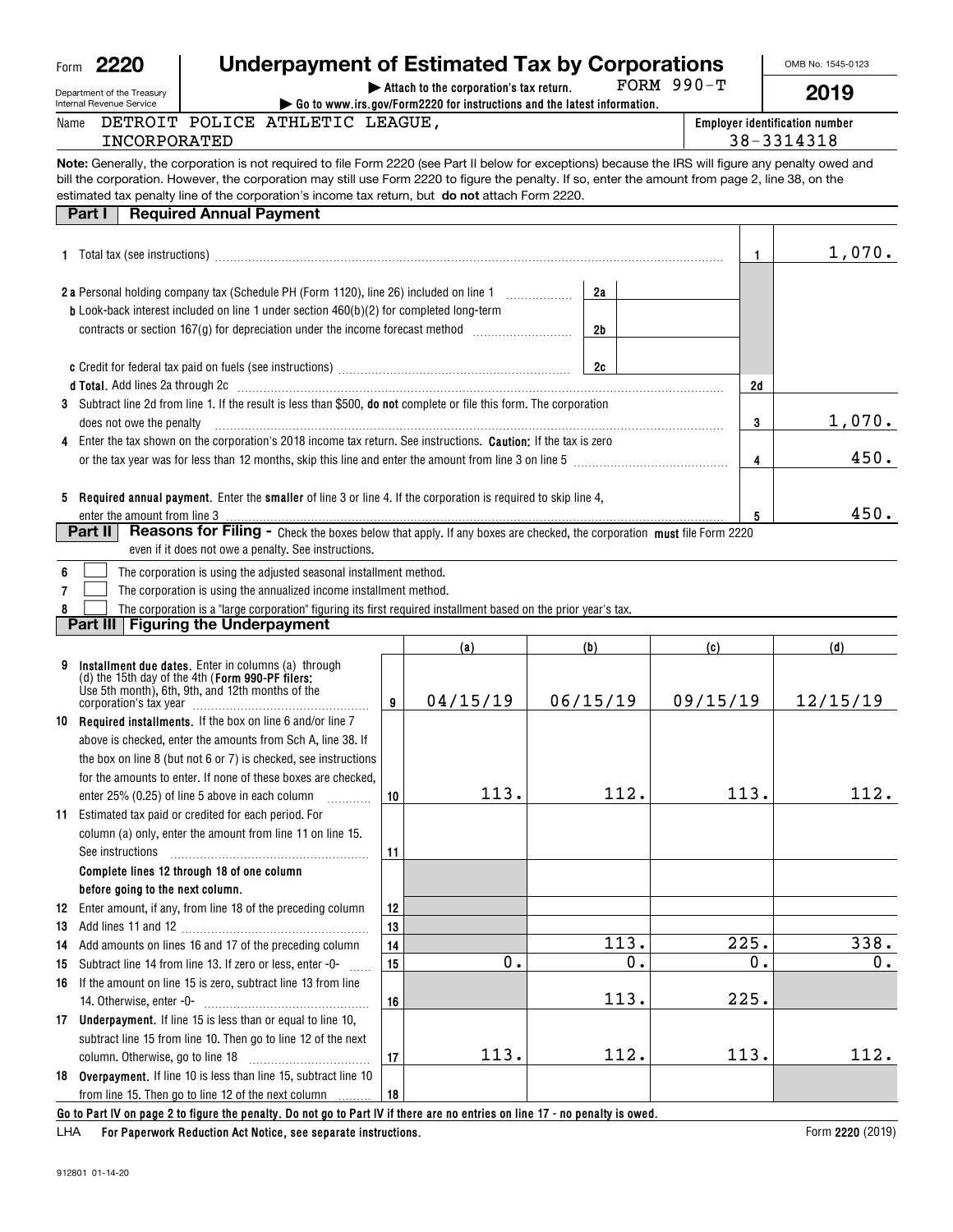## **| Attach to the corporation's tax return. Underpayment of Estimated Tax by Corporations**

FORM 990-T

OMB No. 1545-0123

Department of the Treasury Internal Revenue Service

Form**2220**

Name

#### **| Go to www.irs.gov/Form2220 for instructions and the latest information. Employer identification number 2019**INCORPORATED 38-3314318 DETROIT POLICE ATHLETIC LEAGUE,

**Note:**Generally, the corporation is not required to file Form 2220 (see Part II below for exceptions) because the IRS will figure any penalty owed and estimated tax penalty line of the corporation's income tax return, but **do not** attach Form 2220. bill the corporation. However, the corporation may still use Form 2220 to figure the penalty. If so, enter the amount from page 2, line 38, on the

| <b>Required Annual Payment</b><br>Part I                                                                                                                                                                                          |    |    |        |
|-----------------------------------------------------------------------------------------------------------------------------------------------------------------------------------------------------------------------------------|----|----|--------|
|                                                                                                                                                                                                                                   |    |    | 1,070. |
| <b>2a</b> Personal holding company tax (Schedule PH (Form 1120), line 26) included on line 1                                                                                                                                      | 2a |    |        |
| <b>b</b> Look-back interest included on line 1 under section $460(b)(2)$ for completed long-term                                                                                                                                  | 2b |    |        |
|                                                                                                                                                                                                                                   | 2c |    |        |
|                                                                                                                                                                                                                                   |    | 2d |        |
| 3 Subtract line 2d from line 1. If the result is less than \$500, <b>do not</b> complete or file this form. The corporation<br>does not owe the penalty                                                                           |    | 3  | 1,070. |
| 4 Enter the tax shown on the corporation's 2018 income tax return. See instructions. <b>Caution:</b> If the tax is zero<br>or the tax year was for less than 12 months, skip this line and enter the amount from line 3 on line 5 |    | 4  | 450.   |
| <b>Required annual payment.</b> Enter the <b>smaller</b> of line 3 or line 4. If the corporation is required to skip line 4,<br>5<br>enter the amount from line 3                                                                 |    | 5  | 450.   |
| Part II<br><b>Reasons for Filing -</b> Check the boxes below that apply. If any boxes are checked, the corporation must file Form 2220<br>even if it does not owe a penalty. See instructions.                                    |    |    |        |
| The corporation is using the adjusted seasonal installment method.                                                                                                                                                                |    |    |        |

**7**The corporation is using the annualized income installment method.  $\mathcal{L}^{\text{max}}$ 

**8**The corporation is a "large corporation" figuring its first required installment based on the prior year's tax.  $\mathcal{L}^{\text{max}}$ 

### **Part III Figuring the Underpayment**

|    |                                                                                                                                                                                                                                                                                                                    |    | (a)      | (b)                                                                                                                                                                                                                            | (c)           | (d)      |
|----|--------------------------------------------------------------------------------------------------------------------------------------------------------------------------------------------------------------------------------------------------------------------------------------------------------------------|----|----------|--------------------------------------------------------------------------------------------------------------------------------------------------------------------------------------------------------------------------------|---------------|----------|
| 9  | Installment due dates. Enter in columns (a) through<br>(d) the 15th day of the 4th (Form 990-PF filers:<br>Use 5th month), 6th, 9th, and 12th months of the<br>corporation's tax year                                                                                                                              | 9  | 04/15/19 | 06/15/19                                                                                                                                                                                                                       | 09/15/19      | 12/15/19 |
|    | 10 Required installments. If the box on line 6 and/or line 7<br>above is checked, enter the amounts from Sch A, line 38. If<br>the box on line 8 (but not 6 or 7) is checked, see instructions<br>for the amounts to enter. If none of these boxes are checked.<br>enter 25% (0.25) of line 5 above in each column | 10 | 113.     | 112.                                                                                                                                                                                                                           | 113.          | 112.     |
| 11 | Estimated tax paid or credited for each period. For<br>column (a) only, enter the amount from line 11 on line 15.<br>See instructions                                                                                                                                                                              | 11 |          |                                                                                                                                                                                                                                |               |          |
|    | Complete lines 12 through 18 of one column                                                                                                                                                                                                                                                                         |    |          |                                                                                                                                                                                                                                |               |          |
|    | before going to the next column.                                                                                                                                                                                                                                                                                   |    |          |                                                                                                                                                                                                                                |               |          |
| 12 | Enter amount, if any, from line 18 of the preceding column                                                                                                                                                                                                                                                         | 12 |          |                                                                                                                                                                                                                                |               |          |
| 13 |                                                                                                                                                                                                                                                                                                                    | 13 |          |                                                                                                                                                                                                                                |               |          |
| 14 | Add amounts on lines 16 and 17 of the preceding column                                                                                                                                                                                                                                                             | 14 |          | 113.                                                                                                                                                                                                                           | 225.          | 338.     |
| 15 | Subtract line 14 from line 13. If zero or less, enter -0-                                                                                                                                                                                                                                                          | 15 | 0.       | 0.                                                                                                                                                                                                                             | $\mathbf 0$ . | $0$ .    |
| 16 | If the amount on line 15 is zero, subtract line 13 from line<br>14. Otherwise, enter -0-                                                                                                                                                                                                                           | 16 |          | 113.                                                                                                                                                                                                                           | 225.          |          |
|    | 17 Underpayment. If line 15 is less than or equal to line 10,<br>subtract line 15 from line 10. Then go to line 12 of the next                                                                                                                                                                                     | 17 | 113.     | 112.                                                                                                                                                                                                                           | 113.          | 112.     |
| 18 | <b>Overpayment.</b> If line 10 is less than line 15, subtract line 10<br>from line 15. Then go to line 12 of the next column<br>As to Boot IV an aircra Ada Harrist the against Baracters to Boot IV (4th at                                                                                                       | 18 |          | the contribution that difference is a contribution of the second to a second the second state of the second state of the second state of the second state of the second state of the second state of the second state of the s |               |          |

**Go to Part IV on page 2 to figure the penalty. Do not go to Part IV if there are no entries on line 17 - no penalty is owed.**

**For Paperwork Reduction Act Notice, see separate instructions.** LHA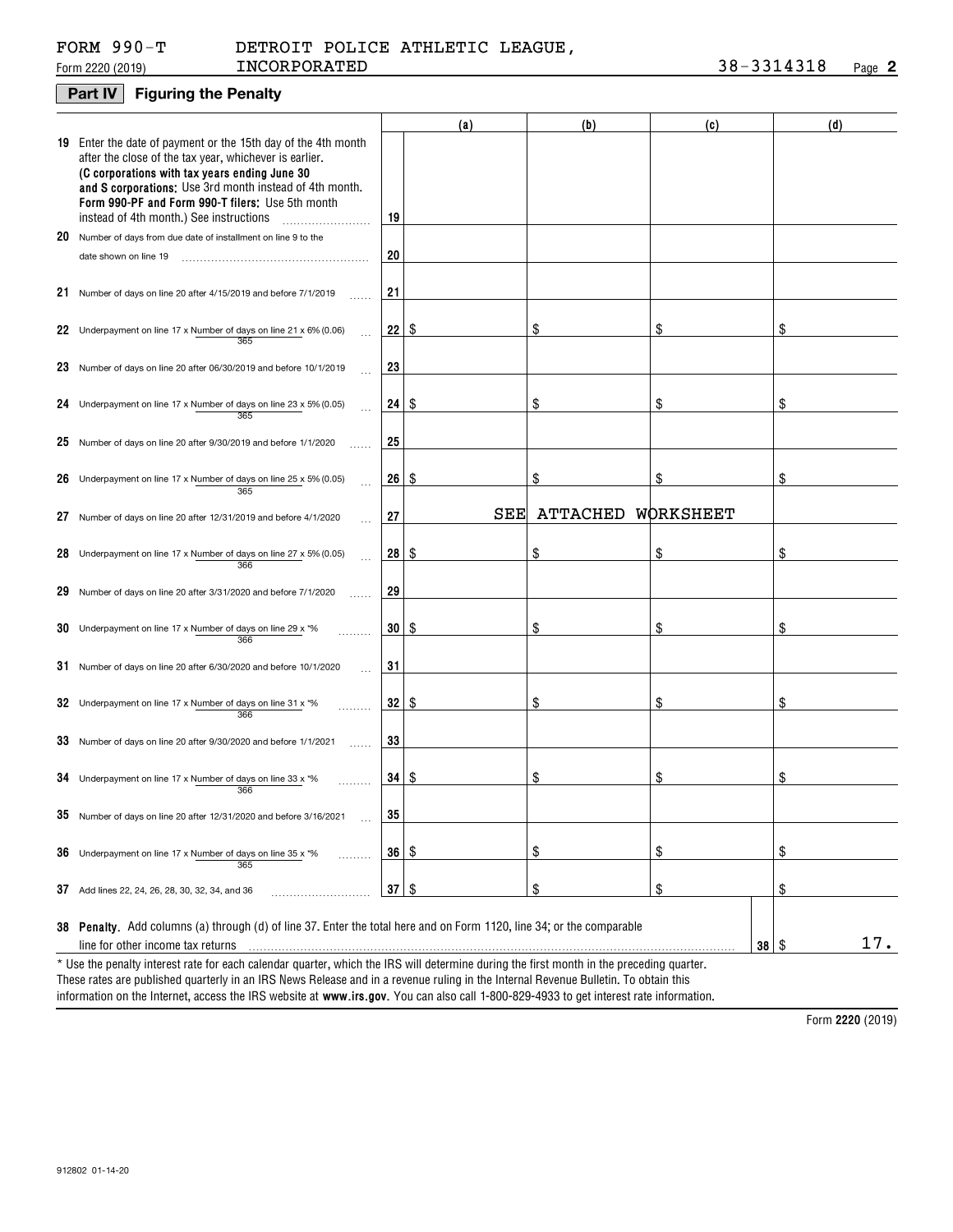## FORM 990-T

#### Form 2220 (2019) **INCORPORATED 38**-3314318 <sub>Page</sub> 2 INCORPORATED 38-3314318 DETROIT POLICE ATHLETIC LEAGUE,

## **Part IV Figuring the Penalty**

|    |                                                                                                                                                                                                                                                                                                                                    |                         | (a) | (b)      | (c)          | (d) |
|----|------------------------------------------------------------------------------------------------------------------------------------------------------------------------------------------------------------------------------------------------------------------------------------------------------------------------------------|-------------------------|-----|----------|--------------|-----|
|    | 19 Enter the date of payment or the 15th day of the 4th month<br>after the close of the tax year, whichever is earlier.<br>(C corporations with tax years ending June 30<br>and S corporations: Use 3rd month instead of 4th month.<br>Form 990-PF and Form 990-T filers; Use 5th month<br>instead of 4th month.) See instructions | 19                      |     |          |              |     |
|    | 20 Number of days from due date of installment on line 9 to the                                                                                                                                                                                                                                                                    |                         |     |          |              |     |
|    | date shown on line 19                                                                                                                                                                                                                                                                                                              | 20                      |     |          |              |     |
|    |                                                                                                                                                                                                                                                                                                                                    |                         |     |          |              |     |
|    | 21 Number of days on line 20 after 4/15/2019 and before 7/1/2019                                                                                                                                                                                                                                                                   | 21                      |     |          |              |     |
|    |                                                                                                                                                                                                                                                                                                                                    |                         |     |          |              |     |
|    | 22 Underpayment on line 17 x Number of days on line 21 x 6% (0.06)<br>365                                                                                                                                                                                                                                                          | 22 <sub>1</sub>         | -\$ |          | \$           | \$  |
|    | 23 Number of days on line 20 after 06/30/2019 and before 10/1/2019                                                                                                                                                                                                                                                                 | 23                      |     |          |              |     |
|    | 24 Underpayment on line 17 x Number of days on line 23 x 5% (0.05)<br>365                                                                                                                                                                                                                                                          | $24 \text{ }$ \$        |     | \$       | \$           | \$  |
|    | 25 Number of days on line 20 after $9/30/2019$ and before $1/1/2020$                                                                                                                                                                                                                                                               | 25                      |     |          |              |     |
|    |                                                                                                                                                                                                                                                                                                                                    |                         |     |          |              |     |
|    | 26 Underpayment on line 17 x Number of days on line 25 x 5% (0.05)<br>365                                                                                                                                                                                                                                                          | $26 \,$ $\uparrow$      |     | \$       | \$           | \$  |
| 27 | Number of days on line 20 after 12/31/2019 and before 4/1/2020                                                                                                                                                                                                                                                                     | 27                      | SEE | ATTACHED | WORKSHEET    |     |
| 28 | Underpayment on line 17 x Number of days on line 27 x 5% (0.05)<br>366                                                                                                                                                                                                                                                             | $28 \quad$              |     | \$       | \$           | \$  |
|    | 29 Number of days on line 20 after 3/31/2020 and before 7/1/2020                                                                                                                                                                                                                                                                   | 29                      |     |          |              |     |
| 30 | Underpayment on line 17 x Number of days on line 29 x *%<br>366                                                                                                                                                                                                                                                                    | $30 \mid$ $\frac{6}{3}$ |     | \$       | \$           | \$  |
|    | 31 Number of days on line 20 after 6/30/2020 and before 10/1/2020                                                                                                                                                                                                                                                                  | 31                      |     |          |              |     |
|    | 32 Underpayment on line 17 x Number of days on line 31 x $*$ %<br>366                                                                                                                                                                                                                                                              | $32 \mid$ $\frac{6}{3}$ |     | \$       | \$           | \$  |
|    | 33 Number of days on line 20 after 9/30/2020 and before 1/1/2021                                                                                                                                                                                                                                                                   | 33                      |     |          |              |     |
|    | 34 Underpayment on line 17 x Number of days on line 33 x $*$ %<br>366                                                                                                                                                                                                                                                              | $34 \mid$ \$            |     | \$       | \$           | \$  |
|    | 35 Number of days on line 20 after 12/31/2020 and before 3/16/2021                                                                                                                                                                                                                                                                 | 35                      |     |          |              |     |
|    | <b>36</b> Underpayment on line 17 x Number of days on line 35 x $*$ %<br>365                                                                                                                                                                                                                                                       | 36   \$                 |     | \$       | \$           | \$  |
|    | 37 Add lines 22, 24, 26, 28, 30, 32, 34, and 36                                                                                                                                                                                                                                                                                    | 37                      | \$  | \$       | \$           | \$  |
|    | 38 Penalty. Add columns (a) through (d) of line 37. Enter the total here and on Form 1120, line 34; or the comparable                                                                                                                                                                                                              |                         |     |          |              |     |
|    | line for other income tax returns                                                                                                                                                                                                                                                                                                  |                         |     |          | $38 \mid$ \$ | 17. |
|    | * Use the penalty interest rate for each calendar quarter, which the IRS will determine during the first month in the preceding quarter.<br>These rates are published quarterly in an IRS News Release and in a revenue ruling in the Internal Revenue Bulletin. To obtain this                                                    |                         |     |          |              |     |

 **www.irs.gov.**  information on the Internet, access the IRS website at **www.irs.gov**. You can also call 1-800-829-4933 to get interest rate information.

**2220**  Form (2019)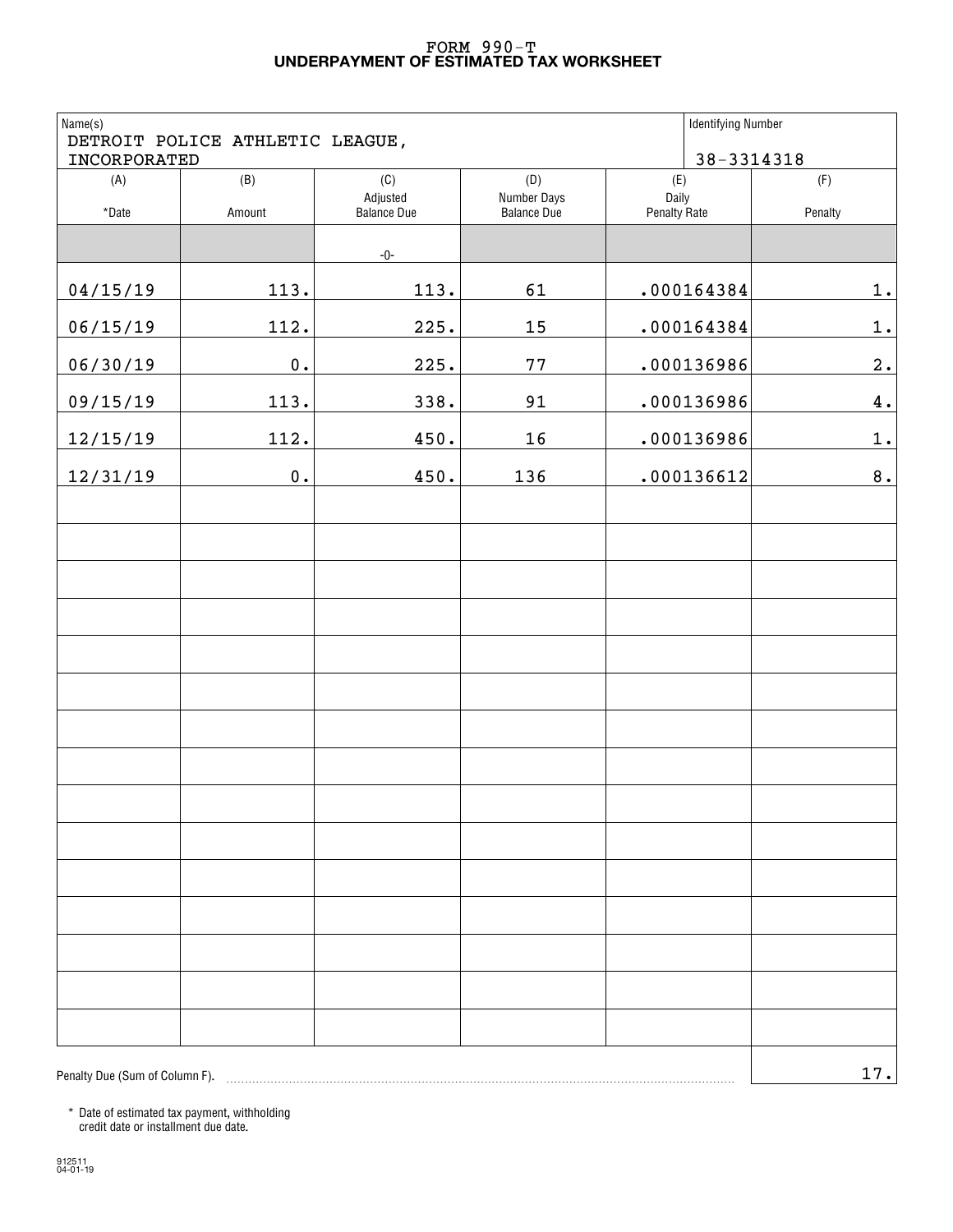#### **UNDERPAYMENT OF ESTIMATED TAX WORKSHEET** FORM 990-T

| Name(s)<br>INCORPORATED        | DETROIT POLICE ATHLETIC LEAGUE, |                                |                                   | <b>Identifying Number</b>    | 38-3314318         |
|--------------------------------|---------------------------------|--------------------------------|-----------------------------------|------------------------------|--------------------|
| (A)                            | (B)                             | (C)                            | (D)                               | (E)                          | (F)                |
| *Date                          | Amount                          | Adjusted<br><b>Balance Due</b> | Number Days<br><b>Balance Due</b> | Daily<br><b>Penalty Rate</b> | Penalty            |
|                                |                                 | -0-                            |                                   |                              |                    |
| 04/15/19                       | 113.                            | 113.                           | 61                                | .000164384                   | $1$ .              |
| 06/15/19                       | 112.                            | 225.                           | 15                                | .000164384                   | $1$ .              |
| 06/30/19                       | $\mathbf 0$ .                   | 225.                           | 77                                | .000136986                   | 2.                 |
| 09/15/19                       | 113.                            | 338.                           | 91                                | .000136986                   | $\boldsymbol{4}$ . |
| 12/15/19                       | 112.                            | 450.                           | 16                                | .000136986                   | $1$ .              |
| 12/31/19                       | $\mathbf 0$ .                   | 450.                           | 136                               | .000136612                   | $\bf 8$ .          |
|                                |                                 |                                |                                   |                              |                    |
|                                |                                 |                                |                                   |                              |                    |
|                                |                                 |                                |                                   |                              |                    |
|                                |                                 |                                |                                   |                              |                    |
|                                |                                 |                                |                                   |                              |                    |
|                                |                                 |                                |                                   |                              |                    |
|                                |                                 |                                |                                   |                              |                    |
|                                |                                 |                                |                                   |                              |                    |
|                                |                                 |                                |                                   |                              |                    |
|                                |                                 |                                |                                   |                              |                    |
|                                |                                 |                                |                                   |                              |                    |
|                                |                                 |                                |                                   |                              |                    |
|                                |                                 |                                |                                   |                              |                    |
|                                |                                 |                                |                                   |                              |                    |
|                                |                                 |                                |                                   |                              |                    |
| Penalty Due (Sum of Column F). |                                 |                                |                                   |                              | 17.                |

\* Date of estimated tax payment, withholding credit date or installment due date.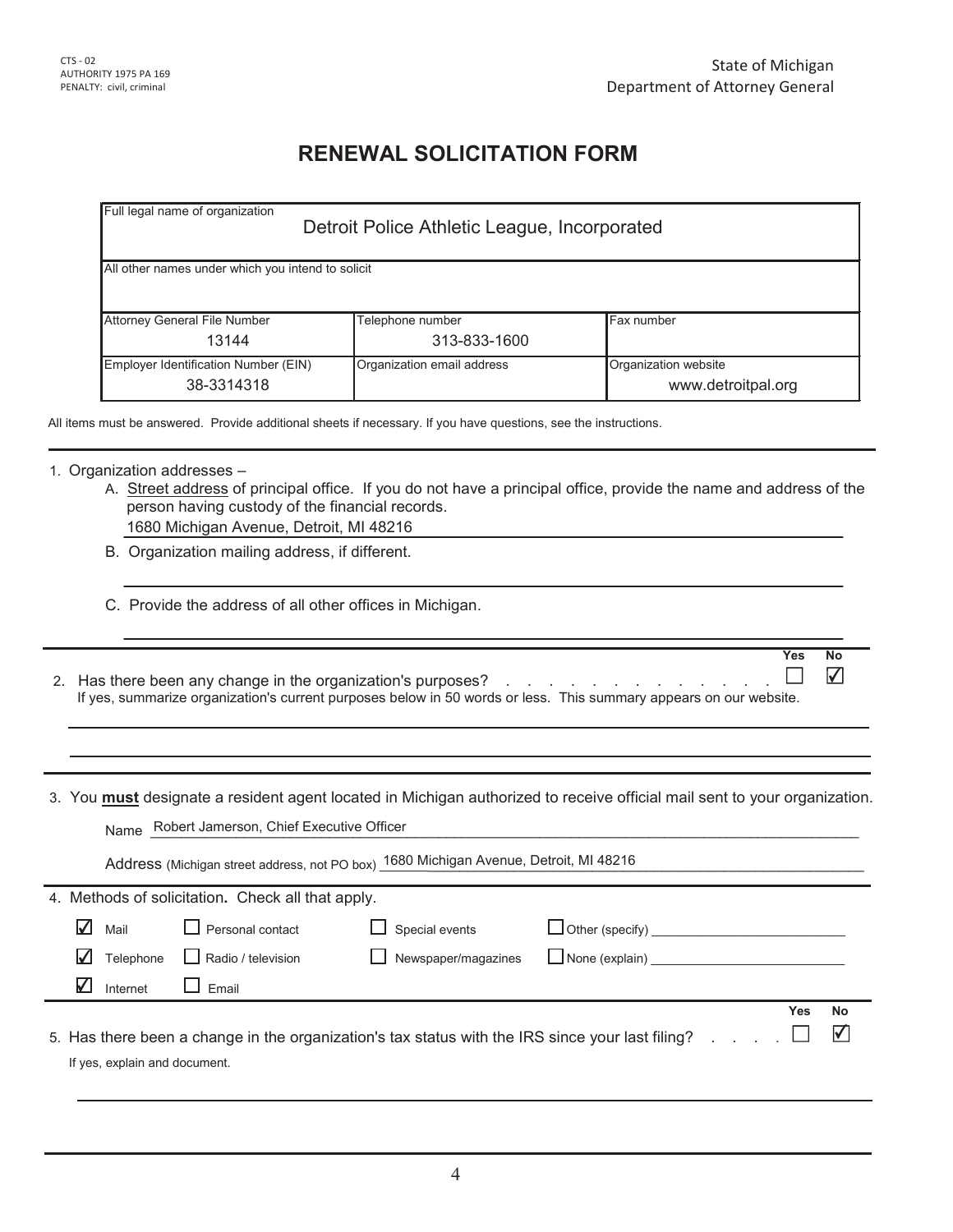Yes No

## **RENEWAL SOLICITATION FORM**

|                                                   | Detroit Police Athletic League, Incorporated |                                            |
|---------------------------------------------------|----------------------------------------------|--------------------------------------------|
| All other names under which you intend to solicit |                                              |                                            |
| <b>Attorney General File Number</b>               | Telephone number                             | Fax number                                 |
| 13144                                             | 313-833-1600                                 |                                            |
| Employer Identification Number (EIN)              | Organization email address                   | Organization website<br>www.detroitpal.org |

## 1. Organization addresses  $-$

- A. Street address of principal office. If you do not have a principal office, provide the name and address of the person having custody of the financial records. 1680 Michigan Avenue, Detroit, MI 48216
- B. Organization mailing address, if different.
- C. Provide the address of all other offices in Michigan.
- ✔ ⊔ 2. Has there been any change in the organization's purposes?  $\quad \ldots \quad \ldots \quad \ldots \quad \ldots \quad \ldots \quad \ldots$ If yes, summarize organization's current purposes below in 50 words or less. This summary appears on our website.
- 3. You **must** designate a resident agent located in Michigan authorized to receive official mail sent to your organization.

| Robert Jamerson, Chief Executive Officer<br>Name                                                                                  |     |           |  |  |  |  |  |  |
|-----------------------------------------------------------------------------------------------------------------------------------|-----|-----------|--|--|--|--|--|--|
| Address (Michigan street address, not PO box) 1680 Michigan Avenue, Detroit, MI 48216                                             |     |           |  |  |  |  |  |  |
| 4. Methods of solicitation. Check all that apply.                                                                                 |     |           |  |  |  |  |  |  |
| V<br>Personal contact<br>$\Box$ Other (specify) $\Box$<br>Special events<br>Mail                                                  |     |           |  |  |  |  |  |  |
| $\Box$ None (explain)<br>Newspaper/magazines<br>Radio / television<br>Telephone                                                   |     |           |  |  |  |  |  |  |
| V<br>Fmail<br>Internet                                                                                                            |     |           |  |  |  |  |  |  |
|                                                                                                                                   | Yes | <b>No</b> |  |  |  |  |  |  |
| 5. Has there been a change in the organization's tax status with the IRS since your last filing?<br>If yes, explain and document. |     | M         |  |  |  |  |  |  |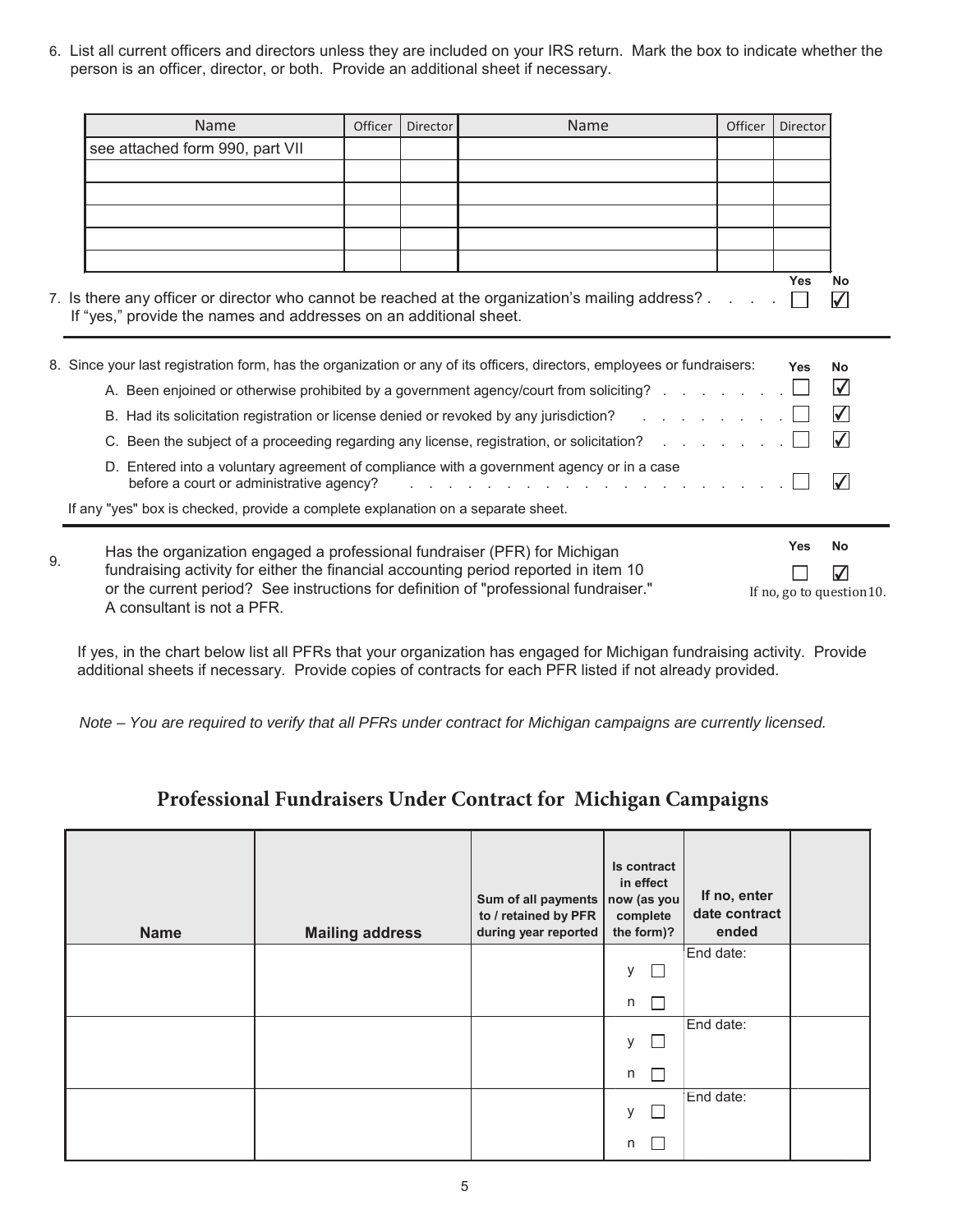6. List all current officers and directors unless they are included on your IRS return. Mark the box to indicate whether the person is an officer, director, or both. Provide an additional sheet if necessary.

|    | Name                                                                                                                    | <b>Officer</b> | <b>Director</b> | Name                                                                                                               | Officer | Director                  |                          |
|----|-------------------------------------------------------------------------------------------------------------------------|----------------|-----------------|--------------------------------------------------------------------------------------------------------------------|---------|---------------------------|--------------------------|
|    | see attached form 990, part VII                                                                                         |                |                 |                                                                                                                    |         |                           |                          |
|    |                                                                                                                         |                |                 |                                                                                                                    |         |                           |                          |
|    |                                                                                                                         |                |                 |                                                                                                                    |         |                           |                          |
|    |                                                                                                                         |                |                 |                                                                                                                    |         |                           |                          |
|    |                                                                                                                         |                |                 |                                                                                                                    |         |                           |                          |
|    |                                                                                                                         |                |                 |                                                                                                                    |         |                           |                          |
|    | 7. Is there any officer or director who cannot be reached at the organization's mailing address?                        |                |                 |                                                                                                                    |         | <b>Yes</b>                | <b>No</b><br>$\sqrt{}$   |
|    | If "yes," provide the names and addresses on an additional sheet.                                                       |                |                 |                                                                                                                    |         |                           |                          |
|    |                                                                                                                         |                |                 |                                                                                                                    |         |                           |                          |
|    | 8. Since your last registration form, has the organization or any of its officers, directors, employees or fundraisers: |                |                 |                                                                                                                    |         | <b>Yes</b>                | <b>No</b>                |
|    |                                                                                                                         |                |                 | A. Been enjoined or otherwise prohibited by a government agency/court from soliciting?                             |         |                           | $\Delta$                 |
|    |                                                                                                                         |                |                 | B. Had its solicitation registration or license denied or revoked by any jurisdiction? The State State State State |         |                           | $\sqrt{}$                |
|    |                                                                                                                         |                |                 | C. Been the subject of a proceeding regarding any license, registration, or solicitation?                          |         |                           | $\sqrt{}$                |
|    | D. Entered into a voluntary agreement of compliance with a government agency or in a case                               |                |                 |                                                                                                                    |         |                           |                          |
|    | before a court or administrative agency?                                                                                |                |                 | and the state of the state of the state of the state of the state of the state of the state of the state of the    |         |                           | $\overline{\mathcal{V}}$ |
|    | If any "yes" box is checked, provide a complete explanation on a separate sheet.                                        |                |                 |                                                                                                                    |         |                           |                          |
|    | Has the organization engaged a professional fundraiser (PFR) for Michigan                                               |                |                 |                                                                                                                    |         | <b>Yes</b>                | <b>No</b>                |
| 9. | fundraising activity for either the financial accounting period reported in item 10                                     |                |                 |                                                                                                                    |         |                           | V                        |
|    | or the current period? See instructions for definition of "professional fundraiser."                                    |                |                 |                                                                                                                    |         | If no, go to question 10. |                          |
|    | A consultant is not a PFR.                                                                                              |                |                 |                                                                                                                    |         |                           |                          |

If yes, in the chart below list all PFRs that your organization has engaged for Michigan fundraising activity. Provide additional sheets if necessary. Provide copies of contracts for each PFR listed if not already provided.

*Note – You are required to verify that all PFRs under contract for Michigan campaigns are currently licensed.*

## Professional Fundraisers Under Contract for Michigan Campaigns

| <b>Name</b> | <b>Mailing address</b> | Sum of all payments<br>to / retained by PFR<br>during year reported | Is contract<br>in effect<br>now (as you<br>complete<br>the form)? | If no, enter<br>date contract<br>ended |  |
|-------------|------------------------|---------------------------------------------------------------------|-------------------------------------------------------------------|----------------------------------------|--|
|             |                        |                                                                     | у<br>n a                                                          | End date:                              |  |
|             |                        |                                                                     | n<br>$\Box$                                                       |                                        |  |
|             |                        |                                                                     | У<br>L                                                            | End date:                              |  |
|             |                        |                                                                     | n                                                                 |                                        |  |
|             |                        |                                                                     | У                                                                 | End date:                              |  |
|             |                        |                                                                     | n                                                                 |                                        |  |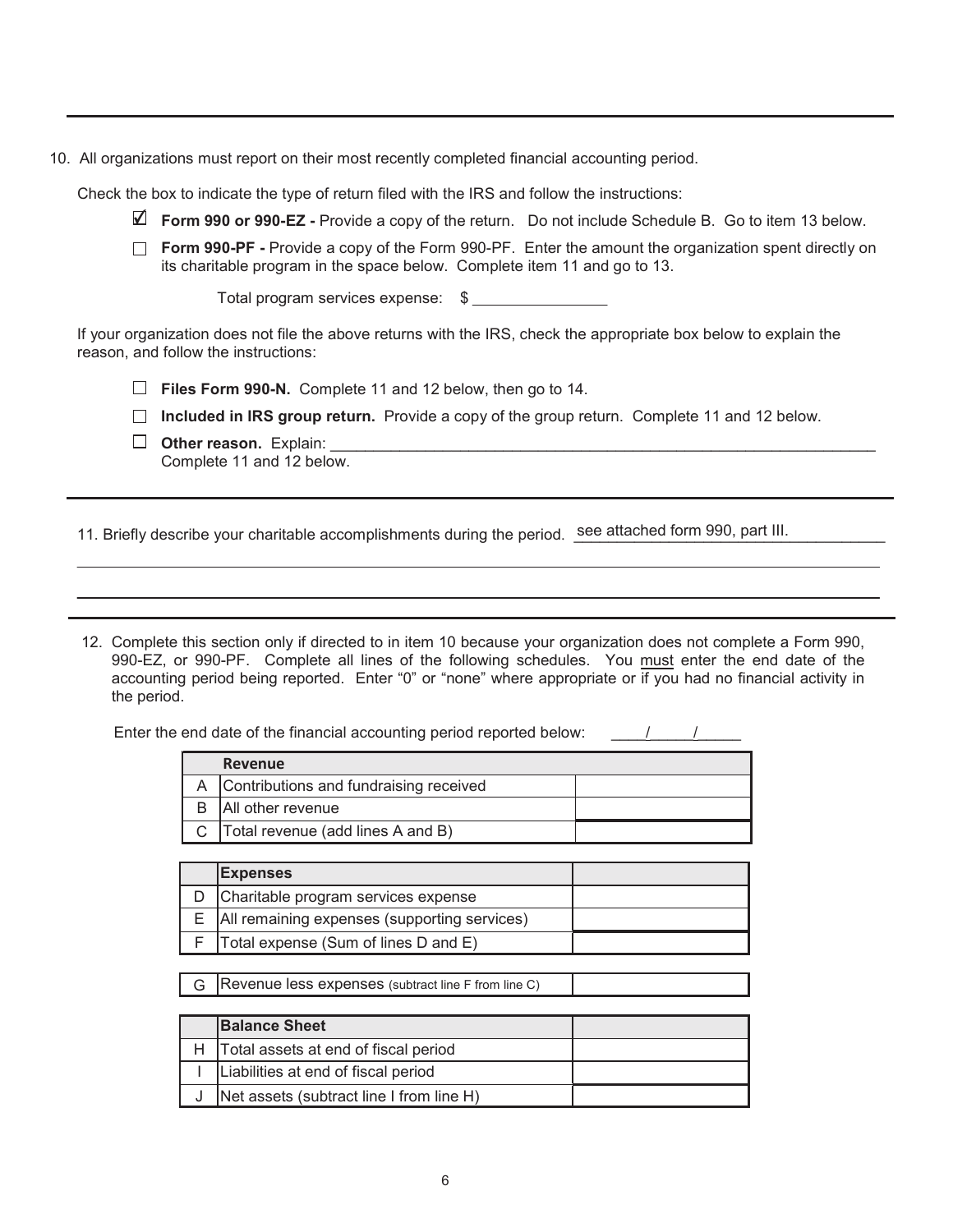10. All organizations must report on their most recently completed financial accounting period.

Check the box to indicate the type of return filed with the IRS and follow the instructions:

- $\blacksquare$  Form 990 or 990-EZ Provide a copy of the return. Do not include Schedule B. Go to item 13 below.
- **Form 990-PF** Provide a copy of the Form 990-PF. Enter the amount the organization spent directly on its charitable program in the space below. Complete item 11 and go to 13.

Total program services expense: \$

If your organization does not file the above returns with the IRS, check the appropriate box below to explain the reason, and follow the instructions:

 $\Box$  **Files Form 990-N.** Complete 11 and 12 below, then go to 14.

**Included in IRS group return.** Provide a copy of the group return. Complete 11 and 12 below.

**2WB** Other reason. Explain: Complete 11 and 12 below.

11. Briefly describe your charitable accomplishments during the period. See attached form 990, part III.

12. Complete this section only if directed to in item 10 because your organization does not complete a Form 990, 990-EZ, or 990-PF. Complete all lines of the following schedules. You must enter the end date of the accounting period being reported. Enter "0" or "none" where appropriate or if you had no financial activity in the period.

Enter the end date of the financial accounting period reported below:

| Revenue                                      |  |
|----------------------------------------------|--|
| A Contributions and fundraising received     |  |
| All other revenue                            |  |
| $\text{C}$ Total revenue (add lines A and B) |  |

| <b>Expenses</b>                                  |  |
|--------------------------------------------------|--|
| Charitable program services expense              |  |
| E   All remaining expenses (supporting services) |  |
| $F$ Total expense (Sum of lines D and E)         |  |

 $\mathsf G$  Revenue less expenses (subtract line F from line C)

| <b>Balance Sheet</b>                     |  |
|------------------------------------------|--|
| Total assets at end of fiscal period     |  |
| Liabilities at end of fiscal period      |  |
| Net assets (subtract line I from line H) |  |